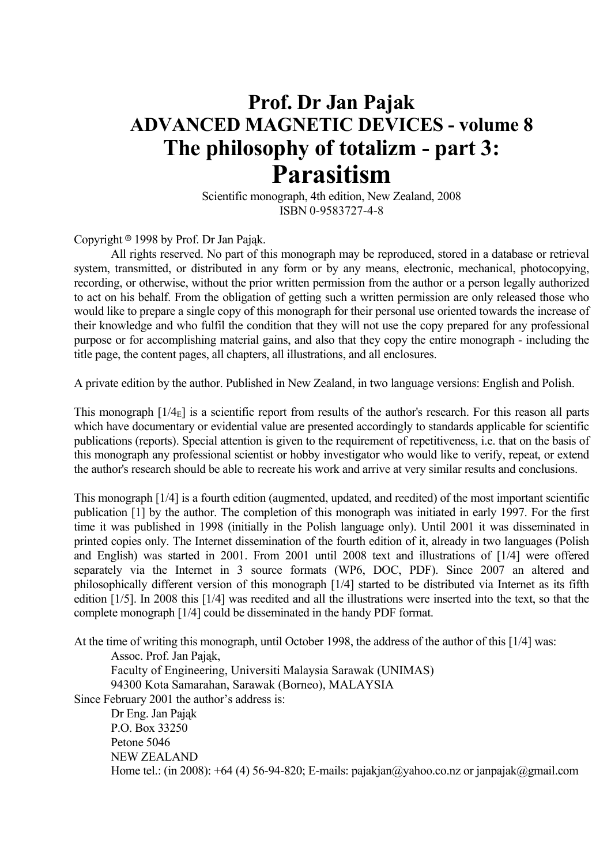## **Prof. Dr Jan Pajak ADVANCED MAGNETIC DEVICES - volume 8 The philosophy of totalizm - part 3: Parasitism**

 Scientific monograph, 4th edition, New Zealand, 2008 ISBN 0-9583727-4-8

Copyright  $\circ$  1998 by Prof. Dr Jan Pająk.

 All rights reserved. No part of this monograph may be reproduced, stored in a database or retrieval system, transmitted, or distributed in any form or by any means, electronic, mechanical, photocopying, recording, or otherwise, without the prior written permission from the author or a person legally authorized to act on his behalf. From the obligation of getting such a written permission are only released those who would like to prepare a single copy of this monograph for their personal use oriented towards the increase of their knowledge and who fulfil the condition that they will not use the copy prepared for any professional purpose or for accomplishing material gains, and also that they copy the entire monograph - including the title page, the content pages, all chapters, all illustrations, and all enclosures.

A private edition by the author. Published in New Zealand, in two language versions: English and Polish.

This monograph  $[1/4<sub>E</sub>]$  is a scientific report from results of the author's research. For this reason all parts which have documentary or evidential value are presented accordingly to standards applicable for scientific publications (reports). Special attention is given to the requirement of repetitiveness, i.e. that on the basis of this monograph any professional scientist or hobby investigator who would like to verify, repeat, or extend the author's research should be able to recreate his work and arrive at very similar results and conclusions.

This monograph [1/4] is a fourth edition (augmented, updated, and reedited) of the most important scientific publication [1] by the author. The completion of this monograph was initiated in early 1997. For the first time it was published in 1998 (initially in the Polish language only). Until 2001 it was disseminated in printed copies only. The Internet dissemination of the fourth edition of it, already in two languages (Polish and English) was started in 2001. From 2001 until 2008 text and illustrations of [1/4] were offered separately via the Internet in 3 source formats (WP6, DOC, PDF). Since 2007 an altered and philosophically different version of this monograph [1/4] started to be distributed via Internet as its fifth edition [1/5]. In 2008 this [1/4] was reedited and all the illustrations were inserted into the text, so that the complete monograph [1/4] could be disseminated in the handy PDF format.

At the time of writing this monograph, until October 1998, the address of the author of this [1/4] was:

 Assoc. Prof. Jan Pająk, Faculty of Engineering, Universiti Malaysia Sarawak (UNIMAS)

94300 Kota Samarahan, Sarawak (Borneo), MALAYSIA

Since February 2001 the author's address is:

 Dr Eng. Jan Pająk P.O. Box 33250 Petone 5046 NEW ZEALAND Home tel.: (in 2008):  $+64$  (4) 56-94-820; E-mails: pajakjan@yahoo.co.nz or janpajak@gmail.com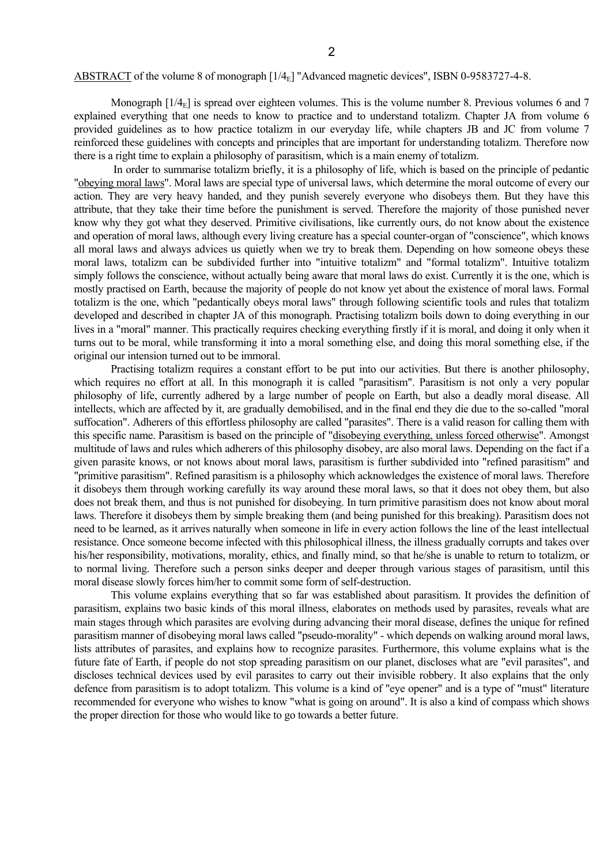#### ABSTRACT of the volume 8 of monograph [1/4<sub>E</sub>] "Advanced magnetic devices", ISBN 0-9583727-4-8.

Monograph  $[1/4<sub>E</sub>]$  is spread over eighteen volumes. This is the volume number 8. Previous volumes 6 and 7 explained everything that one needs to know to practice and to understand totalizm. Chapter JA from volume 6 provided guidelines as to how practice totalizm in our everyday life, while chapters JB and JC from volume 7 reinforced these guidelines with concepts and principles that are important for understanding totalizm. Therefore now there is a right time to explain a philosophy of parasitism, which is a main enemy of totalizm.

 In order to summarise totalizm briefly, it is a philosophy of life, which is based on the principle of pedantic "obeying moral laws". Moral laws are special type of universal laws, which determine the moral outcome of every our action. They are very heavy handed, and they punish severely everyone who disobeys them. But they have this attribute, that they take their time before the punishment is served. Therefore the majority of those punished never know why they got what they deserved. Primitive civilisations, like currently ours, do not know about the existence and operation of moral laws, although every living creature has a special counter-organ of "conscience", which knows all moral laws and always advices us quietly when we try to break them. Depending on how someone obeys these moral laws, totalizm can be subdivided further into "intuitive totalizm" and "formal totalizm". Intuitive totalizm simply follows the conscience, without actually being aware that moral laws do exist. Currently it is the one, which is mostly practised on Earth, because the majority of people do not know yet about the existence of moral laws. Formal totalizm is the one, which "pedantically obeys moral laws" through following scientific tools and rules that totalizm developed and described in chapter JA of this monograph. Practising totalizm boils down to doing everything in our lives in a "moral" manner. This practically requires checking everything firstly if it is moral, and doing it only when it turns out to be moral, while transforming it into a moral something else, and doing this moral something else, if the original our intension turned out to be immoral.

 Practising totalizm requires a constant effort to be put into our activities. But there is another philosophy, which requires no effort at all. In this monograph it is called "parasitism". Parasitism is not only a very popular philosophy of life, currently adhered by a large number of people on Earth, but also a deadly moral disease. All intellects, which are affected by it, are gradually demobilised, and in the final end they die due to the so-called "moral suffocation". Adherers of this effortless philosophy are called "parasites". There is a valid reason for calling them with this specific name. Parasitism is based on the principle of "disobeying everything, unless forced otherwise". Amongst multitude of laws and rules which adherers of this philosophy disobey, are also moral laws. Depending on the fact if a given parasite knows, or not knows about moral laws, parasitism is further subdivided into "refined parasitism" and "primitive parasitism". Refined parasitism is a philosophy which acknowledges the existence of moral laws. Therefore it disobeys them through working carefully its way around these moral laws, so that it does not obey them, but also does not break them, and thus is not punished for disobeying. In turn primitive parasitism does not know about moral laws. Therefore it disobeys them by simple breaking them (and being punished for this breaking). Parasitism does not need to be learned, as it arrives naturally when someone in life in every action follows the line of the least intellectual resistance. Once someone become infected with this philosophical illness, the illness gradually corrupts and takes over his/her responsibility, motivations, morality, ethics, and finally mind, so that he/she is unable to return to totalizm, or to normal living. Therefore such a person sinks deeper and deeper through various stages of parasitism, until this moral disease slowly forces him/her to commit some form of self-destruction.

 This volume explains everything that so far was established about parasitism. It provides the definition of parasitism, explains two basic kinds of this moral illness, elaborates on methods used by parasites, reveals what are main stages through which parasites are evolving during advancing their moral disease, defines the unique for refined parasitism manner of disobeying moral laws called "pseudo-morality" - which depends on walking around moral laws, lists attributes of parasites, and explains how to recognize parasites. Furthermore, this volume explains what is the future fate of Earth, if people do not stop spreading parasitism on our planet, discloses what are "evil parasites", and discloses technical devices used by evil parasites to carry out their invisible robbery. It also explains that the only defence from parasitism is to adopt totalizm. This volume is a kind of "eye opener" and is a type of "must" literature recommended for everyone who wishes to know "what is going on around". It is also a kind of compass which shows the proper direction for those who would like to go towards a better future.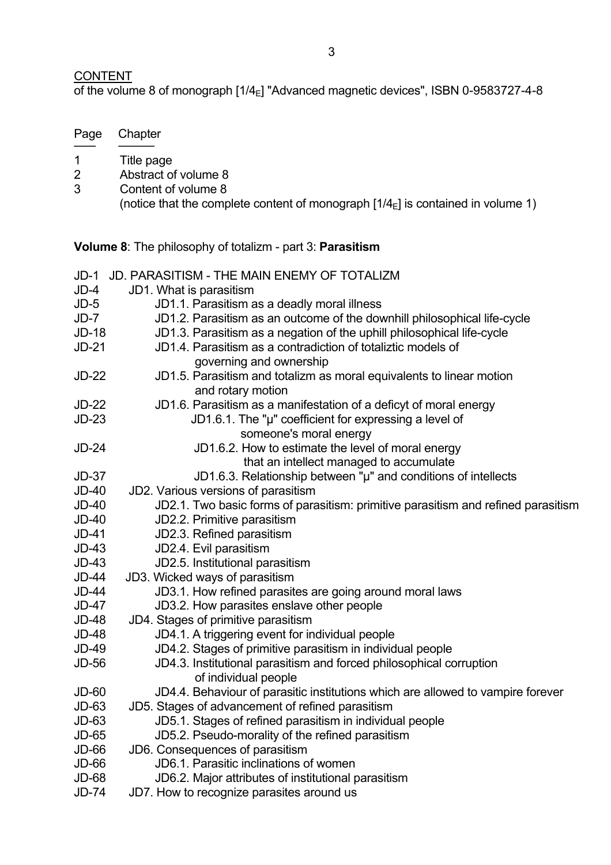## CONTENT

Page Chapter ─── ───── 1 Title page

of the volume 8 of monograph  $[1/4_{\text{E}}]$  "Advanced magnetic devices", ISBN 0-9583727-4-8

| $\overline{2}$<br>3                                                     | Abstract of volume 8<br>Content of volume 8<br>(notice that the complete content of monograph $[1/4E]$ is contained in volume 1) |  |
|-------------------------------------------------------------------------|----------------------------------------------------------------------------------------------------------------------------------|--|
| <b>Volume 8:</b> The philosophy of totalizm - part 3: <b>Parasitism</b> |                                                                                                                                  |  |
| $JD-1$                                                                  | <b>JD. PARASITISM - THE MAIN ENEMY OF TOTALIZM</b>                                                                               |  |
| $JD-4$                                                                  | JD1. What is parasitism                                                                                                          |  |
| $JD-5$                                                                  | JD1.1. Parasitism as a deadly moral illness                                                                                      |  |
| $JD - 7$                                                                | JD1.2. Parasitism as an outcome of the downhill philosophical life-cycle                                                         |  |
| $JD-18$                                                                 | JD1.3. Parasitism as a negation of the uphill philosophical life-cycle                                                           |  |
| $JD-21$                                                                 | JD1.4. Parasitism as a contradiction of totaliztic models of                                                                     |  |
|                                                                         | governing and ownership                                                                                                          |  |
| $JD-22$                                                                 | JD1.5. Parasitism and totalizm as moral equivalents to linear motion<br>and rotary motion                                        |  |
| $JD-22$                                                                 | JD1.6. Parasitism as a manifestation of a deficyt of moral energy                                                                |  |
| $JD-23$                                                                 | JD1.6.1. The " $\mu$ " coefficient for expressing a level of                                                                     |  |
|                                                                         | someone's moral energy                                                                                                           |  |
| $JD-24$                                                                 | JD1.6.2. How to estimate the level of moral energy                                                                               |  |
|                                                                         | that an intellect managed to accumulate                                                                                          |  |
| $JD-37$                                                                 | JD1.6.3. Relationship between "µ" and conditions of intellects                                                                   |  |
| $JD-40$                                                                 | JD2. Various versions of parasitism                                                                                              |  |
| $JD-40$                                                                 | JD2.1. Two basic forms of parasitism: primitive parasitism and refined parasitism                                                |  |
| $JD-40$                                                                 | JD2.2. Primitive parasitism                                                                                                      |  |
| $JD-41$                                                                 | JD2.3. Refined parasitism                                                                                                        |  |
| $JD-43$                                                                 | JD2.4. Evil parasitism                                                                                                           |  |
| $JD-43$                                                                 | JD2.5. Institutional parasitism                                                                                                  |  |
| $JD-44$                                                                 | JD3. Wicked ways of parasitism                                                                                                   |  |
| $JD-44$                                                                 | JD3.1. How refined parasites are going around moral laws                                                                         |  |
| $JD-47$                                                                 | JD3.2. How parasites enslave other people                                                                                        |  |
| $JD-48$                                                                 | JD4. Stages of primitive parasitism                                                                                              |  |
| JD-48                                                                   | JD4.1. A triggering event for individual people                                                                                  |  |
| $JD-49$                                                                 | JD4.2. Stages of primitive parasitism in individual people                                                                       |  |
| <b>JD-56</b>                                                            | JD4.3. Institutional parasitism and forced philosophical corruption<br>of individual people                                      |  |
| $JD-60$                                                                 | JD4.4. Behaviour of parasitic institutions which are allowed to vampire forever                                                  |  |
| $JD-63$                                                                 | JD5. Stages of advancement of refined parasitism                                                                                 |  |
| $JD-63$                                                                 | JD5.1. Stages of refined parasitism in individual people                                                                         |  |
| JD-65                                                                   | JD5.2. Pseudo-morality of the refined parasitism                                                                                 |  |
| $JD-66$                                                                 | JD6. Consequences of parasitism                                                                                                  |  |
| $JD-66$                                                                 | JD6.1. Parasitic inclinations of women                                                                                           |  |
| <b>JD-68</b>                                                            | JD6.2. Major attributes of institutional parasitism                                                                              |  |
| <b>JD-74</b>                                                            | JD7. How to recognize parasites around us                                                                                        |  |
|                                                                         |                                                                                                                                  |  |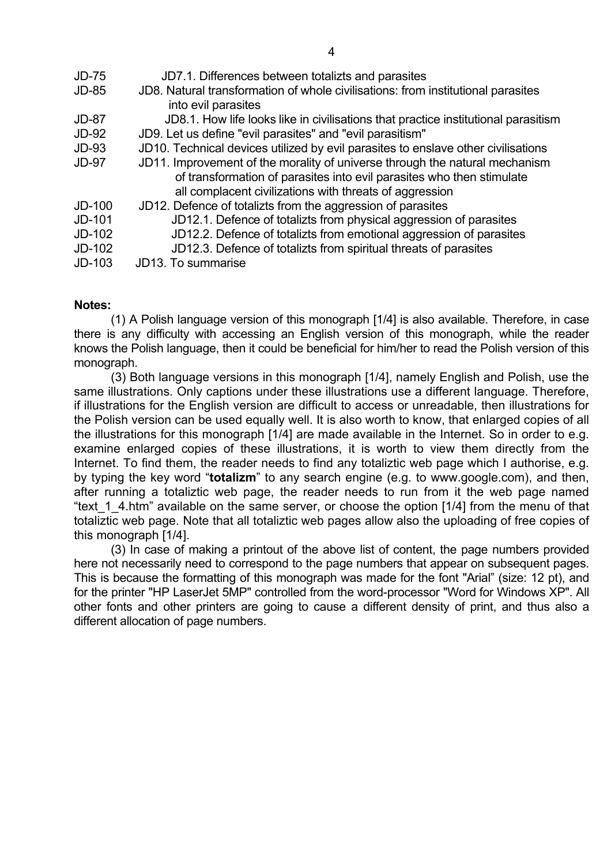| $JD-75$      | JD7.1. Differences between totalizts and parasites                                 |
|--------------|------------------------------------------------------------------------------------|
| <b>JD-85</b> | JD8. Natural transformation of whole civilisations: from institutional parasites   |
|              | into evil parasites                                                                |
| <b>JD-87</b> | JD8.1. How life looks like in civilisations that practice institutional parasitism |
| <b>JD-92</b> | JD9. Let us define "evil parasites" and "evil parasitism"                          |
| $JD-93$      | JD10. Technical devices utilized by evil parasites to enslave other civilisations  |
| <b>JD-97</b> | JD11. Improvement of the morality of universe through the natural mechanism        |
|              | of transformation of parasites into evil parasites who then stimulate              |
|              | all complacent civilizations with threats of aggression                            |
| $JD-100$     | JD12. Defence of totalizts from the aggression of parasites                        |
| JD-101       | JD12.1. Defence of totalizts from physical aggression of parasites                 |
| $JD-102$     | JD12.2. Defence of totalizts from emotional aggression of parasites                |
| $JD-102$     | JD12.3. Defence of totalizts from spiritual threats of parasites                   |
| $JD-103$     | JD13. To summarise                                                                 |
|              |                                                                                    |

## **Notes:**

 (1) A Polish language version of this monograph [1/4] is also available. Therefore, in case there is any difficulty with accessing an English version of this monograph, while the reader knows the Polish language, then it could be beneficial for him/her to read the Polish version of this monograph.

 (3) Both language versions in this monograph [1/4], namely English and Polish, use the same illustrations. Only captions under these illustrations use a different language. Therefore, if illustrations for the English version are difficult to access or unreadable, then illustrations for the Polish version can be used equally well. It is also worth to know, that enlarged copies of all the illustrations for this monograph [1/4] are made available in the Internet. So in order to e.g. examine enlarged copies of these illustrations, it is worth to view them directly from the Internet. To find them, the reader needs to find any totaliztic web page which I authorise, e.g. by typing the key word "**totalizm**" to any search engine (e.g. to www.google.com), and then, after running a totaliztic web page, the reader needs to run from it the web page named "text 1 4.htm" available on the same server, or choose the option [1/4] from the menu of that totaliztic web page. Note that all totaliztic web pages allow also the uploading of free copies of this monograph [1/4].

 (3) In case of making a printout of the above list of content, the page numbers provided here not necessarily need to correspond to the page numbers that appear on subsequent pages. This is because the formatting of this monograph was made for the font "Arial" (size: 12 pt), and for the printer "HP LaserJet 5MP" controlled from the word-processor "Word for Windows XP". All other fonts and other printers are going to cause a different density of print, and thus also a different allocation of page numbers.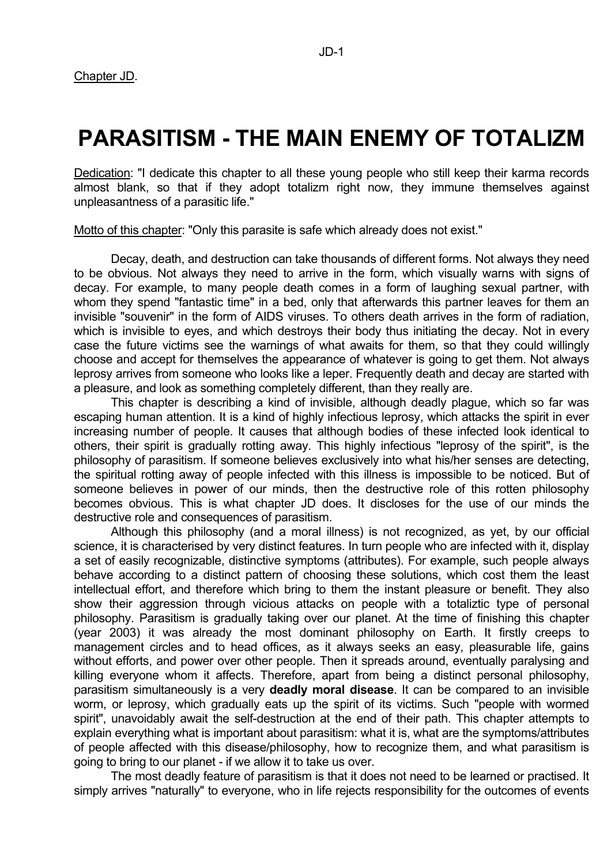# **PARASITISM - THE MAIN ENEMY OF TOTALIZM**

Dedication: "I dedicate this chapter to all these young people who still keep their karma records almost blank, so that if they adopt totalizm right now, they immune themselves against unpleasantness of a parasitic life."

Motto of this chapter: "Only this parasite is safe which already does not exist."

 Decay, death, and destruction can take thousands of different forms. Not always they need to be obvious. Not always they need to arrive in the form, which visually warns with signs of decay. For example, to many people death comes in a form of laughing sexual partner, with whom they spend "fantastic time" in a bed, only that afterwards this partner leaves for them an invisible "souvenir" in the form of AIDS viruses. To others death arrives in the form of radiation, which is invisible to eyes, and which destroys their body thus initiating the decay. Not in every case the future victims see the warnings of what awaits for them, so that they could willingly choose and accept for themselves the appearance of whatever is going to get them. Not always leprosy arrives from someone who looks like a leper. Frequently death and decay are started with a pleasure, and look as something completely different, than they really are.

 This chapter is describing a kind of invisible, although deadly plague, which so far was escaping human attention. It is a kind of highly infectious leprosy, which attacks the spirit in ever increasing number of people. It causes that although bodies of these infected look identical to others, their spirit is gradually rotting away. This highly infectious "leprosy of the spirit", is the philosophy of parasitism. If someone believes exclusively into what his/her senses are detecting, the spiritual rotting away of people infected with this illness is impossible to be noticed. But of someone believes in power of our minds, then the destructive role of this rotten philosophy becomes obvious. This is what chapter JD does. It discloses for the use of our minds the destructive role and consequences of parasitism.

 Although this philosophy (and a moral illness) is not recognized, as yet, by our official science, it is characterised by very distinct features. In turn people who are infected with it, display a set of easily recognizable, distinctive symptoms (attributes). For example, such people always behave according to a distinct pattern of choosing these solutions, which cost them the least intellectual effort, and therefore which bring to them the instant pleasure or benefit. They also show their aggression through vicious attacks on people with a totaliztic type of personal philosophy. Parasitism is gradually taking over our planet. At the time of finishing this chapter (year 2003) it was already the most dominant philosophy on Earth. It firstly creeps to management circles and to head offices, as it always seeks an easy, pleasurable life, gains without efforts, and power over other people. Then it spreads around, eventually paralysing and killing everyone whom it affects. Therefore, apart from being a distinct personal philosophy, parasitism simultaneously is a very **deadly moral disease**. It can be compared to an invisible worm, or leprosy, which gradually eats up the spirit of its victims. Such "people with wormed spirit", unavoidably await the self-destruction at the end of their path. This chapter attempts to explain everything what is important about parasitism: what it is, what are the symptoms/attributes of people affected with this disease/philosophy, how to recognize them, and what parasitism is going to bring to our planet - if we allow it to take us over.

 The most deadly feature of parasitism is that it does not need to be learned or practised. It simply arrives "naturally" to everyone, who in life rejects responsibility for the outcomes of events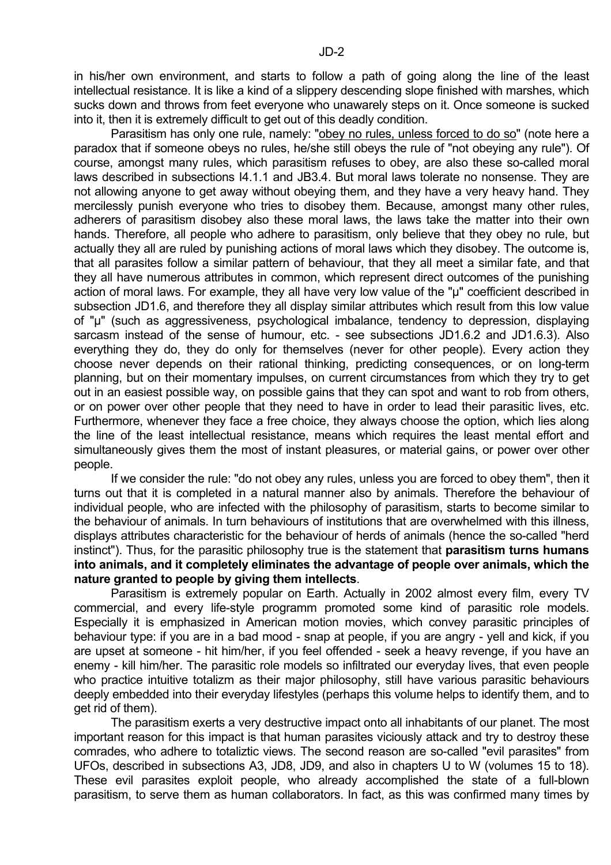in his/her own environment, and starts to follow a path of going along the line of the least intellectual resistance. It is like a kind of a slippery descending slope finished with marshes, which sucks down and throws from feet everyone who unawarely steps on it. Once someone is sucked into it, then it is extremely difficult to get out of this deadly condition.

 Parasitism has only one rule, namely: "obey no rules, unless forced to do so" (note here a paradox that if someone obeys no rules, he/she still obeys the rule of "not obeying any rule"). Of course, amongst many rules, which parasitism refuses to obey, are also these so-called moral laws described in subsections I4.1.1 and JB3.4. But moral laws tolerate no nonsense. They are not allowing anyone to get away without obeying them, and they have a very heavy hand. They mercilessly punish everyone who tries to disobey them. Because, amongst many other rules, adherers of parasitism disobey also these moral laws, the laws take the matter into their own hands. Therefore, all people who adhere to parasitism, only believe that they obey no rule, but actually they all are ruled by punishing actions of moral laws which they disobey. The outcome is, that all parasites follow a similar pattern of behaviour, that they all meet a similar fate, and that they all have numerous attributes in common, which represent direct outcomes of the punishing action of moral laws. For example, they all have very low value of the "µ" coefficient described in subsection JD1.6, and therefore they all display similar attributes which result from this low value of "µ" (such as aggressiveness, psychological imbalance, tendency to depression, displaying sarcasm instead of the sense of humour, etc. - see subsections JD1.6.2 and JD1.6.3). Also everything they do, they do only for themselves (never for other people). Every action they choose never depends on their rational thinking, predicting consequences, or on long-term planning, but on their momentary impulses, on current circumstances from which they try to get out in an easiest possible way, on possible gains that they can spot and want to rob from others, or on power over other people that they need to have in order to lead their parasitic lives, etc. Furthermore, whenever they face a free choice, they always choose the option, which lies along the line of the least intellectual resistance, means which requires the least mental effort and simultaneously gives them the most of instant pleasures, or material gains, or power over other people.

 If we consider the rule: "do not obey any rules, unless you are forced to obey them", then it turns out that it is completed in a natural manner also by animals. Therefore the behaviour of individual people, who are infected with the philosophy of parasitism, starts to become similar to the behaviour of animals. In turn behaviours of institutions that are overwhelmed with this illness, displays attributes characteristic for the behaviour of herds of animals (hence the so-called "herd instinct"). Thus, for the parasitic philosophy true is the statement that **parasitism turns humans into animals, and it completely eliminates the advantage of people over animals, which the nature granted to people by giving them intellects**.

 Parasitism is extremely popular on Earth. Actually in 2002 almost every film, every TV commercial, and every life-style programm promoted some kind of parasitic role models. Especially it is emphasized in American motion movies, which convey parasitic principles of behaviour type: if you are in a bad mood - snap at people, if you are angry - yell and kick, if you are upset at someone - hit him/her, if you feel offended - seek a heavy revenge, if you have an enemy - kill him/her. The parasitic role models so infiltrated our everyday lives, that even people who practice intuitive totalizm as their major philosophy, still have various parasitic behaviours deeply embedded into their everyday lifestyles (perhaps this volume helps to identify them, and to get rid of them).

 The parasitism exerts a very destructive impact onto all inhabitants of our planet. The most important reason for this impact is that human parasites viciously attack and try to destroy these comrades, who adhere to totaliztic views. The second reason are so-called "evil parasites" from UFOs, described in subsections A3, JD8, JD9, and also in chapters U to W (volumes 15 to 18). These evil parasites exploit people, who already accomplished the state of a full-blown parasitism, to serve them as human collaborators. In fact, as this was confirmed many times by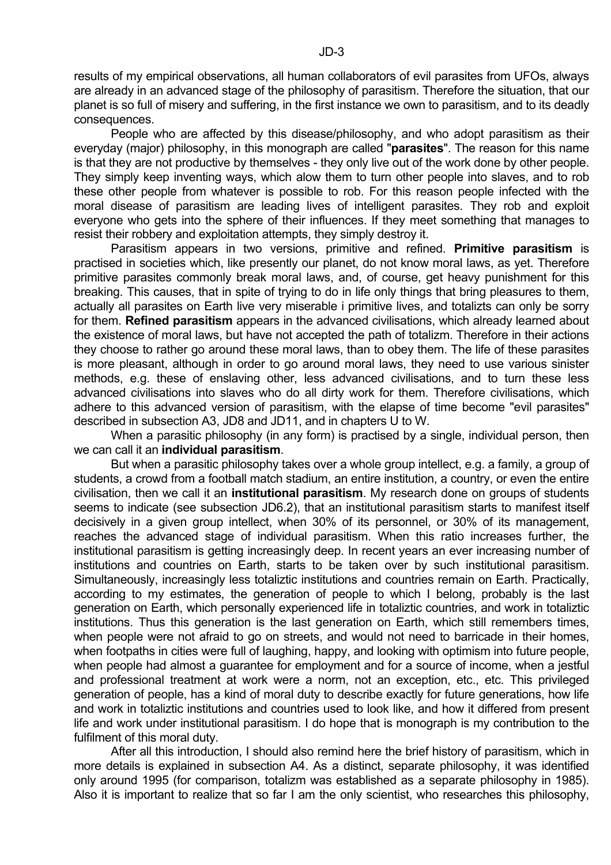results of my empirical observations, all human collaborators of evil parasites from UFOs, always are already in an advanced stage of the philosophy of parasitism. Therefore the situation, that our planet is so full of misery and suffering, in the first instance we own to parasitism, and to its deadly consequences.

 People who are affected by this disease/philosophy, and who adopt parasitism as their everyday (major) philosophy, in this monograph are called "**parasites**". The reason for this name is that they are not productive by themselves - they only live out of the work done by other people. They simply keep inventing ways, which alow them to turn other people into slaves, and to rob these other people from whatever is possible to rob. For this reason people infected with the moral disease of parasitism are leading lives of intelligent parasites. They rob and exploit everyone who gets into the sphere of their influences. If they meet something that manages to resist their robbery and exploitation attempts, they simply destroy it.

 Parasitism appears in two versions, primitive and refined. **Primitive parasitism** is practised in societies which, like presently our planet, do not know moral laws, as yet. Therefore primitive parasites commonly break moral laws, and, of course, get heavy punishment for this breaking. This causes, that in spite of trying to do in life only things that bring pleasures to them, actually all parasites on Earth live very miserable i primitive lives, and totalizts can only be sorry for them. **Refined parasitism** appears in the advanced civilisations, which already learned about the existence of moral laws, but have not accepted the path of totalizm. Therefore in their actions they choose to rather go around these moral laws, than to obey them. The life of these parasites is more pleasant, although in order to go around moral laws, they need to use various sinister methods, e.g. these of enslaving other, less advanced civilisations, and to turn these less advanced civilisations into slaves who do all dirty work for them. Therefore civilisations, which adhere to this advanced version of parasitism, with the elapse of time become "evil parasites" described in subsection A3, JD8 and JD11, and in chapters U to W.

When a parasitic philosophy (in any form) is practised by a single, individual person, then we can call it an **individual parasitism**.

 But when a parasitic philosophy takes over a whole group intellect, e.g. a family, a group of students, a crowd from a football match stadium, an entire institution, a country, or even the entire civilisation, then we call it an **institutional parasitism**. My research done on groups of students seems to indicate (see subsection JD6.2), that an institutional parasitism starts to manifest itself decisively in a given group intellect, when 30% of its personnel, or 30% of its management, reaches the advanced stage of individual parasitism. When this ratio increases further, the institutional parasitism is getting increasingly deep. In recent years an ever increasing number of institutions and countries on Earth, starts to be taken over by such institutional parasitism. Simultaneously, increasingly less totaliztic institutions and countries remain on Earth. Practically, according to my estimates, the generation of people to which I belong, probably is the last generation on Earth, which personally experienced life in totaliztic countries, and work in totaliztic institutions. Thus this generation is the last generation on Earth, which still remembers times, when people were not afraid to go on streets, and would not need to barricade in their homes, when footpaths in cities were full of laughing, happy, and looking with optimism into future people, when people had almost a guarantee for employment and for a source of income, when a jestful and professional treatment at work were a norm, not an exception, etc., etc. This privileged generation of people, has a kind of moral duty to describe exactly for future generations, how life and work in totaliztic institutions and countries used to look like, and how it differed from present life and work under institutional parasitism. I do hope that is monograph is my contribution to the fulfilment of this moral duty.

 After all this introduction, I should also remind here the brief history of parasitism, which in more details is explained in subsection A4. As a distinct, separate philosophy, it was identified only around 1995 (for comparison, totalizm was established as a separate philosophy in 1985). Also it is important to realize that so far I am the only scientist, who researches this philosophy,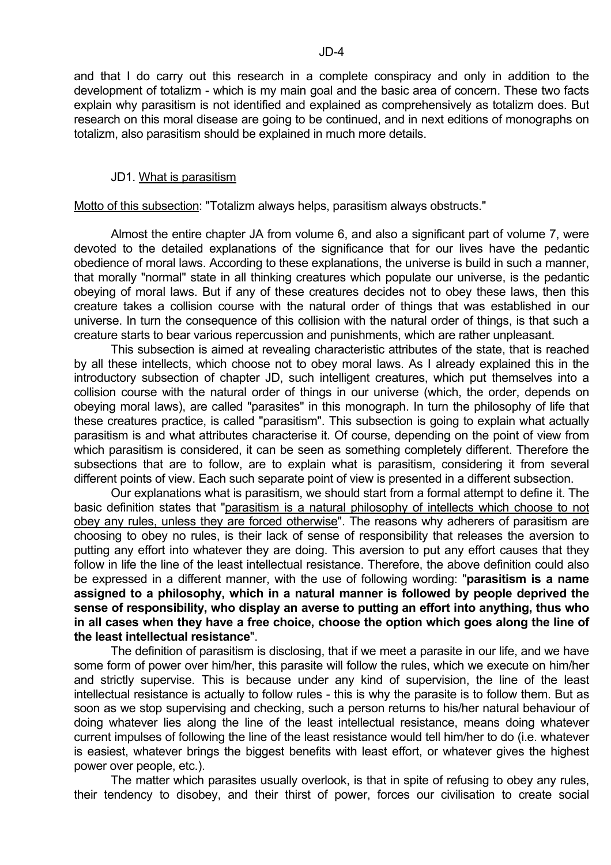and that I do carry out this research in a complete conspiracy and only in addition to the development of totalizm - which is my main goal and the basic area of concern. These two facts explain why parasitism is not identified and explained as comprehensively as totalizm does. But research on this moral disease are going to be continued, and in next editions of monographs on totalizm, also parasitism should be explained in much more details.

#### JD1. What is parasitism

Motto of this subsection: "Totalizm always helps, parasitism always obstructs."

 Almost the entire chapter JA from volume 6, and also a significant part of volume 7, were devoted to the detailed explanations of the significance that for our lives have the pedantic obedience of moral laws. According to these explanations, the universe is build in such a manner, that morally "normal" state in all thinking creatures which populate our universe, is the pedantic obeying of moral laws. But if any of these creatures decides not to obey these laws, then this creature takes a collision course with the natural order of things that was established in our universe. In turn the consequence of this collision with the natural order of things, is that such a creature starts to bear various repercussion and punishments, which are rather unpleasant.

 This subsection is aimed at revealing characteristic attributes of the state, that is reached by all these intellects, which choose not to obey moral laws. As I already explained this in the introductory subsection of chapter JD, such intelligent creatures, which put themselves into a collision course with the natural order of things in our universe (which, the order, depends on obeying moral laws), are called "parasites" in this monograph. In turn the philosophy of life that these creatures practice, is called "parasitism". This subsection is going to explain what actually parasitism is and what attributes characterise it. Of course, depending on the point of view from which parasitism is considered, it can be seen as something completely different. Therefore the subsections that are to follow, are to explain what is parasitism, considering it from several different points of view. Each such separate point of view is presented in a different subsection.

 Our explanations what is parasitism, we should start from a formal attempt to define it. The basic definition states that "parasitism is a natural philosophy of intellects which choose to not obey any rules, unless they are forced otherwise". The reasons why adherers of parasitism are choosing to obey no rules, is their lack of sense of responsibility that releases the aversion to putting any effort into whatever they are doing. This aversion to put any effort causes that they follow in life the line of the least intellectual resistance. Therefore, the above definition could also be expressed in a different manner, with the use of following wording: "**parasitism is a name assigned to a philosophy, which in a natural manner is followed by people deprived the sense of responsibility, who display an averse to putting an effort into anything, thus who in all cases when they have a free choice, choose the option which goes along the line of the least intellectual resistance**".

 The definition of parasitism is disclosing, that if we meet a parasite in our life, and we have some form of power over him/her, this parasite will follow the rules, which we execute on him/her and strictly supervise. This is because under any kind of supervision, the line of the least intellectual resistance is actually to follow rules - this is why the parasite is to follow them. But as soon as we stop supervising and checking, such a person returns to his/her natural behaviour of doing whatever lies along the line of the least intellectual resistance, means doing whatever current impulses of following the line of the least resistance would tell him/her to do (i.e. whatever is easiest, whatever brings the biggest benefits with least effort, or whatever gives the highest power over people, etc.).

 The matter which parasites usually overlook, is that in spite of refusing to obey any rules, their tendency to disobey, and their thirst of power, forces our civilisation to create social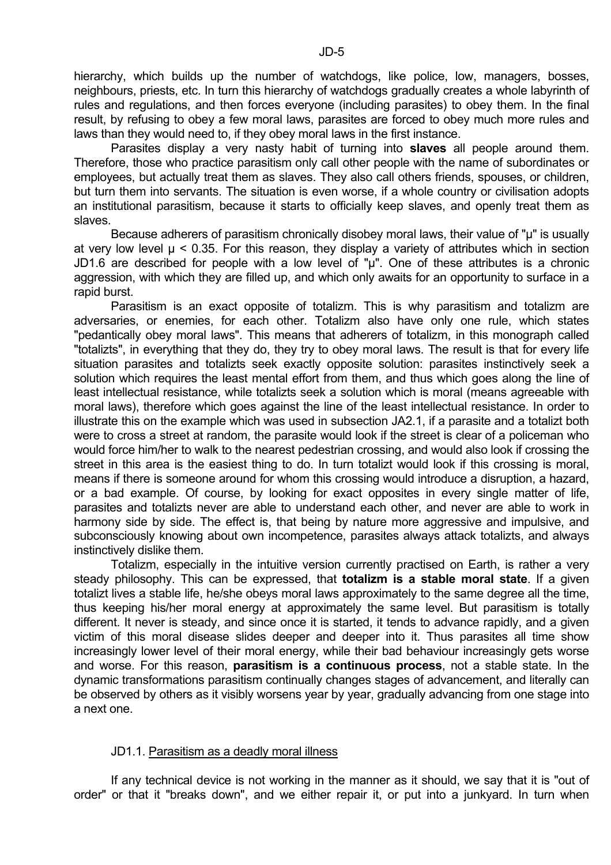hierarchy, which builds up the number of watchdogs, like police, low, managers, bosses, neighbours, priests, etc. In turn this hierarchy of watchdogs gradually creates a whole labyrinth of rules and regulations, and then forces everyone (including parasites) to obey them. In the final result, by refusing to obey a few moral laws, parasites are forced to obey much more rules and laws than they would need to, if they obey moral laws in the first instance.

 Parasites display a very nasty habit of turning into **slaves** all people around them. Therefore, those who practice parasitism only call other people with the name of subordinates or employees, but actually treat them as slaves. They also call others friends, spouses, or children, but turn them into servants. The situation is even worse, if a whole country or civilisation adopts an institutional parasitism, because it starts to officially keep slaves, and openly treat them as slaves.

Because adherers of parasitism chronically disobey moral laws, their value of "µ" is usually at very low level  $\mu$  < 0.35. For this reason, they display a variety of attributes which in section JD1.6 are described for people with a low level of " $\mu$ ". One of these attributes is a chronic aggression, with which they are filled up, and which only awaits for an opportunity to surface in a rapid burst.

 Parasitism is an exact opposite of totalizm. This is why parasitism and totalizm are adversaries, or enemies, for each other. Totalizm also have only one rule, which states "pedantically obey moral laws". This means that adherers of totalizm, in this monograph called "totalizts", in everything that they do, they try to obey moral laws. The result is that for every life situation parasites and totalizts seek exactly opposite solution: parasites instinctively seek a solution which requires the least mental effort from them, and thus which goes along the line of least intellectual resistance, while totalizts seek a solution which is moral (means agreeable with moral laws), therefore which goes against the line of the least intellectual resistance. In order to illustrate this on the example which was used in subsection JA2.1, if a parasite and a totalizt both were to cross a street at random, the parasite would look if the street is clear of a policeman who would force him/her to walk to the nearest pedestrian crossing, and would also look if crossing the street in this area is the easiest thing to do. In turn totalizt would look if this crossing is moral, means if there is someone around for whom this crossing would introduce a disruption, a hazard, or a bad example. Of course, by looking for exact opposites in every single matter of life, parasites and totalizts never are able to understand each other, and never are able to work in harmony side by side. The effect is, that being by nature more aggressive and impulsive, and subconsciously knowing about own incompetence, parasites always attack totalizts, and always instinctively dislike them.

 Totalizm, especially in the intuitive version currently practised on Earth, is rather a very steady philosophy. This can be expressed, that **totalizm is a stable moral state**. If a given totalizt lives a stable life, he/she obeys moral laws approximately to the same degree all the time, thus keeping his/her moral energy at approximately the same level. But parasitism is totally different. It never is steady, and since once it is started, it tends to advance rapidly, and a given victim of this moral disease slides deeper and deeper into it. Thus parasites all time show increasingly lower level of their moral energy, while their bad behaviour increasingly gets worse and worse. For this reason, **parasitism is a continuous process**, not a stable state. In the dynamic transformations parasitism continually changes stages of advancement, and literally can be observed by others as it visibly worsens year by year, gradually advancing from one stage into a next one.

#### JD1.1. Parasitism as a deadly moral illness

 If any technical device is not working in the manner as it should, we say that it is "out of order" or that it "breaks down", and we either repair it, or put into a junkyard. In turn when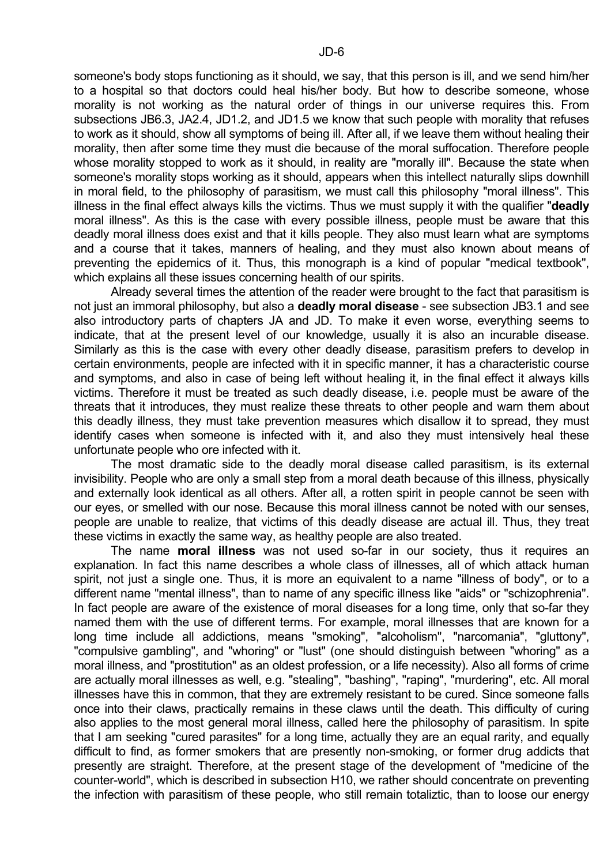someone's body stops functioning as it should, we say, that this person is ill, and we send him/her to a hospital so that doctors could heal his/her body. But how to describe someone, whose morality is not working as the natural order of things in our universe requires this. From subsections JB6.3, JA2.4, JD1.2, and JD1.5 we know that such people with morality that refuses to work as it should, show all symptoms of being ill. After all, if we leave them without healing their morality, then after some time they must die because of the moral suffocation. Therefore people whose morality stopped to work as it should, in reality are "morally ill". Because the state when someone's morality stops working as it should, appears when this intellect naturally slips downhill in moral field, to the philosophy of parasitism, we must call this philosophy "moral illness". This illness in the final effect always kills the victims. Thus we must supply it with the qualifier "**deadly** moral illness". As this is the case with every possible illness, people must be aware that this deadly moral illness does exist and that it kills people. They also must learn what are symptoms and a course that it takes, manners of healing, and they must also known about means of preventing the epidemics of it. Thus, this monograph is a kind of popular "medical textbook", which explains all these issues concerning health of our spirits.

 Already several times the attention of the reader were brought to the fact that parasitism is not just an immoral philosophy, but also a **deadly moral disease** - see subsection JB3.1 and see also introductory parts of chapters JA and JD. To make it even worse, everything seems to indicate, that at the present level of our knowledge, usually it is also an incurable disease. Similarly as this is the case with every other deadly disease, parasitism prefers to develop in certain environments, people are infected with it in specific manner, it has a characteristic course and symptoms, and also in case of being left without healing it, in the final effect it always kills victims. Therefore it must be treated as such deadly disease, i.e. people must be aware of the threats that it introduces, they must realize these threats to other people and warn them about this deadly illness, they must take prevention measures which disallow it to spread, they must identify cases when someone is infected with it, and also they must intensively heal these unfortunate people who ore infected with it.

 The most dramatic side to the deadly moral disease called parasitism, is its external invisibility. People who are only a small step from a moral death because of this illness, physically and externally look identical as all others. After all, a rotten spirit in people cannot be seen with our eyes, or smelled with our nose. Because this moral illness cannot be noted with our senses, people are unable to realize, that victims of this deadly disease are actual ill. Thus, they treat these victims in exactly the same way, as healthy people are also treated.

 The name **moral illness** was not used so-far in our society, thus it requires an explanation. In fact this name describes a whole class of illnesses, all of which attack human spirit, not just a single one. Thus, it is more an equivalent to a name "illness of body", or to a different name "mental illness", than to name of any specific illness like "aids" or "schizophrenia". In fact people are aware of the existence of moral diseases for a long time, only that so-far they named them with the use of different terms. For example, moral illnesses that are known for a long time include all addictions, means "smoking", "alcoholism", "narcomania", "gluttony", "compulsive gambling", and "whoring" or "lust" (one should distinguish between "whoring" as a moral illness, and "prostitution" as an oldest profession, or a life necessity). Also all forms of crime are actually moral illnesses as well, e.g. "stealing", "bashing", "raping", "murdering", etc. All moral illnesses have this in common, that they are extremely resistant to be cured. Since someone falls once into their claws, practically remains in these claws until the death. This difficulty of curing also applies to the most general moral illness, called here the philosophy of parasitism. In spite that I am seeking "cured parasites" for a long time, actually they are an equal rarity, and equally difficult to find, as former smokers that are presently non-smoking, or former drug addicts that presently are straight. Therefore, at the present stage of the development of "medicine of the counter-world", which is described in subsection H10, we rather should concentrate on preventing the infection with parasitism of these people, who still remain totaliztic, than to loose our energy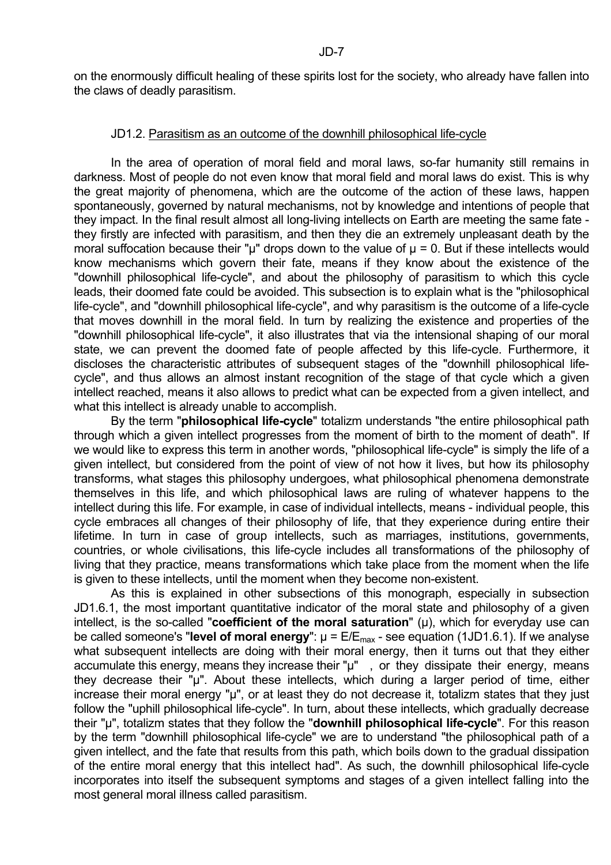on the enormously difficult healing of these spirits lost for the society, who already have fallen into the claws of deadly parasitism.

#### JD1.2. Parasitism as an outcome of the downhill philosophical life-cycle

 In the area of operation of moral field and moral laws, so-far humanity still remains in darkness. Most of people do not even know that moral field and moral laws do exist. This is why the great majority of phenomena, which are the outcome of the action of these laws, happen spontaneously, governed by natural mechanisms, not by knowledge and intentions of people that they impact. In the final result almost all long-living intellects on Earth are meeting the same fate they firstly are infected with parasitism, and then they die an extremely unpleasant death by the moral suffocation because their " $\mu$ " drops down to the value of  $\mu$  = 0. But if these intellects would know mechanisms which govern their fate, means if they know about the existence of the "downhill philosophical life-cycle", and about the philosophy of parasitism to which this cycle leads, their doomed fate could be avoided. This subsection is to explain what is the "philosophical life-cycle", and "downhill philosophical life-cycle", and why parasitism is the outcome of a life-cycle that moves downhill in the moral field. In turn by realizing the existence and properties of the "downhill philosophical life-cycle", it also illustrates that via the intensional shaping of our moral state, we can prevent the doomed fate of people affected by this life-cycle. Furthermore, it discloses the characteristic attributes of subsequent stages of the "downhill philosophical lifecycle", and thus allows an almost instant recognition of the stage of that cycle which a given intellect reached, means it also allows to predict what can be expected from a given intellect, and what this intellect is already unable to accomplish.

 By the term "**philosophical life-cycle**" totalizm understands "the entire philosophical path through which a given intellect progresses from the moment of birth to the moment of death". If we would like to express this term in another words, "philosophical life-cycle" is simply the life of a given intellect, but considered from the point of view of not how it lives, but how its philosophy transforms, what stages this philosophy undergoes, what philosophical phenomena demonstrate themselves in this life, and which philosophical laws are ruling of whatever happens to the intellect during this life. For example, in case of individual intellects, means - individual people, this cycle embraces all changes of their philosophy of life, that they experience during entire their lifetime. In turn in case of group intellects, such as marriages, institutions, governments, countries, or whole civilisations, this life-cycle includes all transformations of the philosophy of living that they practice, means transformations which take place from the moment when the life is given to these intellects, until the moment when they become non-existent.

 As this is explained in other subsections of this monograph, especially in subsection JD1.6.1, the most important quantitative indicator of the moral state and philosophy of a given intellect, is the so-called "**coefficient of the moral saturation**" (u), which for everyday use can be called someone's "**level of moral energy**":  $\mu = E/E_{\text{max}}$  - see equation (1JD1.6.1). If we analyse what subsequent intellects are doing with their moral energy, then it turns out that they either accumulate this energy, means they increase their "µ", or they dissipate their energy, means they decrease their "µ". About these intellects, which during a larger period of time, either increase their moral energy "µ", or at least they do not decrease it, totalizm states that they just follow the "uphill philosophical life-cycle". In turn, about these intellects, which gradually decrease their "µ", totalizm states that they follow the "**downhill philosophical life-cycle**". For this reason by the term "downhill philosophical life-cycle" we are to understand "the philosophical path of a given intellect, and the fate that results from this path, which boils down to the gradual dissipation of the entire moral energy that this intellect had". As such, the downhill philosophical life-cycle incorporates into itself the subsequent symptoms and stages of a given intellect falling into the most general moral illness called parasitism.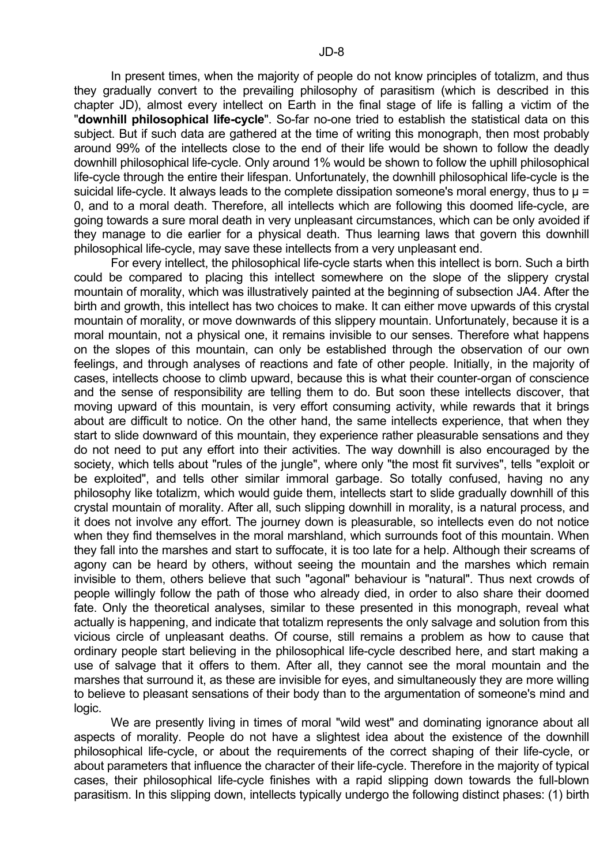In present times, when the majority of people do not know principles of totalizm, and thus they gradually convert to the prevailing philosophy of parasitism (which is described in this chapter JD), almost every intellect on Earth in the final stage of life is falling a victim of the "**downhill philosophical life-cycle**". So-far no-one tried to establish the statistical data on this subject. But if such data are gathered at the time of writing this monograph, then most probably around 99% of the intellects close to the end of their life would be shown to follow the deadly downhill philosophical life-cycle. Only around 1% would be shown to follow the uphill philosophical life-cycle through the entire their lifespan. Unfortunately, the downhill philosophical life-cycle is the suicidal life-cycle. It always leads to the complete dissipation someone's moral energy, thus to  $\mu$  = 0, and to a moral death. Therefore, all intellects which are following this doomed life-cycle, are going towards a sure moral death in very unpleasant circumstances, which can be only avoided if they manage to die earlier for a physical death. Thus learning laws that govern this downhill philosophical life-cycle, may save these intellects from a very unpleasant end.

 For every intellect, the philosophical life-cycle starts when this intellect is born. Such a birth could be compared to placing this intellect somewhere on the slope of the slippery crystal mountain of morality, which was illustratively painted at the beginning of subsection JA4. After the birth and growth, this intellect has two choices to make. It can either move upwards of this crystal mountain of morality, or move downwards of this slippery mountain. Unfortunately, because it is a moral mountain, not a physical one, it remains invisible to our senses. Therefore what happens on the slopes of this mountain, can only be established through the observation of our own feelings, and through analyses of reactions and fate of other people. Initially, in the majority of cases, intellects choose to climb upward, because this is what their counter-organ of conscience and the sense of responsibility are telling them to do. But soon these intellects discover, that moving upward of this mountain, is very effort consuming activity, while rewards that it brings about are difficult to notice. On the other hand, the same intellects experience, that when they start to slide downward of this mountain, they experience rather pleasurable sensations and they do not need to put any effort into their activities. The way downhill is also encouraged by the society, which tells about "rules of the jungle", where only "the most fit survives", tells "exploit or be exploited", and tells other similar immoral garbage. So totally confused, having no any philosophy like totalizm, which would guide them, intellects start to slide gradually downhill of this crystal mountain of morality. After all, such slipping downhill in morality, is a natural process, and it does not involve any effort. The journey down is pleasurable, so intellects even do not notice when they find themselves in the moral marshland, which surrounds foot of this mountain. When they fall into the marshes and start to suffocate, it is too late for a help. Although their screams of agony can be heard by others, without seeing the mountain and the marshes which remain invisible to them, others believe that such "agonal" behaviour is "natural". Thus next crowds of people willingly follow the path of those who already died, in order to also share their doomed fate. Only the theoretical analyses, similar to these presented in this monograph, reveal what actually is happening, and indicate that totalizm represents the only salvage and solution from this vicious circle of unpleasant deaths. Of course, still remains a problem as how to cause that ordinary people start believing in the philosophical life-cycle described here, and start making a use of salvage that it offers to them. After all, they cannot see the moral mountain and the marshes that surround it, as these are invisible for eyes, and simultaneously they are more willing to believe to pleasant sensations of their body than to the argumentation of someone's mind and logic.

 We are presently living in times of moral "wild west" and dominating ignorance about all aspects of morality. People do not have a slightest idea about the existence of the downhill philosophical life-cycle, or about the requirements of the correct shaping of their life-cycle, or about parameters that influence the character of their life-cycle. Therefore in the majority of typical cases, their philosophical life-cycle finishes with a rapid slipping down towards the full-blown parasitism. In this slipping down, intellects typically undergo the following distinct phases: (1) birth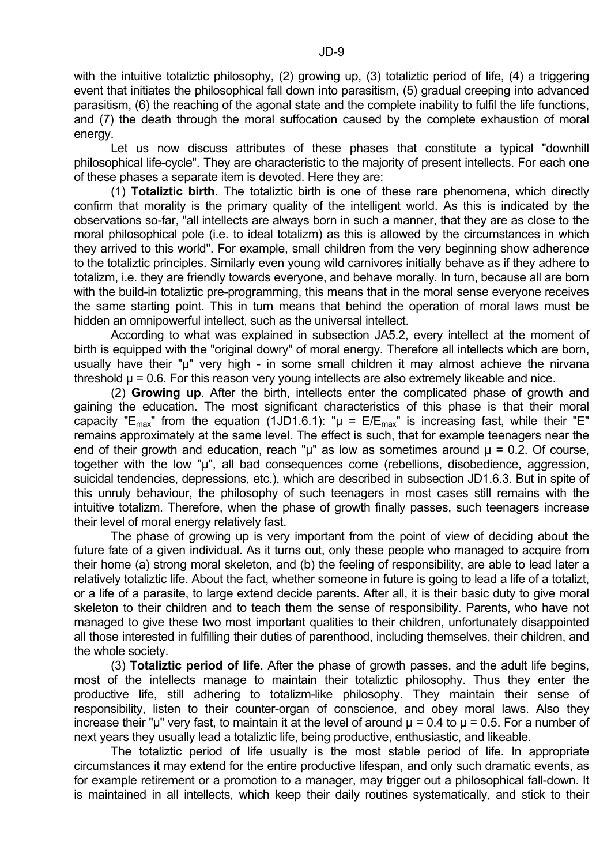with the intuitive totaliztic philosophy, (2) growing up, (3) totaliztic period of life, (4) a triggering event that initiates the philosophical fall down into parasitism, (5) gradual creeping into advanced parasitism, (6) the reaching of the agonal state and the complete inability to fulfil the life functions, and (7) the death through the moral suffocation caused by the complete exhaustion of moral energy.

 Let us now discuss attributes of these phases that constitute a typical "downhill philosophical life-cycle". They are characteristic to the majority of present intellects. For each one of these phases a separate item is devoted. Here they are:

 (1) **Totaliztic birth**. The totaliztic birth is one of these rare phenomena, which directly confirm that morality is the primary quality of the intelligent world. As this is indicated by the observations so-far, "all intellects are always born in such a manner, that they are as close to the moral philosophical pole (i.e. to ideal totalizm) as this is allowed by the circumstances in which they arrived to this world". For example, small children from the very beginning show adherence to the totaliztic principles. Similarly even young wild carnivores initially behave as if they adhere to totalizm, i.e. they are friendly towards everyone, and behave morally. In turn, because all are born with the build-in totaliztic pre-programming, this means that in the moral sense everyone receives the same starting point. This in turn means that behind the operation of moral laws must be hidden an omnipowerful intellect, such as the universal intellect.

 According to what was explained in subsection JA5.2, every intellect at the moment of birth is equipped with the "original dowry" of moral energy. Therefore all intellects which are born, usually have their "µ" very high - in some small children it may almost achieve the nirvana threshold  $\mu$  = 0.6. For this reason very young intellects are also extremely likeable and nice.

 (2) **Growing up**. After the birth, intellects enter the complicated phase of growth and gaining the education. The most significant characteristics of this phase is that their moral capacity "E<sub>max</sub>" from the equation (1JD1.6.1): " $\mu$  = E/E<sub>max</sub>" is increasing fast, while their "E" remains approximately at the same level. The effect is such, that for example teenagers near the end of their growth and education, reach " $\mu$ " as low as sometimes around  $\mu$  = 0.2. Of course, together with the low "µ", all bad consequences come (rebellions, disobedience, aggression, suicidal tendencies, depressions, etc.), which are described in subsection JD1.6.3. But in spite of this unruly behaviour, the philosophy of such teenagers in most cases still remains with the intuitive totalizm. Therefore, when the phase of growth finally passes, such teenagers increase their level of moral energy relatively fast.

 The phase of growing up is very important from the point of view of deciding about the future fate of a given individual. As it turns out, only these people who managed to acquire from their home (a) strong moral skeleton, and (b) the feeling of responsibility, are able to lead later a relatively totaliztic life. About the fact, whether someone in future is going to lead a life of a totalizt, or a life of a parasite, to large extend decide parents. After all, it is their basic duty to give moral skeleton to their children and to teach them the sense of responsibility. Parents, who have not managed to give these two most important qualities to their children, unfortunately disappointed all those interested in fulfilling their duties of parenthood, including themselves, their children, and the whole society.

 (3) **Totaliztic period of life**. After the phase of growth passes, and the adult life begins, most of the intellects manage to maintain their totaliztic philosophy. Thus they enter the productive life, still adhering to totalizm-like philosophy. They maintain their sense of responsibility, listen to their counter-organ of conscience, and obey moral laws. Also they increase their "µ" very fast, to maintain it at the level of around  $\mu$  = 0.4 to  $\mu$  = 0.5. For a number of next years they usually lead a totaliztic life, being productive, enthusiastic, and likeable.

 The totaliztic period of life usually is the most stable period of life. In appropriate circumstances it may extend for the entire productive lifespan, and only such dramatic events, as for example retirement or a promotion to a manager, may trigger out a philosophical fall-down. It is maintained in all intellects, which keep their daily routines systematically, and stick to their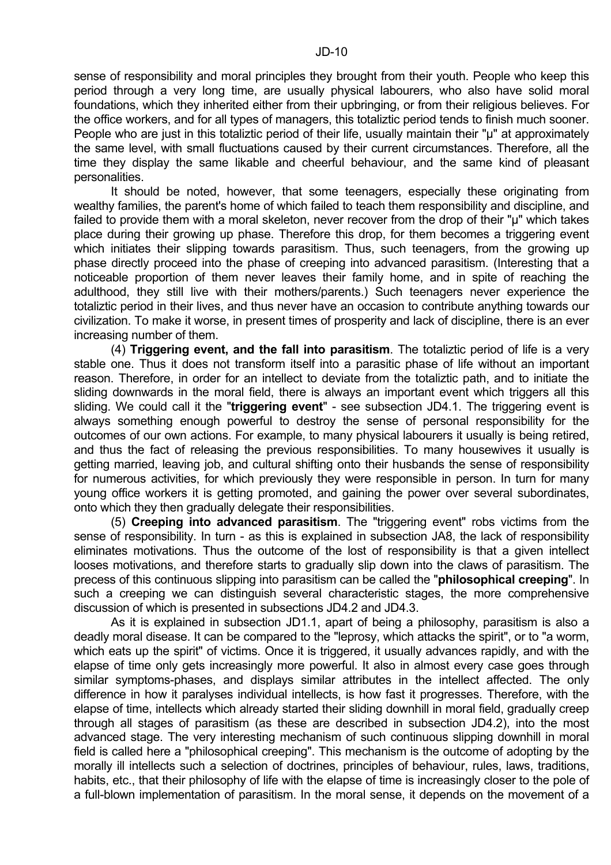sense of responsibility and moral principles they brought from their youth. People who keep this period through a very long time, are usually physical labourers, who also have solid moral foundations, which they inherited either from their upbringing, or from their religious believes. For the office workers, and for all types of managers, this totaliztic period tends to finish much sooner. People who are just in this totaliztic period of their life, usually maintain their "u" at approximately the same level, with small fluctuations caused by their current circumstances. Therefore, all the time they display the same likable and cheerful behaviour, and the same kind of pleasant personalities.

 It should be noted, however, that some teenagers, especially these originating from wealthy families, the parent's home of which failed to teach them responsibility and discipline, and failed to provide them with a moral skeleton, never recover from the drop of their "µ" which takes place during their growing up phase. Therefore this drop, for them becomes a triggering event which initiates their slipping towards parasitism. Thus, such teenagers, from the growing up phase directly proceed into the phase of creeping into advanced parasitism. (Interesting that a noticeable proportion of them never leaves their family home, and in spite of reaching the adulthood, they still live with their mothers/parents.) Such teenagers never experience the totaliztic period in their lives, and thus never have an occasion to contribute anything towards our civilization. To make it worse, in present times of prosperity and lack of discipline, there is an ever increasing number of them.

 (4) **Triggering event, and the fall into parasitism**. The totaliztic period of life is a very stable one. Thus it does not transform itself into a parasitic phase of life without an important reason. Therefore, in order for an intellect to deviate from the totaliztic path, and to initiate the sliding downwards in the moral field, there is always an important event which triggers all this sliding. We could call it the "**triggering event**" - see subsection JD4.1. The triggering event is always something enough powerful to destroy the sense of personal responsibility for the outcomes of our own actions. For example, to many physical labourers it usually is being retired, and thus the fact of releasing the previous responsibilities. To many housewives it usually is getting married, leaving job, and cultural shifting onto their husbands the sense of responsibility for numerous activities, for which previously they were responsible in person. In turn for many young office workers it is getting promoted, and gaining the power over several subordinates, onto which they then gradually delegate their responsibilities.

 (5) **Creeping into advanced parasitism**. The "triggering event" robs victims from the sense of responsibility. In turn - as this is explained in subsection JA8, the lack of responsibility eliminates motivations. Thus the outcome of the lost of responsibility is that a given intellect looses motivations, and therefore starts to gradually slip down into the claws of parasitism. The precess of this continuous slipping into parasitism can be called the "**philosophical creeping**". In such a creeping we can distinguish several characteristic stages, the more comprehensive discussion of which is presented in subsections JD4.2 and JD4.3.

 As it is explained in subsection JD1.1, apart of being a philosophy, parasitism is also a deadly moral disease. It can be compared to the "leprosy, which attacks the spirit", or to "a worm, which eats up the spirit" of victims. Once it is triggered, it usually advances rapidly, and with the elapse of time only gets increasingly more powerful. It also in almost every case goes through similar symptoms-phases, and displays similar attributes in the intellect affected. The only difference in how it paralyses individual intellects, is how fast it progresses. Therefore, with the elapse of time, intellects which already started their sliding downhill in moral field, gradually creep through all stages of parasitism (as these are described in subsection JD4.2), into the most advanced stage. The very interesting mechanism of such continuous slipping downhill in moral field is called here a "philosophical creeping". This mechanism is the outcome of adopting by the morally ill intellects such a selection of doctrines, principles of behaviour, rules, laws, traditions, habits, etc., that their philosophy of life with the elapse of time is increasingly closer to the pole of a full-blown implementation of parasitism. In the moral sense, it depends on the movement of a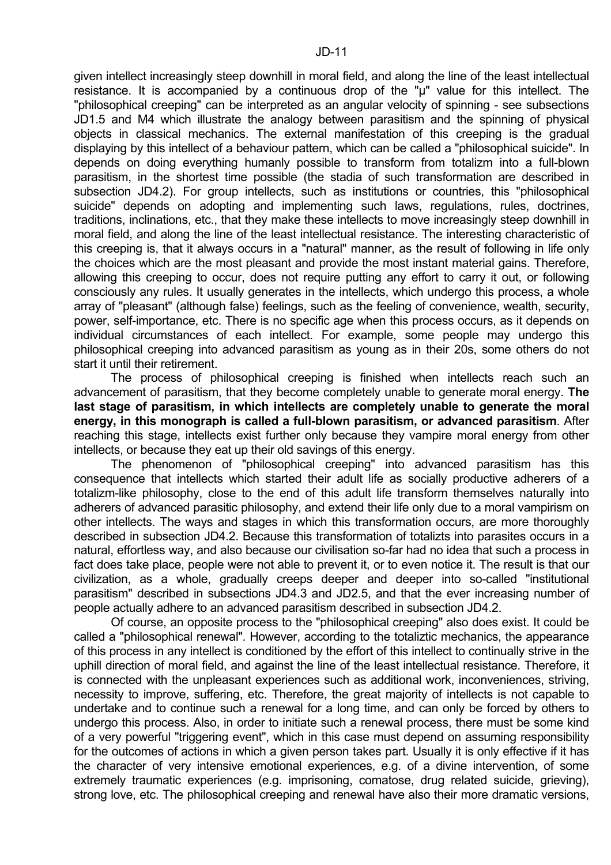given intellect increasingly steep downhill in moral field, and along the line of the least intellectual resistance. It is accompanied by a continuous drop of the "µ" value for this intellect. The "philosophical creeping" can be interpreted as an angular velocity of spinning - see subsections JD1.5 and M4 which illustrate the analogy between parasitism and the spinning of physical objects in classical mechanics. The external manifestation of this creeping is the gradual displaying by this intellect of a behaviour pattern, which can be called a "philosophical suicide". In depends on doing everything humanly possible to transform from totalizm into a full-blown parasitism, in the shortest time possible (the stadia of such transformation are described in subsection JD4.2). For group intellects, such as institutions or countries, this "philosophical suicide" depends on adopting and implementing such laws, regulations, rules, doctrines, traditions, inclinations, etc., that they make these intellects to move increasingly steep downhill in moral field, and along the line of the least intellectual resistance. The interesting characteristic of this creeping is, that it always occurs in a "natural" manner, as the result of following in life only the choices which are the most pleasant and provide the most instant material gains. Therefore, allowing this creeping to occur, does not require putting any effort to carry it out, or following consciously any rules. It usually generates in the intellects, which undergo this process, a whole array of "pleasant" (although false) feelings, such as the feeling of convenience, wealth, security, power, self-importance, etc. There is no specific age when this process occurs, as it depends on individual circumstances of each intellect. For example, some people may undergo this philosophical creeping into advanced parasitism as young as in their 20s, some others do not start it until their retirement.

 The process of philosophical creeping is finished when intellects reach such an advancement of parasitism, that they become completely unable to generate moral energy. **The last stage of parasitism, in which intellects are completely unable to generate the moral energy, in this monograph is called a full-blown parasitism, or advanced parasitism**. After reaching this stage, intellects exist further only because they vampire moral energy from other intellects, or because they eat up their old savings of this energy.

 The phenomenon of "philosophical creeping" into advanced parasitism has this consequence that intellects which started their adult life as socially productive adherers of a totalizm-like philosophy, close to the end of this adult life transform themselves naturally into adherers of advanced parasitic philosophy, and extend their life only due to a moral vampirism on other intellects. The ways and stages in which this transformation occurs, are more thoroughly described in subsection JD4.2. Because this transformation of totalizts into parasites occurs in a natural, effortless way, and also because our civilisation so-far had no idea that such a process in fact does take place, people were not able to prevent it, or to even notice it. The result is that our civilization, as a whole, gradually creeps deeper and deeper into so-called "institutional parasitism" described in subsections JD4.3 and JD2.5, and that the ever increasing number of people actually adhere to an advanced parasitism described in subsection JD4.2.

 Of course, an opposite process to the "philosophical creeping" also does exist. It could be called a "philosophical renewal". However, according to the totaliztic mechanics, the appearance of this process in any intellect is conditioned by the effort of this intellect to continually strive in the uphill direction of moral field, and against the line of the least intellectual resistance. Therefore, it is connected with the unpleasant experiences such as additional work, inconveniences, striving, necessity to improve, suffering, etc. Therefore, the great majority of intellects is not capable to undertake and to continue such a renewal for a long time, and can only be forced by others to undergo this process. Also, in order to initiate such a renewal process, there must be some kind of a very powerful "triggering event", which in this case must depend on assuming responsibility for the outcomes of actions in which a given person takes part. Usually it is only effective if it has the character of very intensive emotional experiences, e.g. of a divine intervention, of some extremely traumatic experiences (e.g. imprisoning, comatose, drug related suicide, grieving), strong love, etc. The philosophical creeping and renewal have also their more dramatic versions,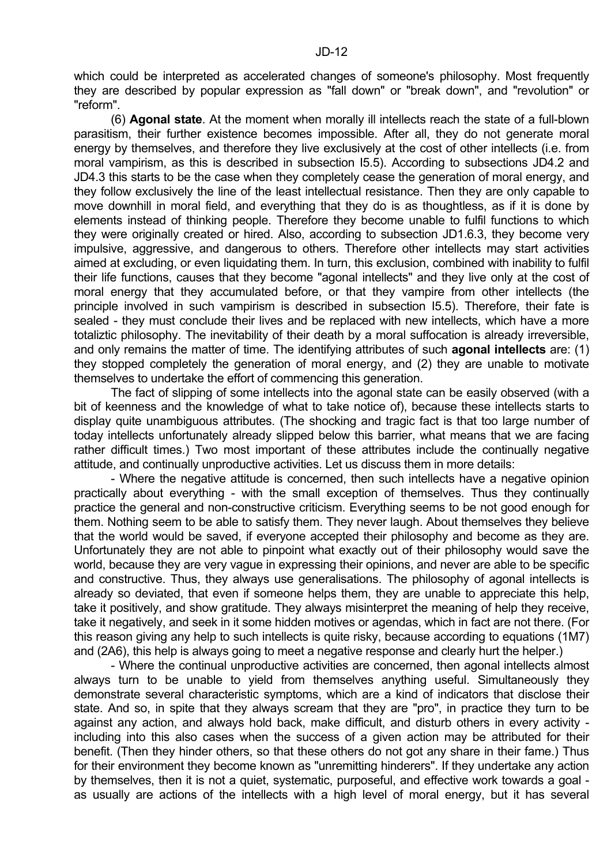which could be interpreted as accelerated changes of someone's philosophy. Most frequently they are described by popular expression as "fall down" or "break down", and "revolution" or "reform".

 (6) **Agonal state**. At the moment when morally ill intellects reach the state of a full-blown parasitism, their further existence becomes impossible. After all, they do not generate moral energy by themselves, and therefore they live exclusively at the cost of other intellects (i.e. from moral vampirism, as this is described in subsection I5.5). According to subsections JD4.2 and JD4.3 this starts to be the case when they completely cease the generation of moral energy, and they follow exclusively the line of the least intellectual resistance. Then they are only capable to move downhill in moral field, and everything that they do is as thoughtless, as if it is done by elements instead of thinking people. Therefore they become unable to fulfil functions to which they were originally created or hired. Also, according to subsection JD1.6.3, they become very impulsive, aggressive, and dangerous to others. Therefore other intellects may start activities aimed at excluding, or even liquidating them. In turn, this exclusion, combined with inability to fulfil their life functions, causes that they become "agonal intellects" and they live only at the cost of moral energy that they accumulated before, or that they vampire from other intellects (the principle involved in such vampirism is described in subsection I5.5). Therefore, their fate is sealed - they must conclude their lives and be replaced with new intellects, which have a more totaliztic philosophy. The inevitability of their death by a moral suffocation is already irreversible, and only remains the matter of time. The identifying attributes of such **agonal intellects** are: (1) they stopped completely the generation of moral energy, and (2) they are unable to motivate themselves to undertake the effort of commencing this generation.

 The fact of slipping of some intellects into the agonal state can be easily observed (with a bit of keenness and the knowledge of what to take notice of), because these intellects starts to display quite unambiguous attributes. (The shocking and tragic fact is that too large number of today intellects unfortunately already slipped below this barrier, what means that we are facing rather difficult times.) Two most important of these attributes include the continually negative attitude, and continually unproductive activities. Let us discuss them in more details:

 - Where the negative attitude is concerned, then such intellects have a negative opinion practically about everything - with the small exception of themselves. Thus they continually practice the general and non-constructive criticism. Everything seems to be not good enough for them. Nothing seem to be able to satisfy them. They never laugh. About themselves they believe that the world would be saved, if everyone accepted their philosophy and become as they are. Unfortunately they are not able to pinpoint what exactly out of their philosophy would save the world, because they are very vague in expressing their opinions, and never are able to be specific and constructive. Thus, they always use generalisations. The philosophy of agonal intellects is already so deviated, that even if someone helps them, they are unable to appreciate this help, take it positively, and show gratitude. They always misinterpret the meaning of help they receive, take it negatively, and seek in it some hidden motives or agendas, which in fact are not there. (For this reason giving any help to such intellects is quite risky, because according to equations (1M7) and (2A6), this help is always going to meet a negative response and clearly hurt the helper.)

 - Where the continual unproductive activities are concerned, then agonal intellects almost always turn to be unable to yield from themselves anything useful. Simultaneously they demonstrate several characteristic symptoms, which are a kind of indicators that disclose their state. And so, in spite that they always scream that they are "pro", in practice they turn to be against any action, and always hold back, make difficult, and disturb others in every activity including into this also cases when the success of a given action may be attributed for their benefit. (Then they hinder others, so that these others do not got any share in their fame.) Thus for their environment they become known as "unremitting hinderers". If they undertake any action by themselves, then it is not a quiet, systematic, purposeful, and effective work towards a goal as usually are actions of the intellects with a high level of moral energy, but it has several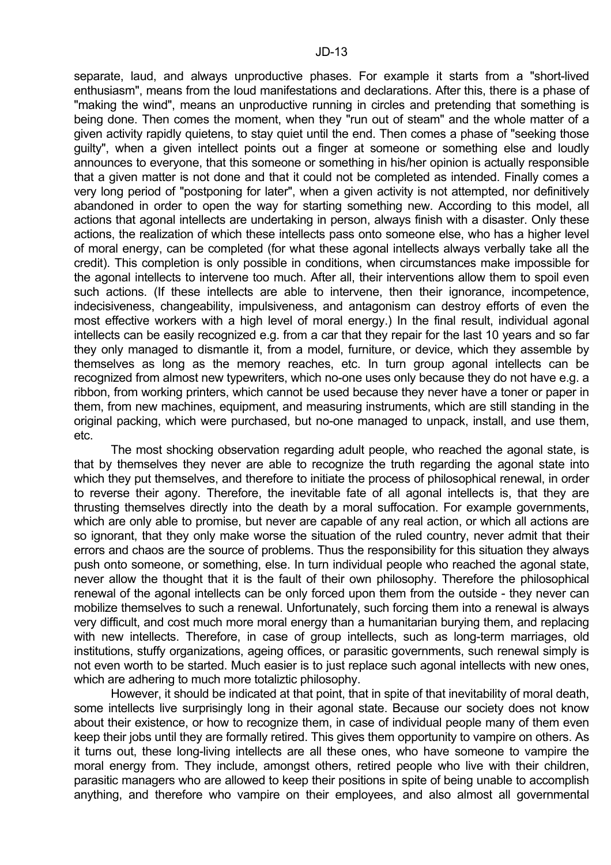separate, laud, and always unproductive phases. For example it starts from a "short-lived enthusiasm", means from the loud manifestations and declarations. After this, there is a phase of "making the wind", means an unproductive running in circles and pretending that something is being done. Then comes the moment, when they "run out of steam" and the whole matter of a given activity rapidly quietens, to stay quiet until the end. Then comes a phase of "seeking those guilty", when a given intellect points out a finger at someone or something else and loudly announces to everyone, that this someone or something in his/her opinion is actually responsible that a given matter is not done and that it could not be completed as intended. Finally comes a very long period of "postponing for later", when a given activity is not attempted, nor definitively abandoned in order to open the way for starting something new. According to this model, all actions that agonal intellects are undertaking in person, always finish with a disaster. Only these actions, the realization of which these intellects pass onto someone else, who has a higher level of moral energy, can be completed (for what these agonal intellects always verbally take all the credit). This completion is only possible in conditions, when circumstances make impossible for the agonal intellects to intervene too much. After all, their interventions allow them to spoil even such actions. (If these intellects are able to intervene, then their ignorance, incompetence, indecisiveness, changeability, impulsiveness, and antagonism can destroy efforts of even the most effective workers with a high level of moral energy.) In the final result, individual agonal intellects can be easily recognized e.g. from a car that they repair for the last 10 years and so far they only managed to dismantle it, from a model, furniture, or device, which they assemble by themselves as long as the memory reaches, etc. In turn group agonal intellects can be recognized from almost new typewriters, which no-one uses only because they do not have e.g. a ribbon, from working printers, which cannot be used because they never have a toner or paper in them, from new machines, equipment, and measuring instruments, which are still standing in the original packing, which were purchased, but no-one managed to unpack, install, and use them, etc.

 The most shocking observation regarding adult people, who reached the agonal state, is that by themselves they never are able to recognize the truth regarding the agonal state into which they put themselves, and therefore to initiate the process of philosophical renewal, in order to reverse their agony. Therefore, the inevitable fate of all agonal intellects is, that they are thrusting themselves directly into the death by a moral suffocation. For example governments, which are only able to promise, but never are capable of any real action, or which all actions are so ignorant, that they only make worse the situation of the ruled country, never admit that their errors and chaos are the source of problems. Thus the responsibility for this situation they always push onto someone, or something, else. In turn individual people who reached the agonal state, never allow the thought that it is the fault of their own philosophy. Therefore the philosophical renewal of the agonal intellects can be only forced upon them from the outside - they never can mobilize themselves to such a renewal. Unfortunately, such forcing them into a renewal is always very difficult, and cost much more moral energy than a humanitarian burying them, and replacing with new intellects. Therefore, in case of group intellects, such as long-term marriages, old institutions, stuffy organizations, ageing offices, or parasitic governments, such renewal simply is not even worth to be started. Much easier is to just replace such agonal intellects with new ones, which are adhering to much more totaliztic philosophy.

 However, it should be indicated at that point, that in spite of that inevitability of moral death, some intellects live surprisingly long in their agonal state. Because our society does not know about their existence, or how to recognize them, in case of individual people many of them even keep their jobs until they are formally retired. This gives them opportunity to vampire on others. As it turns out, these long-living intellects are all these ones, who have someone to vampire the moral energy from. They include, amongst others, retired people who live with their children, parasitic managers who are allowed to keep their positions in spite of being unable to accomplish anything, and therefore who vampire on their employees, and also almost all governmental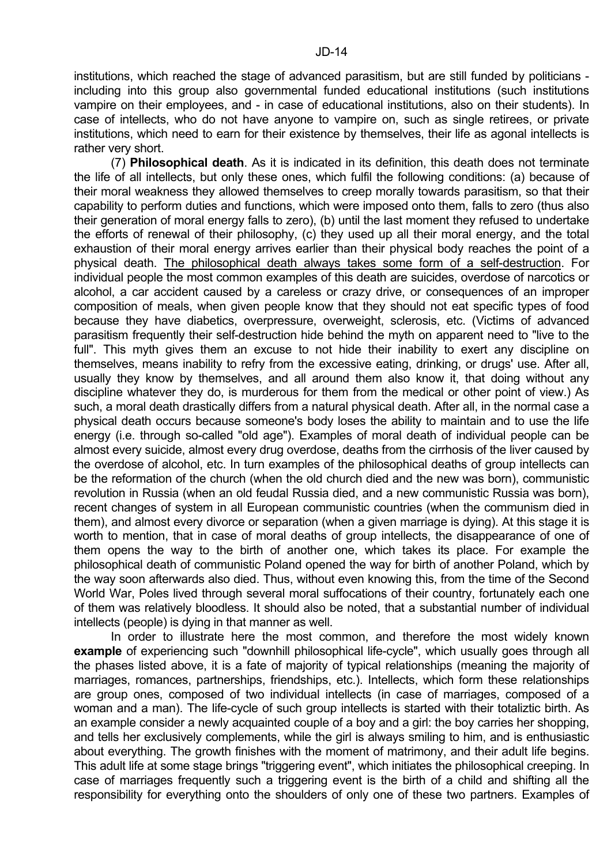institutions, which reached the stage of advanced parasitism, but are still funded by politicians including into this group also governmental funded educational institutions (such institutions vampire on their employees, and - in case of educational institutions, also on their students). In case of intellects, who do not have anyone to vampire on, such as single retirees, or private institutions, which need to earn for their existence by themselves, their life as agonal intellects is rather very short.

 (7) **Philosophical death**. As it is indicated in its definition, this death does not terminate the life of all intellects, but only these ones, which fulfil the following conditions: (a) because of their moral weakness they allowed themselves to creep morally towards parasitism, so that their capability to perform duties and functions, which were imposed onto them, falls to zero (thus also their generation of moral energy falls to zero), (b) until the last moment they refused to undertake the efforts of renewal of their philosophy, (c) they used up all their moral energy, and the total exhaustion of their moral energy arrives earlier than their physical body reaches the point of a physical death. The philosophical death always takes some form of a self-destruction. For individual people the most common examples of this death are suicides, overdose of narcotics or alcohol, a car accident caused by a careless or crazy drive, or consequences of an improper composition of meals, when given people know that they should not eat specific types of food because they have diabetics, overpressure, overweight, sclerosis, etc. (Victims of advanced parasitism frequently their self-destruction hide behind the myth on apparent need to "live to the full". This myth gives them an excuse to not hide their inability to exert any discipline on themselves, means inability to refry from the excessive eating, drinking, or drugs' use. After all, usually they know by themselves, and all around them also know it, that doing without any discipline whatever they do, is murderous for them from the medical or other point of view.) As such, a moral death drastically differs from a natural physical death. After all, in the normal case a physical death occurs because someone's body loses the ability to maintain and to use the life energy (i.e. through so-called "old age"). Examples of moral death of individual people can be almost every suicide, almost every drug overdose, deaths from the cirrhosis of the liver caused by the overdose of alcohol, etc. In turn examples of the philosophical deaths of group intellects can be the reformation of the church (when the old church died and the new was born), communistic revolution in Russia (when an old feudal Russia died, and a new communistic Russia was born), recent changes of system in all European communistic countries (when the communism died in them), and almost every divorce or separation (when a given marriage is dying). At this stage it is worth to mention, that in case of moral deaths of group intellects, the disappearance of one of them opens the way to the birth of another one, which takes its place. For example the philosophical death of communistic Poland opened the way for birth of another Poland, which by the way soon afterwards also died. Thus, without even knowing this, from the time of the Second World War, Poles lived through several moral suffocations of their country, fortunately each one of them was relatively bloodless. It should also be noted, that a substantial number of individual intellects (people) is dying in that manner as well.

 In order to illustrate here the most common, and therefore the most widely known **example** of experiencing such "downhill philosophical life-cycle", which usually goes through all the phases listed above, it is a fate of majority of typical relationships (meaning the majority of marriages, romances, partnerships, friendships, etc.). Intellects, which form these relationships are group ones, composed of two individual intellects (in case of marriages, composed of a woman and a man). The life-cycle of such group intellects is started with their totaliztic birth. As an example consider a newly acquainted couple of a boy and a girl: the boy carries her shopping, and tells her exclusively complements, while the girl is always smiling to him, and is enthusiastic about everything. The growth finishes with the moment of matrimony, and their adult life begins. This adult life at some stage brings "triggering event", which initiates the philosophical creeping. In case of marriages frequently such a triggering event is the birth of a child and shifting all the responsibility for everything onto the shoulders of only one of these two partners. Examples of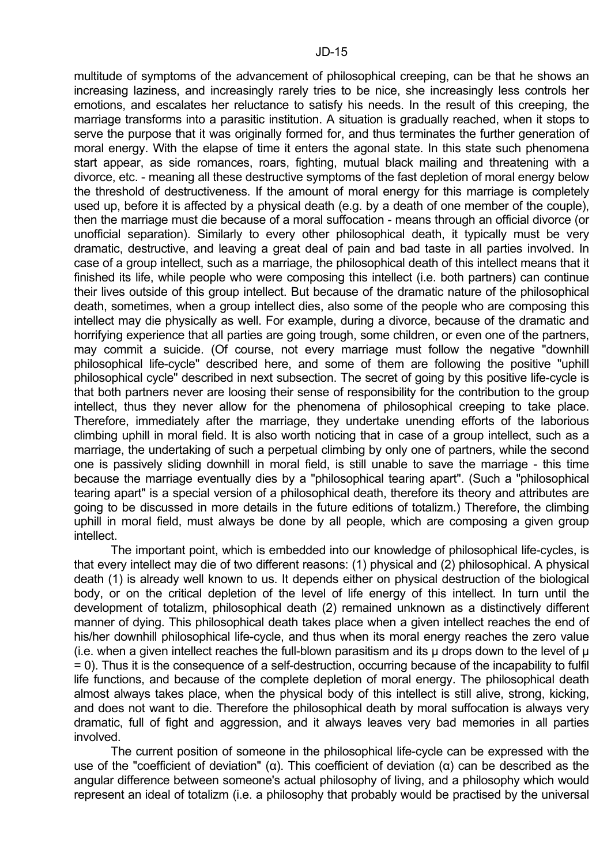multitude of symptoms of the advancement of philosophical creeping, can be that he shows an increasing laziness, and increasingly rarely tries to be nice, she increasingly less controls her emotions, and escalates her reluctance to satisfy his needs. In the result of this creeping, the marriage transforms into a parasitic institution. A situation is gradually reached, when it stops to serve the purpose that it was originally formed for, and thus terminates the further generation of moral energy. With the elapse of time it enters the agonal state. In this state such phenomena start appear, as side romances, roars, fighting, mutual black mailing and threatening with a divorce, etc. - meaning all these destructive symptoms of the fast depletion of moral energy below the threshold of destructiveness. If the amount of moral energy for this marriage is completely used up, before it is affected by a physical death (e.g. by a death of one member of the couple), then the marriage must die because of a moral suffocation - means through an official divorce (or unofficial separation). Similarly to every other philosophical death, it typically must be very dramatic, destructive, and leaving a great deal of pain and bad taste in all parties involved. In case of a group intellect, such as a marriage, the philosophical death of this intellect means that it finished its life, while people who were composing this intellect (i.e. both partners) can continue their lives outside of this group intellect. But because of the dramatic nature of the philosophical death, sometimes, when a group intellect dies, also some of the people who are composing this intellect may die physically as well. For example, during a divorce, because of the dramatic and horrifying experience that all parties are going trough, some children, or even one of the partners, may commit a suicide. (Of course, not every marriage must follow the negative "downhill philosophical life-cycle" described here, and some of them are following the positive "uphill philosophical cycle" described in next subsection. The secret of going by this positive life-cycle is that both partners never are loosing their sense of responsibility for the contribution to the group intellect, thus they never allow for the phenomena of philosophical creeping to take place. Therefore, immediately after the marriage, they undertake unending efforts of the laborious climbing uphill in moral field. It is also worth noticing that in case of a group intellect, such as a marriage, the undertaking of such a perpetual climbing by only one of partners, while the second one is passively sliding downhill in moral field, is still unable to save the marriage - this time because the marriage eventually dies by a "philosophical tearing apart". (Such a "philosophical tearing apart" is a special version of a philosophical death, therefore its theory and attributes are going to be discussed in more details in the future editions of totalizm.) Therefore, the climbing uphill in moral field, must always be done by all people, which are composing a given group intellect.

 The important point, which is embedded into our knowledge of philosophical life-cycles, is that every intellect may die of two different reasons: (1) physical and (2) philosophical. A physical death (1) is already well known to us. It depends either on physical destruction of the biological body, or on the critical depletion of the level of life energy of this intellect. In turn until the development of totalizm, philosophical death (2) remained unknown as a distinctively different manner of dying. This philosophical death takes place when a given intellect reaches the end of his/her downhill philosophical life-cycle, and thus when its moral energy reaches the zero value (i.e. when a given intellect reaches the full-blown parasitism and its  $\mu$  drops down to the level of  $\mu$ = 0). Thus it is the consequence of a self-destruction, occurring because of the incapability to fulfil life functions, and because of the complete depletion of moral energy. The philosophical death almost always takes place, when the physical body of this intellect is still alive, strong, kicking, and does not want to die. Therefore the philosophical death by moral suffocation is always very dramatic, full of fight and aggression, and it always leaves very bad memories in all parties involved.

 The current position of someone in the philosophical life-cycle can be expressed with the use of the "coefficient of deviation" (α). This coefficient of deviation (α) can be described as the angular difference between someone's actual philosophy of living, and a philosophy which would represent an ideal of totalizm (i.e. a philosophy that probably would be practised by the universal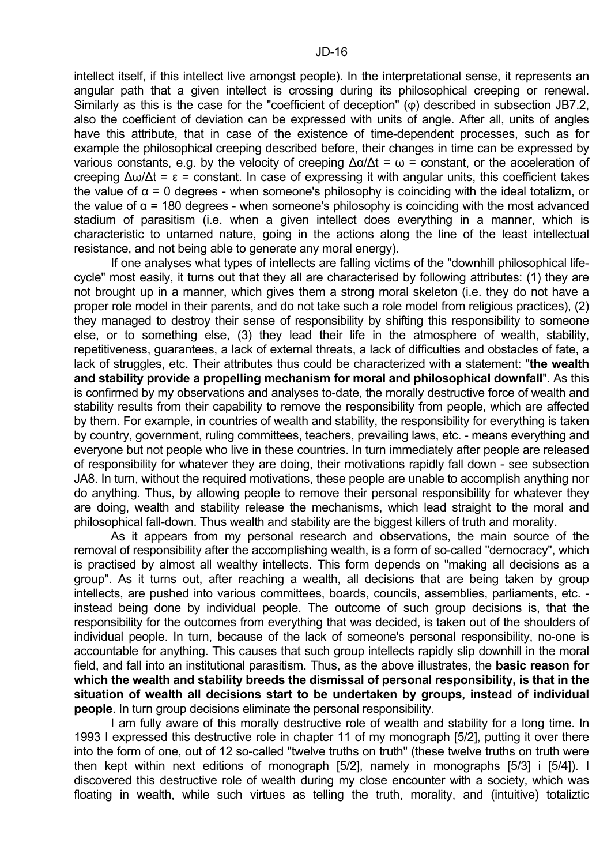intellect itself, if this intellect live amongst people). In the interpretational sense, it represents an angular path that a given intellect is crossing during its philosophical creeping or renewal. Similarly as this is the case for the "coefficient of deception" (φ) described in subsection JB7.2, also the coefficient of deviation can be expressed with units of angle. After all, units of angles have this attribute, that in case of the existence of time-dependent processes, such as for example the philosophical creeping described before, their changes in time can be expressed by various constants, e.g. by the velocity of creeping  $\Delta\alpha/\Delta t = \omega$  = constant, or the acceleration of creeping ∆ω/∆t = ε = constant. In case of expressing it with angular units, this coefficient takes the value of  $\alpha$  = 0 degrees - when someone's philosophy is coinciding with the ideal totalizm, or the value of  $\alpha$  = 180 degrees - when someone's philosophy is coinciding with the most advanced stadium of parasitism (i.e. when a given intellect does everything in a manner, which is characteristic to untamed nature, going in the actions along the line of the least intellectual resistance, and not being able to generate any moral energy).

 If one analyses what types of intellects are falling victims of the "downhill philosophical lifecycle" most easily, it turns out that they all are characterised by following attributes: (1) they are not brought up in a manner, which gives them a strong moral skeleton (i.e. they do not have a proper role model in their parents, and do not take such a role model from religious practices), (2) they managed to destroy their sense of responsibility by shifting this responsibility to someone else, or to something else, (3) they lead their life in the atmosphere of wealth, stability, repetitiveness, guarantees, a lack of external threats, a lack of difficulties and obstacles of fate, a lack of struggles, etc. Their attributes thus could be characterized with a statement: "**the wealth and stability provide a propelling mechanism for moral and philosophical downfall**". As this is confirmed by my observations and analyses to-date, the morally destructive force of wealth and stability results from their capability to remove the responsibility from people, which are affected by them. For example, in countries of wealth and stability, the responsibility for everything is taken by country, government, ruling committees, teachers, prevailing laws, etc. - means everything and everyone but not people who live in these countries. In turn immediately after people are released of responsibility for whatever they are doing, their motivations rapidly fall down - see subsection JA8. In turn, without the required motivations, these people are unable to accomplish anything nor do anything. Thus, by allowing people to remove their personal responsibility for whatever they are doing, wealth and stability release the mechanisms, which lead straight to the moral and philosophical fall-down. Thus wealth and stability are the biggest killers of truth and morality.

 As it appears from my personal research and observations, the main source of the removal of responsibility after the accomplishing wealth, is a form of so-called "democracy", which is practised by almost all wealthy intellects. This form depends on "making all decisions as a group". As it turns out, after reaching a wealth, all decisions that are being taken by group intellects, are pushed into various committees, boards, councils, assemblies, parliaments, etc. instead being done by individual people. The outcome of such group decisions is, that the responsibility for the outcomes from everything that was decided, is taken out of the shoulders of individual people. In turn, because of the lack of someone's personal responsibility, no-one is accountable for anything. This causes that such group intellects rapidly slip downhill in the moral field, and fall into an institutional parasitism. Thus, as the above illustrates, the **basic reason for which the wealth and stability breeds the dismissal of personal responsibility, is that in the situation of wealth all decisions start to be undertaken by groups, instead of individual people**. In turn group decisions eliminate the personal responsibility.

 I am fully aware of this morally destructive role of wealth and stability for a long time. In 1993 I expressed this destructive role in chapter 11 of my monograph [5/2], putting it over there into the form of one, out of 12 so-called "twelve truths on truth" (these twelve truths on truth were then kept within next editions of monograph [5/2], namely in monographs [5/3] i [5/4]). I discovered this destructive role of wealth during my close encounter with a society, which was floating in wealth, while such virtues as telling the truth, morality, and (intuitive) totaliztic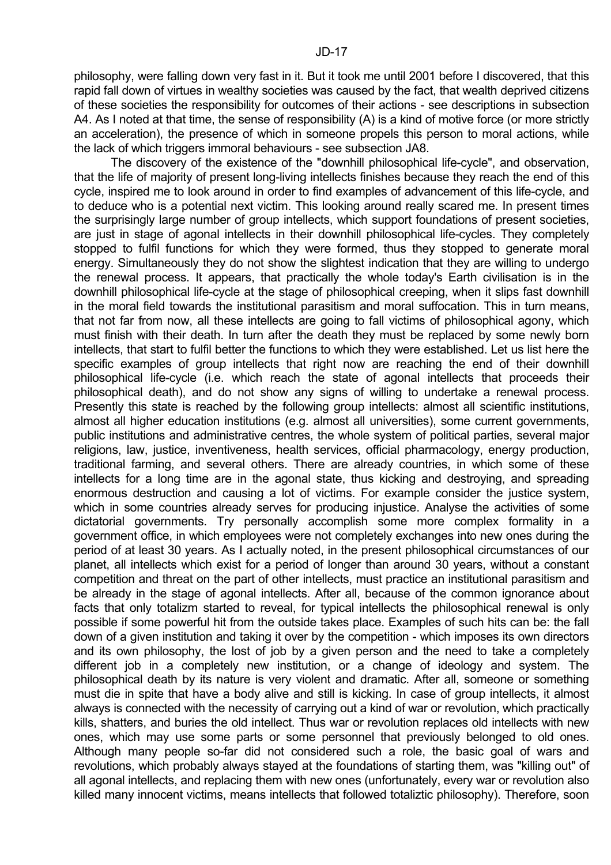philosophy, were falling down very fast in it. But it took me until 2001 before I discovered, that this rapid fall down of virtues in wealthy societies was caused by the fact, that wealth deprived citizens of these societies the responsibility for outcomes of their actions - see descriptions in subsection A4. As I noted at that time, the sense of responsibility (A) is a kind of motive force (or more strictly an acceleration), the presence of which in someone propels this person to moral actions, while the lack of which triggers immoral behaviours - see subsection JA8.

 The discovery of the existence of the "downhill philosophical life-cycle", and observation, that the life of majority of present long-living intellects finishes because they reach the end of this cycle, inspired me to look around in order to find examples of advancement of this life-cycle, and to deduce who is a potential next victim. This looking around really scared me. In present times the surprisingly large number of group intellects, which support foundations of present societies, are just in stage of agonal intellects in their downhill philosophical life-cycles. They completely stopped to fulfil functions for which they were formed, thus they stopped to generate moral energy. Simultaneously they do not show the slightest indication that they are willing to undergo the renewal process. It appears, that practically the whole today's Earth civilisation is in the downhill philosophical life-cycle at the stage of philosophical creeping, when it slips fast downhill in the moral field towards the institutional parasitism and moral suffocation. This in turn means, that not far from now, all these intellects are going to fall victims of philosophical agony, which must finish with their death. In turn after the death they must be replaced by some newly born intellects, that start to fulfil better the functions to which they were established. Let us list here the specific examples of group intellects that right now are reaching the end of their downhill philosophical life-cycle (i.e. which reach the state of agonal intellects that proceeds their philosophical death), and do not show any signs of willing to undertake a renewal process. Presently this state is reached by the following group intellects: almost all scientific institutions, almost all higher education institutions (e.g. almost all universities), some current governments, public institutions and administrative centres, the whole system of political parties, several major religions, law, justice, inventiveness, health services, official pharmacology, energy production, traditional farming, and several others. There are already countries, in which some of these intellects for a long time are in the agonal state, thus kicking and destroying, and spreading enormous destruction and causing a lot of victims. For example consider the justice system, which in some countries already serves for producing injustice. Analyse the activities of some dictatorial governments. Try personally accomplish some more complex formality in a government office, in which employees were not completely exchanges into new ones during the period of at least 30 years. As I actually noted, in the present philosophical circumstances of our planet, all intellects which exist for a period of longer than around 30 years, without a constant competition and threat on the part of other intellects, must practice an institutional parasitism and be already in the stage of agonal intellects. After all, because of the common ignorance about facts that only totalizm started to reveal, for typical intellects the philosophical renewal is only possible if some powerful hit from the outside takes place. Examples of such hits can be: the fall down of a given institution and taking it over by the competition - which imposes its own directors and its own philosophy, the lost of job by a given person and the need to take a completely different job in a completely new institution, or a change of ideology and system. The philosophical death by its nature is very violent and dramatic. After all, someone or something must die in spite that have a body alive and still is kicking. In case of group intellects, it almost always is connected with the necessity of carrying out a kind of war or revolution, which practically kills, shatters, and buries the old intellect. Thus war or revolution replaces old intellects with new ones, which may use some parts or some personnel that previously belonged to old ones. Although many people so-far did not considered such a role, the basic goal of wars and revolutions, which probably always stayed at the foundations of starting them, was "killing out" of all agonal intellects, and replacing them with new ones (unfortunately, every war or revolution also killed many innocent victims, means intellects that followed totaliztic philosophy). Therefore, soon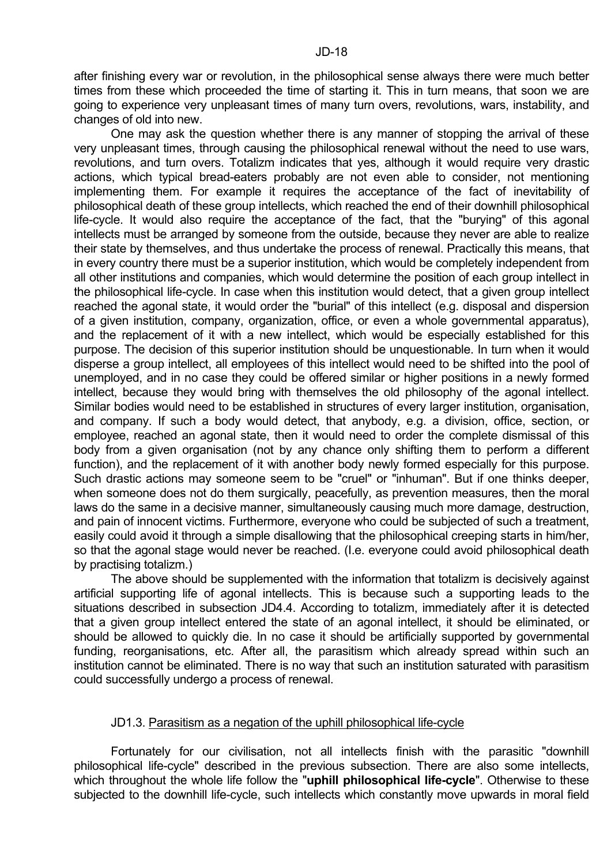after finishing every war or revolution, in the philosophical sense always there were much better times from these which proceeded the time of starting it. This in turn means, that soon we are going to experience very unpleasant times of many turn overs, revolutions, wars, instability, and changes of old into new.

 One may ask the question whether there is any manner of stopping the arrival of these very unpleasant times, through causing the philosophical renewal without the need to use wars, revolutions, and turn overs. Totalizm indicates that yes, although it would require very drastic actions, which typical bread-eaters probably are not even able to consider, not mentioning implementing them. For example it requires the acceptance of the fact of inevitability of philosophical death of these group intellects, which reached the end of their downhill philosophical life-cycle. It would also require the acceptance of the fact, that the "burying" of this agonal intellects must be arranged by someone from the outside, because they never are able to realize their state by themselves, and thus undertake the process of renewal. Practically this means, that in every country there must be a superior institution, which would be completely independent from all other institutions and companies, which would determine the position of each group intellect in the philosophical life-cycle. In case when this institution would detect, that a given group intellect reached the agonal state, it would order the "burial" of this intellect (e.g. disposal and dispersion of a given institution, company, organization, office, or even a whole governmental apparatus), and the replacement of it with a new intellect, which would be especially established for this purpose. The decision of this superior institution should be unquestionable. In turn when it would disperse a group intellect, all employees of this intellect would need to be shifted into the pool of unemployed, and in no case they could be offered similar or higher positions in a newly formed intellect, because they would bring with themselves the old philosophy of the agonal intellect. Similar bodies would need to be established in structures of every larger institution, organisation, and company. If such a body would detect, that anybody, e.g. a division, office, section, or employee, reached an agonal state, then it would need to order the complete dismissal of this body from a given organisation (not by any chance only shifting them to perform a different function), and the replacement of it with another body newly formed especially for this purpose. Such drastic actions may someone seem to be "cruel" or "inhuman". But if one thinks deeper, when someone does not do them surgically, peacefully, as prevention measures, then the moral laws do the same in a decisive manner, simultaneously causing much more damage, destruction, and pain of innocent victims. Furthermore, everyone who could be subjected of such a treatment, easily could avoid it through a simple disallowing that the philosophical creeping starts in him/her, so that the agonal stage would never be reached. (I.e. everyone could avoid philosophical death by practising totalizm.)

 The above should be supplemented with the information that totalizm is decisively against artificial supporting life of agonal intellects. This is because such a supporting leads to the situations described in subsection JD4.4. According to totalizm, immediately after it is detected that a given group intellect entered the state of an agonal intellect, it should be eliminated, or should be allowed to quickly die. In no case it should be artificially supported by governmental funding, reorganisations, etc. After all, the parasitism which already spread within such an institution cannot be eliminated. There is no way that such an institution saturated with parasitism could successfully undergo a process of renewal.

## JD1.3. Parasitism as a negation of the uphill philosophical life-cycle

 Fortunately for our civilisation, not all intellects finish with the parasitic "downhill philosophical life-cycle" described in the previous subsection. There are also some intellects, which throughout the whole life follow the "**uphill philosophical life-cycle**". Otherwise to these subjected to the downhill life-cycle, such intellects which constantly move upwards in moral field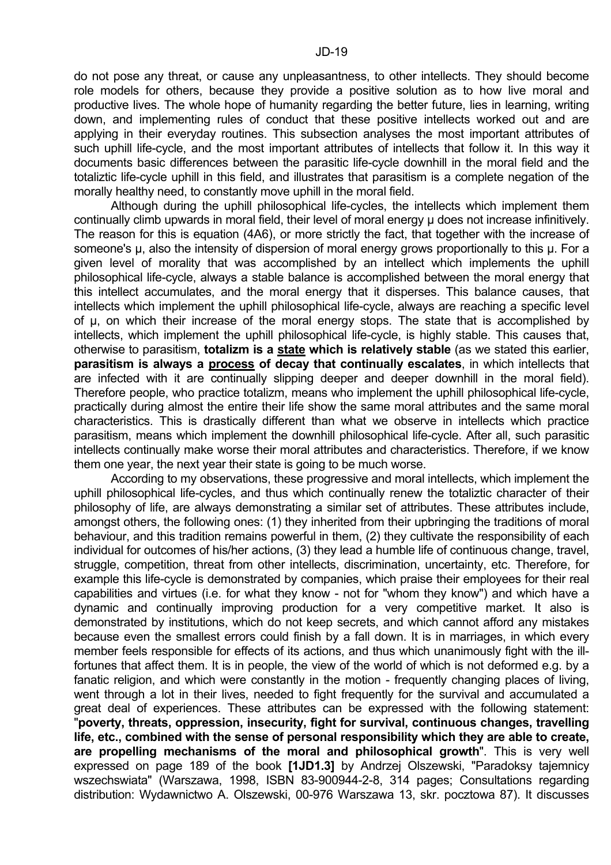do not pose any threat, or cause any unpleasantness, to other intellects. They should become role models for others, because they provide a positive solution as to how live moral and productive lives. The whole hope of humanity regarding the better future, lies in learning, writing down, and implementing rules of conduct that these positive intellects worked out and are applying in their everyday routines. This subsection analyses the most important attributes of such uphill life-cycle, and the most important attributes of intellects that follow it. In this way it documents basic differences between the parasitic life-cycle downhill in the moral field and the totaliztic life-cycle uphill in this field, and illustrates that parasitism is a complete negation of the morally healthy need, to constantly move uphill in the moral field.

 Although during the uphill philosophical life-cycles, the intellects which implement them continually climb upwards in moral field, their level of moral energy µ does not increase infinitively. The reason for this is equation (4A6), or more strictly the fact, that together with the increase of someone's  $\mu$ , also the intensity of dispersion of moral energy grows proportionally to this  $\mu$ . For a given level of morality that was accomplished by an intellect which implements the uphill philosophical life-cycle, always a stable balance is accomplished between the moral energy that this intellect accumulates, and the moral energy that it disperses. This balance causes, that intellects which implement the uphill philosophical life-cycle, always are reaching a specific level of µ, on which their increase of the moral energy stops. The state that is accomplished by intellects, which implement the uphill philosophical life-cycle, is highly stable. This causes that, otherwise to parasitism, **totalizm is a state which is relatively stable** (as we stated this earlier, **parasitism is always a process of decay that continually escalates**, in which intellects that are infected with it are continually slipping deeper and deeper downhill in the moral field). Therefore people, who practice totalizm, means who implement the uphill philosophical life-cycle, practically during almost the entire their life show the same moral attributes and the same moral characteristics. This is drastically different than what we observe in intellects which practice parasitism, means which implement the downhill philosophical life-cycle. After all, such parasitic intellects continually make worse their moral attributes and characteristics. Therefore, if we know them one year, the next year their state is going to be much worse.

 According to my observations, these progressive and moral intellects, which implement the uphill philosophical life-cycles, and thus which continually renew the totaliztic character of their philosophy of life, are always demonstrating a similar set of attributes. These attributes include, amongst others, the following ones: (1) they inherited from their upbringing the traditions of moral behaviour, and this tradition remains powerful in them, (2) they cultivate the responsibility of each individual for outcomes of his/her actions, (3) they lead a humble life of continuous change, travel, struggle, competition, threat from other intellects, discrimination, uncertainty, etc. Therefore, for example this life-cycle is demonstrated by companies, which praise their employees for their real capabilities and virtues (i.e. for what they know - not for "whom they know") and which have a dynamic and continually improving production for a very competitive market. It also is demonstrated by institutions, which do not keep secrets, and which cannot afford any mistakes because even the smallest errors could finish by a fall down. It is in marriages, in which every member feels responsible for effects of its actions, and thus which unanimously fight with the illfortunes that affect them. It is in people, the view of the world of which is not deformed e.g. by a fanatic religion, and which were constantly in the motion - frequently changing places of living, went through a lot in their lives, needed to fight frequently for the survival and accumulated a great deal of experiences. These attributes can be expressed with the following statement: "**poverty, threats, oppression, insecurity, fight for survival, continuous changes, travelling life, etc., combined with the sense of personal responsibility which they are able to create, are propelling mechanisms of the moral and philosophical growth**". This is very well expressed on page 189 of the book **[1JD1.3]** by Andrzej Olszewski, "Paradoksy tajemnicy wszechswiata" (Warszawa, 1998, ISBN 83-900944-2-8, 314 pages; Consultations regarding distribution: Wydawnictwo A. Olszewski, 00-976 Warszawa 13, skr. pocztowa 87). It discusses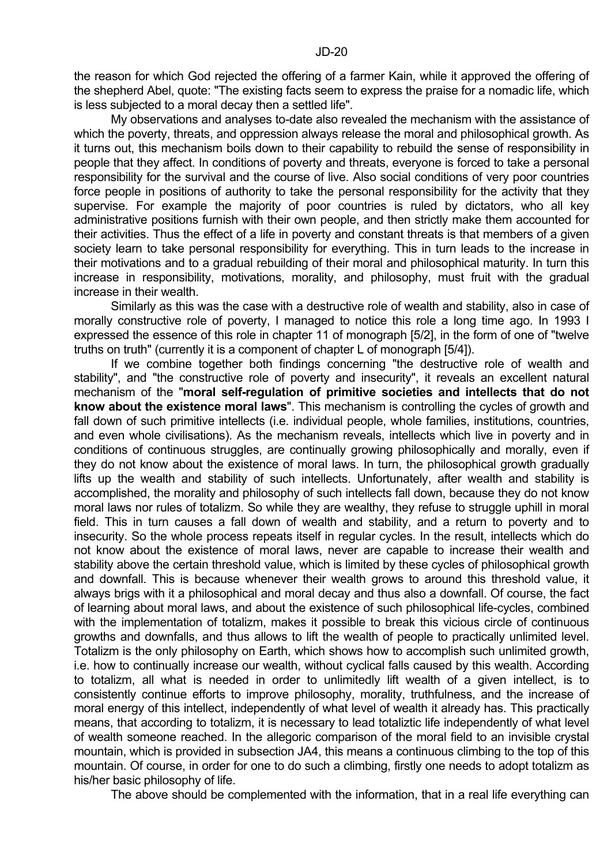My observations and analyses to-date also revealed the mechanism with the assistance of which the poverty, threats, and oppression always release the moral and philosophical growth. As it turns out, this mechanism boils down to their capability to rebuild the sense of responsibility in people that they affect. In conditions of poverty and threats, everyone is forced to take a personal responsibility for the survival and the course of live. Also social conditions of very poor countries force people in positions of authority to take the personal responsibility for the activity that they supervise. For example the majority of poor countries is ruled by dictators, who all key administrative positions furnish with their own people, and then strictly make them accounted for their activities. Thus the effect of a life in poverty and constant threats is that members of a given society learn to take personal responsibility for everything. This in turn leads to the increase in their motivations and to a gradual rebuilding of their moral and philosophical maturity. In turn this increase in responsibility, motivations, morality, and philosophy, must fruit with the gradual increase in their wealth.

 Similarly as this was the case with a destructive role of wealth and stability, also in case of morally constructive role of poverty, I managed to notice this role a long time ago. In 1993 I expressed the essence of this role in chapter 11 of monograph [5/2], in the form of one of "twelve truths on truth" (currently it is a component of chapter L of monograph [5/4]).

 If we combine together both findings concerning "the destructive role of wealth and stability", and "the constructive role of poverty and insecurity", it reveals an excellent natural mechanism of the "**moral self-regulation of primitive societies and intellects that do not know about the existence moral laws**". This mechanism is controlling the cycles of growth and fall down of such primitive intellects (i.e. individual people, whole families, institutions, countries, and even whole civilisations). As the mechanism reveals, intellects which live in poverty and in conditions of continuous struggles, are continually growing philosophically and morally, even if they do not know about the existence of moral laws. In turn, the philosophical growth gradually lifts up the wealth and stability of such intellects. Unfortunately, after wealth and stability is accomplished, the morality and philosophy of such intellects fall down, because they do not know moral laws nor rules of totalizm. So while they are wealthy, they refuse to struggle uphill in moral field. This in turn causes a fall down of wealth and stability, and a return to poverty and to insecurity. So the whole process repeats itself in regular cycles. In the result, intellects which do not know about the existence of moral laws, never are capable to increase their wealth and stability above the certain threshold value, which is limited by these cycles of philosophical growth and downfall. This is because whenever their wealth grows to around this threshold value, it always brigs with it a philosophical and moral decay and thus also a downfall. Of course, the fact of learning about moral laws, and about the existence of such philosophical life-cycles, combined with the implementation of totalizm, makes it possible to break this vicious circle of continuous growths and downfalls, and thus allows to lift the wealth of people to practically unlimited level. Totalizm is the only philosophy on Earth, which shows how to accomplish such unlimited growth, i.e. how to continually increase our wealth, without cyclical falls caused by this wealth. According to totalizm, all what is needed in order to unlimitedly lift wealth of a given intellect, is to consistently continue efforts to improve philosophy, morality, truthfulness, and the increase of moral energy of this intellect, independently of what level of wealth it already has. This practically means, that according to totalizm, it is necessary to lead totaliztic life independently of what level of wealth someone reached. In the allegoric comparison of the moral field to an invisible crystal mountain, which is provided in subsection JA4, this means a continuous climbing to the top of this mountain. Of course, in order for one to do such a climbing, firstly one needs to adopt totalizm as his/her basic philosophy of life.

The above should be complemented with the information, that in a real life everything can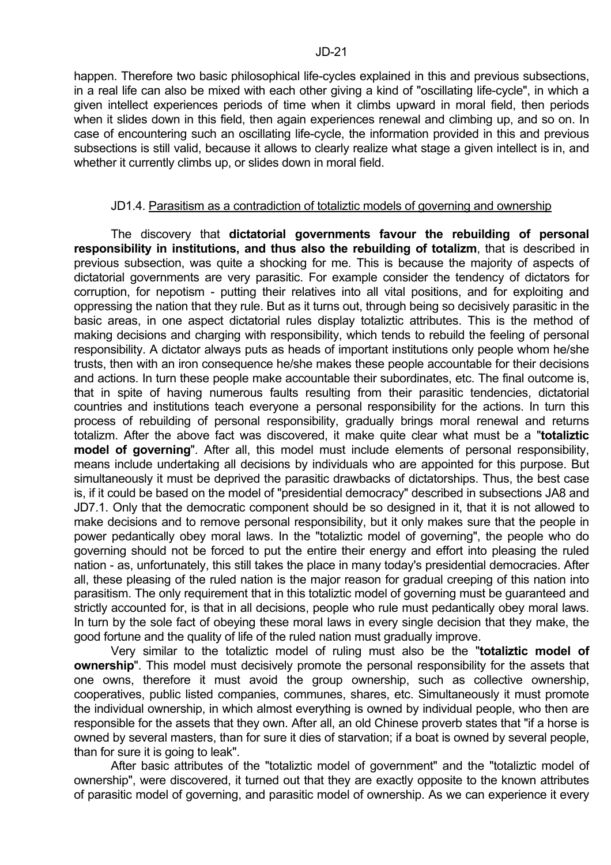happen. Therefore two basic philosophical life-cycles explained in this and previous subsections, in a real life can also be mixed with each other giving a kind of "oscillating life-cycle", in which a given intellect experiences periods of time when it climbs upward in moral field, then periods when it slides down in this field, then again experiences renewal and climbing up, and so on. In case of encountering such an oscillating life-cycle, the information provided in this and previous subsections is still valid, because it allows to clearly realize what stage a given intellect is in, and whether it currently climbs up, or slides down in moral field.

#### JD1.4. Parasitism as a contradiction of totaliztic models of governing and ownership

 The discovery that **dictatorial governments favour the rebuilding of personal responsibility in institutions, and thus also the rebuilding of totalizm**, that is described in previous subsection, was quite a shocking for me. This is because the majority of aspects of dictatorial governments are very parasitic. For example consider the tendency of dictators for corruption, for nepotism - putting their relatives into all vital positions, and for exploiting and oppressing the nation that they rule. But as it turns out, through being so decisively parasitic in the basic areas, in one aspect dictatorial rules display totaliztic attributes. This is the method of making decisions and charging with responsibility, which tends to rebuild the feeling of personal responsibility. A dictator always puts as heads of important institutions only people whom he/she trusts, then with an iron consequence he/she makes these people accountable for their decisions and actions. In turn these people make accountable their subordinates, etc. The final outcome is, that in spite of having numerous faults resulting from their parasitic tendencies, dictatorial countries and institutions teach everyone a personal responsibility for the actions. In turn this process of rebuilding of personal responsibility, gradually brings moral renewal and returns totalizm. After the above fact was discovered, it make quite clear what must be a "**totaliztic model of governing**". After all, this model must include elements of personal responsibility, means include undertaking all decisions by individuals who are appointed for this purpose. But simultaneously it must be deprived the parasitic drawbacks of dictatorships. Thus, the best case is, if it could be based on the model of "presidential democracy" described in subsections JA8 and JD7.1. Only that the democratic component should be so designed in it, that it is not allowed to make decisions and to remove personal responsibility, but it only makes sure that the people in power pedantically obey moral laws. In the "totaliztic model of governing", the people who do governing should not be forced to put the entire their energy and effort into pleasing the ruled nation - as, unfortunately, this still takes the place in many today's presidential democracies. After all, these pleasing of the ruled nation is the major reason for gradual creeping of this nation into parasitism. The only requirement that in this totaliztic model of governing must be guaranteed and strictly accounted for, is that in all decisions, people who rule must pedantically obey moral laws. In turn by the sole fact of obeying these moral laws in every single decision that they make, the good fortune and the quality of life of the ruled nation must gradually improve.

 Very similar to the totaliztic model of ruling must also be the "**totaliztic model of ownership**". This model must decisively promote the personal responsibility for the assets that one owns, therefore it must avoid the group ownership, such as collective ownership, cooperatives, public listed companies, communes, shares, etc. Simultaneously it must promote the individual ownership, in which almost everything is owned by individual people, who then are responsible for the assets that they own. After all, an old Chinese proverb states that "if a horse is owned by several masters, than for sure it dies of starvation; if a boat is owned by several people, than for sure it is going to leak".

 After basic attributes of the "totaliztic model of government" and the "totaliztic model of ownership", were discovered, it turned out that they are exactly opposite to the known attributes of parasitic model of governing, and parasitic model of ownership. As we can experience it every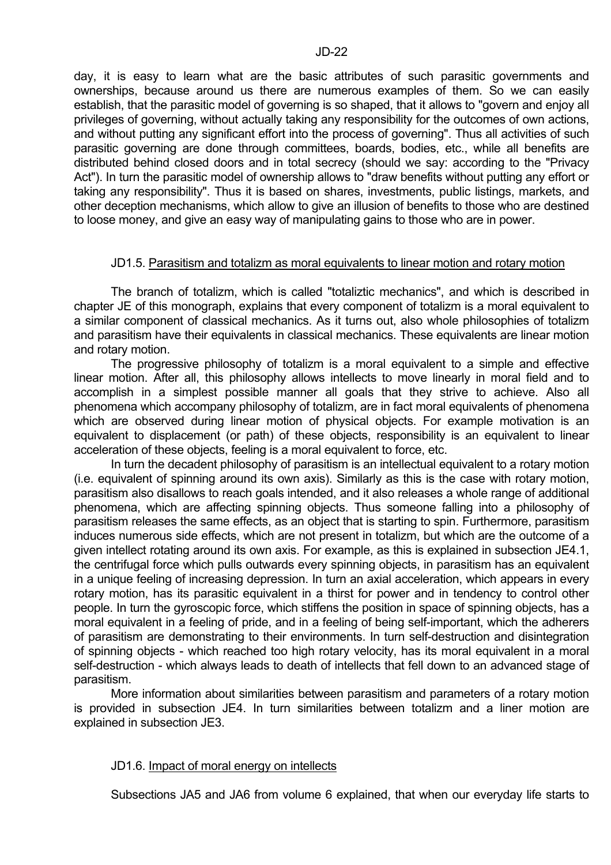day, it is easy to learn what are the basic attributes of such parasitic governments and ownerships, because around us there are numerous examples of them. So we can easily establish, that the parasitic model of governing is so shaped, that it allows to "govern and enjoy all privileges of governing, without actually taking any responsibility for the outcomes of own actions, and without putting any significant effort into the process of governing". Thus all activities of such parasitic governing are done through committees, boards, bodies, etc., while all benefits are distributed behind closed doors and in total secrecy (should we say: according to the "Privacy Act"). In turn the parasitic model of ownership allows to "draw benefits without putting any effort or taking any responsibility". Thus it is based on shares, investments, public listings, markets, and other deception mechanisms, which allow to give an illusion of benefits to those who are destined to loose money, and give an easy way of manipulating gains to those who are in power.

#### JD1.5. Parasitism and totalizm as moral equivalents to linear motion and rotary motion

 The branch of totalizm, which is called "totaliztic mechanics", and which is described in chapter JE of this monograph, explains that every component of totalizm is a moral equivalent to a similar component of classical mechanics. As it turns out, also whole philosophies of totalizm and parasitism have their equivalents in classical mechanics. These equivalents are linear motion and rotary motion.

 The progressive philosophy of totalizm is a moral equivalent to a simple and effective linear motion. After all, this philosophy allows intellects to move linearly in moral field and to accomplish in a simplest possible manner all goals that they strive to achieve. Also all phenomena which accompany philosophy of totalizm, are in fact moral equivalents of phenomena which are observed during linear motion of physical objects. For example motivation is an equivalent to displacement (or path) of these objects, responsibility is an equivalent to linear acceleration of these objects, feeling is a moral equivalent to force, etc.

 In turn the decadent philosophy of parasitism is an intellectual equivalent to a rotary motion (i.e. equivalent of spinning around its own axis). Similarly as this is the case with rotary motion, parasitism also disallows to reach goals intended, and it also releases a whole range of additional phenomena, which are affecting spinning objects. Thus someone falling into a philosophy of parasitism releases the same effects, as an object that is starting to spin. Furthermore, parasitism induces numerous side effects, which are not present in totalizm, but which are the outcome of a given intellect rotating around its own axis. For example, as this is explained in subsection JE4.1, the centrifugal force which pulls outwards every spinning objects, in parasitism has an equivalent in a unique feeling of increasing depression. In turn an axial acceleration, which appears in every rotary motion, has its parasitic equivalent in a thirst for power and in tendency to control other people. In turn the gyroscopic force, which stiffens the position in space of spinning objects, has a moral equivalent in a feeling of pride, and in a feeling of being self-important, which the adherers of parasitism are demonstrating to their environments. In turn self-destruction and disintegration of spinning objects - which reached too high rotary velocity, has its moral equivalent in a moral self-destruction - which always leads to death of intellects that fell down to an advanced stage of parasitism.

 More information about similarities between parasitism and parameters of a rotary motion is provided in subsection JE4. In turn similarities between totalizm and a liner motion are explained in subsection JE3.

#### JD1.6. Impact of moral energy on intellects

Subsections JA5 and JA6 from volume 6 explained, that when our everyday life starts to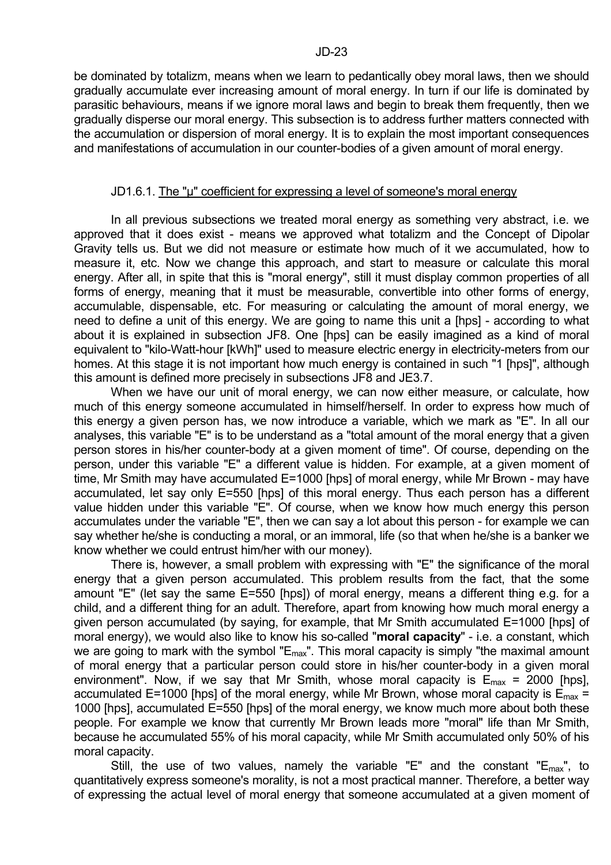be dominated by totalizm, means when we learn to pedantically obey moral laws, then we should gradually accumulate ever increasing amount of moral energy. In turn if our life is dominated by parasitic behaviours, means if we ignore moral laws and begin to break them frequently, then we gradually disperse our moral energy. This subsection is to address further matters connected with the accumulation or dispersion of moral energy. It is to explain the most important consequences and manifestations of accumulation in our counter-bodies of a given amount of moral energy.

#### JD1.6.1. The "µ" coefficient for expressing a level of someone's moral energy

 In all previous subsections we treated moral energy as something very abstract, i.e. we approved that it does exist - means we approved what totalizm and the Concept of Dipolar Gravity tells us. But we did not measure or estimate how much of it we accumulated, how to measure it, etc. Now we change this approach, and start to measure or calculate this moral energy. After all, in spite that this is "moral energy", still it must display common properties of all forms of energy, meaning that it must be measurable, convertible into other forms of energy, accumulable, dispensable, etc. For measuring or calculating the amount of moral energy, we need to define a unit of this energy. We are going to name this unit a [hps] - according to what about it is explained in subsection JF8. One [hps] can be easily imagined as a kind of moral equivalent to "kilo-Watt-hour [kWh]" used to measure electric energy in electricity-meters from our homes. At this stage it is not important how much energy is contained in such "1 [hps]", although this amount is defined more precisely in subsections JF8 and JE3.7.

 When we have our unit of moral energy, we can now either measure, or calculate, how much of this energy someone accumulated in himself/herself. In order to express how much of this energy a given person has, we now introduce a variable, which we mark as "E". In all our analyses, this variable "E" is to be understand as a "total amount of the moral energy that a given person stores in his/her counter-body at a given moment of time". Of course, depending on the person, under this variable "E" a different value is hidden. For example, at a given moment of time, Mr Smith may have accumulated E=1000 [hps] of moral energy, while Mr Brown - may have accumulated, let say only E=550 [hps] of this moral energy. Thus each person has a different value hidden under this variable "E". Of course, when we know how much energy this person accumulates under the variable "E", then we can say a lot about this person - for example we can say whether he/she is conducting a moral, or an immoral, life (so that when he/she is a banker we know whether we could entrust him/her with our money).

 There is, however, a small problem with expressing with "E" the significance of the moral energy that a given person accumulated. This problem results from the fact, that the some amount "E" (let say the same E=550 [hps]) of moral energy, means a different thing e.g. for a child, and a different thing for an adult. Therefore, apart from knowing how much moral energy a given person accumulated (by saying, for example, that Mr Smith accumulated E=1000 [hps] of moral energy), we would also like to know his so-called "**moral capacity**" - i.e. a constant, which we are going to mark with the symbol " $E_{\text{max}}$ ". This moral capacity is simply "the maximal amount of moral energy that a particular person could store in his/her counter-body in a given moral environment". Now, if we say that Mr Smith, whose moral capacity is  $E_{\text{max}} = 2000$  [hps], accumulated E=1000 [hps] of the moral energy, while Mr Brown, whose moral capacity is  $E_{\text{max}} =$ 1000 [hps], accumulated E=550 [hps] of the moral energy, we know much more about both these people. For example we know that currently Mr Brown leads more "moral" life than Mr Smith, because he accumulated 55% of his moral capacity, while Mr Smith accumulated only 50% of his moral capacity.

Still, the use of two values, namely the variable "E" and the constant " $E_{max}$ ", to quantitatively express someone's morality, is not a most practical manner. Therefore, a better way of expressing the actual level of moral energy that someone accumulated at a given moment of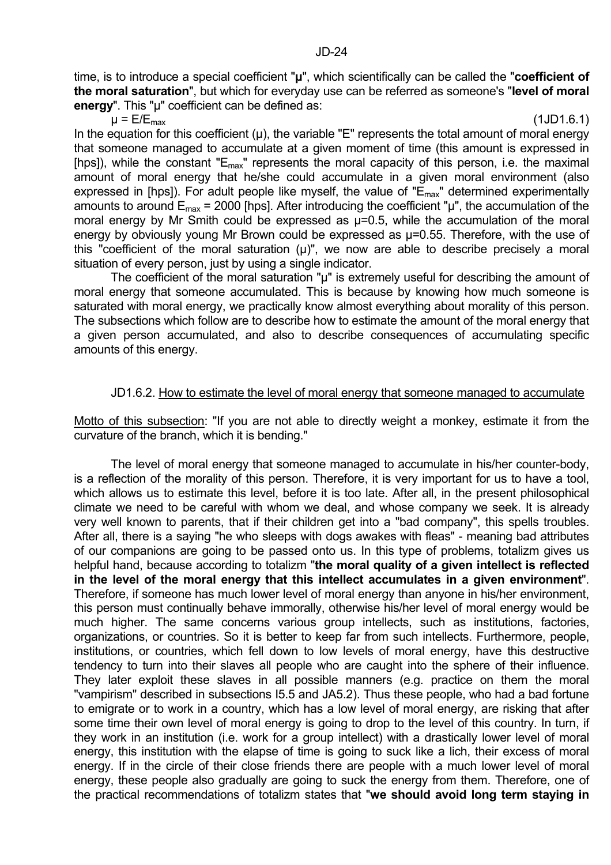time, is to introduce a special coefficient "**µ**", which scientifically can be called the "**coefficient of the moral saturation**", but which for everyday use can be referred as someone's "**level of moral energy**". This "µ" coefficient can be defined as:

 $\mu$  = E/E<sub>max</sub> (1JD1.6.1)

In the equation for this coefficient  $(\mu)$ , the variable "E" represents the total amount of moral energy that someone managed to accumulate at a given moment of time (this amount is expressed in [hps]), while the constant " $E_{\text{max}}$ " represents the moral capacity of this person, i.e. the maximal amount of moral energy that he/she could accumulate in a given moral environment (also expressed in [hps]). For adult people like myself, the value of " $\vec{E}_{max}$ " determined experimentally amounts to around  $E_{\text{max}}$  = 2000 [hps]. After introducing the coefficient " $\mu$ ", the accumulation of the moral energy by Mr Smith could be expressed as  $\mu$ =0.5, while the accumulation of the moral energy by obviously young Mr Brown could be expressed as  $\mu$ =0.55. Therefore, with the use of this "coefficient of the moral saturation  $(\mu)$ ", we now are able to describe precisely a moral situation of every person, just by using a single indicator.

The coefficient of the moral saturation "µ" is extremely useful for describing the amount of moral energy that someone accumulated. This is because by knowing how much someone is saturated with moral energy, we practically know almost everything about morality of this person. The subsections which follow are to describe how to estimate the amount of the moral energy that a given person accumulated, and also to describe consequences of accumulating specific amounts of this energy.

## JD1.6.2. How to estimate the level of moral energy that someone managed to accumulate

Motto of this subsection: "If you are not able to directly weight a monkey, estimate it from the curvature of the branch, which it is bending."

 The level of moral energy that someone managed to accumulate in his/her counter-body, is a reflection of the morality of this person. Therefore, it is very important for us to have a tool, which allows us to estimate this level, before it is too late. After all, in the present philosophical climate we need to be careful with whom we deal, and whose company we seek. It is already very well known to parents, that if their children get into a "bad company", this spells troubles. After all, there is a saying "he who sleeps with dogs awakes with fleas" - meaning bad attributes of our companions are going to be passed onto us. In this type of problems, totalizm gives us helpful hand, because according to totalizm "**the moral quality of a given intellect is reflected in the level of the moral energy that this intellect accumulates in a given environment**". Therefore, if someone has much lower level of moral energy than anyone in his/her environment, this person must continually behave immorally, otherwise his/her level of moral energy would be much higher. The same concerns various group intellects, such as institutions, factories, organizations, or countries. So it is better to keep far from such intellects. Furthermore, people, institutions, or countries, which fell down to low levels of moral energy, have this destructive tendency to turn into their slaves all people who are caught into the sphere of their influence. They later exploit these slaves in all possible manners (e.g. practice on them the moral "vampirism" described in subsections I5.5 and JA5.2). Thus these people, who had a bad fortune to emigrate or to work in a country, which has a low level of moral energy, are risking that after some time their own level of moral energy is going to drop to the level of this country. In turn, if they work in an institution (i.e. work for a group intellect) with a drastically lower level of moral energy, this institution with the elapse of time is going to suck like a lich, their excess of moral energy. If in the circle of their close friends there are people with a much lower level of moral energy, these people also gradually are going to suck the energy from them. Therefore, one of the practical recommendations of totalizm states that "**we should avoid long term staying in**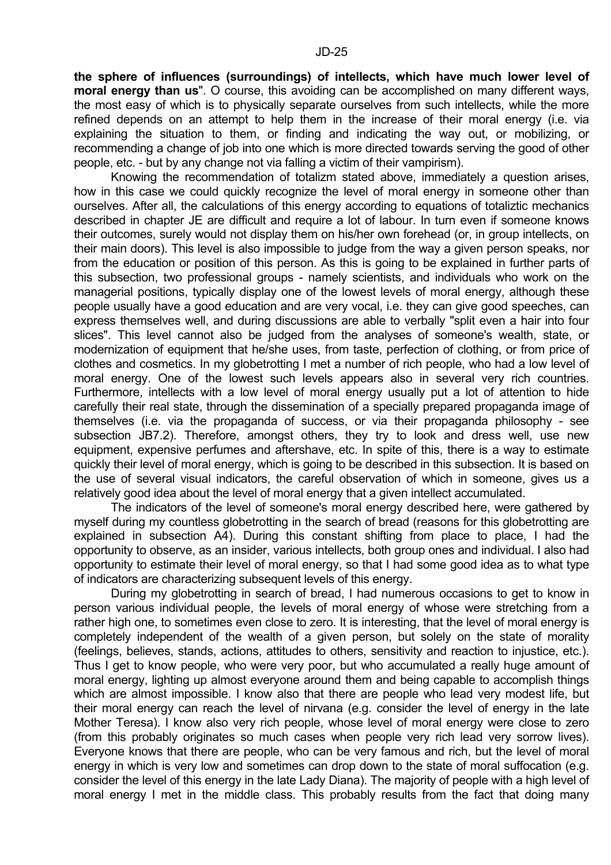**the sphere of influences (surroundings) of intellects, which have much lower level of moral energy than us**". O course, this avoiding can be accomplished on many different ways, the most easy of which is to physically separate ourselves from such intellects, while the more refined depends on an attempt to help them in the increase of their moral energy (i.e. via explaining the situation to them, or finding and indicating the way out, or mobilizing, or recommending a change of job into one which is more directed towards serving the good of other people, etc. - but by any change not via falling a victim of their vampirism).

 Knowing the recommendation of totalizm stated above, immediately a question arises, how in this case we could quickly recognize the level of moral energy in someone other than ourselves. After all, the calculations of this energy according to equations of totaliztic mechanics described in chapter JE are difficult and require a lot of labour. In turn even if someone knows their outcomes, surely would not display them on his/her own forehead (or, in group intellects, on their main doors). This level is also impossible to judge from the way a given person speaks, nor from the education or position of this person. As this is going to be explained in further parts of this subsection, two professional groups - namely scientists, and individuals who work on the managerial positions, typically display one of the lowest levels of moral energy, although these people usually have a good education and are very vocal, i.e. they can give good speeches, can express themselves well, and during discussions are able to verbally "split even a hair into four slices". This level cannot also be judged from the analyses of someone's wealth, state, or modernization of equipment that he/she uses, from taste, perfection of clothing, or from price of clothes and cosmetics. In my globetrotting I met a number of rich people, who had a low level of moral energy. One of the lowest such levels appears also in several very rich countries. Furthermore, intellects with a low level of moral energy usually put a lot of attention to hide carefully their real state, through the dissemination of a specially prepared propaganda image of themselves (i.e. via the propaganda of success, or via their propaganda philosophy - see subsection JB7.2). Therefore, amongst others, they try to look and dress well, use new equipment, expensive perfumes and aftershave, etc. In spite of this, there is a way to estimate quickly their level of moral energy, which is going to be described in this subsection. It is based on the use of several visual indicators, the careful observation of which in someone, gives us a relatively good idea about the level of moral energy that a given intellect accumulated.

 The indicators of the level of someone's moral energy described here, were gathered by myself during my countless globetrotting in the search of bread (reasons for this globetrotting are explained in subsection A4). During this constant shifting from place to place, I had the opportunity to observe, as an insider, various intellects, both group ones and individual. I also had opportunity to estimate their level of moral energy, so that I had some good idea as to what type of indicators are characterizing subsequent levels of this energy.

 During my globetrotting in search of bread, I had numerous occasions to get to know in person various individual people, the levels of moral energy of whose were stretching from a rather high one, to sometimes even close to zero. It is interesting, that the level of moral energy is completely independent of the wealth of a given person, but solely on the state of morality (feelings, believes, stands, actions, attitudes to others, sensitivity and reaction to injustice, etc.). Thus I get to know people, who were very poor, but who accumulated a really huge amount of moral energy, lighting up almost everyone around them and being capable to accomplish things which are almost impossible. I know also that there are people who lead very modest life, but their moral energy can reach the level of nirvana (e.g. consider the level of energy in the late Mother Teresa). I know also very rich people, whose level of moral energy were close to zero (from this probably originates so much cases when people very rich lead very sorrow lives). Everyone knows that there are people, who can be very famous and rich, but the level of moral energy in which is very low and sometimes can drop down to the state of moral suffocation (e.g. consider the level of this energy in the late Lady Diana). The majority of people with a high level of moral energy I met in the middle class. This probably results from the fact that doing many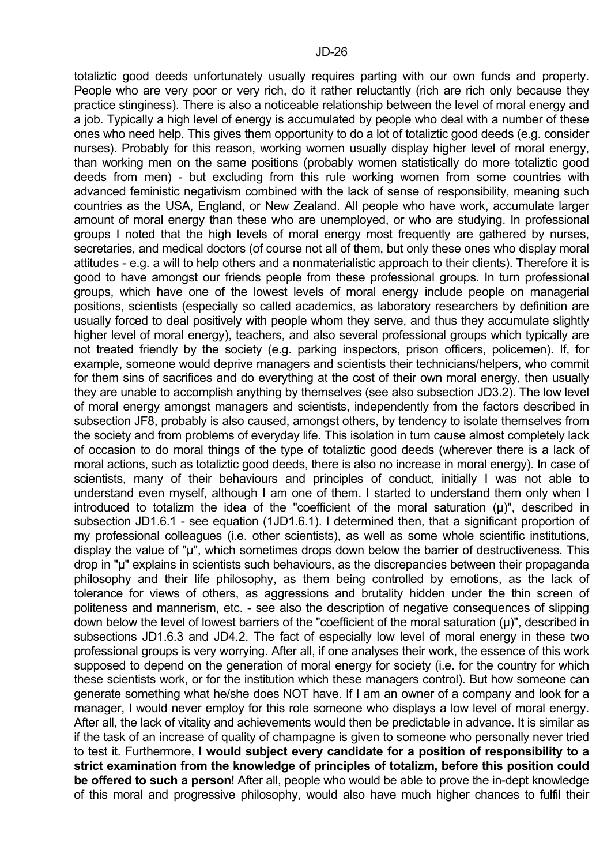totaliztic good deeds unfortunately usually requires parting with our own funds and property. People who are very poor or very rich, do it rather reluctantly (rich are rich only because they practice stinginess). There is also a noticeable relationship between the level of moral energy and a job. Typically a high level of energy is accumulated by people who deal with a number of these ones who need help. This gives them opportunity to do a lot of totaliztic good deeds (e.g. consider nurses). Probably for this reason, working women usually display higher level of moral energy, than working men on the same positions (probably women statistically do more totaliztic good deeds from men) - but excluding from this rule working women from some countries with advanced feministic negativism combined with the lack of sense of responsibility, meaning such countries as the USA, England, or New Zealand. All people who have work, accumulate larger amount of moral energy than these who are unemployed, or who are studying. In professional groups I noted that the high levels of moral energy most frequently are gathered by nurses, secretaries, and medical doctors (of course not all of them, but only these ones who display moral attitudes - e.g. a will to help others and a nonmaterialistic approach to their clients). Therefore it is good to have amongst our friends people from these professional groups. In turn professional groups, which have one of the lowest levels of moral energy include people on managerial positions, scientists (especially so called academics, as laboratory researchers by definition are usually forced to deal positively with people whom they serve, and thus they accumulate slightly higher level of moral energy), teachers, and also several professional groups which typically are not treated friendly by the society (e.g. parking inspectors, prison officers, policemen). If, for example, someone would deprive managers and scientists their technicians/helpers, who commit for them sins of sacrifices and do everything at the cost of their own moral energy, then usually they are unable to accomplish anything by themselves (see also subsection JD3.2). The low level of moral energy amongst managers and scientists, independently from the factors described in subsection JF8, probably is also caused, amongst others, by tendency to isolate themselves from the society and from problems of everyday life. This isolation in turn cause almost completely lack of occasion to do moral things of the type of totaliztic good deeds (wherever there is a lack of moral actions, such as totaliztic good deeds, there is also no increase in moral energy). In case of scientists, many of their behaviours and principles of conduct, initially I was not able to understand even myself, although I am one of them. I started to understand them only when I introduced to totalizm the idea of the "coefficient of the moral saturation  $(\mu)$ ", described in subsection JD1.6.1 - see equation (1JD1.6.1). I determined then, that a significant proportion of my professional colleagues (i.e. other scientists), as well as some whole scientific institutions, display the value of "µ", which sometimes drops down below the barrier of destructiveness. This drop in "µ" explains in scientists such behaviours, as the discrepancies between their propaganda philosophy and their life philosophy, as them being controlled by emotions, as the lack of tolerance for views of others, as aggressions and brutality hidden under the thin screen of politeness and mannerism, etc. - see also the description of negative consequences of slipping down below the level of lowest barriers of the "coefficient of the moral saturation (µ)", described in subsections JD1.6.3 and JD4.2. The fact of especially low level of moral energy in these two professional groups is very worrying. After all, if one analyses their work, the essence of this work supposed to depend on the generation of moral energy for society (i.e. for the country for which these scientists work, or for the institution which these managers control). But how someone can generate something what he/she does NOT have. If I am an owner of a company and look for a manager, I would never employ for this role someone who displays a low level of moral energy. After all, the lack of vitality and achievements would then be predictable in advance. It is similar as if the task of an increase of quality of champagne is given to someone who personally never tried to test it. Furthermore, **I would subject every candidate for a position of responsibility to a strict examination from the knowledge of principles of totalizm, before this position could be offered to such a person**! After all, people who would be able to prove the in-dept knowledge of this moral and progressive philosophy, would also have much higher chances to fulfil their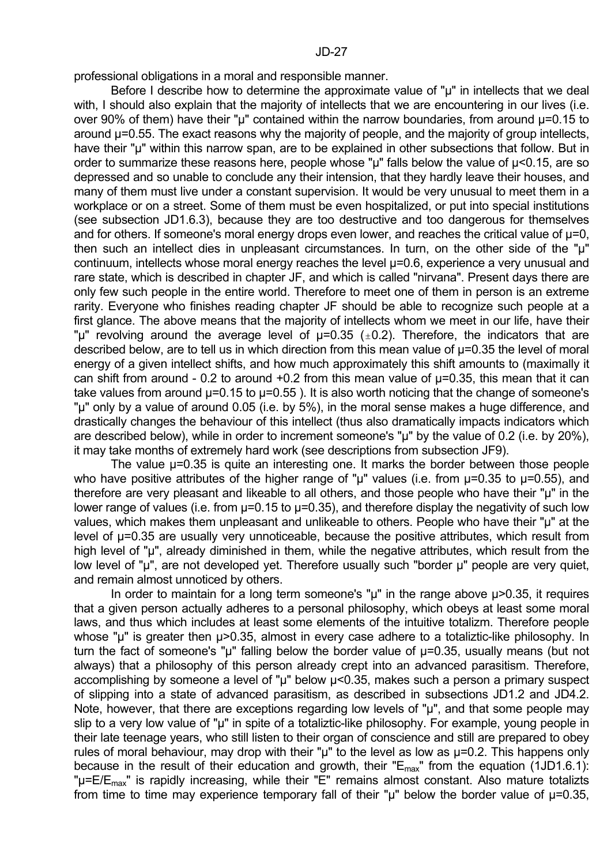professional obligations in a moral and responsible manner.

Before I describe how to determine the approximate value of "µ" in intellects that we deal with, I should also explain that the majority of intellects that we are encountering in our lives (i.e. over 90% of them) have their "µ" contained within the narrow boundaries, from around µ=0.15 to around  $\mu$ =0.55. The exact reasons why the majority of people, and the majority of group intellects, have their "u" within this narrow span, are to be explained in other subsections that follow. But in order to summarize these reasons here, people whose " $\mu$ " falls below the value of  $\mu$ <0.15, are so depressed and so unable to conclude any their intension, that they hardly leave their houses, and many of them must live under a constant supervision. It would be very unusual to meet them in a workplace or on a street. Some of them must be even hospitalized, or put into special institutions (see subsection JD1.6.3), because they are too destructive and too dangerous for themselves and for others. If someone's moral energy drops even lower, and reaches the critical value of  $\mu$ =0, then such an intellect dies in unpleasant circumstances. In turn, on the other side of the "µ" continuum, intellects whose moral energy reaches the level  $\mu$ =0.6, experience a very unusual and rare state, which is described in chapter JF, and which is called "nirvana". Present days there are only few such people in the entire world. Therefore to meet one of them in person is an extreme rarity. Everyone who finishes reading chapter JF should be able to recognize such people at a first glance. The above means that the majority of intellects whom we meet in our life, have their " $\mu$ " revolving around the average level of  $\mu$ =0.35 ( $\pm$ 0.2). Therefore, the indicators that are described below, are to tell us in which direction from this mean value of µ=0.35 the level of moral energy of a given intellect shifts, and how much approximately this shift amounts to (maximally it can shift from around - 0.2 to around +0.2 from this mean value of µ=0.35, this mean that it can take values from around  $\mu$ =0.15 to  $\mu$ =0.55). It is also worth noticing that the change of someone's "µ" only by a value of around 0.05 (i.e. by 5%), in the moral sense makes a huge difference, and drastically changes the behaviour of this intellect (thus also dramatically impacts indicators which are described below), while in order to increment someone's "µ" by the value of 0.2 (i.e. by 20%), it may take months of extremely hard work (see descriptions from subsection JF9).

The value  $\mu$ =0.35 is quite an interesting one. It marks the border between those people who have positive attributes of the higher range of " $\mu$ " values (i.e. from  $\mu$ =0.35 to  $\mu$ =0.55), and therefore are very pleasant and likeable to all others, and those people who have their "µ" in the lower range of values (i.e. from  $\mu$ =0.15 to  $\mu$ =0.35), and therefore display the negativity of such low values, which makes them unpleasant and unlikeable to others. People who have their "µ" at the level of µ=0.35 are usually very unnoticeable, because the positive attributes, which result from high level of "µ", already diminished in them, while the negative attributes, which result from the low level of "μ", are not developed yet. Therefore usually such "border μ" people are very quiet, and remain almost unnoticed by others.

In order to maintain for a long term someone's "u" in the range above u>0.35, it requires that a given person actually adheres to a personal philosophy, which obeys at least some moral laws, and thus which includes at least some elements of the intuitive totalizm. Therefore people whose "u" is greater then u>0.35, almost in every case adhere to a totaliztic-like philosophy. In turn the fact of someone's "µ" falling below the border value of u=0.35, usually means (but not always) that a philosophy of this person already crept into an advanced parasitism. Therefore, accomplishing by someone a level of "µ" below µ<0.35, makes such a person a primary suspect of slipping into a state of advanced parasitism, as described in subsections JD1.2 and JD4.2. Note, however, that there are exceptions regarding low levels of " $\mu$ ", and that some people may slip to a very low value of "µ" in spite of a totaliztic-like philosophy. For example, young people in their late teenage years, who still listen to their organ of conscience and still are prepared to obey rules of moral behaviour, may drop with their " $\mu$ " to the level as low as  $\mu$ =0.2. This happens only because in the result of their education and growth, their " $E_{\text{max}}$ " from the equation (1JD1.6.1): " $\mu$ =E/E<sub>max</sub>" is rapidly increasing, while their "E" remains almost constant. Also mature totalizts from time to time may experience temporary fall of their " $\mu$ " below the border value of  $\mu$ =0.35,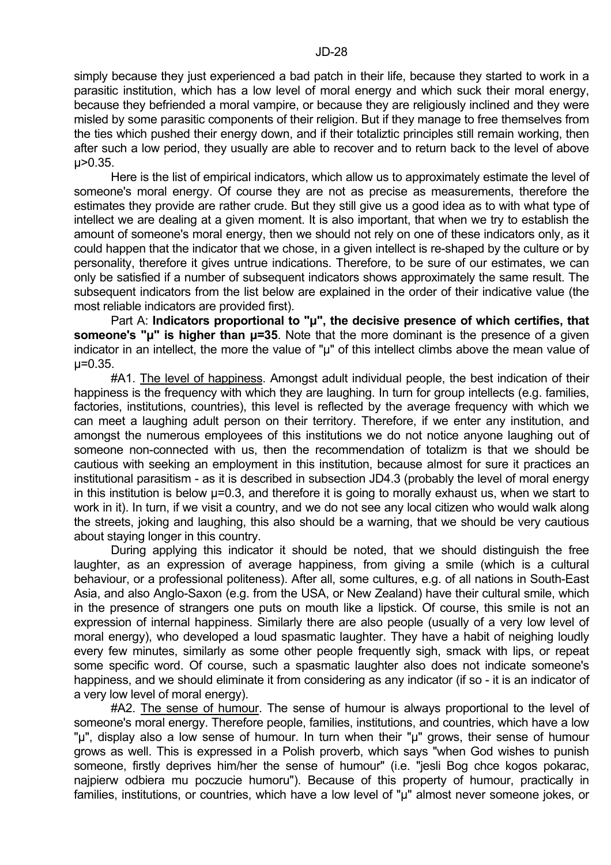simply because they just experienced a bad patch in their life, because they started to work in a parasitic institution, which has a low level of moral energy and which suck their moral energy, because they befriended a moral vampire, or because they are religiously inclined and they were misled by some parasitic components of their religion. But if they manage to free themselves from the ties which pushed their energy down, and if their totaliztic principles still remain working, then after such a low period, they usually are able to recover and to return back to the level of above µ>0.35.

 Here is the list of empirical indicators, which allow us to approximately estimate the level of someone's moral energy. Of course they are not as precise as measurements, therefore the estimates they provide are rather crude. But they still give us a good idea as to with what type of intellect we are dealing at a given moment. It is also important, that when we try to establish the amount of someone's moral energy, then we should not rely on one of these indicators only, as it could happen that the indicator that we chose, in a given intellect is re-shaped by the culture or by personality, therefore it gives untrue indications. Therefore, to be sure of our estimates, we can only be satisfied if a number of subsequent indicators shows approximately the same result. The subsequent indicators from the list below are explained in the order of their indicative value (the most reliable indicators are provided first).

Part A: Indicators proportional to "µ", the decisive presence of which certifies, that **someone's "µ" is higher than µ=35**. Note that the more dominant is the presence of a given indicator in an intellect, the more the value of " $\mu$ " of this intellect climbs above the mean value of µ=0.35.

 #A1. The level of happiness. Amongst adult individual people, the best indication of their happiness is the frequency with which they are laughing. In turn for group intellects (e.g. families, factories, institutions, countries), this level is reflected by the average frequency with which we can meet a laughing adult person on their territory. Therefore, if we enter any institution, and amongst the numerous employees of this institutions we do not notice anyone laughing out of someone non-connected with us, then the recommendation of totalizm is that we should be cautious with seeking an employment in this institution, because almost for sure it practices an institutional parasitism - as it is described in subsection JD4.3 (probably the level of moral energy in this institution is below  $\mu$ =0.3, and therefore it is going to morally exhaust us, when we start to work in it). In turn, if we visit a country, and we do not see any local citizen who would walk along the streets, joking and laughing, this also should be a warning, that we should be very cautious about staying longer in this country.

 During applying this indicator it should be noted, that we should distinguish the free laughter, as an expression of average happiness, from giving a smile (which is a cultural behaviour, or a professional politeness). After all, some cultures, e.g. of all nations in South-East Asia, and also Anglo-Saxon (e.g. from the USA, or New Zealand) have their cultural smile, which in the presence of strangers one puts on mouth like a lipstick. Of course, this smile is not an expression of internal happiness. Similarly there are also people (usually of a very low level of moral energy), who developed a loud spasmatic laughter. They have a habit of neighing loudly every few minutes, similarly as some other people frequently sigh, smack with lips, or repeat some specific word. Of course, such a spasmatic laughter also does not indicate someone's happiness, and we should eliminate it from considering as any indicator (if so - it is an indicator of a very low level of moral energy).

 #A2. The sense of humour. The sense of humour is always proportional to the level of someone's moral energy. Therefore people, families, institutions, and countries, which have a low "µ", display also a low sense of humour. In turn when their "µ" grows, their sense of humour grows as well. This is expressed in a Polish proverb, which says "when God wishes to punish someone, firstly deprives him/her the sense of humour" (i.e. "jesli Bog chce kogos pokarac, najpierw odbiera mu poczucie humoru"). Because of this property of humour, practically in families, institutions, or countries, which have a low level of "µ" almost never someone jokes, or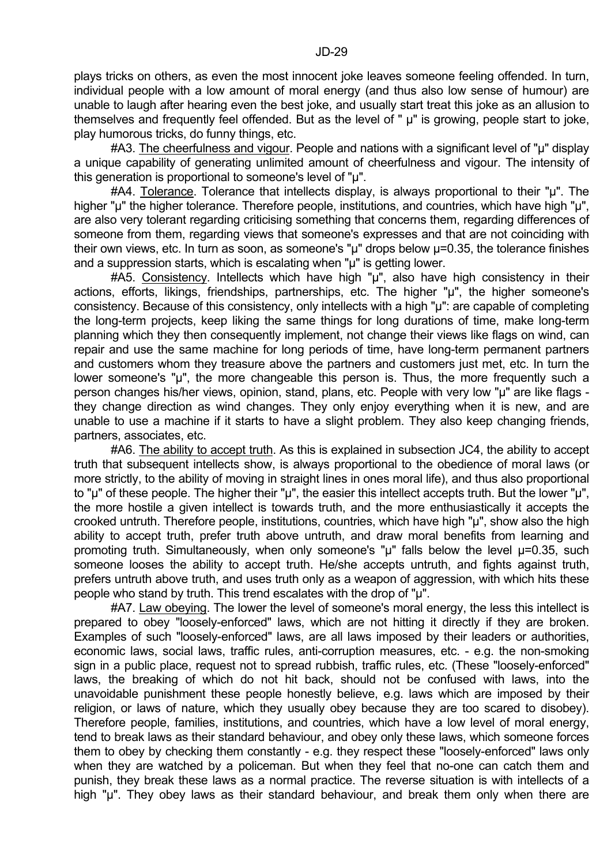plays tricks on others, as even the most innocent joke leaves someone feeling offended. In turn, individual people with a low amount of moral energy (and thus also low sense of humour) are unable to laugh after hearing even the best joke, and usually start treat this joke as an allusion to themselves and frequently feel offended. But as the level of " µ" is growing, people start to joke, play humorous tricks, do funny things, etc.

 #A3. The cheerfulness and vigour. People and nations with a significant level of "µ" display a unique capability of generating unlimited amount of cheerfulness and vigour. The intensity of this generation is proportional to someone's level of "µ".

 #A4. Tolerance. Tolerance that intellects display, is always proportional to their "µ". The higher "µ" the higher tolerance. Therefore people, institutions, and countries, which have high "µ", are also very tolerant regarding criticising something that concerns them, regarding differences of someone from them, regarding views that someone's expresses and that are not coinciding with their own views, etc. In turn as soon, as someone's "µ" drops below µ=0.35, the tolerance finishes and a suppression starts, which is escalating when "µ" is getting lower.

 #A5. Consistency. Intellects which have high "µ", also have high consistency in their actions, efforts, likings, friendships, partnerships, etc. The higher "µ", the higher someone's consistency. Because of this consistency, only intellects with a high "µ": are capable of completing the long-term projects, keep liking the same things for long durations of time, make long-term planning which they then consequently implement, not change their views like flags on wind, can repair and use the same machine for long periods of time, have long-term permanent partners and customers whom they treasure above the partners and customers just met, etc. In turn the lower someone's "u", the more changeable this person is. Thus, the more frequently such a person changes his/her views, opinion, stand, plans, etc. People with very low "µ" are like flags they change direction as wind changes. They only enjoy everything when it is new, and are unable to use a machine if it starts to have a slight problem. They also keep changing friends, partners, associates, etc.

#A6. The ability to accept truth. As this is explained in subsection JC4, the ability to accept truth that subsequent intellects show, is always proportional to the obedience of moral laws (or more strictly, to the ability of moving in straight lines in ones moral life), and thus also proportional to "µ" of these people. The higher their "µ", the easier this intellect accepts truth. But the lower "µ", the more hostile a given intellect is towards truth, and the more enthusiastically it accepts the crooked untruth. Therefore people, institutions, countries, which have high "µ", show also the high ability to accept truth, prefer truth above untruth, and draw moral benefits from learning and promoting truth. Simultaneously, when only someone's " $\mu$ " falls below the level  $\mu$ =0.35, such someone looses the ability to accept truth. He/she accepts untruth, and fights against truth, prefers untruth above truth, and uses truth only as a weapon of aggression, with which hits these people who stand by truth. This trend escalates with the drop of "µ".

 #A7. Law obeying. The lower the level of someone's moral energy, the less this intellect is prepared to obey "loosely-enforced" laws, which are not hitting it directly if they are broken. Examples of such "loosely-enforced" laws, are all laws imposed by their leaders or authorities, economic laws, social laws, traffic rules, anti-corruption measures, etc. - e.g. the non-smoking sign in a public place, request not to spread rubbish, traffic rules, etc. (These "loosely-enforced" laws, the breaking of which do not hit back, should not be confused with laws, into the unavoidable punishment these people honestly believe, e.g. laws which are imposed by their religion, or laws of nature, which they usually obey because they are too scared to disobey). Therefore people, families, institutions, and countries, which have a low level of moral energy, tend to break laws as their standard behaviour, and obey only these laws, which someone forces them to obey by checking them constantly - e.g. they respect these "loosely-enforced" laws only when they are watched by a policeman. But when they feel that no-one can catch them and punish, they break these laws as a normal practice. The reverse situation is with intellects of a high "u". They obey laws as their standard behaviour, and break them only when there are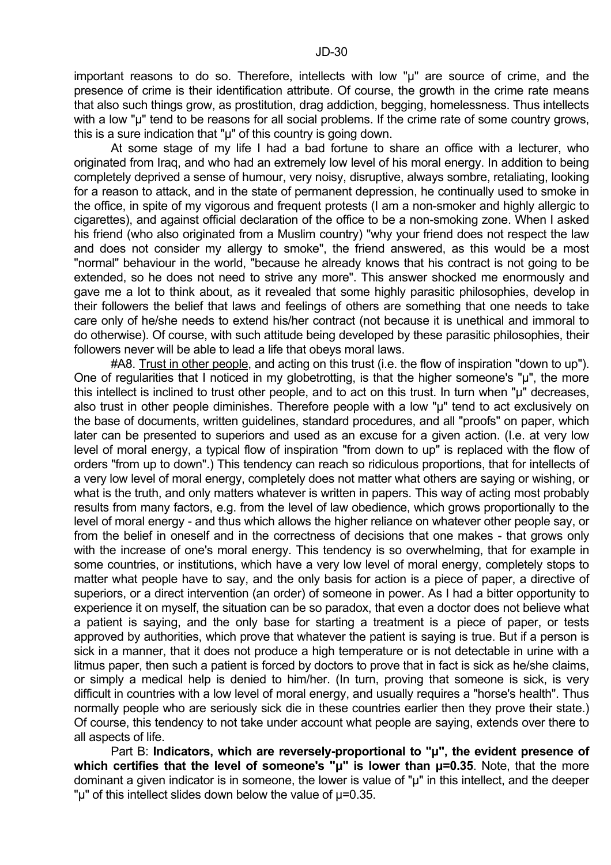important reasons to do so. Therefore, intellects with low "µ" are source of crime, and the presence of crime is their identification attribute. Of course, the growth in the crime rate means that also such things grow, as prostitution, drag addiction, begging, homelessness. Thus intellects with a low "µ" tend to be reasons for all social problems. If the crime rate of some country grows, this is a sure indication that "µ" of this country is going down.

 At some stage of my life I had a bad fortune to share an office with a lecturer, who originated from Iraq, and who had an extremely low level of his moral energy. In addition to being completely deprived a sense of humour, very noisy, disruptive, always sombre, retaliating, looking for a reason to attack, and in the state of permanent depression, he continually used to smoke in the office, in spite of my vigorous and frequent protests (I am a non-smoker and highly allergic to cigarettes), and against official declaration of the office to be a non-smoking zone. When I asked his friend (who also originated from a Muslim country) "why your friend does not respect the law and does not consider my allergy to smoke", the friend answered, as this would be a most "normal" behaviour in the world, "because he already knows that his contract is not going to be extended, so he does not need to strive any more". This answer shocked me enormously and gave me a lot to think about, as it revealed that some highly parasitic philosophies, develop in their followers the belief that laws and feelings of others are something that one needs to take care only of he/she needs to extend his/her contract (not because it is unethical and immoral to do otherwise). Of course, with such attitude being developed by these parasitic philosophies, their followers never will be able to lead a life that obeys moral laws.

 #A8. Trust in other people, and acting on this trust (i.e. the flow of inspiration "down to up"). One of regularities that I noticed in my globetrotting, is that the higher someone's "µ", the more this intellect is inclined to trust other people, and to act on this trust. In turn when "µ" decreases, also trust in other people diminishes. Therefore people with a low "µ" tend to act exclusively on the base of documents, written guidelines, standard procedures, and all "proofs" on paper, which later can be presented to superiors and used as an excuse for a given action. (I.e. at very low level of moral energy, a typical flow of inspiration "from down to up" is replaced with the flow of orders "from up to down".) This tendency can reach so ridiculous proportions, that for intellects of a very low level of moral energy, completely does not matter what others are saying or wishing, or what is the truth, and only matters whatever is written in papers. This way of acting most probably results from many factors, e.g. from the level of law obedience, which grows proportionally to the level of moral energy - and thus which allows the higher reliance on whatever other people say, or from the belief in oneself and in the correctness of decisions that one makes - that grows only with the increase of one's moral energy. This tendency is so overwhelming, that for example in some countries, or institutions, which have a very low level of moral energy, completely stops to matter what people have to say, and the only basis for action is a piece of paper, a directive of superiors, or a direct intervention (an order) of someone in power. As I had a bitter opportunity to experience it on myself, the situation can be so paradox, that even a doctor does not believe what a patient is saying, and the only base for starting a treatment is a piece of paper, or tests approved by authorities, which prove that whatever the patient is saying is true. But if a person is sick in a manner, that it does not produce a high temperature or is not detectable in urine with a litmus paper, then such a patient is forced by doctors to prove that in fact is sick as he/she claims, or simply a medical help is denied to him/her. (In turn, proving that someone is sick, is very difficult in countries with a low level of moral energy, and usually requires a "horse's health". Thus normally people who are seriously sick die in these countries earlier then they prove their state.) Of course, this tendency to not take under account what people are saying, extends over there to all aspects of life.

 Part B: **Indicators, which are reversely-proportional to "µ", the evident presence of**  which certifies that the level of someone's " $\mu$ " is lower than  $\mu$ =0.35. Note, that the more dominant a given indicator is in someone, the lower is value of "µ" in this intellect, and the deeper "µ" of this intellect slides down below the value of µ=0.35.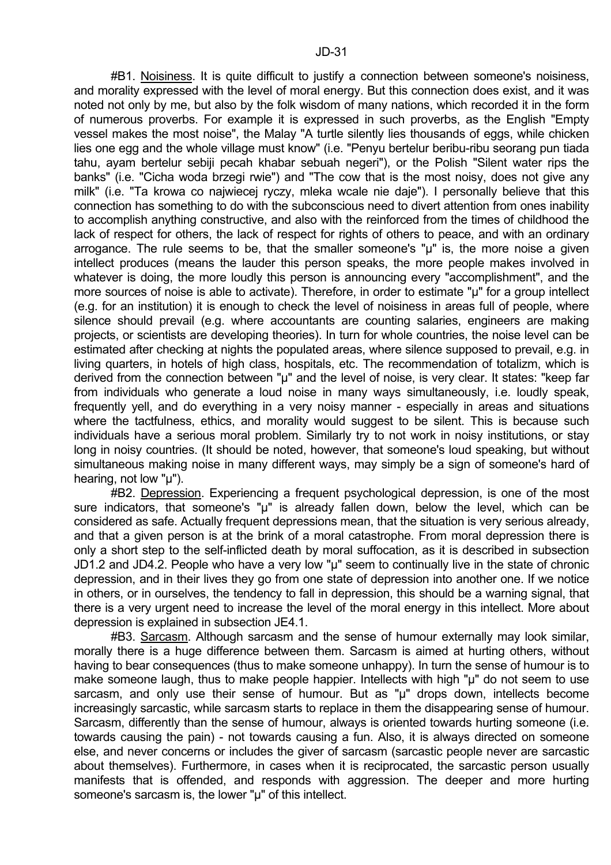#B1. Noisiness. It is quite difficult to justify a connection between someone's noisiness, and morality expressed with the level of moral energy. But this connection does exist, and it was noted not only by me, but also by the folk wisdom of many nations, which recorded it in the form of numerous proverbs. For example it is expressed in such proverbs, as the English "Empty vessel makes the most noise", the Malay "A turtle silently lies thousands of eggs, while chicken lies one egg and the whole village must know" (i.e. "Penyu bertelur beribu-ribu seorang pun tiada tahu, ayam bertelur sebiji pecah khabar sebuah negeri"), or the Polish "Silent water rips the banks" (i.e. "Cicha woda brzegi rwie") and "The cow that is the most noisy, does not give any milk" (i.e. "Ta krowa co najwiecej ryczy, mleka wcale nie daje"). I personally believe that this connection has something to do with the subconscious need to divert attention from ones inability to accomplish anything constructive, and also with the reinforced from the times of childhood the lack of respect for others, the lack of respect for rights of others to peace, and with an ordinary arrogance. The rule seems to be, that the smaller someone's "µ" is, the more noise a given intellect produces (means the lauder this person speaks, the more people makes involved in whatever is doing, the more loudly this person is announcing every "accomplishment", and the more sources of noise is able to activate). Therefore, in order to estimate "µ" for a group intellect (e.g. for an institution) it is enough to check the level of noisiness in areas full of people, where silence should prevail (e.g. where accountants are counting salaries, engineers are making projects, or scientists are developing theories). In turn for whole countries, the noise level can be estimated after checking at nights the populated areas, where silence supposed to prevail, e.g. in living quarters, in hotels of high class, hospitals, etc. The recommendation of totalizm, which is derived from the connection between "µ" and the level of noise, is very clear. It states: "keep far from individuals who generate a loud noise in many ways simultaneously, i.e. loudly speak, frequently yell, and do everything in a very noisy manner - especially in areas and situations where the tactfulness, ethics, and morality would suggest to be silent. This is because such individuals have a serious moral problem. Similarly try to not work in noisy institutions, or stay long in noisy countries. (It should be noted, however, that someone's loud speaking, but without simultaneous making noise in many different ways, may simply be a sign of someone's hard of hearing, not low "u").

 #B2. Depression. Experiencing a frequent psychological depression, is one of the most sure indicators, that someone's "µ" is already fallen down, below the level, which can be considered as safe. Actually frequent depressions mean, that the situation is very serious already, and that a given person is at the brink of a moral catastrophe. From moral depression there is only a short step to the self-inflicted death by moral suffocation, as it is described in subsection JD1.2 and JD4.2. People who have a very low "µ" seem to continually live in the state of chronic depression, and in their lives they go from one state of depression into another one. If we notice in others, or in ourselves, the tendency to fall in depression, this should be a warning signal, that there is a very urgent need to increase the level of the moral energy in this intellect. More about depression is explained in subsection JE4.1.

 #B3. Sarcasm. Although sarcasm and the sense of humour externally may look similar, morally there is a huge difference between them. Sarcasm is aimed at hurting others, without having to bear consequences (thus to make someone unhappy). In turn the sense of humour is to make someone laugh, thus to make people happier. Intellects with high "µ" do not seem to use sarcasm, and only use their sense of humour. But as "µ" drops down, intellects become increasingly sarcastic, while sarcasm starts to replace in them the disappearing sense of humour. Sarcasm, differently than the sense of humour, always is oriented towards hurting someone (i.e. towards causing the pain) - not towards causing a fun. Also, it is always directed on someone else, and never concerns or includes the giver of sarcasm (sarcastic people never are sarcastic about themselves). Furthermore, in cases when it is reciprocated, the sarcastic person usually manifests that is offended, and responds with aggression. The deeper and more hurting someone's sarcasm is, the lower "µ" of this intellect.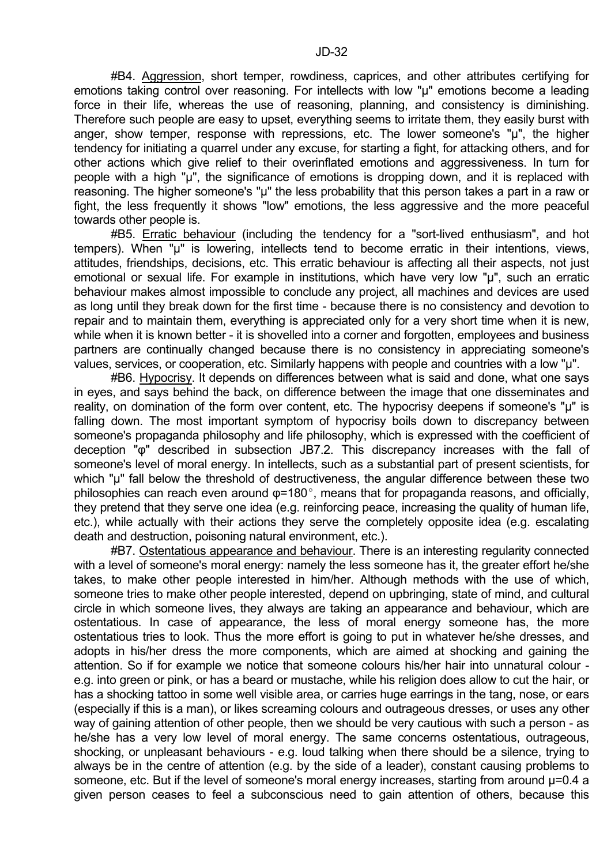#B4. Aggression, short temper, rowdiness, caprices, and other attributes certifying for emotions taking control over reasoning. For intellects with low "µ" emotions become a leading force in their life, whereas the use of reasoning, planning, and consistency is diminishing. Therefore such people are easy to upset, everything seems to irritate them, they easily burst with anger, show temper, response with repressions, etc. The lower someone's "µ", the higher tendency for initiating a quarrel under any excuse, for starting a fight, for attacking others, and for other actions which give relief to their overinflated emotions and aggressiveness. In turn for people with a high "u", the significance of emotions is dropping down, and it is replaced with reasoning. The higher someone's "µ" the less probability that this person takes a part in a raw or fight, the less frequently it shows "low" emotions, the less aggressive and the more peaceful towards other people is.

 #B5. Erratic behaviour (including the tendency for a "sort-lived enthusiasm", and hot tempers). When "µ" is lowering, intellects tend to become erratic in their intentions, views, attitudes, friendships, decisions, etc. This erratic behaviour is affecting all their aspects, not just emotional or sexual life. For example in institutions, which have very low "µ", such an erratic behaviour makes almost impossible to conclude any project, all machines and devices are used as long until they break down for the first time - because there is no consistency and devotion to repair and to maintain them, everything is appreciated only for a very short time when it is new, while when it is known better - it is shovelled into a corner and forgotten, employees and business partners are continually changed because there is no consistency in appreciating someone's values, services, or cooperation, etc. Similarly happens with people and countries with a low "µ".

 #B6. Hypocrisy. It depends on differences between what is said and done, what one says in eyes, and says behind the back, on difference between the image that one disseminates and reality, on domination of the form over content, etc. The hypocrisy deepens if someone's "µ" is falling down. The most important symptom of hypocrisy boils down to discrepancy between someone's propaganda philosophy and life philosophy, which is expressed with the coefficient of deception "φ" described in subsection JB7.2. This discrepancy increases with the fall of someone's level of moral energy. In intellects, such as a substantial part of present scientists, for which "µ" fall below the threshold of destructiveness, the angular difference between these two philosophies can reach even around  $\varphi$ =180 $^{\circ}$ , means that for propaganda reasons, and officially, they pretend that they serve one idea (e.g. reinforcing peace, increasing the quality of human life, etc.), while actually with their actions they serve the completely opposite idea (e.g. escalating death and destruction, poisoning natural environment, etc.).

 #B7. Ostentatious appearance and behaviour. There is an interesting regularity connected with a level of someone's moral energy: namely the less someone has it, the greater effort he/she takes, to make other people interested in him/her. Although methods with the use of which, someone tries to make other people interested, depend on upbringing, state of mind, and cultural circle in which someone lives, they always are taking an appearance and behaviour, which are ostentatious. In case of appearance, the less of moral energy someone has, the more ostentatious tries to look. Thus the more effort is going to put in whatever he/she dresses, and adopts in his/her dress the more components, which are aimed at shocking and gaining the attention. So if for example we notice that someone colours his/her hair into unnatural colour e.g. into green or pink, or has a beard or mustache, while his religion does allow to cut the hair, or has a shocking tattoo in some well visible area, or carries huge earrings in the tang, nose, or ears (especially if this is a man), or likes screaming colours and outrageous dresses, or uses any other way of gaining attention of other people, then we should be very cautious with such a person - as he/she has a very low level of moral energy. The same concerns ostentatious, outrageous, shocking, or unpleasant behaviours - e.g. loud talking when there should be a silence, trying to always be in the centre of attention (e.g. by the side of a leader), constant causing problems to someone, etc. But if the level of someone's moral energy increases, starting from around  $\mu$ =0.4 a given person ceases to feel a subconscious need to gain attention of others, because this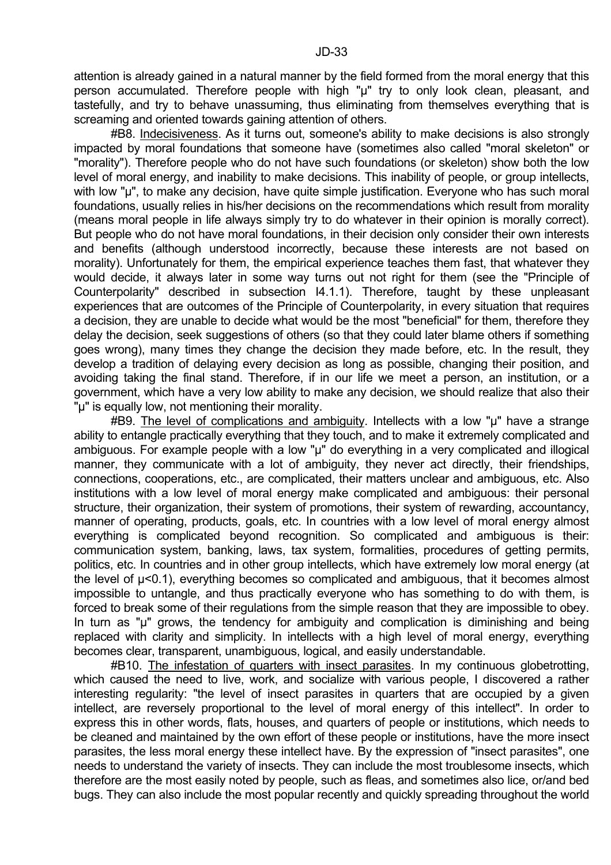attention is already gained in a natural manner by the field formed from the moral energy that this person accumulated. Therefore people with high "µ" try to only look clean, pleasant, and tastefully, and try to behave unassuming, thus eliminating from themselves everything that is screaming and oriented towards gaining attention of others.

 #B8. Indecisiveness. As it turns out, someone's ability to make decisions is also strongly impacted by moral foundations that someone have (sometimes also called "moral skeleton" or "morality"). Therefore people who do not have such foundations (or skeleton) show both the low level of moral energy, and inability to make decisions. This inability of people, or group intellects, with low "u", to make any decision, have quite simple justification. Everyone who has such moral foundations, usually relies in his/her decisions on the recommendations which result from morality (means moral people in life always simply try to do whatever in their opinion is morally correct). But people who do not have moral foundations, in their decision only consider their own interests and benefits (although understood incorrectly, because these interests are not based on morality). Unfortunately for them, the empirical experience teaches them fast, that whatever they would decide, it always later in some way turns out not right for them (see the "Principle of Counterpolarity" described in subsection I4.1.1). Therefore, taught by these unpleasant experiences that are outcomes of the Principle of Counterpolarity, in every situation that requires a decision, they are unable to decide what would be the most "beneficial" for them, therefore they delay the decision, seek suggestions of others (so that they could later blame others if something goes wrong), many times they change the decision they made before, etc. In the result, they develop a tradition of delaying every decision as long as possible, changing their position, and avoiding taking the final stand. Therefore, if in our life we meet a person, an institution, or a government, which have a very low ability to make any decision, we should realize that also their "µ" is equally low, not mentioning their morality.

 #B9. The level of complications and ambiguity. Intellects with a low "µ" have a strange ability to entangle practically everything that they touch, and to make it extremely complicated and ambiguous. For example people with a low "µ" do everything in a very complicated and illogical manner, they communicate with a lot of ambiguity, they never act directly, their friendships, connections, cooperations, etc., are complicated, their matters unclear and ambiguous, etc. Also institutions with a low level of moral energy make complicated and ambiguous: their personal structure, their organization, their system of promotions, their system of rewarding, accountancy, manner of operating, products, goals, etc. In countries with a low level of moral energy almost everything is complicated beyond recognition. So complicated and ambiguous is their: communication system, banking, laws, tax system, formalities, procedures of getting permits, politics, etc. In countries and in other group intellects, which have extremely low moral energy (at the level of µ<0.1), everything becomes so complicated and ambiguous, that it becomes almost impossible to untangle, and thus practically everyone who has something to do with them, is forced to break some of their regulations from the simple reason that they are impossible to obey. In turn as "µ" grows, the tendency for ambiguity and complication is diminishing and being replaced with clarity and simplicity. In intellects with a high level of moral energy, everything becomes clear, transparent, unambiguous, logical, and easily understandable.

 #B10. The infestation of quarters with insect parasites. In my continuous globetrotting, which caused the need to live, work, and socialize with various people, I discovered a rather interesting regularity: "the level of insect parasites in quarters that are occupied by a given intellect, are reversely proportional to the level of moral energy of this intellect". In order to express this in other words, flats, houses, and quarters of people or institutions, which needs to be cleaned and maintained by the own effort of these people or institutions, have the more insect parasites, the less moral energy these intellect have. By the expression of "insect parasites", one needs to understand the variety of insects. They can include the most troublesome insects, which therefore are the most easily noted by people, such as fleas, and sometimes also lice, or/and bed bugs. They can also include the most popular recently and quickly spreading throughout the world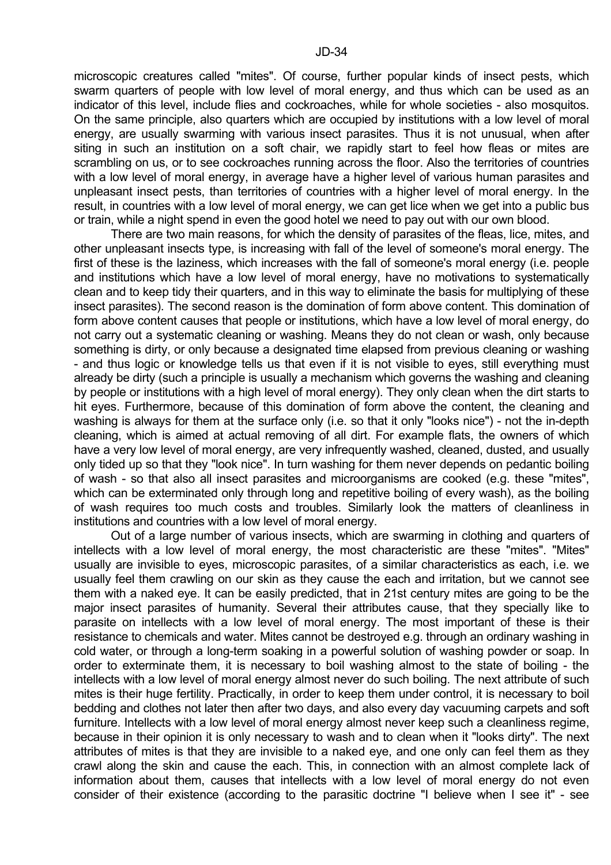microscopic creatures called "mites". Of course, further popular kinds of insect pests, which swarm quarters of people with low level of moral energy, and thus which can be used as an indicator of this level, include flies and cockroaches, while for whole societies - also mosquitos. On the same principle, also quarters which are occupied by institutions with a low level of moral energy, are usually swarming with various insect parasites. Thus it is not unusual, when after siting in such an institution on a soft chair, we rapidly start to feel how fleas or mites are scrambling on us, or to see cockroaches running across the floor. Also the territories of countries with a low level of moral energy, in average have a higher level of various human parasites and unpleasant insect pests, than territories of countries with a higher level of moral energy. In the result, in countries with a low level of moral energy, we can get lice when we get into a public bus or train, while a night spend in even the good hotel we need to pay out with our own blood.

 There are two main reasons, for which the density of parasites of the fleas, lice, mites, and other unpleasant insects type, is increasing with fall of the level of someone's moral energy. The first of these is the laziness, which increases with the fall of someone's moral energy (i.e. people and institutions which have a low level of moral energy, have no motivations to systematically clean and to keep tidy their quarters, and in this way to eliminate the basis for multiplying of these insect parasites). The second reason is the domination of form above content. This domination of form above content causes that people or institutions, which have a low level of moral energy, do not carry out a systematic cleaning or washing. Means they do not clean or wash, only because something is dirty, or only because a designated time elapsed from previous cleaning or washing - and thus logic or knowledge tells us that even if it is not visible to eyes, still everything must already be dirty (such a principle is usually a mechanism which governs the washing and cleaning by people or institutions with a high level of moral energy). They only clean when the dirt starts to hit eyes. Furthermore, because of this domination of form above the content, the cleaning and washing is always for them at the surface only (i.e. so that it only "looks nice") - not the in-depth cleaning, which is aimed at actual removing of all dirt. For example flats, the owners of which have a very low level of moral energy, are very infrequently washed, cleaned, dusted, and usually only tided up so that they "look nice". In turn washing for them never depends on pedantic boiling of wash - so that also all insect parasites and microorganisms are cooked (e.g. these "mites", which can be exterminated only through long and repetitive boiling of every wash), as the boiling of wash requires too much costs and troubles. Similarly look the matters of cleanliness in institutions and countries with a low level of moral energy.

 Out of a large number of various insects, which are swarming in clothing and quarters of intellects with a low level of moral energy, the most characteristic are these "mites". "Mites" usually are invisible to eyes, microscopic parasites, of a similar characteristics as each, i.e. we usually feel them crawling on our skin as they cause the each and irritation, but we cannot see them with a naked eye. It can be easily predicted, that in 21st century mites are going to be the major insect parasites of humanity. Several their attributes cause, that they specially like to parasite on intellects with a low level of moral energy. The most important of these is their resistance to chemicals and water. Mites cannot be destroyed e.g. through an ordinary washing in cold water, or through a long-term soaking in a powerful solution of washing powder or soap. In order to exterminate them, it is necessary to boil washing almost to the state of boiling - the intellects with a low level of moral energy almost never do such boiling. The next attribute of such mites is their huge fertility. Practically, in order to keep them under control, it is necessary to boil bedding and clothes not later then after two days, and also every day vacuuming carpets and soft furniture. Intellects with a low level of moral energy almost never keep such a cleanliness regime, because in their opinion it is only necessary to wash and to clean when it "looks dirty". The next attributes of mites is that they are invisible to a naked eye, and one only can feel them as they crawl along the skin and cause the each. This, in connection with an almost complete lack of information about them, causes that intellects with a low level of moral energy do not even consider of their existence (according to the parasitic doctrine "I believe when I see it" - see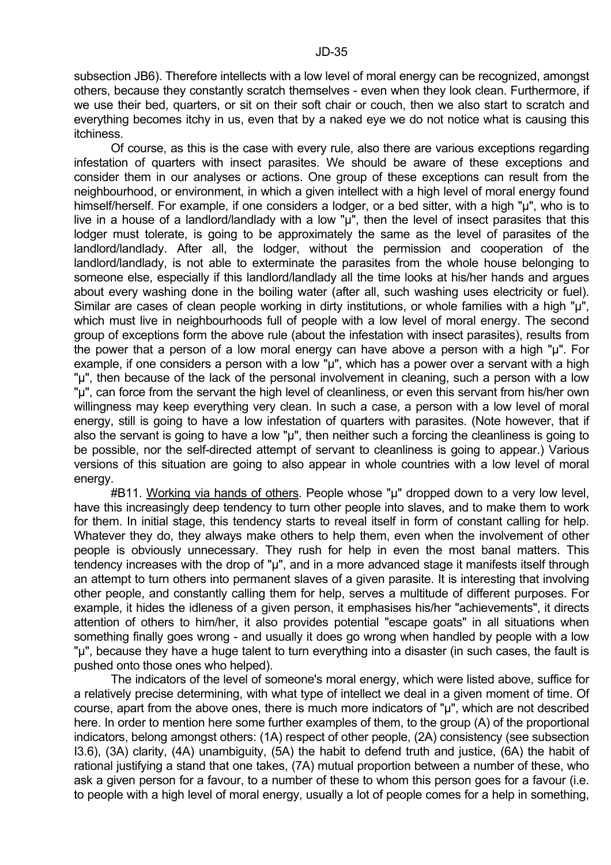subsection JB6). Therefore intellects with a low level of moral energy can be recognized, amongst others, because they constantly scratch themselves - even when they look clean. Furthermore, if we use their bed, quarters, or sit on their soft chair or couch, then we also start to scratch and everything becomes itchy in us, even that by a naked eye we do not notice what is causing this itchiness.

 Of course, as this is the case with every rule, also there are various exceptions regarding infestation of quarters with insect parasites. We should be aware of these exceptions and consider them in our analyses or actions. One group of these exceptions can result from the neighbourhood, or environment, in which a given intellect with a high level of moral energy found himself/herself. For example, if one considers a lodger, or a bed sitter, with a high "µ", who is to live in a house of a landlord/landlady with a low "µ", then the level of insect parasites that this lodger must tolerate, is going to be approximately the same as the level of parasites of the landlord/landlady. After all, the lodger, without the permission and cooperation of the landlord/landlady, is not able to exterminate the parasites from the whole house belonging to someone else, especially if this landlord/landlady all the time looks at his/her hands and argues about every washing done in the boiling water (after all, such washing uses electricity or fuel). Similar are cases of clean people working in dirty institutions, or whole families with a high "µ", which must live in neighbourhoods full of people with a low level of moral energy. The second group of exceptions form the above rule (about the infestation with insect parasites), results from the power that a person of a low moral energy can have above a person with a high "µ". For example, if one considers a person with a low  $\tilde{u}$ ", which has a power over a servant with a high "µ", then because of the lack of the personal involvement in cleaning, such a person with a low "µ", can force from the servant the high level of cleanliness, or even this servant from his/her own willingness may keep everything very clean. In such a case, a person with a low level of moral energy, still is going to have a low infestation of quarters with parasites. (Note however, that if also the servant is going to have a low "µ", then neither such a forcing the cleanliness is going to be possible, nor the self-directed attempt of servant to cleanliness is going to appear.) Various versions of this situation are going to also appear in whole countries with a low level of moral energy.

 #B11. Working via hands of others. People whose "µ" dropped down to a very low level, have this increasingly deep tendency to turn other people into slaves, and to make them to work for them. In initial stage, this tendency starts to reveal itself in form of constant calling for help. Whatever they do, they always make others to help them, even when the involvement of other people is obviously unnecessary. They rush for help in even the most banal matters. This tendency increases with the drop of "µ", and in a more advanced stage it manifests itself through an attempt to turn others into permanent slaves of a given parasite. It is interesting that involving other people, and constantly calling them for help, serves a multitude of different purposes. For example, it hides the idleness of a given person, it emphasises his/her "achievements", it directs attention of others to him/her, it also provides potential "escape goats" in all situations when something finally goes wrong - and usually it does go wrong when handled by people with a low "µ", because they have a huge talent to turn everything into a disaster (in such cases, the fault is pushed onto those ones who helped).

 The indicators of the level of someone's moral energy, which were listed above, suffice for a relatively precise determining, with what type of intellect we deal in a given moment of time. Of course, apart from the above ones, there is much more indicators of "µ", which are not described here. In order to mention here some further examples of them, to the group (A) of the proportional indicators, belong amongst others: (1A) respect of other people, (2A) consistency (see subsection I3.6), (3A) clarity, (4A) unambiguity, (5A) the habit to defend truth and justice, (6A) the habit of rational justifying a stand that one takes, (7A) mutual proportion between a number of these, who ask a given person for a favour, to a number of these to whom this person goes for a favour (i.e. to people with a high level of moral energy, usually a lot of people comes for a help in something,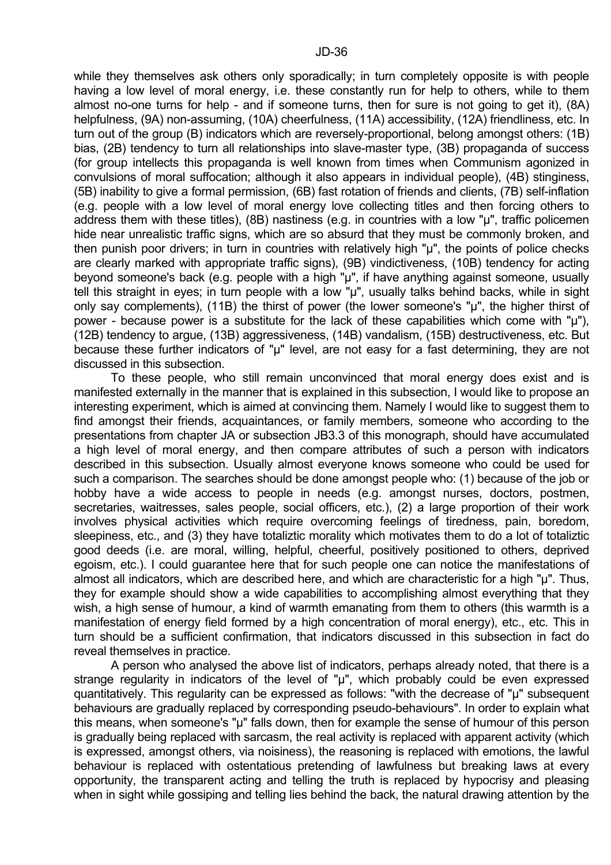while they themselves ask others only sporadically; in turn completely opposite is with people having a low level of moral energy, i.e. these constantly run for help to others, while to them almost no-one turns for help - and if someone turns, then for sure is not going to get it), (8A) helpfulness, (9A) non-assuming, (10A) cheerfulness, (11A) accessibility, (12A) friendliness, etc. In turn out of the group (B) indicators which are reversely-proportional, belong amongst others: (1B) bias, (2B) tendency to turn all relationships into slave-master type, (3B) propaganda of success (for group intellects this propaganda is well known from times when Communism agonized in convulsions of moral suffocation; although it also appears in individual people), (4B) stinginess, (5B) inability to give a formal permission, (6B) fast rotation of friends and clients, (7B) self-inflation (e.g. people with a low level of moral energy love collecting titles and then forcing others to address them with these titles), (8B) nastiness (e.g. in countries with a low "µ", traffic policemen hide near unrealistic traffic signs, which are so absurd that they must be commonly broken, and then punish poor drivers; in turn in countries with relatively high "µ", the points of police checks are clearly marked with appropriate traffic signs), (9B) vindictiveness, (10B) tendency for acting beyond someone's back (e.g. people with a high "µ", if have anything against someone, usually tell this straight in eyes; in turn people with a low "µ", usually talks behind backs, while in sight only say complements), (11B) the thirst of power (the lower someone's "µ", the higher thirst of power - because power is a substitute for the lack of these capabilities which come with "µ"), (12B) tendency to argue, (13B) aggressiveness, (14B) vandalism, (15B) destructiveness, etc. But because these further indicators of "u" level, are not easy for a fast determining, they are not discussed in this subsection.

 To these people, who still remain unconvinced that moral energy does exist and is manifested externally in the manner that is explained in this subsection, I would like to propose an interesting experiment, which is aimed at convincing them. Namely I would like to suggest them to find amongst their friends, acquaintances, or family members, someone who according to the presentations from chapter JA or subsection JB3.3 of this monograph, should have accumulated a high level of moral energy, and then compare attributes of such a person with indicators described in this subsection. Usually almost everyone knows someone who could be used for such a comparison. The searches should be done amongst people who: (1) because of the job or hobby have a wide access to people in needs (e.g. amongst nurses, doctors, postmen, secretaries, waitresses, sales people, social officers, etc.), (2) a large proportion of their work involves physical activities which require overcoming feelings of tiredness, pain, boredom, sleepiness, etc., and (3) they have totaliztic morality which motivates them to do a lot of totaliztic good deeds (i.e. are moral, willing, helpful, cheerful, positively positioned to others, deprived egoism, etc.). I could guarantee here that for such people one can notice the manifestations of almost all indicators, which are described here, and which are characteristic for a high "u". Thus, they for example should show a wide capabilities to accomplishing almost everything that they wish, a high sense of humour, a kind of warmth emanating from them to others (this warmth is a manifestation of energy field formed by a high concentration of moral energy), etc., etc. This in turn should be a sufficient confirmation, that indicators discussed in this subsection in fact do reveal themselves in practice.

 A person who analysed the above list of indicators, perhaps already noted, that there is a strange regularity in indicators of the level of "µ", which probably could be even expressed quantitatively. This regularity can be expressed as follows: "with the decrease of "µ" subsequent behaviours are gradually replaced by corresponding pseudo-behaviours". In order to explain what this means, when someone's "µ" falls down, then for example the sense of humour of this person is gradually being replaced with sarcasm, the real activity is replaced with apparent activity (which is expressed, amongst others, via noisiness), the reasoning is replaced with emotions, the lawful behaviour is replaced with ostentatious pretending of lawfulness but breaking laws at every opportunity, the transparent acting and telling the truth is replaced by hypocrisy and pleasing when in sight while gossiping and telling lies behind the back, the natural drawing attention by the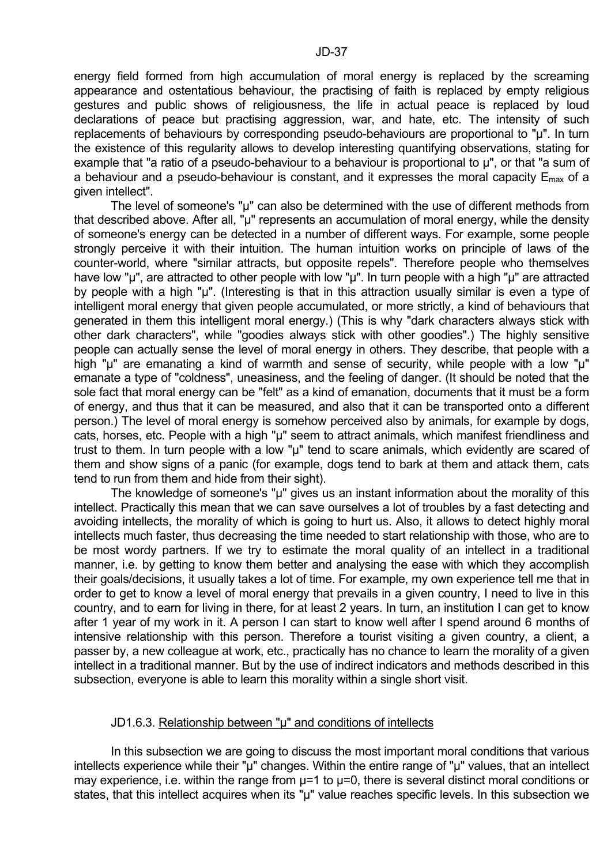energy field formed from high accumulation of moral energy is replaced by the screaming appearance and ostentatious behaviour, the practising of faith is replaced by empty religious gestures and public shows of religiousness, the life in actual peace is replaced by loud declarations of peace but practising aggression, war, and hate, etc. The intensity of such replacements of behaviours by corresponding pseudo-behaviours are proportional to "µ". In turn the existence of this regularity allows to develop interesting quantifying observations, stating for example that "a ratio of a pseudo-behaviour to a behaviour is proportional to  $\mu$ ", or that "a sum of a behaviour and a pseudo-behaviour is constant, and it expresses the moral capacity  $E_{\text{max}}$  of a given intellect".

The level of someone's "µ" can also be determined with the use of different methods from that described above. After all, "u" represents an accumulation of moral energy, while the density of someone's energy can be detected in a number of different ways. For example, some people strongly perceive it with their intuition. The human intuition works on principle of laws of the counter-world, where "similar attracts, but opposite repels". Therefore people who themselves have low "µ", are attracted to other people with low "µ". In turn people with a high "µ" are attracted by people with a high "µ". (Interesting is that in this attraction usually similar is even a type of intelligent moral energy that given people accumulated, or more strictly, a kind of behaviours that generated in them this intelligent moral energy.) (This is why "dark characters always stick with other dark characters", while "goodies always stick with other goodies".) The highly sensitive people can actually sense the level of moral energy in others. They describe, that people with a high "µ" are emanating a kind of warmth and sense of security, while people with a low "µ" emanate a type of "coldness", uneasiness, and the feeling of danger. (It should be noted that the sole fact that moral energy can be "felt" as a kind of emanation, documents that it must be a form of energy, and thus that it can be measured, and also that it can be transported onto a different person.) The level of moral energy is somehow perceived also by animals, for example by dogs, cats, horses, etc. People with a high "µ" seem to attract animals, which manifest friendliness and trust to them. In turn people with a low "µ" tend to scare animals, which evidently are scared of them and show signs of a panic (for example, dogs tend to bark at them and attack them, cats tend to run from them and hide from their sight).

The knowledge of someone's "µ" gives us an instant information about the morality of this intellect. Practically this mean that we can save ourselves a lot of troubles by a fast detecting and avoiding intellects, the morality of which is going to hurt us. Also, it allows to detect highly moral intellects much faster, thus decreasing the time needed to start relationship with those, who are to be most wordy partners. If we try to estimate the moral quality of an intellect in a traditional manner, i.e. by getting to know them better and analysing the ease with which they accomplish their goals/decisions, it usually takes a lot of time. For example, my own experience tell me that in order to get to know a level of moral energy that prevails in a given country, I need to live in this country, and to earn for living in there, for at least 2 years. In turn, an institution I can get to know after 1 year of my work in it. A person I can start to know well after I spend around 6 months of intensive relationship with this person. Therefore a tourist visiting a given country, a client, a passer by, a new colleague at work, etc., practically has no chance to learn the morality of a given intellect in a traditional manner. But by the use of indirect indicators and methods described in this subsection, everyone is able to learn this morality within a single short visit.

#### JD1.6.3. Relationship between "µ" and conditions of intellects

 In this subsection we are going to discuss the most important moral conditions that various intellects experience while their "µ" changes. Within the entire range of "µ" values, that an intellect may experience, i.e. within the range from  $\mu$ =1 to  $\mu$ =0, there is several distinct moral conditions or states, that this intellect acquires when its "u" value reaches specific levels. In this subsection we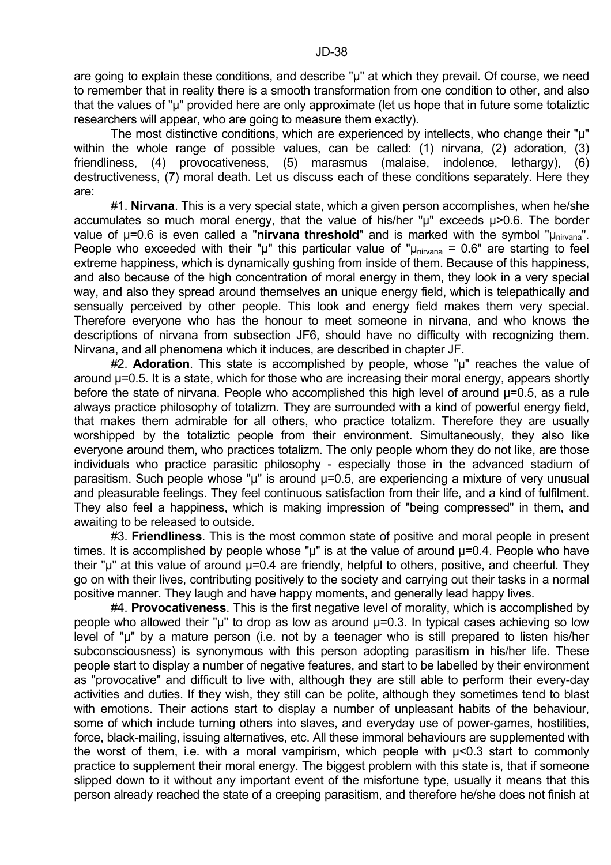are going to explain these conditions, and describe "µ" at which they prevail. Of course, we need to remember that in reality there is a smooth transformation from one condition to other, and also that the values of "µ" provided here are only approximate (let us hope that in future some totaliztic researchers will appear, who are going to measure them exactly).

The most distinctive conditions, which are experienced by intellects, who change their "µ" within the whole range of possible values, can be called: (1) nirvana, (2) adoration, (3) friendliness, (4) provocativeness, (5) marasmus (malaise, indolence, lethargy), (6) destructiveness, (7) moral death. Let us discuss each of these conditions separately. Here they are:

 #1. **Nirvana**. This is a very special state, which a given person accomplishes, when he/she accumulates so much moral energy, that the value of his/her "µ" exceeds µ>0.6. The border value of  $\mu$ =0.6 is even called a "nirvana threshold" and is marked with the symbol " $\mu_{\text{nivana}}$ ". People who exceeded with their "µ" this particular value of " $\mu_{\text{nivana}} = 0.6$ " are starting to feel extreme happiness, which is dynamically gushing from inside of them. Because of this happiness, and also because of the high concentration of moral energy in them, they look in a very special way, and also they spread around themselves an unique energy field, which is telepathically and sensually perceived by other people. This look and energy field makes them very special. Therefore everyone who has the honour to meet someone in nirvana, and who knows the descriptions of nirvana from subsection JF6, should have no difficulty with recognizing them. Nirvana, and all phenomena which it induces, are described in chapter JF.

 #2. **Adoration**. This state is accomplished by people, whose "µ" reaches the value of around µ=0.5. It is a state, which for those who are increasing their moral energy, appears shortly before the state of nirvana. People who accomplished this high level of around  $\mu$ =0.5, as a rule always practice philosophy of totalizm. They are surrounded with a kind of powerful energy field, that makes them admirable for all others, who practice totalizm. Therefore they are usually worshipped by the totaliztic people from their environment. Simultaneously, they also like everyone around them, who practices totalizm. The only people whom they do not like, are those individuals who practice parasitic philosophy - especially those in the advanced stadium of parasitism. Such people whose "µ" is around µ=0.5, are experiencing a mixture of very unusual and pleasurable feelings. They feel continuous satisfaction from their life, and a kind of fulfilment. They also feel a happiness, which is making impression of "being compressed" in them, and awaiting to be released to outside.

 #3. **Friendliness**. This is the most common state of positive and moral people in present times. It is accomplished by people whose " $\mu$ " is at the value of around  $\mu$ =0.4. People who have their "µ" at this value of around  $\mu$ =0.4 are friendly, helpful to others, positive, and cheerful. They go on with their lives, contributing positively to the society and carrying out their tasks in a normal positive manner. They laugh and have happy moments, and generally lead happy lives.

 #4. **Provocativeness**. This is the first negative level of morality, which is accomplished by people who allowed their " $\mu$ " to drop as low as around  $\mu$ =0.3. In typical cases achieving so low level of "µ" by a mature person (i.e. not by a teenager who is still prepared to listen his/her subconsciousness) is synonymous with this person adopting parasitism in his/her life. These people start to display a number of negative features, and start to be labelled by their environment as "provocative" and difficult to live with, although they are still able to perform their every-day activities and duties. If they wish, they still can be polite, although they sometimes tend to blast with emotions. Their actions start to display a number of unpleasant habits of the behaviour, some of which include turning others into slaves, and everyday use of power-games, hostilities, force, black-mailing, issuing alternatives, etc. All these immoral behaviours are supplemented with the worst of them, i.e. with a moral vampirism, which people with µ<0.3 start to commonly practice to supplement their moral energy. The biggest problem with this state is, that if someone slipped down to it without any important event of the misfortune type, usually it means that this person already reached the state of a creeping parasitism, and therefore he/she does not finish at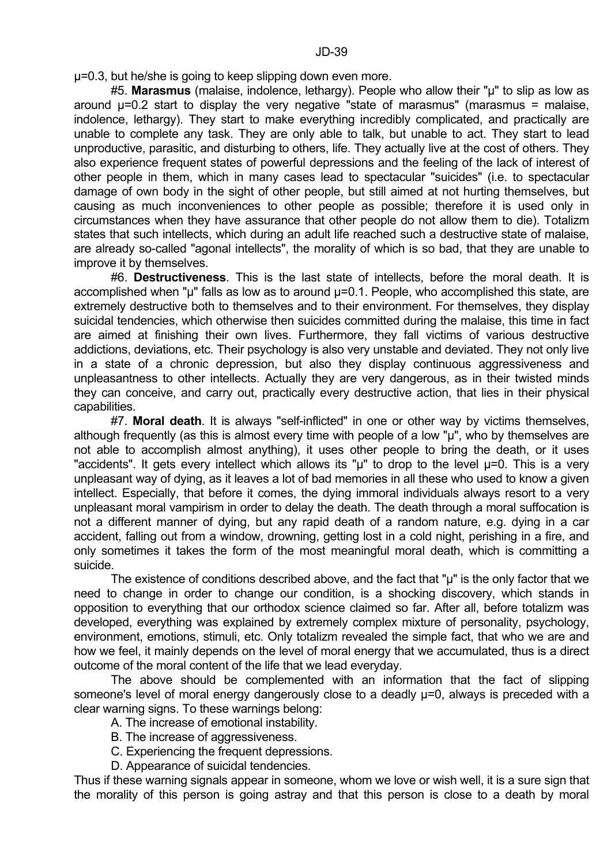µ=0.3, but he/she is going to keep slipping down even more.

 #5. **Marasmus** (malaise, indolence, lethargy). People who allow their "µ" to slip as low as around  $\mu$ =0.2 start to display the very negative "state of marasmus" (marasmus = malaise, indolence, lethargy). They start to make everything incredibly complicated, and practically are unable to complete any task. They are only able to talk, but unable to act. They start to lead unproductive, parasitic, and disturbing to others, life. They actually live at the cost of others. They also experience frequent states of powerful depressions and the feeling of the lack of interest of other people in them, which in many cases lead to spectacular "suicides" (i.e. to spectacular damage of own body in the sight of other people, but still aimed at not hurting themselves, but causing as much inconveniences to other people as possible; therefore it is used only in circumstances when they have assurance that other people do not allow them to die). Totalizm states that such intellects, which during an adult life reached such a destructive state of malaise, are already so-called "agonal intellects", the morality of which is so bad, that they are unable to improve it by themselves.

 #6. **Destructiveness**. This is the last state of intellects, before the moral death. It is accomplished when " $\mu$ " falls as low as to around  $\mu$ =0.1. People, who accomplished this state, are extremely destructive both to themselves and to their environment. For themselves, they display suicidal tendencies, which otherwise then suicides committed during the malaise, this time in fact are aimed at finishing their own lives. Furthermore, they fall victims of various destructive addictions, deviations, etc. Their psychology is also very unstable and deviated. They not only live in a state of a chronic depression, but also they display continuous aggressiveness and unpleasantness to other intellects. Actually they are very dangerous, as in their twisted minds they can conceive, and carry out, practically every destructive action, that lies in their physical capabilities.

 #7. **Moral death**. It is always "self-inflicted" in one or other way by victims themselves, although frequently (as this is almost every time with people of a low "µ", who by themselves are not able to accomplish almost anything), it uses other people to bring the death, or it uses "accidents". It gets every intellect which allows its " $\mu$ " to drop to the level  $\mu$ =0. This is a very unpleasant way of dying, as it leaves a lot of bad memories in all these who used to know a given intellect. Especially, that before it comes, the dying immoral individuals always resort to a very unpleasant moral vampirism in order to delay the death. The death through a moral suffocation is not a different manner of dying, but any rapid death of a random nature, e.g. dying in a car accident, falling out from a window, drowning, getting lost in a cold night, perishing in a fire, and only sometimes it takes the form of the most meaningful moral death, which is committing a suicide.

 The existence of conditions described above, and the fact that "µ" is the only factor that we need to change in order to change our condition, is a shocking discovery, which stands in opposition to everything that our orthodox science claimed so far. After all, before totalizm was developed, everything was explained by extremely complex mixture of personality, psychology, environment, emotions, stimuli, etc. Only totalizm revealed the simple fact, that who we are and how we feel, it mainly depends on the level of moral energy that we accumulated, thus is a direct outcome of the moral content of the life that we lead everyday.

 The above should be complemented with an information that the fact of slipping someone's level of moral energy dangerously close to a deadly  $\mu$ =0, always is preceded with a clear warning signs. To these warnings belong:

- A. The increase of emotional instability.
- B. The increase of aggressiveness.
- C. Experiencing the frequent depressions.
- D. Appearance of suicidal tendencies.

Thus if these warning signals appear in someone, whom we love or wish well, it is a sure sign that the morality of this person is going astray and that this person is close to a death by moral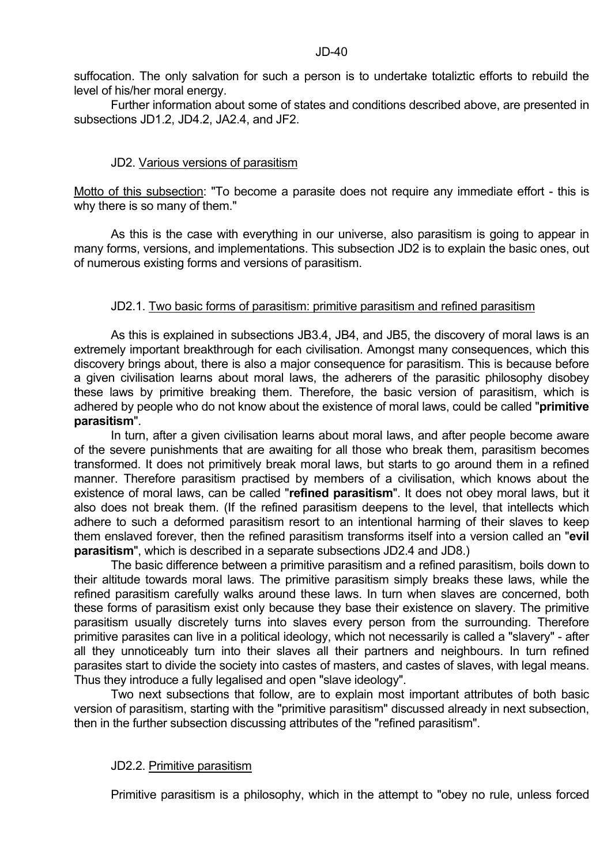suffocation. The only salvation for such a person is to undertake totaliztic efforts to rebuild the level of his/her moral energy.

 Further information about some of states and conditions described above, are presented in subsections JD1.2, JD4.2, JA2.4, and JF2.

# JD2. Various versions of parasitism

Motto of this subsection: "To become a parasite does not require any immediate effort - this is why there is so many of them."

 As this is the case with everything in our universe, also parasitism is going to appear in many forms, versions, and implementations. This subsection JD2 is to explain the basic ones, out of numerous existing forms and versions of parasitism.

# JD2.1. Two basic forms of parasitism: primitive parasitism and refined parasitism

 As this is explained in subsections JB3.4, JB4, and JB5, the discovery of moral laws is an extremely important breakthrough for each civilisation. Amongst many consequences, which this discovery brings about, there is also a major consequence for parasitism. This is because before a given civilisation learns about moral laws, the adherers of the parasitic philosophy disobey these laws by primitive breaking them. Therefore, the basic version of parasitism, which is adhered by people who do not know about the existence of moral laws, could be called "**primitive parasitism**".

 In turn, after a given civilisation learns about moral laws, and after people become aware of the severe punishments that are awaiting for all those who break them, parasitism becomes transformed. It does not primitively break moral laws, but starts to go around them in a refined manner. Therefore parasitism practised by members of a civilisation, which knows about the existence of moral laws, can be called "**refined parasitism**". It does not obey moral laws, but it also does not break them. (If the refined parasitism deepens to the level, that intellects which adhere to such a deformed parasitism resort to an intentional harming of their slaves to keep them enslaved forever, then the refined parasitism transforms itself into a version called an "**evil parasitism**", which is described in a separate subsections JD2.4 and JD8.)

 The basic difference between a primitive parasitism and a refined parasitism, boils down to their altitude towards moral laws. The primitive parasitism simply breaks these laws, while the refined parasitism carefully walks around these laws. In turn when slaves are concerned, both these forms of parasitism exist only because they base their existence on slavery. The primitive parasitism usually discretely turns into slaves every person from the surrounding. Therefore primitive parasites can live in a political ideology, which not necessarily is called a "slavery" - after all they unnoticeably turn into their slaves all their partners and neighbours. In turn refined parasites start to divide the society into castes of masters, and castes of slaves, with legal means. Thus they introduce a fully legalised and open "slave ideology".

 Two next subsections that follow, are to explain most important attributes of both basic version of parasitism, starting with the "primitive parasitism" discussed already in next subsection, then in the further subsection discussing attributes of the "refined parasitism".

# JD2.2. Primitive parasitism

Primitive parasitism is a philosophy, which in the attempt to "obey no rule, unless forced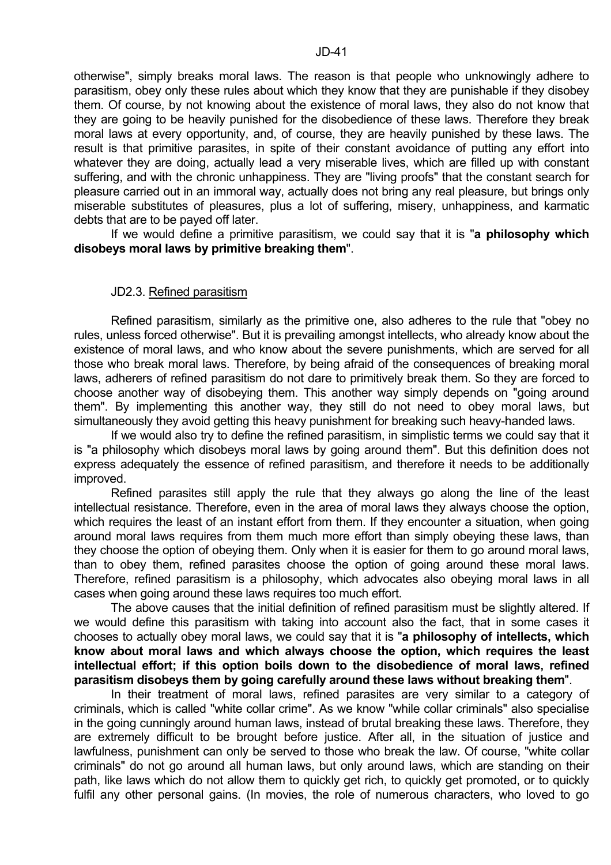otherwise", simply breaks moral laws. The reason is that people who unknowingly adhere to parasitism, obey only these rules about which they know that they are punishable if they disobey them. Of course, by not knowing about the existence of moral laws, they also do not know that they are going to be heavily punished for the disobedience of these laws. Therefore they break moral laws at every opportunity, and, of course, they are heavily punished by these laws. The result is that primitive parasites, in spite of their constant avoidance of putting any effort into whatever they are doing, actually lead a very miserable lives, which are filled up with constant suffering, and with the chronic unhappiness. They are "living proofs" that the constant search for pleasure carried out in an immoral way, actually does not bring any real pleasure, but brings only miserable substitutes of pleasures, plus a lot of suffering, misery, unhappiness, and karmatic debts that are to be payed off later.

 If we would define a primitive parasitism, we could say that it is "**a philosophy which disobeys moral laws by primitive breaking them**".

#### JD2.3. Refined parasitism

 Refined parasitism, similarly as the primitive one, also adheres to the rule that "obey no rules, unless forced otherwise". But it is prevailing amongst intellects, who already know about the existence of moral laws, and who know about the severe punishments, which are served for all those who break moral laws. Therefore, by being afraid of the consequences of breaking moral laws, adherers of refined parasitism do not dare to primitively break them. So they are forced to choose another way of disobeying them. This another way simply depends on "going around them". By implementing this another way, they still do not need to obey moral laws, but simultaneously they avoid getting this heavy punishment for breaking such heavy-handed laws.

 If we would also try to define the refined parasitism, in simplistic terms we could say that it is "a philosophy which disobeys moral laws by going around them". But this definition does not express adequately the essence of refined parasitism, and therefore it needs to be additionally improved.

 Refined parasites still apply the rule that they always go along the line of the least intellectual resistance. Therefore, even in the area of moral laws they always choose the option, which requires the least of an instant effort from them. If they encounter a situation, when going around moral laws requires from them much more effort than simply obeying these laws, than they choose the option of obeying them. Only when it is easier for them to go around moral laws, than to obey them, refined parasites choose the option of going around these moral laws. Therefore, refined parasitism is a philosophy, which advocates also obeying moral laws in all cases when going around these laws requires too much effort.

 The above causes that the initial definition of refined parasitism must be slightly altered. If we would define this parasitism with taking into account also the fact, that in some cases it chooses to actually obey moral laws, we could say that it is "**a philosophy of intellects, which know about moral laws and which always choose the option, which requires the least intellectual effort; if this option boils down to the disobedience of moral laws, refined parasitism disobeys them by going carefully around these laws without breaking them**".

 In their treatment of moral laws, refined parasites are very similar to a category of criminals, which is called "white collar crime". As we know "while collar criminals" also specialise in the going cunningly around human laws, instead of brutal breaking these laws. Therefore, they are extremely difficult to be brought before justice. After all, in the situation of justice and lawfulness, punishment can only be served to those who break the law. Of course, "white collar criminals" do not go around all human laws, but only around laws, which are standing on their path, like laws which do not allow them to quickly get rich, to quickly get promoted, or to quickly fulfil any other personal gains. (In movies, the role of numerous characters, who loved to go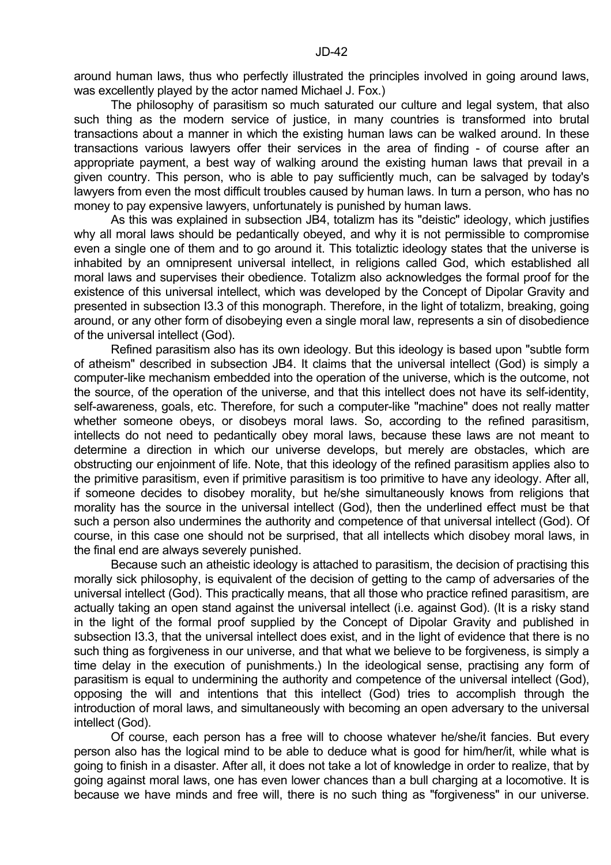around human laws, thus who perfectly illustrated the principles involved in going around laws, was excellently played by the actor named Michael J. Fox.)

 The philosophy of parasitism so much saturated our culture and legal system, that also such thing as the modern service of justice, in many countries is transformed into brutal transactions about a manner in which the existing human laws can be walked around. In these transactions various lawyers offer their services in the area of finding - of course after an appropriate payment, a best way of walking around the existing human laws that prevail in a given country. This person, who is able to pay sufficiently much, can be salvaged by today's lawyers from even the most difficult troubles caused by human laws. In turn a person, who has no money to pay expensive lawyers, unfortunately is punished by human laws.

 As this was explained in subsection JB4, totalizm has its "deistic" ideology, which justifies why all moral laws should be pedantically obeyed, and why it is not permissible to compromise even a single one of them and to go around it. This totaliztic ideology states that the universe is inhabited by an omnipresent universal intellect, in religions called God, which established all moral laws and supervises their obedience. Totalizm also acknowledges the formal proof for the existence of this universal intellect, which was developed by the Concept of Dipolar Gravity and presented in subsection I3.3 of this monograph. Therefore, in the light of totalizm, breaking, going around, or any other form of disobeying even a single moral law, represents a sin of disobedience of the universal intellect (God).

 Refined parasitism also has its own ideology. But this ideology is based upon "subtle form of atheism" described in subsection JB4. It claims that the universal intellect (God) is simply a computer-like mechanism embedded into the operation of the universe, which is the outcome, not the source, of the operation of the universe, and that this intellect does not have its self-identity, self-awareness, goals, etc. Therefore, for such a computer-like "machine" does not really matter whether someone obeys, or disobeys moral laws. So, according to the refined parasitism, intellects do not need to pedantically obey moral laws, because these laws are not meant to determine a direction in which our universe develops, but merely are obstacles, which are obstructing our enjoinment of life. Note, that this ideology of the refined parasitism applies also to the primitive parasitism, even if primitive parasitism is too primitive to have any ideology. After all, if someone decides to disobey morality, but he/she simultaneously knows from religions that morality has the source in the universal intellect (God), then the underlined effect must be that such a person also undermines the authority and competence of that universal intellect (God). Of course, in this case one should not be surprised, that all intellects which disobey moral laws, in the final end are always severely punished.

 Because such an atheistic ideology is attached to parasitism, the decision of practising this morally sick philosophy, is equivalent of the decision of getting to the camp of adversaries of the universal intellect (God). This practically means, that all those who practice refined parasitism, are actually taking an open stand against the universal intellect (i.e. against God). (It is a risky stand in the light of the formal proof supplied by the Concept of Dipolar Gravity and published in subsection I3.3, that the universal intellect does exist, and in the light of evidence that there is no such thing as forgiveness in our universe, and that what we believe to be forgiveness, is simply a time delay in the execution of punishments.) In the ideological sense, practising any form of parasitism is equal to undermining the authority and competence of the universal intellect (God), opposing the will and intentions that this intellect (God) tries to accomplish through the introduction of moral laws, and simultaneously with becoming an open adversary to the universal intellect (God).

 Of course, each person has a free will to choose whatever he/she/it fancies. But every person also has the logical mind to be able to deduce what is good for him/her/it, while what is going to finish in a disaster. After all, it does not take a lot of knowledge in order to realize, that by going against moral laws, one has even lower chances than a bull charging at a locomotive. It is because we have minds and free will, there is no such thing as "forgiveness" in our universe.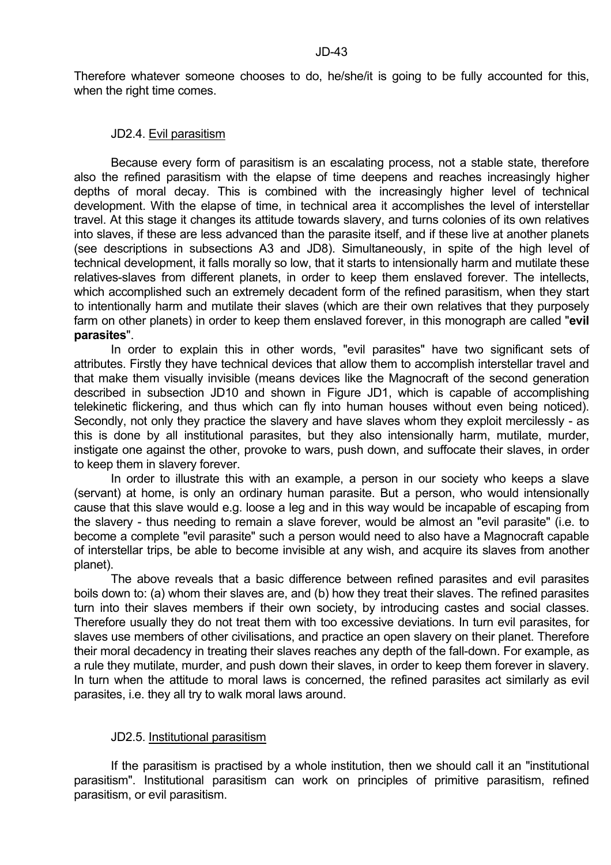Therefore whatever someone chooses to do, he/she/it is going to be fully accounted for this, when the right time comes.

#### JD2.4. Evil parasitism

 Because every form of parasitism is an escalating process, not a stable state, therefore also the refined parasitism with the elapse of time deepens and reaches increasingly higher depths of moral decay. This is combined with the increasingly higher level of technical development. With the elapse of time, in technical area it accomplishes the level of interstellar travel. At this stage it changes its attitude towards slavery, and turns colonies of its own relatives into slaves, if these are less advanced than the parasite itself, and if these live at another planets (see descriptions in subsections A3 and JD8). Simultaneously, in spite of the high level of technical development, it falls morally so low, that it starts to intensionally harm and mutilate these relatives-slaves from different planets, in order to keep them enslaved forever. The intellects, which accomplished such an extremely decadent form of the refined parasitism, when they start to intentionally harm and mutilate their slaves (which are their own relatives that they purposely farm on other planets) in order to keep them enslaved forever, in this monograph are called "**evil parasites**".

 In order to explain this in other words, "evil parasites" have two significant sets of attributes. Firstly they have technical devices that allow them to accomplish interstellar travel and that make them visually invisible (means devices like the Magnocraft of the second generation described in subsection JD10 and shown in Figure JD1, which is capable of accomplishing telekinetic flickering, and thus which can fly into human houses without even being noticed). Secondly, not only they practice the slavery and have slaves whom they exploit mercilessly - as this is done by all institutional parasites, but they also intensionally harm, mutilate, murder, instigate one against the other, provoke to wars, push down, and suffocate their slaves, in order to keep them in slavery forever.

 In order to illustrate this with an example, a person in our society who keeps a slave (servant) at home, is only an ordinary human parasite. But a person, who would intensionally cause that this slave would e.g. loose a leg and in this way would be incapable of escaping from the slavery - thus needing to remain a slave forever, would be almost an "evil parasite" (i.e. to become a complete "evil parasite" such a person would need to also have a Magnocraft capable of interstellar trips, be able to become invisible at any wish, and acquire its slaves from another planet).

 The above reveals that a basic difference between refined parasites and evil parasites boils down to: (a) whom their slaves are, and (b) how they treat their slaves. The refined parasites turn into their slaves members if their own society, by introducing castes and social classes. Therefore usually they do not treat them with too excessive deviations. In turn evil parasites, for slaves use members of other civilisations, and practice an open slavery on their planet. Therefore their moral decadency in treating their slaves reaches any depth of the fall-down. For example, as a rule they mutilate, murder, and push down their slaves, in order to keep them forever in slavery. In turn when the attitude to moral laws is concerned, the refined parasites act similarly as evil parasites, i.e. they all try to walk moral laws around.

# JD2.5. Institutional parasitism

 If the parasitism is practised by a whole institution, then we should call it an "institutional parasitism". Institutional parasitism can work on principles of primitive parasitism, refined parasitism, or evil parasitism.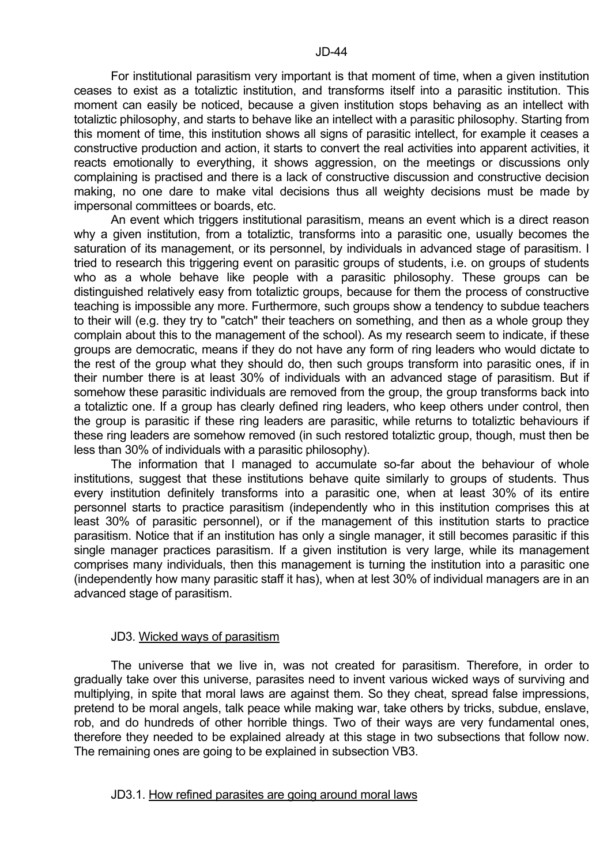For institutional parasitism very important is that moment of time, when a given institution ceases to exist as a totaliztic institution, and transforms itself into a parasitic institution. This moment can easily be noticed, because a given institution stops behaving as an intellect with totaliztic philosophy, and starts to behave like an intellect with a parasitic philosophy. Starting from this moment of time, this institution shows all signs of parasitic intellect, for example it ceases a constructive production and action, it starts to convert the real activities into apparent activities, it reacts emotionally to everything, it shows aggression, on the meetings or discussions only complaining is practised and there is a lack of constructive discussion and constructive decision making, no one dare to make vital decisions thus all weighty decisions must be made by impersonal committees or boards, etc.

 An event which triggers institutional parasitism, means an event which is a direct reason why a given institution, from a totaliztic, transforms into a parasitic one, usually becomes the saturation of its management, or its personnel, by individuals in advanced stage of parasitism. I tried to research this triggering event on parasitic groups of students, i.e. on groups of students who as a whole behave like people with a parasitic philosophy. These groups can be distinguished relatively easy from totaliztic groups, because for them the process of constructive teaching is impossible any more. Furthermore, such groups show a tendency to subdue teachers to their will (e.g. they try to "catch" their teachers on something, and then as a whole group they complain about this to the management of the school). As my research seem to indicate, if these groups are democratic, means if they do not have any form of ring leaders who would dictate to the rest of the group what they should do, then such groups transform into parasitic ones, if in their number there is at least 30% of individuals with an advanced stage of parasitism. But if somehow these parasitic individuals are removed from the group, the group transforms back into a totaliztic one. If a group has clearly defined ring leaders, who keep others under control, then the group is parasitic if these ring leaders are parasitic, while returns to totaliztic behaviours if these ring leaders are somehow removed (in such restored totaliztic group, though, must then be less than 30% of individuals with a parasitic philosophy).

 The information that I managed to accumulate so-far about the behaviour of whole institutions, suggest that these institutions behave quite similarly to groups of students. Thus every institution definitely transforms into a parasitic one, when at least 30% of its entire personnel starts to practice parasitism (independently who in this institution comprises this at least 30% of parasitic personnel), or if the management of this institution starts to practice parasitism. Notice that if an institution has only a single manager, it still becomes parasitic if this single manager practices parasitism. If a given institution is very large, while its management comprises many individuals, then this management is turning the institution into a parasitic one (independently how many parasitic staff it has), when at lest 30% of individual managers are in an advanced stage of parasitism.

#### JD3. Wicked ways of parasitism

 The universe that we live in, was not created for parasitism. Therefore, in order to gradually take over this universe, parasites need to invent various wicked ways of surviving and multiplying, in spite that moral laws are against them. So they cheat, spread false impressions, pretend to be moral angels, talk peace while making war, take others by tricks, subdue, enslave, rob, and do hundreds of other horrible things. Two of their ways are very fundamental ones, therefore they needed to be explained already at this stage in two subsections that follow now. The remaining ones are going to be explained in subsection VB3.

#### JD3.1. How refined parasites are going around moral laws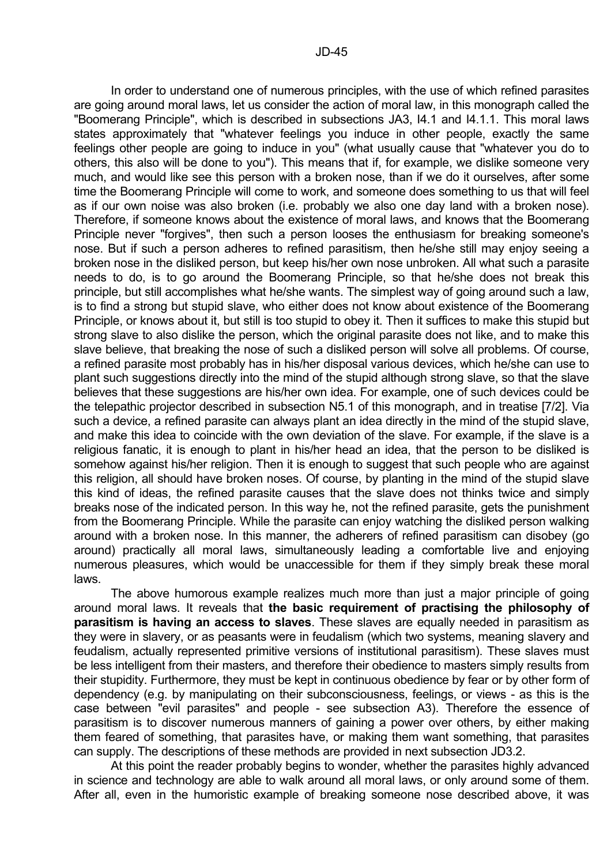In order to understand one of numerous principles, with the use of which refined parasites are going around moral laws, let us consider the action of moral law, in this monograph called the "Boomerang Principle", which is described in subsections JA3, I4.1 and I4.1.1. This moral laws states approximately that "whatever feelings you induce in other people, exactly the same feelings other people are going to induce in you" (what usually cause that "whatever you do to others, this also will be done to you"). This means that if, for example, we dislike someone very much, and would like see this person with a broken nose, than if we do it ourselves, after some time the Boomerang Principle will come to work, and someone does something to us that will feel as if our own noise was also broken (i.e. probably we also one day land with a broken nose). Therefore, if someone knows about the existence of moral laws, and knows that the Boomerang Principle never "forgives", then such a person looses the enthusiasm for breaking someone's nose. But if such a person adheres to refined parasitism, then he/she still may enjoy seeing a broken nose in the disliked person, but keep his/her own nose unbroken. All what such a parasite needs to do, is to go around the Boomerang Principle, so that he/she does not break this principle, but still accomplishes what he/she wants. The simplest way of going around such a law, is to find a strong but stupid slave, who either does not know about existence of the Boomerang Principle, or knows about it, but still is too stupid to obey it. Then it suffices to make this stupid but strong slave to also dislike the person, which the original parasite does not like, and to make this slave believe, that breaking the nose of such a disliked person will solve all problems. Of course, a refined parasite most probably has in his/her disposal various devices, which he/she can use to plant such suggestions directly into the mind of the stupid although strong slave, so that the slave believes that these suggestions are his/her own idea. For example, one of such devices could be the telepathic projector described in subsection N5.1 of this monograph, and in treatise [7/2]. Via such a device, a refined parasite can always plant an idea directly in the mind of the stupid slave, and make this idea to coincide with the own deviation of the slave. For example, if the slave is a religious fanatic, it is enough to plant in his/her head an idea, that the person to be disliked is somehow against his/her religion. Then it is enough to suggest that such people who are against this religion, all should have broken noses. Of course, by planting in the mind of the stupid slave this kind of ideas, the refined parasite causes that the slave does not thinks twice and simply breaks nose of the indicated person. In this way he, not the refined parasite, gets the punishment from the Boomerang Principle. While the parasite can enjoy watching the disliked person walking around with a broken nose. In this manner, the adherers of refined parasitism can disobey (go around) practically all moral laws, simultaneously leading a comfortable live and enjoying numerous pleasures, which would be unaccessible for them if they simply break these moral laws.

 The above humorous example realizes much more than just a major principle of going around moral laws. It reveals that **the basic requirement of practising the philosophy of parasitism is having an access to slaves**. These slaves are equally needed in parasitism as they were in slavery, or as peasants were in feudalism (which two systems, meaning slavery and feudalism, actually represented primitive versions of institutional parasitism). These slaves must be less intelligent from their masters, and therefore their obedience to masters simply results from their stupidity. Furthermore, they must be kept in continuous obedience by fear or by other form of dependency (e.g. by manipulating on their subconsciousness, feelings, or views - as this is the case between "evil parasites" and people - see subsection A3). Therefore the essence of parasitism is to discover numerous manners of gaining a power over others, by either making them feared of something, that parasites have, or making them want something, that parasites can supply. The descriptions of these methods are provided in next subsection JD3.2.

 At this point the reader probably begins to wonder, whether the parasites highly advanced in science and technology are able to walk around all moral laws, or only around some of them. After all, even in the humoristic example of breaking someone nose described above, it was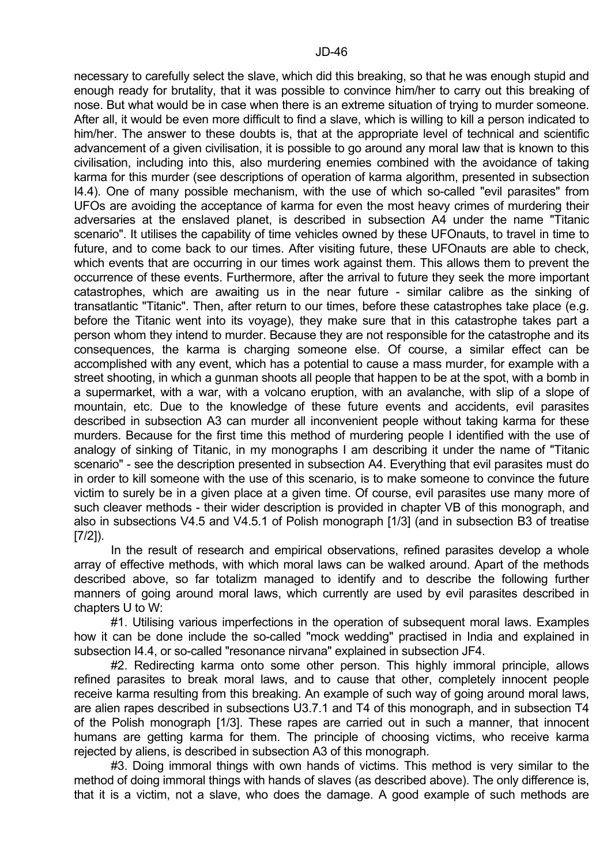necessary to carefully select the slave, which did this breaking, so that he was enough stupid and enough ready for brutality, that it was possible to convince him/her to carry out this breaking of nose. But what would be in case when there is an extreme situation of trying to murder someone. After all, it would be even more difficult to find a slave, which is willing to kill a person indicated to him/her. The answer to these doubts is, that at the appropriate level of technical and scientific advancement of a given civilisation, it is possible to go around any moral law that is known to this civilisation, including into this, also murdering enemies combined with the avoidance of taking karma for this murder (see descriptions of operation of karma algorithm, presented in subsection I4.4). One of many possible mechanism, with the use of which so-called "evil parasites" from UFOs are avoiding the acceptance of karma for even the most heavy crimes of murdering their adversaries at the enslaved planet, is described in subsection A4 under the name "Titanic scenario". It utilises the capability of time vehicles owned by these UFOnauts, to travel in time to future, and to come back to our times. After visiting future, these UFOnauts are able to check, which events that are occurring in our times work against them. This allows them to prevent the occurrence of these events. Furthermore, after the arrival to future they seek the more important catastrophes, which are awaiting us in the near future - similar calibre as the sinking of transatlantic "Titanic". Then, after return to our times, before these catastrophes take place (e.g. before the Titanic went into its voyage), they make sure that in this catastrophe takes part a person whom they intend to murder. Because they are not responsible for the catastrophe and its consequences, the karma is charging someone else. Of course, a similar effect can be accomplished with any event, which has a potential to cause a mass murder, for example with a street shooting, in which a gunman shoots all people that happen to be at the spot, with a bomb in a supermarket, with a war, with a volcano eruption, with an avalanche, with slip of a slope of mountain, etc. Due to the knowledge of these future events and accidents, evil parasites described in subsection A3 can murder all inconvenient people without taking karma for these murders. Because for the first time this method of murdering people I identified with the use of analogy of sinking of Titanic, in my monographs I am describing it under the name of "Titanic scenario" - see the description presented in subsection A4. Everything that evil parasites must do in order to kill someone with the use of this scenario, is to make someone to convince the future victim to surely be in a given place at a given time. Of course, evil parasites use many more of such cleaver methods - their wider description is provided in chapter VB of this monograph, and also in subsections V4.5 and V4.5.1 of Polish monograph [1/3] (and in subsection B3 of treatise [7/2]).

In the result of research and empirical observations, refined parasites develop a whole array of effective methods, with which moral laws can be walked around. Apart of the methods described above, so far totalizm managed to identify and to describe the following further manners of going around moral laws, which currently are used by evil parasites described in chapters U to W:

 #1. Utilising various imperfections in the operation of subsequent moral laws. Examples how it can be done include the so-called "mock wedding" practised in India and explained in subsection I4.4, or so-called "resonance nirvana" explained in subsection JF4.

 #2. Redirecting karma onto some other person. This highly immoral principle, allows refined parasites to break moral laws, and to cause that other, completely innocent people receive karma resulting from this breaking. An example of such way of going around moral laws, are alien rapes described in subsections U3.7.1 and T4 of this monograph, and in subsection T4 of the Polish monograph [1/3]. These rapes are carried out in such a manner, that innocent humans are getting karma for them. The principle of choosing victims, who receive karma rejected by aliens, is described in subsection A3 of this monograph.

 #3. Doing immoral things with own hands of victims. This method is very similar to the method of doing immoral things with hands of slaves (as described above). The only difference is, that it is a victim, not a slave, who does the damage. A good example of such methods are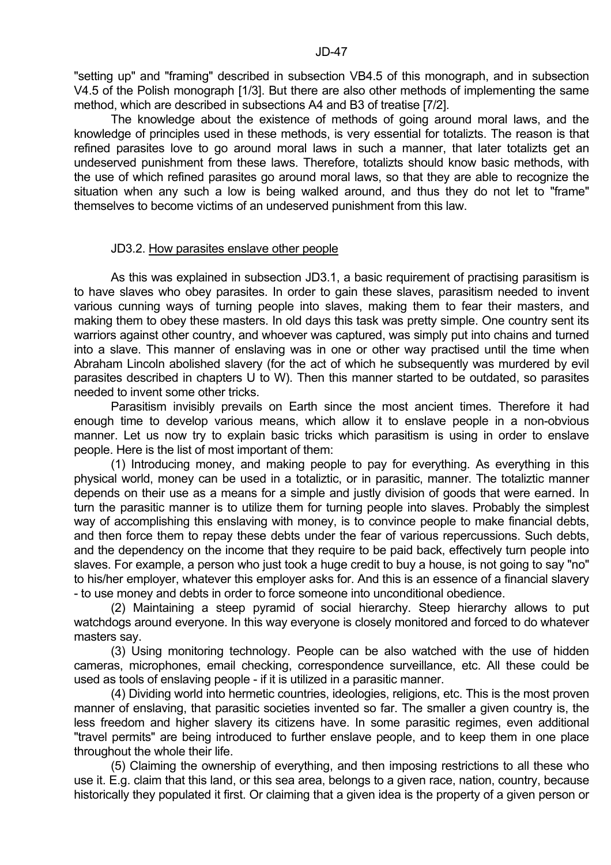"setting up" and "framing" described in subsection VB4.5 of this monograph, and in subsection V4.5 of the Polish monograph [1/3]. But there are also other methods of implementing the same method, which are described in subsections A4 and B3 of treatise [7/2].

 The knowledge about the existence of methods of going around moral laws, and the knowledge of principles used in these methods, is very essential for totalizts. The reason is that refined parasites love to go around moral laws in such a manner, that later totalizts get an undeserved punishment from these laws. Therefore, totalizts should know basic methods, with the use of which refined parasites go around moral laws, so that they are able to recognize the situation when any such a low is being walked around, and thus they do not let to "frame" themselves to become victims of an undeserved punishment from this law.

#### JD3.2. How parasites enslave other people

 As this was explained in subsection JD3.1, a basic requirement of practising parasitism is to have slaves who obey parasites. In order to gain these slaves, parasitism needed to invent various cunning ways of turning people into slaves, making them to fear their masters, and making them to obey these masters. In old days this task was pretty simple. One country sent its warriors against other country, and whoever was captured, was simply put into chains and turned into a slave. This manner of enslaving was in one or other way practised until the time when Abraham Lincoln abolished slavery (for the act of which he subsequently was murdered by evil parasites described in chapters U to W). Then this manner started to be outdated, so parasites needed to invent some other tricks.

 Parasitism invisibly prevails on Earth since the most ancient times. Therefore it had enough time to develop various means, which allow it to enslave people in a non-obvious manner. Let us now try to explain basic tricks which parasitism is using in order to enslave people. Here is the list of most important of them:

 (1) Introducing money, and making people to pay for everything. As everything in this physical world, money can be used in a totaliztic, or in parasitic, manner. The totaliztic manner depends on their use as a means for a simple and justly division of goods that were earned. In turn the parasitic manner is to utilize them for turning people into slaves. Probably the simplest way of accomplishing this enslaving with money, is to convince people to make financial debts, and then force them to repay these debts under the fear of various repercussions. Such debts, and the dependency on the income that they require to be paid back, effectively turn people into slaves. For example, a person who just took a huge credit to buy a house, is not going to say "no" to his/her employer, whatever this employer asks for. And this is an essence of a financial slavery - to use money and debts in order to force someone into unconditional obedience.

 (2) Maintaining a steep pyramid of social hierarchy. Steep hierarchy allows to put watchdogs around everyone. In this way everyone is closely monitored and forced to do whatever masters say.

 (3) Using monitoring technology. People can be also watched with the use of hidden cameras, microphones, email checking, correspondence surveillance, etc. All these could be used as tools of enslaving people - if it is utilized in a parasitic manner.

 (4) Dividing world into hermetic countries, ideologies, religions, etc. This is the most proven manner of enslaving, that parasitic societies invented so far. The smaller a given country is, the less freedom and higher slavery its citizens have. In some parasitic regimes, even additional "travel permits" are being introduced to further enslave people, and to keep them in one place throughout the whole their life.

 (5) Claiming the ownership of everything, and then imposing restrictions to all these who use it. E.g. claim that this land, or this sea area, belongs to a given race, nation, country, because historically they populated it first. Or claiming that a given idea is the property of a given person or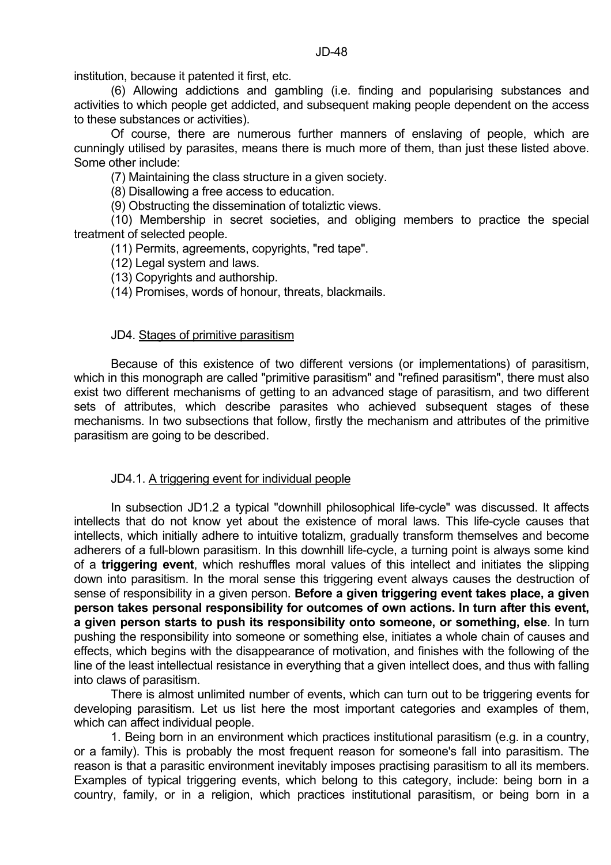institution, because it patented it first, etc.

 (6) Allowing addictions and gambling (i.e. finding and popularising substances and activities to which people get addicted, and subsequent making people dependent on the access to these substances or activities).

 Of course, there are numerous further manners of enslaving of people, which are cunningly utilised by parasites, means there is much more of them, than just these listed above. Some other include:

(7) Maintaining the class structure in a given society.

(8) Disallowing a free access to education.

(9) Obstructing the dissemination of totaliztic views.

 (10) Membership in secret societies, and obliging members to practice the special treatment of selected people.

(11) Permits, agreements, copyrights, "red tape".

(12) Legal system and laws.

(13) Copyrights and authorship.

(14) Promises, words of honour, threats, blackmails.

#### JD4. Stages of primitive parasitism

 Because of this existence of two different versions (or implementations) of parasitism, which in this monograph are called "primitive parasitism" and "refined parasitism", there must also exist two different mechanisms of getting to an advanced stage of parasitism, and two different sets of attributes, which describe parasites who achieved subsequent stages of these mechanisms. In two subsections that follow, firstly the mechanism and attributes of the primitive parasitism are going to be described.

#### JD4.1. A triggering event for individual people

 In subsection JD1.2 a typical "downhill philosophical life-cycle" was discussed. It affects intellects that do not know yet about the existence of moral laws. This life-cycle causes that intellects, which initially adhere to intuitive totalizm, gradually transform themselves and become adherers of a full-blown parasitism. In this downhill life-cycle, a turning point is always some kind of a **triggering event**, which reshuffles moral values of this intellect and initiates the slipping down into parasitism. In the moral sense this triggering event always causes the destruction of sense of responsibility in a given person. **Before a given triggering event takes place, a given person takes personal responsibility for outcomes of own actions. In turn after this event, a given person starts to push its responsibility onto someone, or something, else**. In turn pushing the responsibility into someone or something else, initiates a whole chain of causes and effects, which begins with the disappearance of motivation, and finishes with the following of the line of the least intellectual resistance in everything that a given intellect does, and thus with falling into claws of parasitism.

 There is almost unlimited number of events, which can turn out to be triggering events for developing parasitism. Let us list here the most important categories and examples of them, which can affect individual people.

 1. Being born in an environment which practices institutional parasitism (e.g. in a country, or a family). This is probably the most frequent reason for someone's fall into parasitism. The reason is that a parasitic environment inevitably imposes practising parasitism to all its members. Examples of typical triggering events, which belong to this category, include: being born in a country, family, or in a religion, which practices institutional parasitism, or being born in a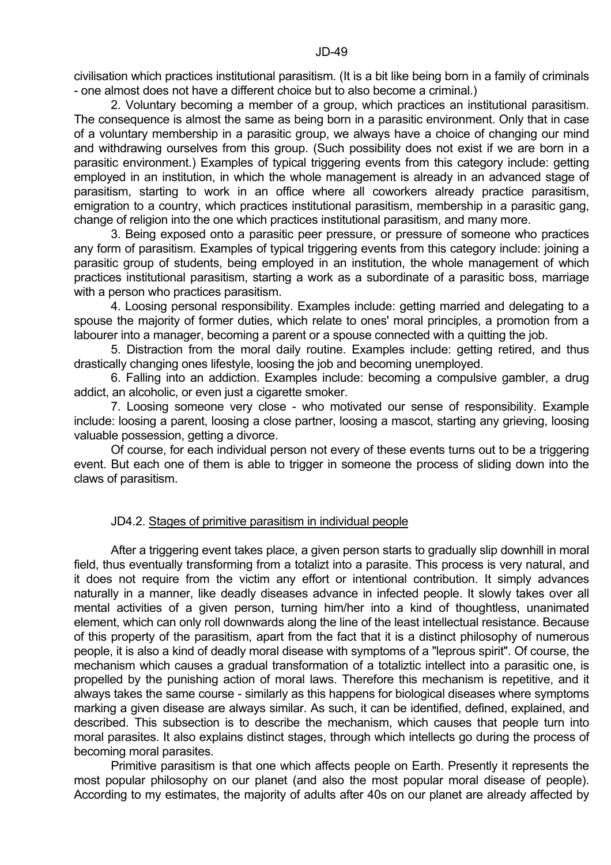2. Voluntary becoming a member of a group, which practices an institutional parasitism. The consequence is almost the same as being born in a parasitic environment. Only that in case of a voluntary membership in a parasitic group, we always have a choice of changing our mind and withdrawing ourselves from this group. (Such possibility does not exist if we are born in a parasitic environment.) Examples of typical triggering events from this category include: getting employed in an institution, in which the whole management is already in an advanced stage of parasitism, starting to work in an office where all coworkers already practice parasitism, emigration to a country, which practices institutional parasitism, membership in a parasitic gang, change of religion into the one which practices institutional parasitism, and many more.

 3. Being exposed onto a parasitic peer pressure, or pressure of someone who practices any form of parasitism. Examples of typical triggering events from this category include: joining a parasitic group of students, being employed in an institution, the whole management of which practices institutional parasitism, starting a work as a subordinate of a parasitic boss, marriage with a person who practices parasitism.

 4. Loosing personal responsibility. Examples include: getting married and delegating to a spouse the majority of former duties, which relate to ones' moral principles, a promotion from a labourer into a manager, becoming a parent or a spouse connected with a quitting the job.

 5. Distraction from the moral daily routine. Examples include: getting retired, and thus drastically changing ones lifestyle, loosing the job and becoming unemployed.

 6. Falling into an addiction. Examples include: becoming a compulsive gambler, a drug addict, an alcoholic, or even just a cigarette smoker.

 7. Loosing someone very close - who motivated our sense of responsibility. Example include: loosing a parent, loosing a close partner, loosing a mascot, starting any grieving, loosing valuable possession, getting a divorce.

 Of course, for each individual person not every of these events turns out to be a triggering event. But each one of them is able to trigger in someone the process of sliding down into the claws of parasitism.

# JD4.2. Stages of primitive parasitism in individual people

 After a triggering event takes place, a given person starts to gradually slip downhill in moral field, thus eventually transforming from a totalizt into a parasite. This process is very natural, and it does not require from the victim any effort or intentional contribution. It simply advances naturally in a manner, like deadly diseases advance in infected people. It slowly takes over all mental activities of a given person, turning him/her into a kind of thoughtless, unanimated element, which can only roll downwards along the line of the least intellectual resistance. Because of this property of the parasitism, apart from the fact that it is a distinct philosophy of numerous people, it is also a kind of deadly moral disease with symptoms of a "leprous spirit". Of course, the mechanism which causes a gradual transformation of a totaliztic intellect into a parasitic one, is propelled by the punishing action of moral laws. Therefore this mechanism is repetitive, and it always takes the same course - similarly as this happens for biological diseases where symptoms marking a given disease are always similar. As such, it can be identified, defined, explained, and described. This subsection is to describe the mechanism, which causes that people turn into moral parasites. It also explains distinct stages, through which intellects go during the process of becoming moral parasites.

 Primitive parasitism is that one which affects people on Earth. Presently it represents the most popular philosophy on our planet (and also the most popular moral disease of people). According to my estimates, the majority of adults after 40s on our planet are already affected by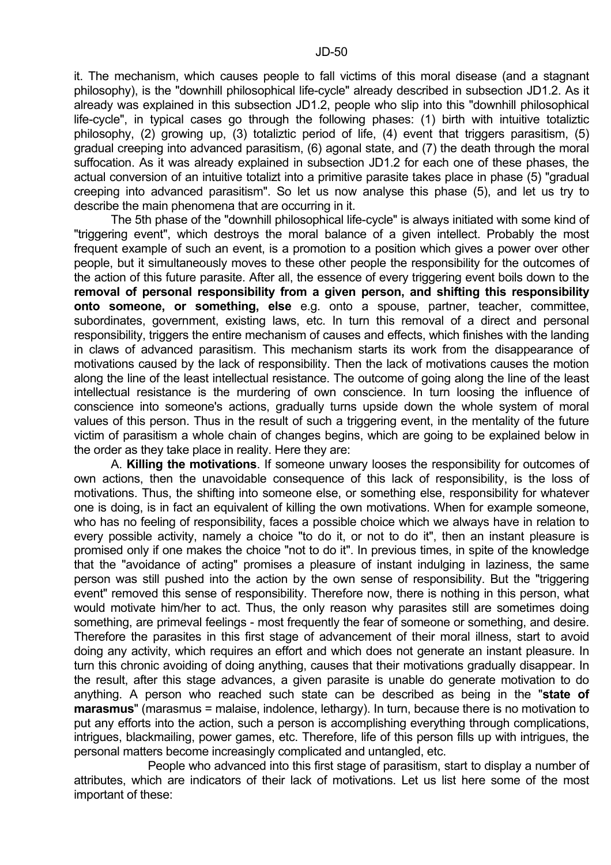it. The mechanism, which causes people to fall victims of this moral disease (and a stagnant philosophy), is the "downhill philosophical life-cycle" already described in subsection JD1.2. As it already was explained in this subsection JD1.2, people who slip into this "downhill philosophical life-cycle", in typical cases go through the following phases: (1) birth with intuitive totaliztic philosophy, (2) growing up, (3) totaliztic period of life, (4) event that triggers parasitism, (5) gradual creeping into advanced parasitism, (6) agonal state, and (7) the death through the moral suffocation. As it was already explained in subsection JD1.2 for each one of these phases, the actual conversion of an intuitive totalizt into a primitive parasite takes place in phase (5) "gradual creeping into advanced parasitism". So let us now analyse this phase (5), and let us try to describe the main phenomena that are occurring in it.

 The 5th phase of the "downhill philosophical life-cycle" is always initiated with some kind of "triggering event", which destroys the moral balance of a given intellect. Probably the most frequent example of such an event, is a promotion to a position which gives a power over other people, but it simultaneously moves to these other people the responsibility for the outcomes of the action of this future parasite. After all, the essence of every triggering event boils down to the **removal of personal responsibility from a given person, and shifting this responsibility onto someone, or something, else** e.g. onto a spouse, partner, teacher, committee, subordinates, government, existing laws, etc. In turn this removal of a direct and personal responsibility, triggers the entire mechanism of causes and effects, which finishes with the landing in claws of advanced parasitism. This mechanism starts its work from the disappearance of motivations caused by the lack of responsibility. Then the lack of motivations causes the motion along the line of the least intellectual resistance. The outcome of going along the line of the least intellectual resistance is the murdering of own conscience. In turn loosing the influence of conscience into someone's actions, gradually turns upside down the whole system of moral values of this person. Thus in the result of such a triggering event, in the mentality of the future victim of parasitism a whole chain of changes begins, which are going to be explained below in the order as they take place in reality. Here they are:

 A. **Killing the motivations**. If someone unwary looses the responsibility for outcomes of own actions, then the unavoidable consequence of this lack of responsibility, is the loss of motivations. Thus, the shifting into someone else, or something else, responsibility for whatever one is doing, is in fact an equivalent of killing the own motivations. When for example someone, who has no feeling of responsibility, faces a possible choice which we always have in relation to every possible activity, namely a choice "to do it, or not to do it", then an instant pleasure is promised only if one makes the choice "not to do it". In previous times, in spite of the knowledge that the "avoidance of acting" promises a pleasure of instant indulging in laziness, the same person was still pushed into the action by the own sense of responsibility. But the "triggering event" removed this sense of responsibility. Therefore now, there is nothing in this person, what would motivate him/her to act. Thus, the only reason why parasites still are sometimes doing something, are primeval feelings - most frequently the fear of someone or something, and desire. Therefore the parasites in this first stage of advancement of their moral illness, start to avoid doing any activity, which requires an effort and which does not generate an instant pleasure. In turn this chronic avoiding of doing anything, causes that their motivations gradually disappear. In the result, after this stage advances, a given parasite is unable do generate motivation to do anything. A person who reached such state can be described as being in the "**state of marasmus**" (marasmus = malaise, indolence, lethargy). In turn, because there is no motivation to put any efforts into the action, such a person is accomplishing everything through complications, intrigues, blackmailing, power games, etc. Therefore, life of this person fills up with intrigues, the personal matters become increasingly complicated and untangled, etc.

 People who advanced into this first stage of parasitism, start to display a number of attributes, which are indicators of their lack of motivations. Let us list here some of the most important of these: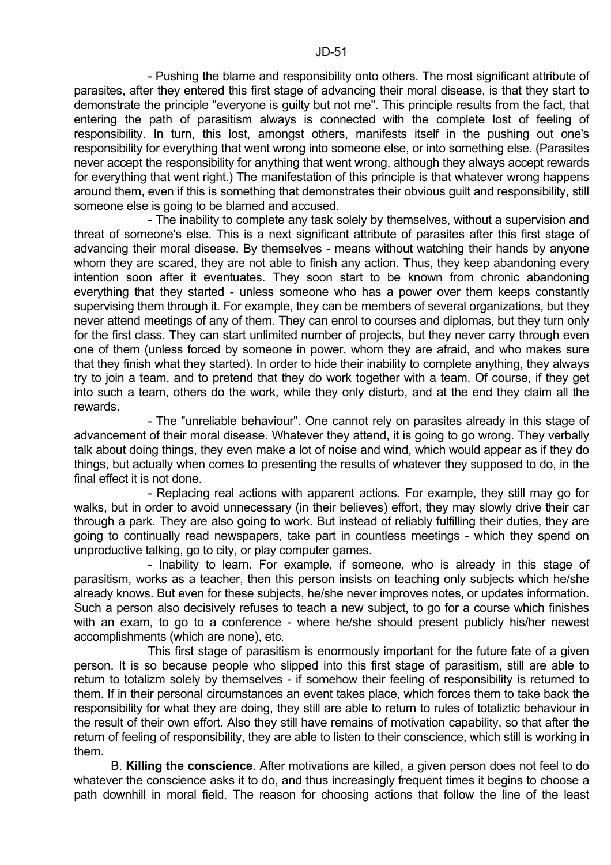- Pushing the blame and responsibility onto others. The most significant attribute of parasites, after they entered this first stage of advancing their moral disease, is that they start to demonstrate the principle "everyone is guilty but not me". This principle results from the fact, that entering the path of parasitism always is connected with the complete lost of feeling of responsibility. In turn, this lost, amongst others, manifests itself in the pushing out one's responsibility for everything that went wrong into someone else, or into something else. (Parasites never accept the responsibility for anything that went wrong, although they always accept rewards for everything that went right.) The manifestation of this principle is that whatever wrong happens around them, even if this is something that demonstrates their obvious guilt and responsibility, still someone else is going to be blamed and accused.

 - The inability to complete any task solely by themselves, without a supervision and threat of someone's else. This is a next significant attribute of parasites after this first stage of advancing their moral disease. By themselves - means without watching their hands by anyone whom they are scared, they are not able to finish any action. Thus, they keep abandoning every intention soon after it eventuates. They soon start to be known from chronic abandoning everything that they started - unless someone who has a power over them keeps constantly supervising them through it. For example, they can be members of several organizations, but they never attend meetings of any of them. They can enrol to courses and diplomas, but they turn only for the first class. They can start unlimited number of projects, but they never carry through even one of them (unless forced by someone in power, whom they are afraid, and who makes sure that they finish what they started). In order to hide their inability to complete anything, they always try to join a team, and to pretend that they do work together with a team. Of course, if they get into such a team, others do the work, while they only disturb, and at the end they claim all the rewards.

 - The "unreliable behaviour". One cannot rely on parasites already in this stage of advancement of their moral disease. Whatever they attend, it is going to go wrong. They verbally talk about doing things, they even make a lot of noise and wind, which would appear as if they do things, but actually when comes to presenting the results of whatever they supposed to do, in the final effect it is not done.

 - Replacing real actions with apparent actions. For example, they still may go for walks, but in order to avoid unnecessary (in their believes) effort, they may slowly drive their car through a park. They are also going to work. But instead of reliably fulfilling their duties, they are going to continually read newspapers, take part in countless meetings - which they spend on unproductive talking, go to city, or play computer games.

 - Inability to learn. For example, if someone, who is already in this stage of parasitism, works as a teacher, then this person insists on teaching only subjects which he/she already knows. But even for these subjects, he/she never improves notes, or updates information. Such a person also decisively refuses to teach a new subject, to go for a course which finishes with an exam, to go to a conference - where he/she should present publicly his/her newest accomplishments (which are none), etc.

 This first stage of parasitism is enormously important for the future fate of a given person. It is so because people who slipped into this first stage of parasitism, still are able to return to totalizm solely by themselves - if somehow their feeling of responsibility is returned to them. If in their personal circumstances an event takes place, which forces them to take back the responsibility for what they are doing, they still are able to return to rules of totaliztic behaviour in the result of their own effort. Also they still have remains of motivation capability, so that after the return of feeling of responsibility, they are able to listen to their conscience, which still is working in them.

 B. **Killing the conscience**. After motivations are killed, a given person does not feel to do whatever the conscience asks it to do, and thus increasingly frequent times it begins to choose a path downhill in moral field. The reason for choosing actions that follow the line of the least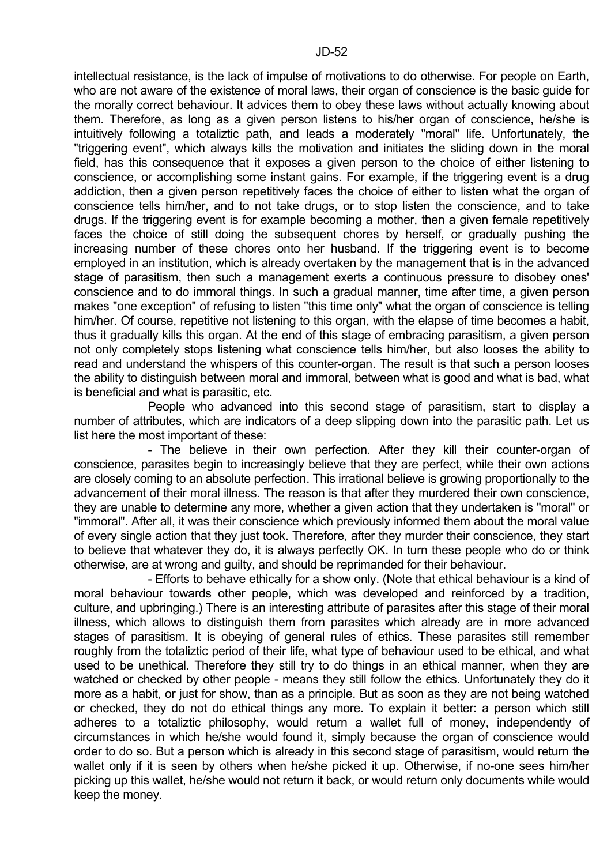intellectual resistance, is the lack of impulse of motivations to do otherwise. For people on Earth, who are not aware of the existence of moral laws, their organ of conscience is the basic guide for the morally correct behaviour. It advices them to obey these laws without actually knowing about them. Therefore, as long as a given person listens to his/her organ of conscience, he/she is intuitively following a totaliztic path, and leads a moderately "moral" life. Unfortunately, the "triggering event", which always kills the motivation and initiates the sliding down in the moral field, has this consequence that it exposes a given person to the choice of either listening to conscience, or accomplishing some instant gains. For example, if the triggering event is a drug addiction, then a given person repetitively faces the choice of either to listen what the organ of conscience tells him/her, and to not take drugs, or to stop listen the conscience, and to take drugs. If the triggering event is for example becoming a mother, then a given female repetitively faces the choice of still doing the subsequent chores by herself, or gradually pushing the increasing number of these chores onto her husband. If the triggering event is to become employed in an institution, which is already overtaken by the management that is in the advanced stage of parasitism, then such a management exerts a continuous pressure to disobey ones' conscience and to do immoral things. In such a gradual manner, time after time, a given person makes "one exception" of refusing to listen "this time only" what the organ of conscience is telling him/her. Of course, repetitive not listening to this organ, with the elapse of time becomes a habit, thus it gradually kills this organ. At the end of this stage of embracing parasitism, a given person not only completely stops listening what conscience tells him/her, but also looses the ability to read and understand the whispers of this counter-organ. The result is that such a person looses the ability to distinguish between moral and immoral, between what is good and what is bad, what is beneficial and what is parasitic, etc.

 People who advanced into this second stage of parasitism, start to display a number of attributes, which are indicators of a deep slipping down into the parasitic path. Let us list here the most important of these:

 - The believe in their own perfection. After they kill their counter-organ of conscience, parasites begin to increasingly believe that they are perfect, while their own actions are closely coming to an absolute perfection. This irrational believe is growing proportionally to the advancement of their moral illness. The reason is that after they murdered their own conscience, they are unable to determine any more, whether a given action that they undertaken is "moral" or "immoral". After all, it was their conscience which previously informed them about the moral value of every single action that they just took. Therefore, after they murder their conscience, they start to believe that whatever they do, it is always perfectly OK. In turn these people who do or think otherwise, are at wrong and guilty, and should be reprimanded for their behaviour.

 - Efforts to behave ethically for a show only. (Note that ethical behaviour is a kind of moral behaviour towards other people, which was developed and reinforced by a tradition, culture, and upbringing.) There is an interesting attribute of parasites after this stage of their moral illness, which allows to distinguish them from parasites which already are in more advanced stages of parasitism. It is obeying of general rules of ethics. These parasites still remember roughly from the totaliztic period of their life, what type of behaviour used to be ethical, and what used to be unethical. Therefore they still try to do things in an ethical manner, when they are watched or checked by other people - means they still follow the ethics. Unfortunately they do it more as a habit, or just for show, than as a principle. But as soon as they are not being watched or checked, they do not do ethical things any more. To explain it better: a person which still adheres to a totaliztic philosophy, would return a wallet full of money, independently of circumstances in which he/she would found it, simply because the organ of conscience would order to do so. But a person which is already in this second stage of parasitism, would return the wallet only if it is seen by others when he/she picked it up. Otherwise, if no-one sees him/her picking up this wallet, he/she would not return it back, or would return only documents while would keep the money.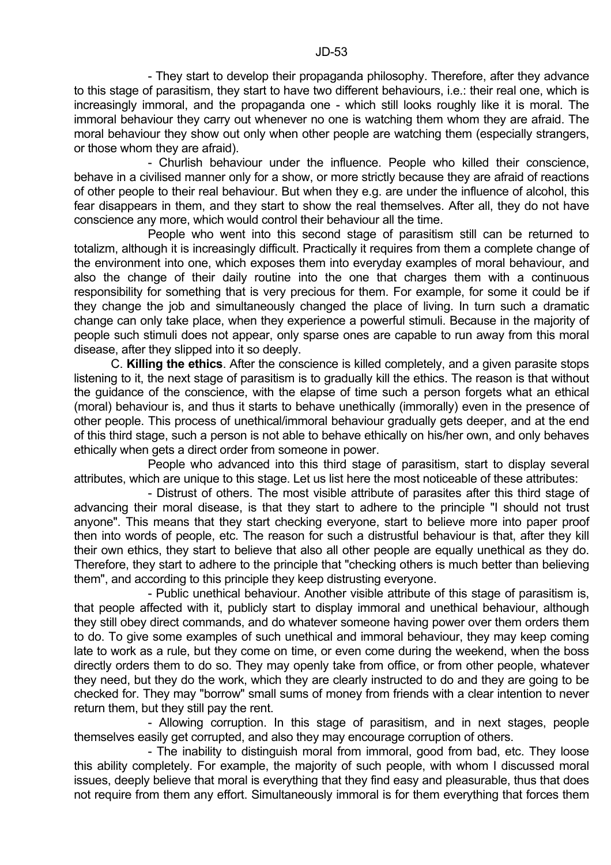- They start to develop their propaganda philosophy. Therefore, after they advance to this stage of parasitism, they start to have two different behaviours, i.e.: their real one, which is increasingly immoral, and the propaganda one - which still looks roughly like it is moral. The immoral behaviour they carry out whenever no one is watching them whom they are afraid. The moral behaviour they show out only when other people are watching them (especially strangers, or those whom they are afraid).

 - Churlish behaviour under the influence. People who killed their conscience, behave in a civilised manner only for a show, or more strictly because they are afraid of reactions of other people to their real behaviour. But when they e.g. are under the influence of alcohol, this fear disappears in them, and they start to show the real themselves. After all, they do not have conscience any more, which would control their behaviour all the time.

 People who went into this second stage of parasitism still can be returned to totalizm, although it is increasingly difficult. Practically it requires from them a complete change of the environment into one, which exposes them into everyday examples of moral behaviour, and also the change of their daily routine into the one that charges them with a continuous responsibility for something that is very precious for them. For example, for some it could be if they change the job and simultaneously changed the place of living. In turn such a dramatic change can only take place, when they experience a powerful stimuli. Because in the majority of people such stimuli does not appear, only sparse ones are capable to run away from this moral disease, after they slipped into it so deeply.

 C. **Killing the ethics**. After the conscience is killed completely, and a given parasite stops listening to it, the next stage of parasitism is to gradually kill the ethics. The reason is that without the guidance of the conscience, with the elapse of time such a person forgets what an ethical (moral) behaviour is, and thus it starts to behave unethically (immorally) even in the presence of other people. This process of unethical/immoral behaviour gradually gets deeper, and at the end of this third stage, such a person is not able to behave ethically on his/her own, and only behaves ethically when gets a direct order from someone in power.

 People who advanced into this third stage of parasitism, start to display several attributes, which are unique to this stage. Let us list here the most noticeable of these attributes:

 - Distrust of others. The most visible attribute of parasites after this third stage of advancing their moral disease, is that they start to adhere to the principle "I should not trust anyone". This means that they start checking everyone, start to believe more into paper proof then into words of people, etc. The reason for such a distrustful behaviour is that, after they kill their own ethics, they start to believe that also all other people are equally unethical as they do. Therefore, they start to adhere to the principle that "checking others is much better than believing them", and according to this principle they keep distrusting everyone.

 - Public unethical behaviour. Another visible attribute of this stage of parasitism is, that people affected with it, publicly start to display immoral and unethical behaviour, although they still obey direct commands, and do whatever someone having power over them orders them to do. To give some examples of such unethical and immoral behaviour, they may keep coming late to work as a rule, but they come on time, or even come during the weekend, when the boss directly orders them to do so. They may openly take from office, or from other people, whatever they need, but they do the work, which they are clearly instructed to do and they are going to be checked for. They may "borrow" small sums of money from friends with a clear intention to never return them, but they still pay the rent.

 - Allowing corruption. In this stage of parasitism, and in next stages, people themselves easily get corrupted, and also they may encourage corruption of others.

 - The inability to distinguish moral from immoral, good from bad, etc. They loose this ability completely. For example, the majority of such people, with whom I discussed moral issues, deeply believe that moral is everything that they find easy and pleasurable, thus that does not require from them any effort. Simultaneously immoral is for them everything that forces them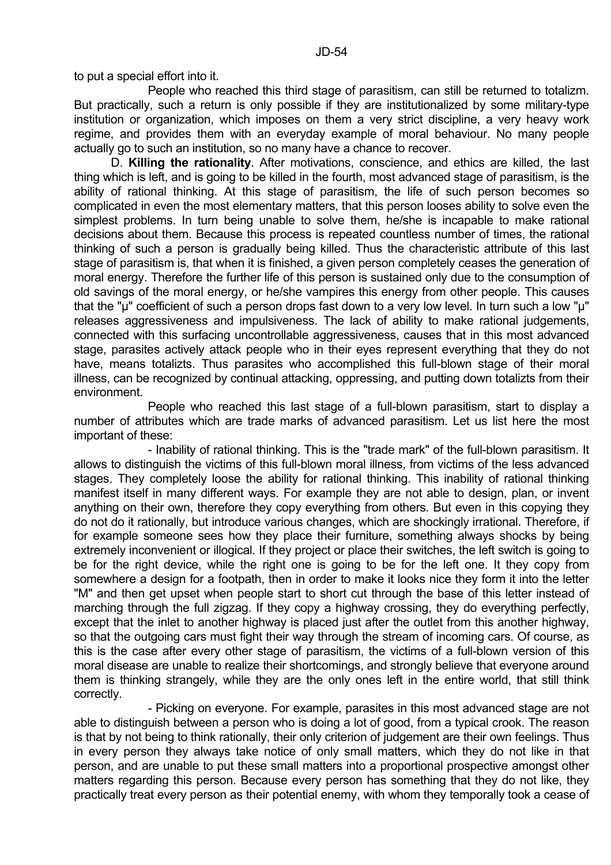to put a special effort into it.

 People who reached this third stage of parasitism, can still be returned to totalizm. But practically, such a return is only possible if they are institutionalized by some military-type institution or organization, which imposes on them a very strict discipline, a very heavy work regime, and provides them with an everyday example of moral behaviour. No many people actually go to such an institution, so no many have a chance to recover.

 D. **Killing the rationality**. After motivations, conscience, and ethics are killed, the last thing which is left, and is going to be killed in the fourth, most advanced stage of parasitism, is the ability of rational thinking. At this stage of parasitism, the life of such person becomes so complicated in even the most elementary matters, that this person looses ability to solve even the simplest problems. In turn being unable to solve them, he/she is incapable to make rational decisions about them. Because this process is repeated countless number of times, the rational thinking of such a person is gradually being killed. Thus the characteristic attribute of this last stage of parasitism is, that when it is finished, a given person completely ceases the generation of moral energy. Therefore the further life of this person is sustained only due to the consumption of old savings of the moral energy, or he/she vampires this energy from other people. This causes that the "µ" coefficient of such a person drops fast down to a very low level. In turn such a low "µ" releases aggressiveness and impulsiveness. The lack of ability to make rational judgements, connected with this surfacing uncontrollable aggressiveness, causes that in this most advanced stage, parasites actively attack people who in their eyes represent everything that they do not have, means totalizts. Thus parasites who accomplished this full-blown stage of their moral illness, can be recognized by continual attacking, oppressing, and putting down totalizts from their environment.

 People who reached this last stage of a full-blown parasitism, start to display a number of attributes which are trade marks of advanced parasitism. Let us list here the most important of these:

 - Inability of rational thinking. This is the "trade mark" of the full-blown parasitism. It allows to distinguish the victims of this full-blown moral illness, from victims of the less advanced stages. They completely loose the ability for rational thinking. This inability of rational thinking manifest itself in many different ways. For example they are not able to design, plan, or invent anything on their own, therefore they copy everything from others. But even in this copying they do not do it rationally, but introduce various changes, which are shockingly irrational. Therefore, if for example someone sees how they place their furniture, something always shocks by being extremely inconvenient or illogical. If they project or place their switches, the left switch is going to be for the right device, while the right one is going to be for the left one. It they copy from somewhere a design for a footpath, then in order to make it looks nice they form it into the letter "M" and then get upset when people start to short cut through the base of this letter instead of marching through the full zigzag. If they copy a highway crossing, they do everything perfectly, except that the inlet to another highway is placed just after the outlet from this another highway, so that the outgoing cars must fight their way through the stream of incoming cars. Of course, as this is the case after every other stage of parasitism, the victims of a full-blown version of this moral disease are unable to realize their shortcomings, and strongly believe that everyone around them is thinking strangely, while they are the only ones left in the entire world, that still think correctly.

 - Picking on everyone. For example, parasites in this most advanced stage are not able to distinguish between a person who is doing a lot of good, from a typical crook. The reason is that by not being to think rationally, their only criterion of judgement are their own feelings. Thus in every person they always take notice of only small matters, which they do not like in that person, and are unable to put these small matters into a proportional prospective amongst other matters regarding this person. Because every person has something that they do not like, they practically treat every person as their potential enemy, with whom they temporally took a cease of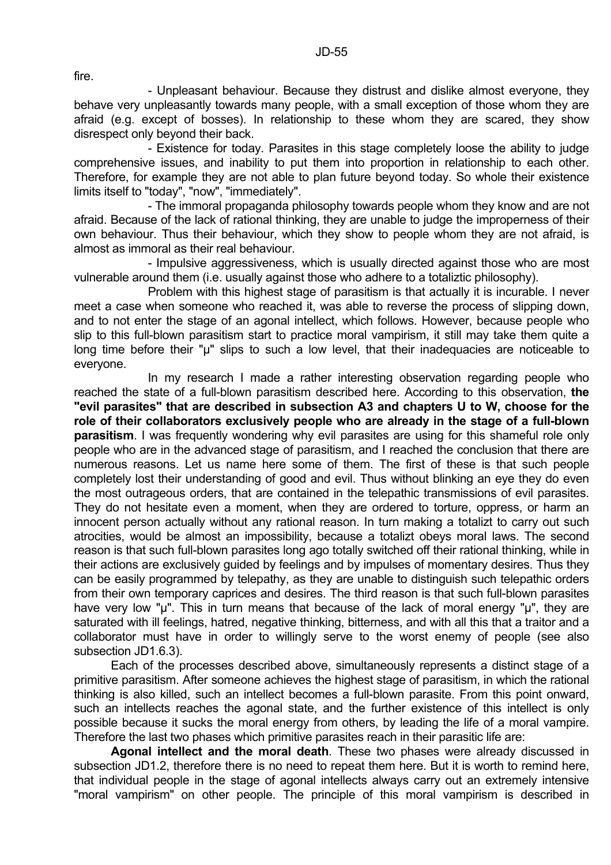fire.

 - Unpleasant behaviour. Because they distrust and dislike almost everyone, they behave very unpleasantly towards many people, with a small exception of those whom they are afraid (e.g. except of bosses). In relationship to these whom they are scared, they show disrespect only beyond their back.

 - Existence for today. Parasites in this stage completely loose the ability to judge comprehensive issues, and inability to put them into proportion in relationship to each other. Therefore, for example they are not able to plan future beyond today. So whole their existence limits itself to "today", "now", "immediately".

 - The immoral propaganda philosophy towards people whom they know and are not afraid. Because of the lack of rational thinking, they are unable to judge the improperness of their own behaviour. Thus their behaviour, which they show to people whom they are not afraid, is almost as immoral as their real behaviour.

 - Impulsive aggressiveness, which is usually directed against those who are most vulnerable around them (i.e. usually against those who adhere to a totaliztic philosophy).

 Problem with this highest stage of parasitism is that actually it is incurable. I never meet a case when someone who reached it, was able to reverse the process of slipping down, and to not enter the stage of an agonal intellect, which follows. However, because people who slip to this full-blown parasitism start to practice moral vampirism, it still may take them quite a long time before their "µ" slips to such a low level, that their inadequacies are noticeable to everyone.

 In my research I made a rather interesting observation regarding people who reached the state of a full-blown parasitism described here. According to this observation, **the "evil parasites" that are described in subsection A3 and chapters U to W, choose for the role of their collaborators exclusively people who are already in the stage of a full-blown parasitism**. I was frequently wondering why evil parasites are using for this shameful role only people who are in the advanced stage of parasitism, and I reached the conclusion that there are numerous reasons. Let us name here some of them. The first of these is that such people completely lost their understanding of good and evil. Thus without blinking an eye they do even the most outrageous orders, that are contained in the telepathic transmissions of evil parasites. They do not hesitate even a moment, when they are ordered to torture, oppress, or harm an innocent person actually without any rational reason. In turn making a totalizt to carry out such atrocities, would be almost an impossibility, because a totalizt obeys moral laws. The second reason is that such full-blown parasites long ago totally switched off their rational thinking, while in their actions are exclusively guided by feelings and by impulses of momentary desires. Thus they can be easily programmed by telepathy, as they are unable to distinguish such telepathic orders from their own temporary caprices and desires. The third reason is that such full-blown parasites have very low "u". This in turn means that because of the lack of moral energy "u", they are saturated with ill feelings, hatred, negative thinking, bitterness, and with all this that a traitor and a collaborator must have in order to willingly serve to the worst enemy of people (see also subsection JD1.6.3).

 Each of the processes described above, simultaneously represents a distinct stage of a primitive parasitism. After someone achieves the highest stage of parasitism, in which the rational thinking is also killed, such an intellect becomes a full-blown parasite. From this point onward, such an intellects reaches the agonal state, and the further existence of this intellect is only possible because it sucks the moral energy from others, by leading the life of a moral vampire. Therefore the last two phases which primitive parasites reach in their parasitic life are:

 **Agonal intellect and the moral death**. These two phases were already discussed in subsection JD1.2, therefore there is no need to repeat them here. But it is worth to remind here, that individual people in the stage of agonal intellects always carry out an extremely intensive "moral vampirism" on other people. The principle of this moral vampirism is described in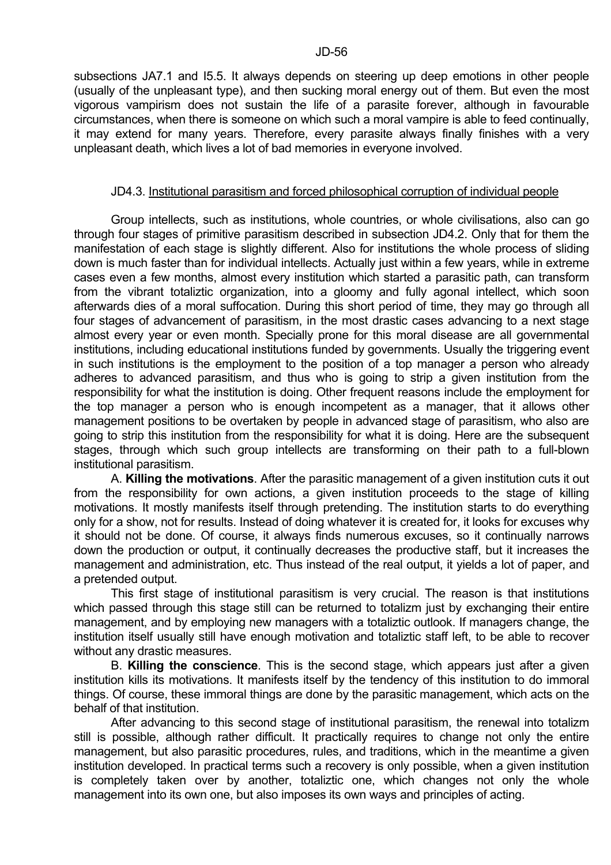subsections JA7.1 and I5.5. It always depends on steering up deep emotions in other people (usually of the unpleasant type), and then sucking moral energy out of them. But even the most vigorous vampirism does not sustain the life of a parasite forever, although in favourable circumstances, when there is someone on which such a moral vampire is able to feed continually, it may extend for many years. Therefore, every parasite always finally finishes with a very unpleasant death, which lives a lot of bad memories in everyone involved.

#### JD4.3. Institutional parasitism and forced philosophical corruption of individual people

 Group intellects, such as institutions, whole countries, or whole civilisations, also can go through four stages of primitive parasitism described in subsection JD4.2. Only that for them the manifestation of each stage is slightly different. Also for institutions the whole process of sliding down is much faster than for individual intellects. Actually just within a few years, while in extreme cases even a few months, almost every institution which started a parasitic path, can transform from the vibrant totaliztic organization, into a gloomy and fully agonal intellect, which soon afterwards dies of a moral suffocation. During this short period of time, they may go through all four stages of advancement of parasitism, in the most drastic cases advancing to a next stage almost every year or even month. Specially prone for this moral disease are all governmental institutions, including educational institutions funded by governments. Usually the triggering event in such institutions is the employment to the position of a top manager a person who already adheres to advanced parasitism, and thus who is going to strip a given institution from the responsibility for what the institution is doing. Other frequent reasons include the employment for the top manager a person who is enough incompetent as a manager, that it allows other management positions to be overtaken by people in advanced stage of parasitism, who also are going to strip this institution from the responsibility for what it is doing. Here are the subsequent stages, through which such group intellects are transforming on their path to a full-blown institutional parasitism.

 A. **Killing the motivations**. After the parasitic management of a given institution cuts it out from the responsibility for own actions, a given institution proceeds to the stage of killing motivations. It mostly manifests itself through pretending. The institution starts to do everything only for a show, not for results. Instead of doing whatever it is created for, it looks for excuses why it should not be done. Of course, it always finds numerous excuses, so it continually narrows down the production or output, it continually decreases the productive staff, but it increases the management and administration, etc. Thus instead of the real output, it yields a lot of paper, and a pretended output.

 This first stage of institutional parasitism is very crucial. The reason is that institutions which passed through this stage still can be returned to totalizm just by exchanging their entire management, and by employing new managers with a totaliztic outlook. If managers change, the institution itself usually still have enough motivation and totaliztic staff left, to be able to recover without any drastic measures.

 B. **Killing the conscience**. This is the second stage, which appears just after a given institution kills its motivations. It manifests itself by the tendency of this institution to do immoral things. Of course, these immoral things are done by the parasitic management, which acts on the behalf of that institution.

 After advancing to this second stage of institutional parasitism, the renewal into totalizm still is possible, although rather difficult. It practically requires to change not only the entire management, but also parasitic procedures, rules, and traditions, which in the meantime a given institution developed. In practical terms such a recovery is only possible, when a given institution is completely taken over by another, totaliztic one, which changes not only the whole management into its own one, but also imposes its own ways and principles of acting.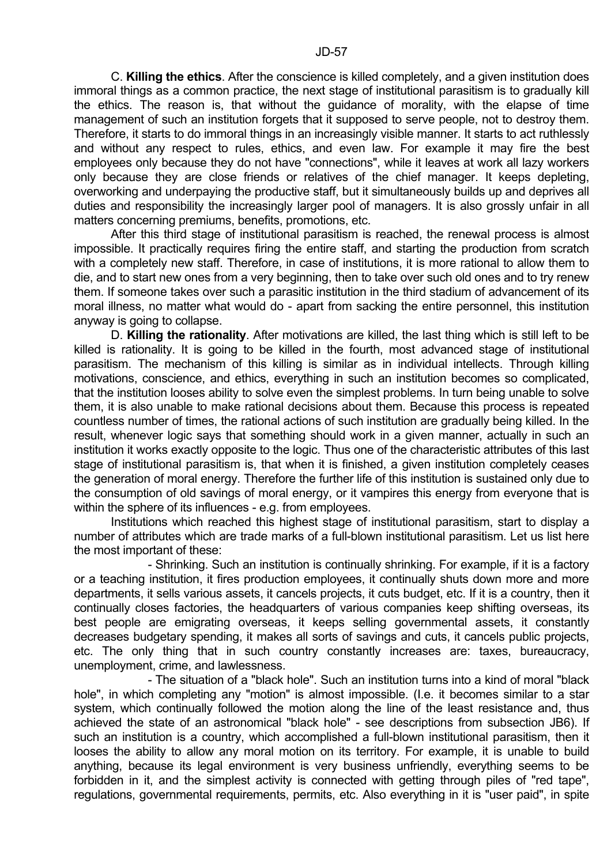C. **Killing the ethics**. After the conscience is killed completely, and a given institution does immoral things as a common practice, the next stage of institutional parasitism is to gradually kill the ethics. The reason is, that without the guidance of morality, with the elapse of time management of such an institution forgets that it supposed to serve people, not to destroy them. Therefore, it starts to do immoral things in an increasingly visible manner. It starts to act ruthlessly and without any respect to rules, ethics, and even law. For example it may fire the best employees only because they do not have "connections", while it leaves at work all lazy workers only because they are close friends or relatives of the chief manager. It keeps depleting, overworking and underpaying the productive staff, but it simultaneously builds up and deprives all duties and responsibility the increasingly larger pool of managers. It is also grossly unfair in all matters concerning premiums, benefits, promotions, etc.

 After this third stage of institutional parasitism is reached, the renewal process is almost impossible. It practically requires firing the entire staff, and starting the production from scratch with a completely new staff. Therefore, in case of institutions, it is more rational to allow them to die, and to start new ones from a very beginning, then to take over such old ones and to try renew them. If someone takes over such a parasitic institution in the third stadium of advancement of its moral illness, no matter what would do - apart from sacking the entire personnel, this institution anyway is going to collapse.

 D. **Killing the rationality**. After motivations are killed, the last thing which is still left to be killed is rationality. It is going to be killed in the fourth, most advanced stage of institutional parasitism. The mechanism of this killing is similar as in individual intellects. Through killing motivations, conscience, and ethics, everything in such an institution becomes so complicated, that the institution looses ability to solve even the simplest problems. In turn being unable to solve them, it is also unable to make rational decisions about them. Because this process is repeated countless number of times, the rational actions of such institution are gradually being killed. In the result, whenever logic says that something should work in a given manner, actually in such an institution it works exactly opposite to the logic. Thus one of the characteristic attributes of this last stage of institutional parasitism is, that when it is finished, a given institution completely ceases the generation of moral energy. Therefore the further life of this institution is sustained only due to the consumption of old savings of moral energy, or it vampires this energy from everyone that is within the sphere of its influences - e.g. from employees.

 Institutions which reached this highest stage of institutional parasitism, start to display a number of attributes which are trade marks of a full-blown institutional parasitism. Let us list here the most important of these:

 - Shrinking. Such an institution is continually shrinking. For example, if it is a factory or a teaching institution, it fires production employees, it continually shuts down more and more departments, it sells various assets, it cancels projects, it cuts budget, etc. If it is a country, then it continually closes factories, the headquarters of various companies keep shifting overseas, its best people are emigrating overseas, it keeps selling governmental assets, it constantly decreases budgetary spending, it makes all sorts of savings and cuts, it cancels public projects, etc. The only thing that in such country constantly increases are: taxes, bureaucracy, unemployment, crime, and lawlessness.

 - The situation of a "black hole". Such an institution turns into a kind of moral "black hole", in which completing any "motion" is almost impossible. (I.e. it becomes similar to a star system, which continually followed the motion along the line of the least resistance and, thus achieved the state of an astronomical "black hole" - see descriptions from subsection JB6). If such an institution is a country, which accomplished a full-blown institutional parasitism, then it looses the ability to allow any moral motion on its territory. For example, it is unable to build anything, because its legal environment is very business unfriendly, everything seems to be forbidden in it, and the simplest activity is connected with getting through piles of "red tape", regulations, governmental requirements, permits, etc. Also everything in it is "user paid", in spite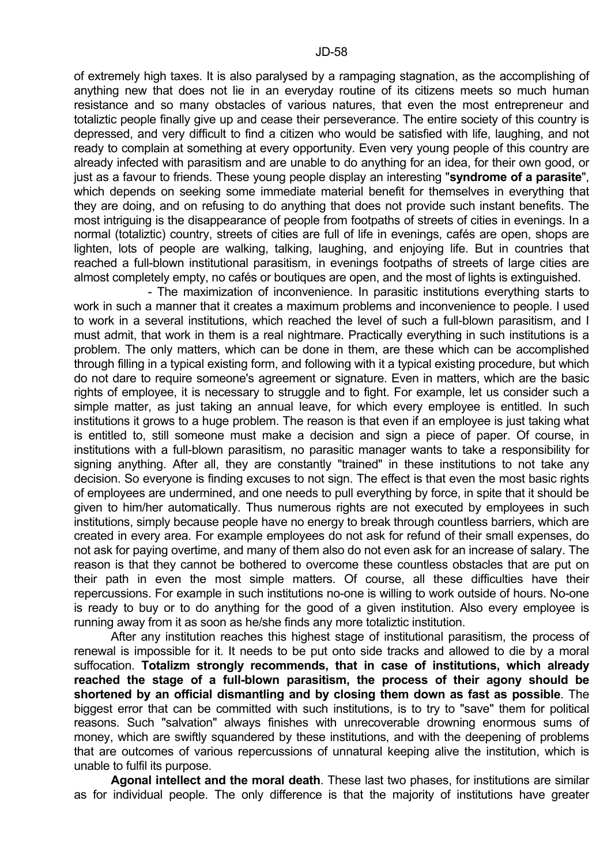of extremely high taxes. It is also paralysed by a rampaging stagnation, as the accomplishing of anything new that does not lie in an everyday routine of its citizens meets so much human resistance and so many obstacles of various natures, that even the most entrepreneur and totaliztic people finally give up and cease their perseverance. The entire society of this country is depressed, and very difficult to find a citizen who would be satisfied with life, laughing, and not ready to complain at something at every opportunity. Even very young people of this country are already infected with parasitism and are unable to do anything for an idea, for their own good, or just as a favour to friends. These young people display an interesting "**syndrome of a parasite**", which depends on seeking some immediate material benefit for themselves in everything that they are doing, and on refusing to do anything that does not provide such instant benefits. The most intriguing is the disappearance of people from footpaths of streets of cities in evenings. In a normal (totaliztic) country, streets of cities are full of life in evenings, cafés are open, shops are lighten, lots of people are walking, talking, laughing, and enjoying life. But in countries that reached a full-blown institutional parasitism, in evenings footpaths of streets of large cities are almost completely empty, no cafés or boutiques are open, and the most of lights is extinguished.

 - The maximization of inconvenience. In parasitic institutions everything starts to work in such a manner that it creates a maximum problems and inconvenience to people. I used to work in a several institutions, which reached the level of such a full-blown parasitism, and I must admit, that work in them is a real nightmare. Practically everything in such institutions is a problem. The only matters, which can be done in them, are these which can be accomplished through filling in a typical existing form, and following with it a typical existing procedure, but which do not dare to require someone's agreement or signature. Even in matters, which are the basic rights of employee, it is necessary to struggle and to fight. For example, let us consider such a simple matter, as just taking an annual leave, for which every employee is entitled. In such institutions it grows to a huge problem. The reason is that even if an employee is just taking what is entitled to, still someone must make a decision and sign a piece of paper. Of course, in institutions with a full-blown parasitism, no parasitic manager wants to take a responsibility for signing anything. After all, they are constantly "trained" in these institutions to not take any decision. So everyone is finding excuses to not sign. The effect is that even the most basic rights of employees are undermined, and one needs to pull everything by force, in spite that it should be given to him/her automatically. Thus numerous rights are not executed by employees in such institutions, simply because people have no energy to break through countless barriers, which are created in every area. For example employees do not ask for refund of their small expenses, do not ask for paying overtime, and many of them also do not even ask for an increase of salary. The reason is that they cannot be bothered to overcome these countless obstacles that are put on their path in even the most simple matters. Of course, all these difficulties have their repercussions. For example in such institutions no-one is willing to work outside of hours. No-one is ready to buy or to do anything for the good of a given institution. Also every employee is running away from it as soon as he/she finds any more totaliztic institution.

 After any institution reaches this highest stage of institutional parasitism, the process of renewal is impossible for it. It needs to be put onto side tracks and allowed to die by a moral suffocation. **Totalizm strongly recommends, that in case of institutions, which already reached the stage of a full-blown parasitism, the process of their agony should be shortened by an official dismantling and by closing them down as fast as possible**. The biggest error that can be committed with such institutions, is to try to "save" them for political reasons. Such "salvation" always finishes with unrecoverable drowning enormous sums of money, which are swiftly squandered by these institutions, and with the deepening of problems that are outcomes of various repercussions of unnatural keeping alive the institution, which is unable to fulfil its purpose.

 **Agonal intellect and the moral death**. These last two phases, for institutions are similar as for individual people. The only difference is that the majority of institutions have greater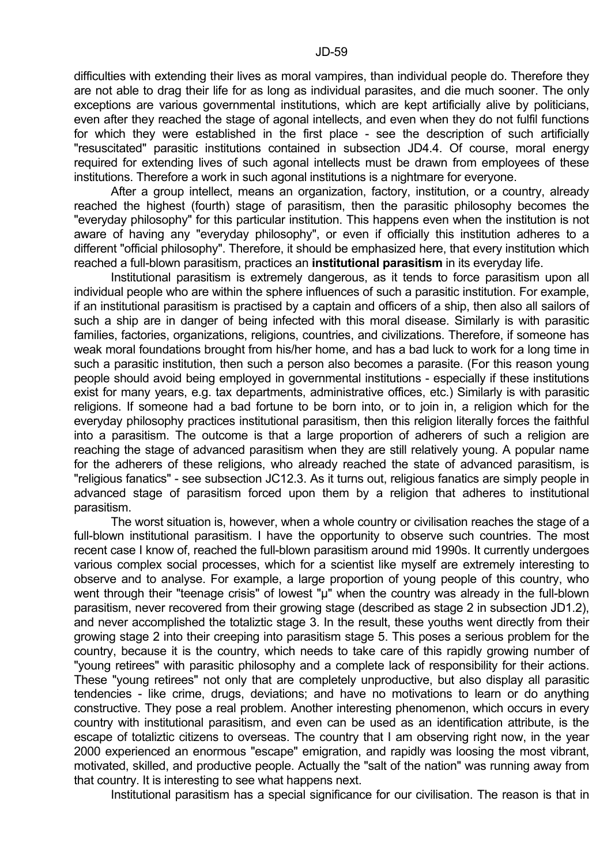difficulties with extending their lives as moral vampires, than individual people do. Therefore they are not able to drag their life for as long as individual parasites, and die much sooner. The only exceptions are various governmental institutions, which are kept artificially alive by politicians, even after they reached the stage of agonal intellects, and even when they do not fulfil functions for which they were established in the first place - see the description of such artificially "resuscitated" parasitic institutions contained in subsection JD4.4. Of course, moral energy required for extending lives of such agonal intellects must be drawn from employees of these institutions. Therefore a work in such agonal institutions is a nightmare for everyone.

 After a group intellect, means an organization, factory, institution, or a country, already reached the highest (fourth) stage of parasitism, then the parasitic philosophy becomes the "everyday philosophy" for this particular institution. This happens even when the institution is not aware of having any "everyday philosophy", or even if officially this institution adheres to a different "official philosophy". Therefore, it should be emphasized here, that every institution which reached a full-blown parasitism, practices an **institutional parasitism** in its everyday life.

 Institutional parasitism is extremely dangerous, as it tends to force parasitism upon all individual people who are within the sphere influences of such a parasitic institution. For example, if an institutional parasitism is practised by a captain and officers of a ship, then also all sailors of such a ship are in danger of being infected with this moral disease. Similarly is with parasitic families, factories, organizations, religions, countries, and civilizations. Therefore, if someone has weak moral foundations brought from his/her home, and has a bad luck to work for a long time in such a parasitic institution, then such a person also becomes a parasite. (For this reason young people should avoid being employed in governmental institutions - especially if these institutions exist for many years, e.g. tax departments, administrative offices, etc.) Similarly is with parasitic religions. If someone had a bad fortune to be born into, or to join in, a religion which for the everyday philosophy practices institutional parasitism, then this religion literally forces the faithful into a parasitism. The outcome is that a large proportion of adherers of such a religion are reaching the stage of advanced parasitism when they are still relatively young. A popular name for the adherers of these religions, who already reached the state of advanced parasitism, is "religious fanatics" - see subsection JC12.3. As it turns out, religious fanatics are simply people in advanced stage of parasitism forced upon them by a religion that adheres to institutional parasitism.

 The worst situation is, however, when a whole country or civilisation reaches the stage of a full-blown institutional parasitism. I have the opportunity to observe such countries. The most recent case I know of, reached the full-blown parasitism around mid 1990s. It currently undergoes various complex social processes, which for a scientist like myself are extremely interesting to observe and to analyse. For example, a large proportion of young people of this country, who went through their "teenage crisis" of lowest "µ" when the country was already in the full-blown parasitism, never recovered from their growing stage (described as stage 2 in subsection JD1.2), and never accomplished the totaliztic stage 3. In the result, these youths went directly from their growing stage 2 into their creeping into parasitism stage 5. This poses a serious problem for the country, because it is the country, which needs to take care of this rapidly growing number of "young retirees" with parasitic philosophy and a complete lack of responsibility for their actions. These "young retirees" not only that are completely unproductive, but also display all parasitic tendencies - like crime, drugs, deviations; and have no motivations to learn or do anything constructive. They pose a real problem. Another interesting phenomenon, which occurs in every country with institutional parasitism, and even can be used as an identification attribute, is the escape of totaliztic citizens to overseas. The country that I am observing right now, in the year 2000 experienced an enormous "escape" emigration, and rapidly was loosing the most vibrant, motivated, skilled, and productive people. Actually the "salt of the nation" was running away from that country. It is interesting to see what happens next.

Institutional parasitism has a special significance for our civilisation. The reason is that in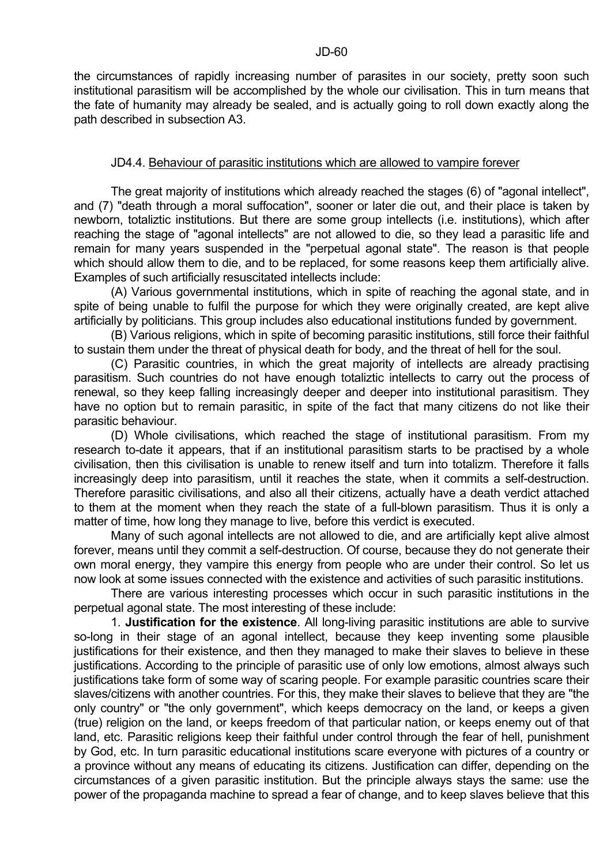the circumstances of rapidly increasing number of parasites in our society, pretty soon such institutional parasitism will be accomplished by the whole our civilisation. This in turn means that the fate of humanity may already be sealed, and is actually going to roll down exactly along the path described in subsection A3.

### JD4.4. Behaviour of parasitic institutions which are allowed to vampire forever

 The great majority of institutions which already reached the stages (6) of "agonal intellect", and (7) "death through a moral suffocation", sooner or later die out, and their place is taken by newborn, totaliztic institutions. But there are some group intellects (i.e. institutions), which after reaching the stage of "agonal intellects" are not allowed to die, so they lead a parasitic life and remain for many years suspended in the "perpetual agonal state". The reason is that people which should allow them to die, and to be replaced, for some reasons keep them artificially alive. Examples of such artificially resuscitated intellects include:

 (A) Various governmental institutions, which in spite of reaching the agonal state, and in spite of being unable to fulfil the purpose for which they were originally created, are kept alive artificially by politicians. This group includes also educational institutions funded by government.

 (B) Various religions, which in spite of becoming parasitic institutions, still force their faithful to sustain them under the threat of physical death for body, and the threat of hell for the soul.

 (C) Parasitic countries, in which the great majority of intellects are already practising parasitism. Such countries do not have enough totaliztic intellects to carry out the process of renewal, so they keep falling increasingly deeper and deeper into institutional parasitism. They have no option but to remain parasitic, in spite of the fact that many citizens do not like their parasitic behaviour.

 (D) Whole civilisations, which reached the stage of institutional parasitism. From my research to-date it appears, that if an institutional parasitism starts to be practised by a whole civilisation, then this civilisation is unable to renew itself and turn into totalizm. Therefore it falls increasingly deep into parasitism, until it reaches the state, when it commits a self-destruction. Therefore parasitic civilisations, and also all their citizens, actually have a death verdict attached to them at the moment when they reach the state of a full-blown parasitism. Thus it is only a matter of time, how long they manage to live, before this verdict is executed.

 Many of such agonal intellects are not allowed to die, and are artificially kept alive almost forever, means until they commit a self-destruction. Of course, because they do not generate their own moral energy, they vampire this energy from people who are under their control. So let us now look at some issues connected with the existence and activities of such parasitic institutions.

 There are various interesting processes which occur in such parasitic institutions in the perpetual agonal state. The most interesting of these include:

 1. **Justification for the existence**. All long-living parasitic institutions are able to survive so-long in their stage of an agonal intellect, because they keep inventing some plausible justifications for their existence, and then they managed to make their slaves to believe in these justifications. According to the principle of parasitic use of only low emotions, almost always such justifications take form of some way of scaring people. For example parasitic countries scare their slaves/citizens with another countries. For this, they make their slaves to believe that they are "the only country" or "the only government", which keeps democracy on the land, or keeps a given (true) religion on the land, or keeps freedom of that particular nation, or keeps enemy out of that land, etc. Parasitic religions keep their faithful under control through the fear of hell, punishment by God, etc. In turn parasitic educational institutions scare everyone with pictures of a country or a province without any means of educating its citizens. Justification can differ, depending on the circumstances of a given parasitic institution. But the principle always stays the same: use the power of the propaganda machine to spread a fear of change, and to keep slaves believe that this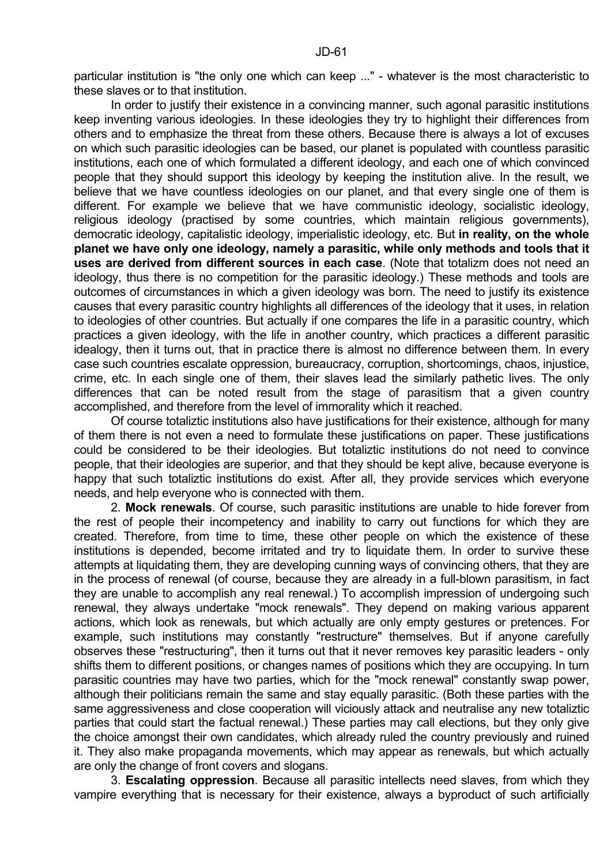particular institution is "the only one which can keep ..." - whatever is the most characteristic to these slaves or to that institution.

In order to justify their existence in a convincing manner, such agonal parasitic institutions keep inventing various ideologies. In these ideologies they try to highlight their differences from others and to emphasize the threat from these others. Because there is always a lot of excuses on which such parasitic ideologies can be based, our planet is populated with countless parasitic institutions, each one of which formulated a different ideology, and each one of which convinced people that they should support this ideology by keeping the institution alive. In the result, we believe that we have countless ideologies on our planet, and that every single one of them is different. For example we believe that we have communistic ideology, socialistic ideology, religious ideology (practised by some countries, which maintain religious governments), democratic ideology, capitalistic ideology, imperialistic ideology, etc. But **in reality, on the whole planet we have only one ideology, namely a parasitic, while only methods and tools that it uses are derived from different sources in each case**. (Note that totalizm does not need an ideology, thus there is no competition for the parasitic ideology.) These methods and tools are outcomes of circumstances in which a given ideology was born. The need to justify its existence causes that every parasitic country highlights all differences of the ideology that it uses, in relation to ideologies of other countries. But actually if one compares the life in a parasitic country, which practices a given ideology, with the life in another country, which practices a different parasitic idealogy, then it turns out, that in practice there is almost no difference between them. In every case such countries escalate oppression, bureaucracy, corruption, shortcomings, chaos, injustice, crime, etc. In each single one of them, their slaves lead the similarly pathetic lives. The only differences that can be noted result from the stage of parasitism that a given country accomplished, and therefore from the level of immorality which it reached.

 Of course totaliztic institutions also have justifications for their existence, although for many of them there is not even a need to formulate these justifications on paper. These justifications could be considered to be their ideologies. But totaliztic institutions do not need to convince people, that their ideologies are superior, and that they should be kept alive, because everyone is happy that such totaliztic institutions do exist. After all, they provide services which everyone needs, and help everyone who is connected with them.

 2. **Mock renewals**. Of course, such parasitic institutions are unable to hide forever from the rest of people their incompetency and inability to carry out functions for which they are created. Therefore, from time to time, these other people on which the existence of these institutions is depended, become irritated and try to liquidate them. In order to survive these attempts at liquidating them, they are developing cunning ways of convincing others, that they are in the process of renewal (of course, because they are already in a full-blown parasitism, in fact they are unable to accomplish any real renewal.) To accomplish impression of undergoing such renewal, they always undertake "mock renewals". They depend on making various apparent actions, which look as renewals, but which actually are only empty gestures or pretences. For example, such institutions may constantly "restructure" themselves. But if anyone carefully observes these "restructuring", then it turns out that it never removes key parasitic leaders - only shifts them to different positions, or changes names of positions which they are occupying. In turn parasitic countries may have two parties, which for the "mock renewal" constantly swap power, although their politicians remain the same and stay equally parasitic. (Both these parties with the same aggressiveness and close cooperation will viciously attack and neutralise any new totaliztic parties that could start the factual renewal.) These parties may call elections, but they only give the choice amongst their own candidates, which already ruled the country previously and ruined it. They also make propaganda movements, which may appear as renewals, but which actually are only the change of front covers and slogans.

 3. **Escalating oppression**. Because all parasitic intellects need slaves, from which they vampire everything that is necessary for their existence, always a byproduct of such artificially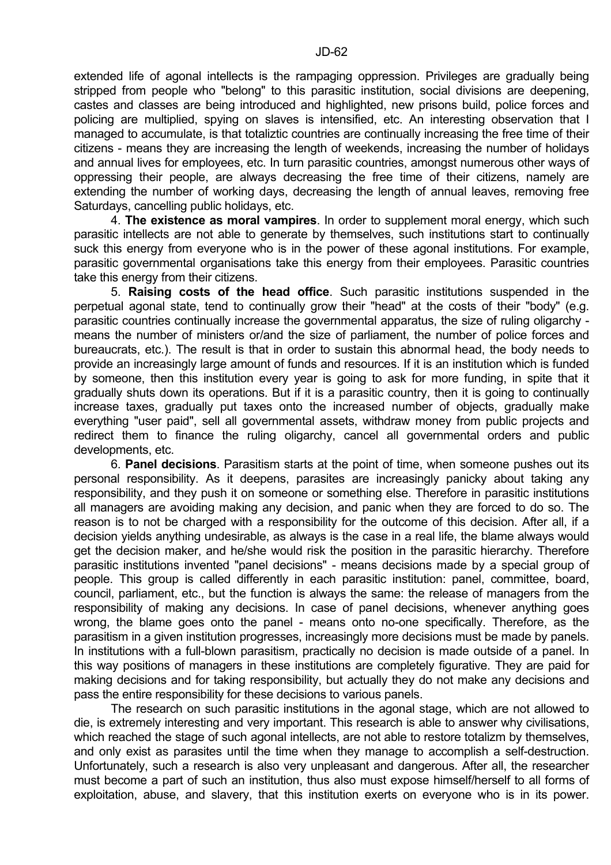extended life of agonal intellects is the rampaging oppression. Privileges are gradually being stripped from people who "belong" to this parasitic institution, social divisions are deepening, castes and classes are being introduced and highlighted, new prisons build, police forces and policing are multiplied, spying on slaves is intensified, etc. An interesting observation that I managed to accumulate, is that totaliztic countries are continually increasing the free time of their citizens - means they are increasing the length of weekends, increasing the number of holidays and annual lives for employees, etc. In turn parasitic countries, amongst numerous other ways of oppressing their people, are always decreasing the free time of their citizens, namely are extending the number of working days, decreasing the length of annual leaves, removing free Saturdays, cancelling public holidays, etc.

 4. **The existence as moral vampires**. In order to supplement moral energy, which such parasitic intellects are not able to generate by themselves, such institutions start to continually suck this energy from everyone who is in the power of these agonal institutions. For example, parasitic governmental organisations take this energy from their employees. Parasitic countries take this energy from their citizens.

 5. **Raising costs of the head office**. Such parasitic institutions suspended in the perpetual agonal state, tend to continually grow their "head" at the costs of their "body" (e.g. parasitic countries continually increase the governmental apparatus, the size of ruling oligarchy means the number of ministers or/and the size of parliament, the number of police forces and bureaucrats, etc.). The result is that in order to sustain this abnormal head, the body needs to provide an increasingly large amount of funds and resources. If it is an institution which is funded by someone, then this institution every year is going to ask for more funding, in spite that it gradually shuts down its operations. But if it is a parasitic country, then it is going to continually increase taxes, gradually put taxes onto the increased number of objects, gradually make everything "user paid", sell all governmental assets, withdraw money from public projects and redirect them to finance the ruling oligarchy, cancel all governmental orders and public developments, etc.

 6. **Panel decisions**. Parasitism starts at the point of time, when someone pushes out its personal responsibility. As it deepens, parasites are increasingly panicky about taking any responsibility, and they push it on someone or something else. Therefore in parasitic institutions all managers are avoiding making any decision, and panic when they are forced to do so. The reason is to not be charged with a responsibility for the outcome of this decision. After all, if a decision yields anything undesirable, as always is the case in a real life, the blame always would get the decision maker, and he/she would risk the position in the parasitic hierarchy. Therefore parasitic institutions invented "panel decisions" - means decisions made by a special group of people. This group is called differently in each parasitic institution: panel, committee, board, council, parliament, etc., but the function is always the same: the release of managers from the responsibility of making any decisions. In case of panel decisions, whenever anything goes wrong, the blame goes onto the panel - means onto no-one specifically. Therefore, as the parasitism in a given institution progresses, increasingly more decisions must be made by panels. In institutions with a full-blown parasitism, practically no decision is made outside of a panel. In this way positions of managers in these institutions are completely figurative. They are paid for making decisions and for taking responsibility, but actually they do not make any decisions and pass the entire responsibility for these decisions to various panels.

 The research on such parasitic institutions in the agonal stage, which are not allowed to die, is extremely interesting and very important. This research is able to answer why civilisations, which reached the stage of such agonal intellects, are not able to restore totalizm by themselves, and only exist as parasites until the time when they manage to accomplish a self-destruction. Unfortunately, such a research is also very unpleasant and dangerous. After all, the researcher must become a part of such an institution, thus also must expose himself/herself to all forms of exploitation, abuse, and slavery, that this institution exerts on everyone who is in its power.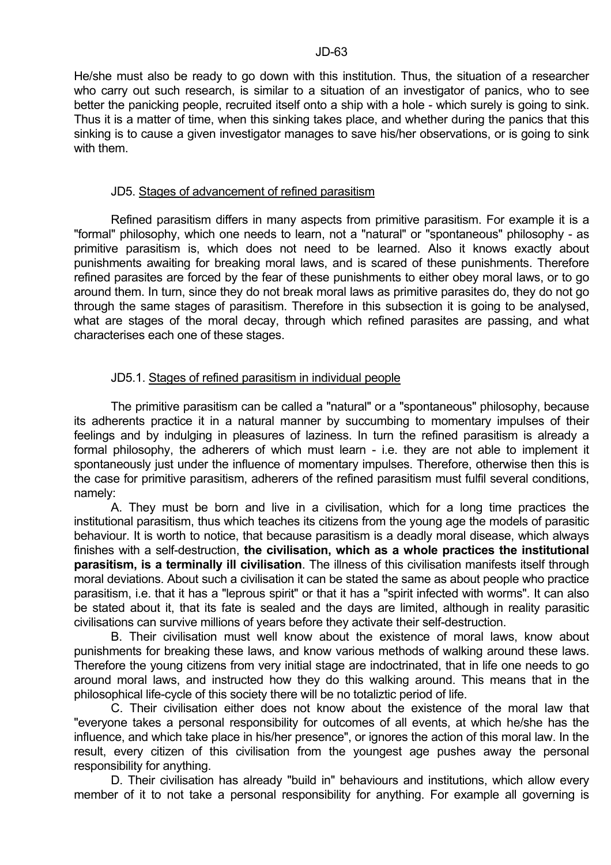He/she must also be ready to go down with this institution. Thus, the situation of a researcher who carry out such research, is similar to a situation of an investigator of panics, who to see better the panicking people, recruited itself onto a ship with a hole - which surely is going to sink. Thus it is a matter of time, when this sinking takes place, and whether during the panics that this sinking is to cause a given investigator manages to save his/her observations, or is going to sink with them.

### JD5. Stages of advancement of refined parasitism

 Refined parasitism differs in many aspects from primitive parasitism. For example it is a "formal" philosophy, which one needs to learn, not a "natural" or "spontaneous" philosophy - as primitive parasitism is, which does not need to be learned. Also it knows exactly about punishments awaiting for breaking moral laws, and is scared of these punishments. Therefore refined parasites are forced by the fear of these punishments to either obey moral laws, or to go around them. In turn, since they do not break moral laws as primitive parasites do, they do not go through the same stages of parasitism. Therefore in this subsection it is going to be analysed, what are stages of the moral decay, through which refined parasites are passing, and what characterises each one of these stages.

# JD5.1. Stages of refined parasitism in individual people

 The primitive parasitism can be called a "natural" or a "spontaneous" philosophy, because its adherents practice it in a natural manner by succumbing to momentary impulses of their feelings and by indulging in pleasures of laziness. In turn the refined parasitism is already a formal philosophy, the adherers of which must learn - i.e. they are not able to implement it spontaneously just under the influence of momentary impulses. Therefore, otherwise then this is the case for primitive parasitism, adherers of the refined parasitism must fulfil several conditions, namely:

 A. They must be born and live in a civilisation, which for a long time practices the institutional parasitism, thus which teaches its citizens from the young age the models of parasitic behaviour. It is worth to notice, that because parasitism is a deadly moral disease, which always finishes with a self-destruction, **the civilisation, which as a whole practices the institutional parasitism, is a terminally ill civilisation**. The illness of this civilisation manifests itself through moral deviations. About such a civilisation it can be stated the same as about people who practice parasitism, i.e. that it has a "leprous spirit" or that it has a "spirit infected with worms". It can also be stated about it, that its fate is sealed and the days are limited, although in reality parasitic civilisations can survive millions of years before they activate their self-destruction.

 B. Their civilisation must well know about the existence of moral laws, know about punishments for breaking these laws, and know various methods of walking around these laws. Therefore the young citizens from very initial stage are indoctrinated, that in life one needs to go around moral laws, and instructed how they do this walking around. This means that in the philosophical life-cycle of this society there will be no totaliztic period of life.

 C. Their civilisation either does not know about the existence of the moral law that "everyone takes a personal responsibility for outcomes of all events, at which he/she has the influence, and which take place in his/her presence", or ignores the action of this moral law. In the result, every citizen of this civilisation from the youngest age pushes away the personal responsibility for anything.

 D. Their civilisation has already "build in" behaviours and institutions, which allow every member of it to not take a personal responsibility for anything. For example all governing is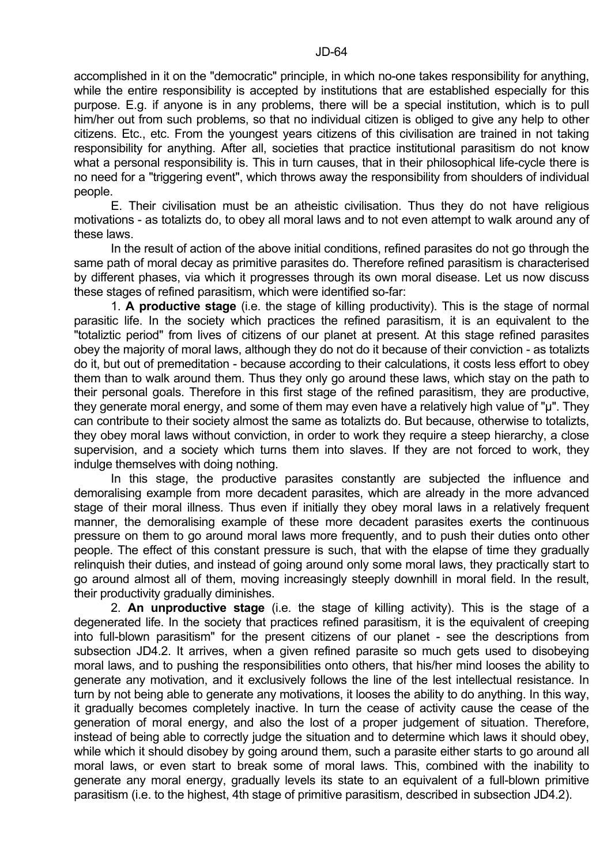accomplished in it on the "democratic" principle, in which no-one takes responsibility for anything, while the entire responsibility is accepted by institutions that are established especially for this purpose. E.g. if anyone is in any problems, there will be a special institution, which is to pull him/her out from such problems, so that no individual citizen is obliged to give any help to other citizens. Etc., etc. From the youngest years citizens of this civilisation are trained in not taking responsibility for anything. After all, societies that practice institutional parasitism do not know what a personal responsibility is. This in turn causes, that in their philosophical life-cycle there is no need for a "triggering event", which throws away the responsibility from shoulders of individual people.

 E. Their civilisation must be an atheistic civilisation. Thus they do not have religious motivations - as totalizts do, to obey all moral laws and to not even attempt to walk around any of these laws.

 In the result of action of the above initial conditions, refined parasites do not go through the same path of moral decay as primitive parasites do. Therefore refined parasitism is characterised by different phases, via which it progresses through its own moral disease. Let us now discuss these stages of refined parasitism, which were identified so-far:

 1. **A productive stage** (i.e. the stage of killing productivity). This is the stage of normal parasitic life. In the society which practices the refined parasitism, it is an equivalent to the "totaliztic period" from lives of citizens of our planet at present. At this stage refined parasites obey the majority of moral laws, although they do not do it because of their conviction - as totalizts do it, but out of premeditation - because according to their calculations, it costs less effort to obey them than to walk around them. Thus they only go around these laws, which stay on the path to their personal goals. Therefore in this first stage of the refined parasitism, they are productive, they generate moral energy, and some of them may even have a relatively high value of "µ". They can contribute to their society almost the same as totalizts do. But because, otherwise to totalizts, they obey moral laws without conviction, in order to work they require a steep hierarchy, a close supervision, and a society which turns them into slaves. If they are not forced to work, they indulge themselves with doing nothing.

 In this stage, the productive parasites constantly are subjected the influence and demoralising example from more decadent parasites, which are already in the more advanced stage of their moral illness. Thus even if initially they obey moral laws in a relatively frequent manner, the demoralising example of these more decadent parasites exerts the continuous pressure on them to go around moral laws more frequently, and to push their duties onto other people. The effect of this constant pressure is such, that with the elapse of time they gradually relinquish their duties, and instead of going around only some moral laws, they practically start to go around almost all of them, moving increasingly steeply downhill in moral field. In the result, their productivity gradually diminishes.

 2. **An unproductive stage** (i.e. the stage of killing activity). This is the stage of a degenerated life. In the society that practices refined parasitism, it is the equivalent of creeping into full-blown parasitism" for the present citizens of our planet - see the descriptions from subsection JD4.2. It arrives, when a given refined parasite so much gets used to disobeying moral laws, and to pushing the responsibilities onto others, that his/her mind looses the ability to generate any motivation, and it exclusively follows the line of the lest intellectual resistance. In turn by not being able to generate any motivations, it looses the ability to do anything. In this way, it gradually becomes completely inactive. In turn the cease of activity cause the cease of the generation of moral energy, and also the lost of a proper judgement of situation. Therefore, instead of being able to correctly judge the situation and to determine which laws it should obey, while which it should disobey by going around them, such a parasite either starts to go around all moral laws, or even start to break some of moral laws. This, combined with the inability to generate any moral energy, gradually levels its state to an equivalent of a full-blown primitive parasitism (i.e. to the highest, 4th stage of primitive parasitism, described in subsection JD4.2).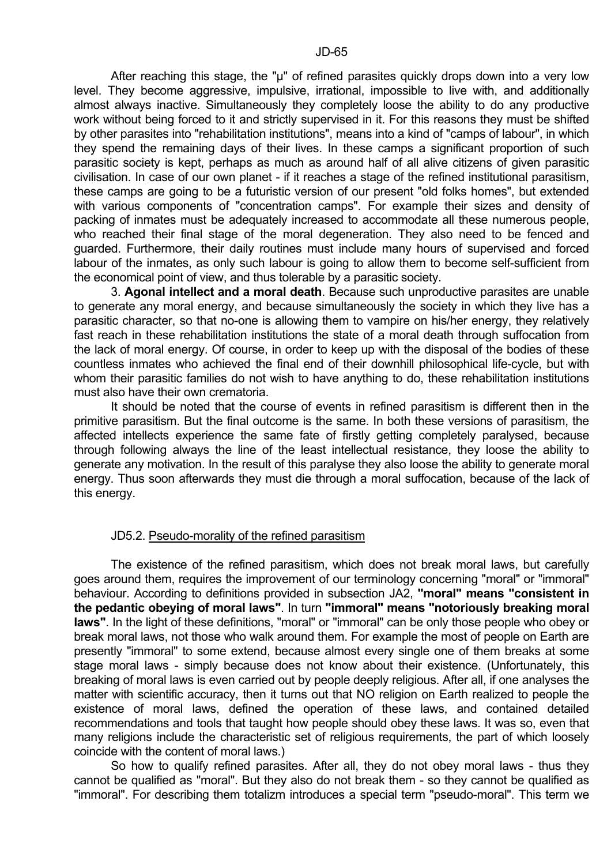After reaching this stage, the "µ" of refined parasites quickly drops down into a very low level. They become aggressive, impulsive, irrational, impossible to live with, and additionally almost always inactive. Simultaneously they completely loose the ability to do any productive work without being forced to it and strictly supervised in it. For this reasons they must be shifted by other parasites into "rehabilitation institutions", means into a kind of "camps of labour", in which they spend the remaining days of their lives. In these camps a significant proportion of such parasitic society is kept, perhaps as much as around half of all alive citizens of given parasitic civilisation. In case of our own planet - if it reaches a stage of the refined institutional parasitism, these camps are going to be a futuristic version of our present "old folks homes", but extended with various components of "concentration camps". For example their sizes and density of packing of inmates must be adequately increased to accommodate all these numerous people, who reached their final stage of the moral degeneration. They also need to be fenced and guarded. Furthermore, their daily routines must include many hours of supervised and forced labour of the inmates, as only such labour is going to allow them to become self-sufficient from the economical point of view, and thus tolerable by a parasitic society.

 3. **Agonal intellect and a moral death**. Because such unproductive parasites are unable to generate any moral energy, and because simultaneously the society in which they live has a parasitic character, so that no-one is allowing them to vampire on his/her energy, they relatively fast reach in these rehabilitation institutions the state of a moral death through suffocation from the lack of moral energy. Of course, in order to keep up with the disposal of the bodies of these countless inmates who achieved the final end of their downhill philosophical life-cycle, but with whom their parasitic families do not wish to have anything to do, these rehabilitation institutions must also have their own crematoria.

 It should be noted that the course of events in refined parasitism is different then in the primitive parasitism. But the final outcome is the same. In both these versions of parasitism, the affected intellects experience the same fate of firstly getting completely paralysed, because through following always the line of the least intellectual resistance, they loose the ability to generate any motivation. In the result of this paralyse they also loose the ability to generate moral energy. Thus soon afterwards they must die through a moral suffocation, because of the lack of this energy.

# JD5.2. Pseudo-morality of the refined parasitism

 The existence of the refined parasitism, which does not break moral laws, but carefully goes around them, requires the improvement of our terminology concerning "moral" or "immoral" behaviour. According to definitions provided in subsection JA2, **"moral" means "consistent in the pedantic obeying of moral laws"**. In turn **"immoral" means "notoriously breaking moral laws"**. In the light of these definitions, "moral" or "immoral" can be only those people who obey or break moral laws, not those who walk around them. For example the most of people on Earth are presently "immoral" to some extend, because almost every single one of them breaks at some stage moral laws - simply because does not know about their existence. (Unfortunately, this breaking of moral laws is even carried out by people deeply religious. After all, if one analyses the matter with scientific accuracy, then it turns out that NO religion on Earth realized to people the existence of moral laws, defined the operation of these laws, and contained detailed recommendations and tools that taught how people should obey these laws. It was so, even that many religions include the characteristic set of religious requirements, the part of which loosely coincide with the content of moral laws.)

 So how to qualify refined parasites. After all, they do not obey moral laws - thus they cannot be qualified as "moral". But they also do not break them - so they cannot be qualified as "immoral". For describing them totalizm introduces a special term "pseudo-moral". This term we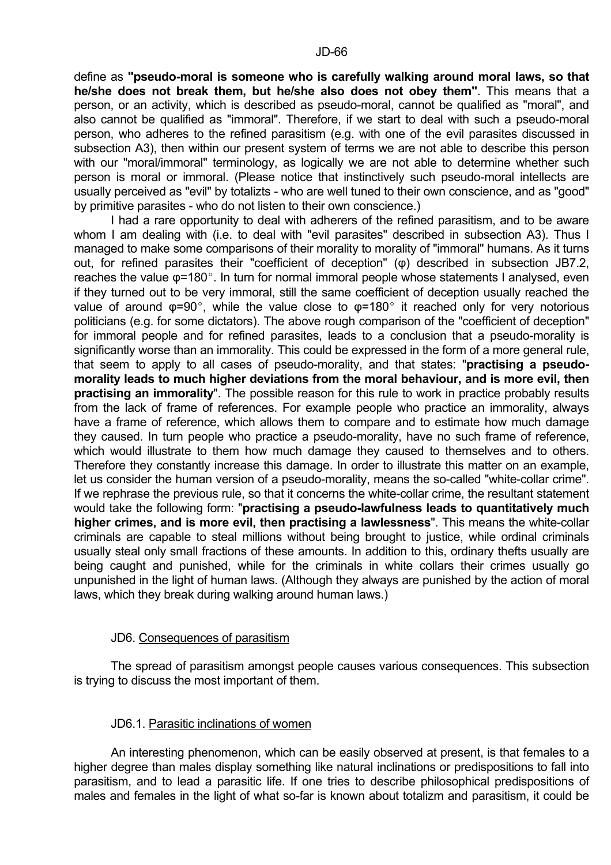define as **"pseudo-moral is someone who is carefully walking around moral laws, so that he/she does not break them, but he/she also does not obey them"**. This means that a person, or an activity, which is described as pseudo-moral, cannot be qualified as "moral", and also cannot be qualified as "immoral". Therefore, if we start to deal with such a pseudo-moral person, who adheres to the refined parasitism (e.g. with one of the evil parasites discussed in subsection A3), then within our present system of terms we are not able to describe this person with our "moral/immoral" terminology, as logically we are not able to determine whether such person is moral or immoral. (Please notice that instinctively such pseudo-moral intellects are usually perceived as "evil" by totalizts - who are well tuned to their own conscience, and as "good" by primitive parasites - who do not listen to their own conscience.)

 I had a rare opportunity to deal with adherers of the refined parasitism, and to be aware whom I am dealing with (i.e. to deal with "evil parasites" described in subsection A3). Thus I managed to make some comparisons of their morality to morality of "immoral" humans. As it turns out, for refined parasites their "coefficient of deception" (φ) described in subsection JB7.2, reaches the value  $\varphi$ =180 $^{\circ}$ . In turn for normal immoral people whose statements I analysed, even if they turned out to be very immoral, still the same coefficient of deception usually reached the value of around  $\varphi=90^{\circ}$ , while the value close to  $\varphi=180^{\circ}$  it reached only for very notorious politicians (e.g. for some dictators). The above rough comparison of the "coefficient of deception" for immoral people and for refined parasites, leads to a conclusion that a pseudo-morality is significantly worse than an immorality. This could be expressed in the form of a more general rule, that seem to apply to all cases of pseudo-morality, and that states: "**practising a pseudomorality leads to much higher deviations from the moral behaviour, and is more evil, then practising an immorality**". The possible reason for this rule to work in practice probably results from the lack of frame of references. For example people who practice an immorality, always have a frame of reference, which allows them to compare and to estimate how much damage they caused. In turn people who practice a pseudo-morality, have no such frame of reference, which would illustrate to them how much damage they caused to themselves and to others. Therefore they constantly increase this damage. In order to illustrate this matter on an example, let us consider the human version of a pseudo-morality, means the so-called "white-collar crime". If we rephrase the previous rule, so that it concerns the white-collar crime, the resultant statement would take the following form: "**practising a pseudo-lawfulness leads to quantitatively much higher crimes, and is more evil, then practising a lawlessness**". This means the white-collar criminals are capable to steal millions without being brought to justice, while ordinal criminals usually steal only small fractions of these amounts. In addition to this, ordinary thefts usually are being caught and punished, while for the criminals in white collars their crimes usually go unpunished in the light of human laws. (Although they always are punished by the action of moral laws, which they break during walking around human laws.)

# JD6. Consequences of parasitism

 The spread of parasitism amongst people causes various consequences. This subsection is trying to discuss the most important of them.

# JD6.1. Parasitic inclinations of women

 An interesting phenomenon, which can be easily observed at present, is that females to a higher degree than males display something like natural inclinations or predispositions to fall into parasitism, and to lead a parasitic life. If one tries to describe philosophical predispositions of males and females in the light of what so-far is known about totalizm and parasitism, it could be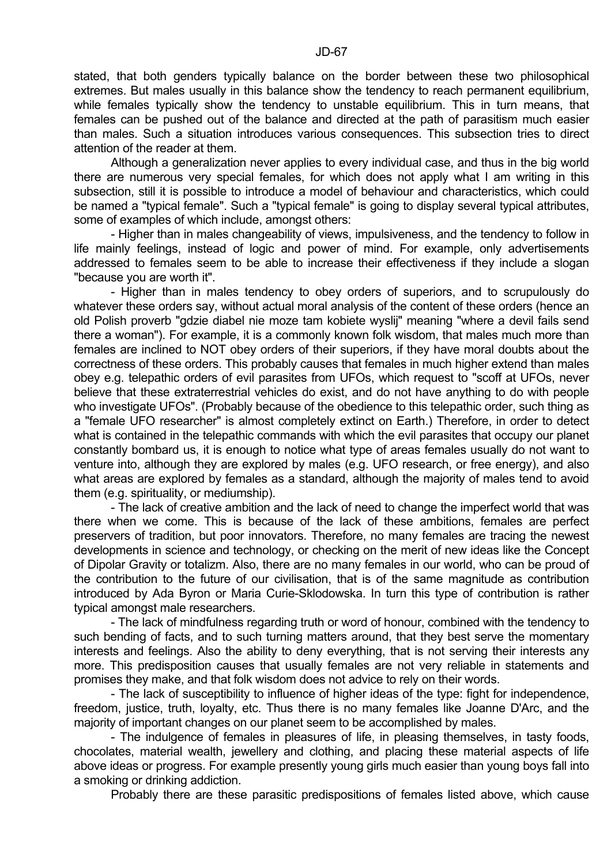stated, that both genders typically balance on the border between these two philosophical extremes. But males usually in this balance show the tendency to reach permanent equilibrium, while females typically show the tendency to unstable equilibrium. This in turn means, that females can be pushed out of the balance and directed at the path of parasitism much easier than males. Such a situation introduces various consequences. This subsection tries to direct attention of the reader at them.

 Although a generalization never applies to every individual case, and thus in the big world there are numerous very special females, for which does not apply what I am writing in this subsection, still it is possible to introduce a model of behaviour and characteristics, which could be named a "typical female". Such a "typical female" is going to display several typical attributes, some of examples of which include, amongst others:

 - Higher than in males changeability of views, impulsiveness, and the tendency to follow in life mainly feelings, instead of logic and power of mind. For example, only advertisements addressed to females seem to be able to increase their effectiveness if they include a slogan "because you are worth it".

 - Higher than in males tendency to obey orders of superiors, and to scrupulously do whatever these orders say, without actual moral analysis of the content of these orders (hence an old Polish proverb "gdzie diabel nie moze tam kobiete wyslij" meaning "where a devil fails send there a woman"). For example, it is a commonly known folk wisdom, that males much more than females are inclined to NOT obey orders of their superiors, if they have moral doubts about the correctness of these orders. This probably causes that females in much higher extend than males obey e.g. telepathic orders of evil parasites from UFOs, which request to "scoff at UFOs, never believe that these extraterrestrial vehicles do exist, and do not have anything to do with people who investigate UFOs". (Probably because of the obedience to this telepathic order, such thing as a "female UFO researcher" is almost completely extinct on Earth.) Therefore, in order to detect what is contained in the telepathic commands with which the evil parasites that occupy our planet constantly bombard us, it is enough to notice what type of areas females usually do not want to venture into, although they are explored by males (e.g. UFO research, or free energy), and also what areas are explored by females as a standard, although the majority of males tend to avoid them (e.g. spirituality, or mediumship).

 - The lack of creative ambition and the lack of need to change the imperfect world that was there when we come. This is because of the lack of these ambitions, females are perfect preservers of tradition, but poor innovators. Therefore, no many females are tracing the newest developments in science and technology, or checking on the merit of new ideas like the Concept of Dipolar Gravity or totalizm. Also, there are no many females in our world, who can be proud of the contribution to the future of our civilisation, that is of the same magnitude as contribution introduced by Ada Byron or Maria Curie-Sklodowska. In turn this type of contribution is rather typical amongst male researchers.

 - The lack of mindfulness regarding truth or word of honour, combined with the tendency to such bending of facts, and to such turning matters around, that they best serve the momentary interests and feelings. Also the ability to deny everything, that is not serving their interests any more. This predisposition causes that usually females are not very reliable in statements and promises they make, and that folk wisdom does not advice to rely on their words.

 - The lack of susceptibility to influence of higher ideas of the type: fight for independence, freedom, justice, truth, loyalty, etc. Thus there is no many females like Joanne D'Arc, and the majority of important changes on our planet seem to be accomplished by males.

 - The indulgence of females in pleasures of life, in pleasing themselves, in tasty foods, chocolates, material wealth, jewellery and clothing, and placing these material aspects of life above ideas or progress. For example presently young girls much easier than young boys fall into a smoking or drinking addiction.

Probably there are these parasitic predispositions of females listed above, which cause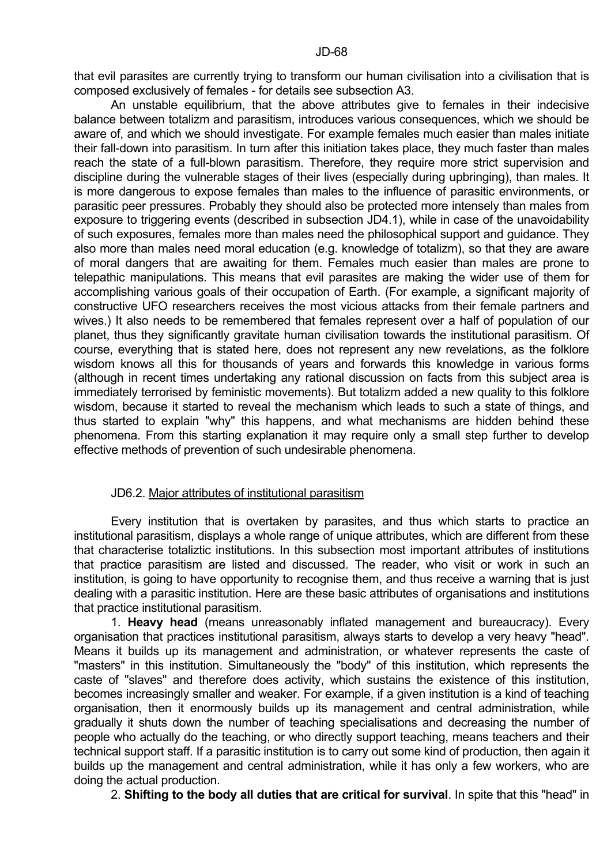that evil parasites are currently trying to transform our human civilisation into a civilisation that is composed exclusively of females - for details see subsection A3.

 An unstable equilibrium, that the above attributes give to females in their indecisive balance between totalizm and parasitism, introduces various consequences, which we should be aware of, and which we should investigate. For example females much easier than males initiate their fall-down into parasitism. In turn after this initiation takes place, they much faster than males reach the state of a full-blown parasitism. Therefore, they require more strict supervision and discipline during the vulnerable stages of their lives (especially during upbringing), than males. It is more dangerous to expose females than males to the influence of parasitic environments, or parasitic peer pressures. Probably they should also be protected more intensely than males from exposure to triggering events (described in subsection JD4.1), while in case of the unavoidability of such exposures, females more than males need the philosophical support and guidance. They also more than males need moral education (e.g. knowledge of totalizm), so that they are aware of moral dangers that are awaiting for them. Females much easier than males are prone to telepathic manipulations. This means that evil parasites are making the wider use of them for accomplishing various goals of their occupation of Earth. (For example, a significant majority of constructive UFO researchers receives the most vicious attacks from their female partners and wives.) It also needs to be remembered that females represent over a half of population of our planet, thus they significantly gravitate human civilisation towards the institutional parasitism. Of course, everything that is stated here, does not represent any new revelations, as the folklore wisdom knows all this for thousands of years and forwards this knowledge in various forms (although in recent times undertaking any rational discussion on facts from this subject area is immediately terrorised by feministic movements). But totalizm added a new quality to this folklore wisdom, because it started to reveal the mechanism which leads to such a state of things, and thus started to explain "why" this happens, and what mechanisms are hidden behind these phenomena. From this starting explanation it may require only a small step further to develop effective methods of prevention of such undesirable phenomena.

#### JD6.2. Major attributes of institutional parasitism

 Every institution that is overtaken by parasites, and thus which starts to practice an institutional parasitism, displays a whole range of unique attributes, which are different from these that characterise totaliztic institutions. In this subsection most important attributes of institutions that practice parasitism are listed and discussed. The reader, who visit or work in such an institution, is going to have opportunity to recognise them, and thus receive a warning that is just dealing with a parasitic institution. Here are these basic attributes of organisations and institutions that practice institutional parasitism.

 1. **Heavy head** (means unreasonably inflated management and bureaucracy). Every organisation that practices institutional parasitism, always starts to develop a very heavy "head". Means it builds up its management and administration, or whatever represents the caste of "masters" in this institution. Simultaneously the "body" of this institution, which represents the caste of "slaves" and therefore does activity, which sustains the existence of this institution, becomes increasingly smaller and weaker. For example, if a given institution is a kind of teaching organisation, then it enormously builds up its management and central administration, while gradually it shuts down the number of teaching specialisations and decreasing the number of people who actually do the teaching, or who directly support teaching, means teachers and their technical support staff. If a parasitic institution is to carry out some kind of production, then again it builds up the management and central administration, while it has only a few workers, who are doing the actual production.

2. **Shifting to the body all duties that are critical for survival**. In spite that this "head" in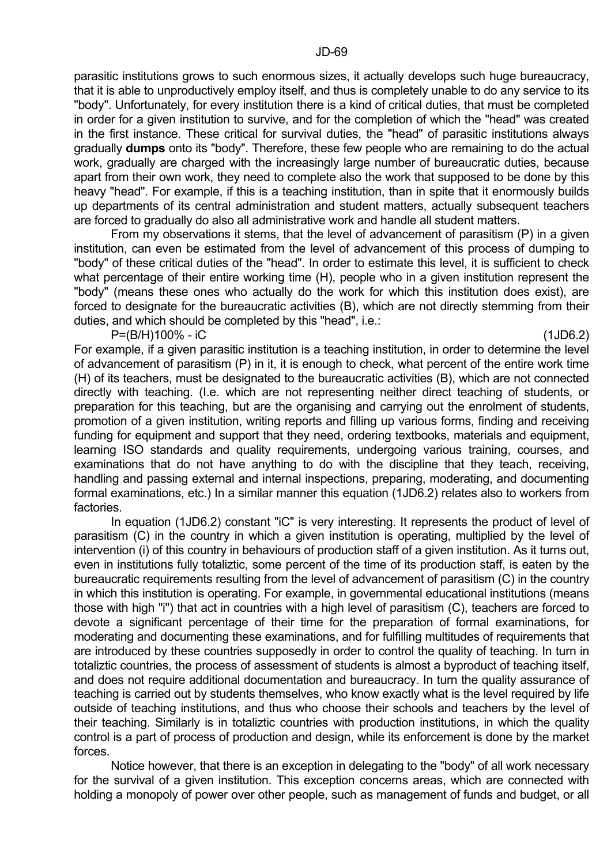parasitic institutions grows to such enormous sizes, it actually develops such huge bureaucracy, that it is able to unproductively employ itself, and thus is completely unable to do any service to its "body". Unfortunately, for every institution there is a kind of critical duties, that must be completed in order for a given institution to survive, and for the completion of which the "head" was created in the first instance. These critical for survival duties, the "head" of parasitic institutions always gradually **dumps** onto its "body". Therefore, these few people who are remaining to do the actual work, gradually are charged with the increasingly large number of bureaucratic duties, because apart from their own work, they need to complete also the work that supposed to be done by this heavy "head". For example, if this is a teaching institution, than in spite that it enormously builds up departments of its central administration and student matters, actually subsequent teachers are forced to gradually do also all administrative work and handle all student matters.

 From my observations it stems, that the level of advancement of parasitism (P) in a given institution, can even be estimated from the level of advancement of this process of dumping to "body" of these critical duties of the "head". In order to estimate this level, it is sufficient to check what percentage of their entire working time (H), people who in a given institution represent the "body" (means these ones who actually do the work for which this institution does exist), are forced to designate for the bureaucratic activities (B), which are not directly stemming from their duties, and which should be completed by this "head", i.e.:

P=(B/H)100% - iC (1JD6.2)

For example, if a given parasitic institution is a teaching institution, in order to determine the level of advancement of parasitism (P) in it, it is enough to check, what percent of the entire work time (H) of its teachers, must be designated to the bureaucratic activities (B), which are not connected directly with teaching. (I.e. which are not representing neither direct teaching of students, or preparation for this teaching, but are the organising and carrying out the enrolment of students, promotion of a given institution, writing reports and filling up various forms, finding and receiving funding for equipment and support that they need, ordering textbooks, materials and equipment, learning ISO standards and quality requirements, undergoing various training, courses, and examinations that do not have anything to do with the discipline that they teach, receiving, handling and passing external and internal inspections, preparing, moderating, and documenting formal examinations, etc.) In a similar manner this equation (1JD6.2) relates also to workers from factories.

 In equation (1JD6.2) constant "iC" is very interesting. It represents the product of level of parasitism (C) in the country in which a given institution is operating, multiplied by the level of intervention (i) of this country in behaviours of production staff of a given institution. As it turns out, even in institutions fully totaliztic, some percent of the time of its production staff, is eaten by the bureaucratic requirements resulting from the level of advancement of parasitism (C) in the country in which this institution is operating. For example, in governmental educational institutions (means those with high "i") that act in countries with a high level of parasitism (C), teachers are forced to devote a significant percentage of their time for the preparation of formal examinations, for moderating and documenting these examinations, and for fulfilling multitudes of requirements that are introduced by these countries supposedly in order to control the quality of teaching. In turn in totaliztic countries, the process of assessment of students is almost a byproduct of teaching itself, and does not require additional documentation and bureaucracy. In turn the quality assurance of teaching is carried out by students themselves, who know exactly what is the level required by life outside of teaching institutions, and thus who choose their schools and teachers by the level of their teaching. Similarly is in totaliztic countries with production institutions, in which the quality control is a part of process of production and design, while its enforcement is done by the market forces.

 Notice however, that there is an exception in delegating to the "body" of all work necessary for the survival of a given institution. This exception concerns areas, which are connected with holding a monopoly of power over other people, such as management of funds and budget, or all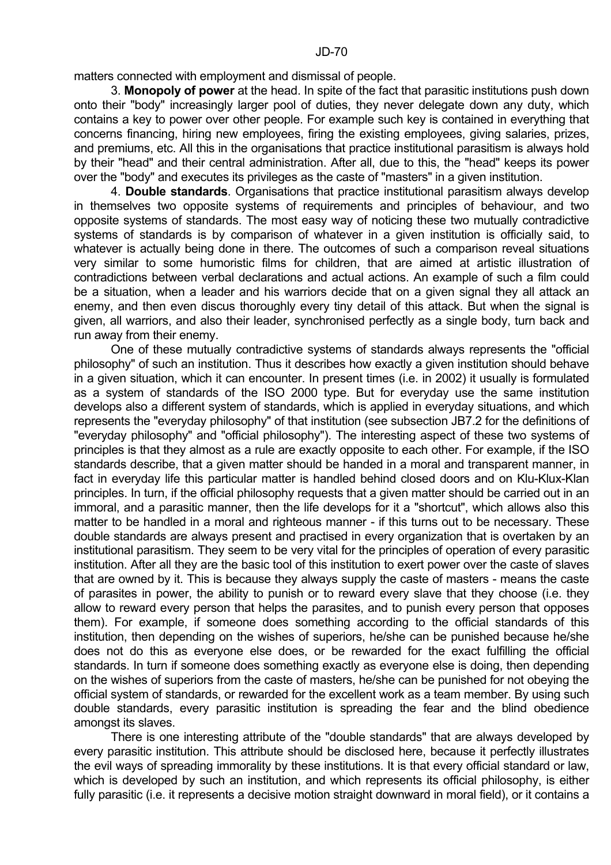matters connected with employment and dismissal of people.

 3. **Monopoly of power** at the head. In spite of the fact that parasitic institutions push down onto their "body" increasingly larger pool of duties, they never delegate down any duty, which contains a key to power over other people. For example such key is contained in everything that concerns financing, hiring new employees, firing the existing employees, giving salaries, prizes, and premiums, etc. All this in the organisations that practice institutional parasitism is always hold by their "head" and their central administration. After all, due to this, the "head" keeps its power over the "body" and executes its privileges as the caste of "masters" in a given institution.

 4. **Double standards**. Organisations that practice institutional parasitism always develop in themselves two opposite systems of requirements and principles of behaviour, and two opposite systems of standards. The most easy way of noticing these two mutually contradictive systems of standards is by comparison of whatever in a given institution is officially said, to whatever is actually being done in there. The outcomes of such a comparison reveal situations very similar to some humoristic films for children, that are aimed at artistic illustration of contradictions between verbal declarations and actual actions. An example of such a film could be a situation, when a leader and his warriors decide that on a given signal they all attack an enemy, and then even discus thoroughly every tiny detail of this attack. But when the signal is given, all warriors, and also their leader, synchronised perfectly as a single body, turn back and run away from their enemy.

 One of these mutually contradictive systems of standards always represents the "official philosophy" of such an institution. Thus it describes how exactly a given institution should behave in a given situation, which it can encounter. In present times (i.e. in 2002) it usually is formulated as a system of standards of the ISO 2000 type. But for everyday use the same institution develops also a different system of standards, which is applied in everyday situations, and which represents the "everyday philosophy" of that institution (see subsection JB7.2 for the definitions of "everyday philosophy" and "official philosophy"). The interesting aspect of these two systems of principles is that they almost as a rule are exactly opposite to each other. For example, if the ISO standards describe, that a given matter should be handed in a moral and transparent manner, in fact in everyday life this particular matter is handled behind closed doors and on Klu-Klux-Klan principles. In turn, if the official philosophy requests that a given matter should be carried out in an immoral, and a parasitic manner, then the life develops for it a "shortcut", which allows also this matter to be handled in a moral and righteous manner - if this turns out to be necessary. These double standards are always present and practised in every organization that is overtaken by an institutional parasitism. They seem to be very vital for the principles of operation of every parasitic institution. After all they are the basic tool of this institution to exert power over the caste of slaves that are owned by it. This is because they always supply the caste of masters - means the caste of parasites in power, the ability to punish or to reward every slave that they choose (i.e. they allow to reward every person that helps the parasites, and to punish every person that opposes them). For example, if someone does something according to the official standards of this institution, then depending on the wishes of superiors, he/she can be punished because he/she does not do this as everyone else does, or be rewarded for the exact fulfilling the official standards. In turn if someone does something exactly as everyone else is doing, then depending on the wishes of superiors from the caste of masters, he/she can be punished for not obeying the official system of standards, or rewarded for the excellent work as a team member. By using such double standards, every parasitic institution is spreading the fear and the blind obedience amongst its slaves.

 There is one interesting attribute of the "double standards" that are always developed by every parasitic institution. This attribute should be disclosed here, because it perfectly illustrates the evil ways of spreading immorality by these institutions. It is that every official standard or law, which is developed by such an institution, and which represents its official philosophy, is either fully parasitic (i.e. it represents a decisive motion straight downward in moral field), or it contains a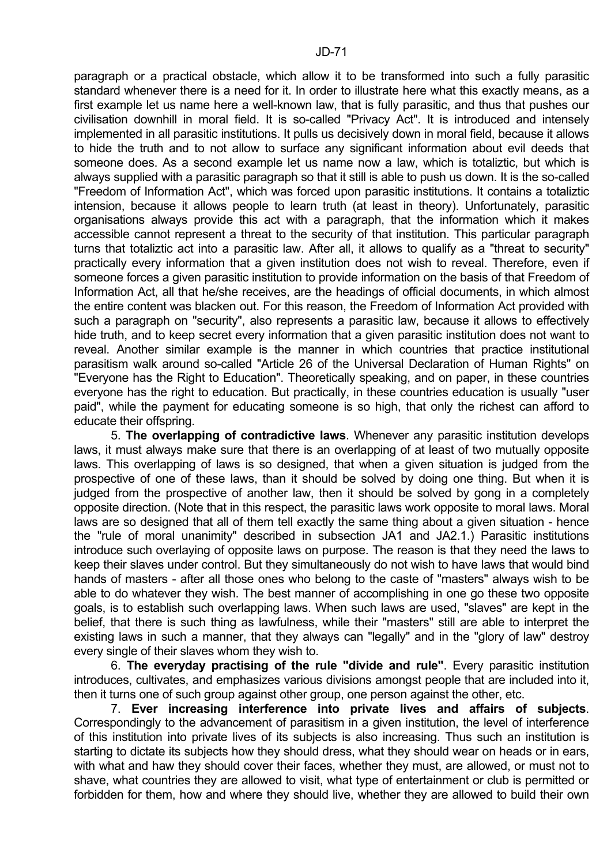paragraph or a practical obstacle, which allow it to be transformed into such a fully parasitic standard whenever there is a need for it. In order to illustrate here what this exactly means, as a first example let us name here a well-known law, that is fully parasitic, and thus that pushes our civilisation downhill in moral field. It is so-called "Privacy Act". It is introduced and intensely implemented in all parasitic institutions. It pulls us decisively down in moral field, because it allows to hide the truth and to not allow to surface any significant information about evil deeds that someone does. As a second example let us name now a law, which is totaliztic, but which is always supplied with a parasitic paragraph so that it still is able to push us down. It is the so-called "Freedom of Information Act", which was forced upon parasitic institutions. It contains a totaliztic intension, because it allows people to learn truth (at least in theory). Unfortunately, parasitic organisations always provide this act with a paragraph, that the information which it makes accessible cannot represent a threat to the security of that institution. This particular paragraph turns that totaliztic act into a parasitic law. After all, it allows to qualify as a "threat to security" practically every information that a given institution does not wish to reveal. Therefore, even if someone forces a given parasitic institution to provide information on the basis of that Freedom of Information Act, all that he/she receives, are the headings of official documents, in which almost the entire content was blacken out. For this reason, the Freedom of Information Act provided with such a paragraph on "security", also represents a parasitic law, because it allows to effectively hide truth, and to keep secret every information that a given parasitic institution does not want to reveal. Another similar example is the manner in which countries that practice institutional parasitism walk around so-called "Article 26 of the Universal Declaration of Human Rights" on "Everyone has the Right to Education". Theoretically speaking, and on paper, in these countries everyone has the right to education. But practically, in these countries education is usually "user paid", while the payment for educating someone is so high, that only the richest can afford to educate their offspring.

 5. **The overlapping of contradictive laws**. Whenever any parasitic institution develops laws, it must always make sure that there is an overlapping of at least of two mutually opposite laws. This overlapping of laws is so designed, that when a given situation is judged from the prospective of one of these laws, than it should be solved by doing one thing. But when it is judged from the prospective of another law, then it should be solved by gong in a completely opposite direction. (Note that in this respect, the parasitic laws work opposite to moral laws. Moral laws are so designed that all of them tell exactly the same thing about a given situation - hence the "rule of moral unanimity" described in subsection JA1 and JA2.1.) Parasitic institutions introduce such overlaying of opposite laws on purpose. The reason is that they need the laws to keep their slaves under control. But they simultaneously do not wish to have laws that would bind hands of masters - after all those ones who belong to the caste of "masters" always wish to be able to do whatever they wish. The best manner of accomplishing in one go these two opposite goals, is to establish such overlapping laws. When such laws are used, "slaves" are kept in the belief, that there is such thing as lawfulness, while their "masters" still are able to interpret the existing laws in such a manner, that they always can "legally" and in the "glory of law" destroy every single of their slaves whom they wish to.

 6. **The everyday practising of the rule "divide and rule"**. Every parasitic institution introduces, cultivates, and emphasizes various divisions amongst people that are included into it, then it turns one of such group against other group, one person against the other, etc.

 7. **Ever increasing interference into private lives and affairs of subjects**. Correspondingly to the advancement of parasitism in a given institution, the level of interference of this institution into private lives of its subjects is also increasing. Thus such an institution is starting to dictate its subjects how they should dress, what they should wear on heads or in ears, with what and haw they should cover their faces, whether they must, are allowed, or must not to shave, what countries they are allowed to visit, what type of entertainment or club is permitted or forbidden for them, how and where they should live, whether they are allowed to build their own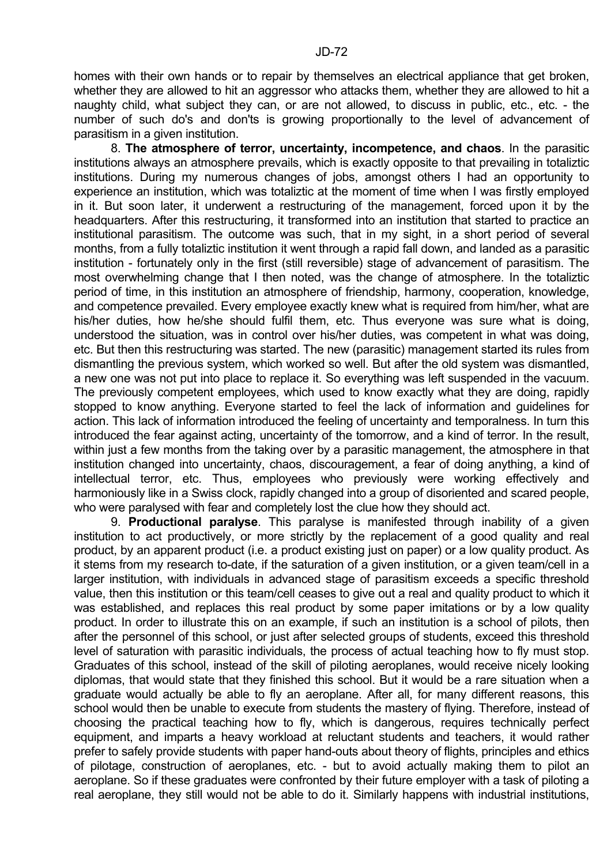homes with their own hands or to repair by themselves an electrical appliance that get broken, whether they are allowed to hit an aggressor who attacks them, whether they are allowed to hit a naughty child, what subject they can, or are not allowed, to discuss in public, etc., etc. - the number of such do's and don'ts is growing proportionally to the level of advancement of parasitism in a given institution.

 8. **The atmosphere of terror, uncertainty, incompetence, and chaos**. In the parasitic institutions always an atmosphere prevails, which is exactly opposite to that prevailing in totaliztic institutions. During my numerous changes of jobs, amongst others I had an opportunity to experience an institution, which was totaliztic at the moment of time when I was firstly employed in it. But soon later, it underwent a restructuring of the management, forced upon it by the headquarters. After this restructuring, it transformed into an institution that started to practice an institutional parasitism. The outcome was such, that in my sight, in a short period of several months, from a fully totaliztic institution it went through a rapid fall down, and landed as a parasitic institution - fortunately only in the first (still reversible) stage of advancement of parasitism. The most overwhelming change that I then noted, was the change of atmosphere. In the totaliztic period of time, in this institution an atmosphere of friendship, harmony, cooperation, knowledge, and competence prevailed. Every employee exactly knew what is required from him/her, what are his/her duties, how he/she should fulfil them, etc. Thus everyone was sure what is doing, understood the situation, was in control over his/her duties, was competent in what was doing, etc. But then this restructuring was started. The new (parasitic) management started its rules from dismantling the previous system, which worked so well. But after the old system was dismantled, a new one was not put into place to replace it. So everything was left suspended in the vacuum. The previously competent employees, which used to know exactly what they are doing, rapidly stopped to know anything. Everyone started to feel the lack of information and guidelines for action. This lack of information introduced the feeling of uncertainty and temporalness. In turn this introduced the fear against acting, uncertainty of the tomorrow, and a kind of terror. In the result, within just a few months from the taking over by a parasitic management, the atmosphere in that institution changed into uncertainty, chaos, discouragement, a fear of doing anything, a kind of intellectual terror, etc. Thus, employees who previously were working effectively and harmoniously like in a Swiss clock, rapidly changed into a group of disoriented and scared people, who were paralysed with fear and completely lost the clue how they should act.

 9. **Productional paralyse**. This paralyse is manifested through inability of a given institution to act productively, or more strictly by the replacement of a good quality and real product, by an apparent product (i.e. a product existing just on paper) or a low quality product. As it stems from my research to-date, if the saturation of a given institution, or a given team/cell in a larger institution, with individuals in advanced stage of parasitism exceeds a specific threshold value, then this institution or this team/cell ceases to give out a real and quality product to which it was established, and replaces this real product by some paper imitations or by a low quality product. In order to illustrate this on an example, if such an institution is a school of pilots, then after the personnel of this school, or just after selected groups of students, exceed this threshold level of saturation with parasitic individuals, the process of actual teaching how to fly must stop. Graduates of this school, instead of the skill of piloting aeroplanes, would receive nicely looking diplomas, that would state that they finished this school. But it would be a rare situation when a graduate would actually be able to fly an aeroplane. After all, for many different reasons, this school would then be unable to execute from students the mastery of flying. Therefore, instead of choosing the practical teaching how to fly, which is dangerous, requires technically perfect equipment, and imparts a heavy workload at reluctant students and teachers, it would rather prefer to safely provide students with paper hand-outs about theory of flights, principles and ethics of pilotage, construction of aeroplanes, etc. - but to avoid actually making them to pilot an aeroplane. So if these graduates were confronted by their future employer with a task of piloting a real aeroplane, they still would not be able to do it. Similarly happens with industrial institutions,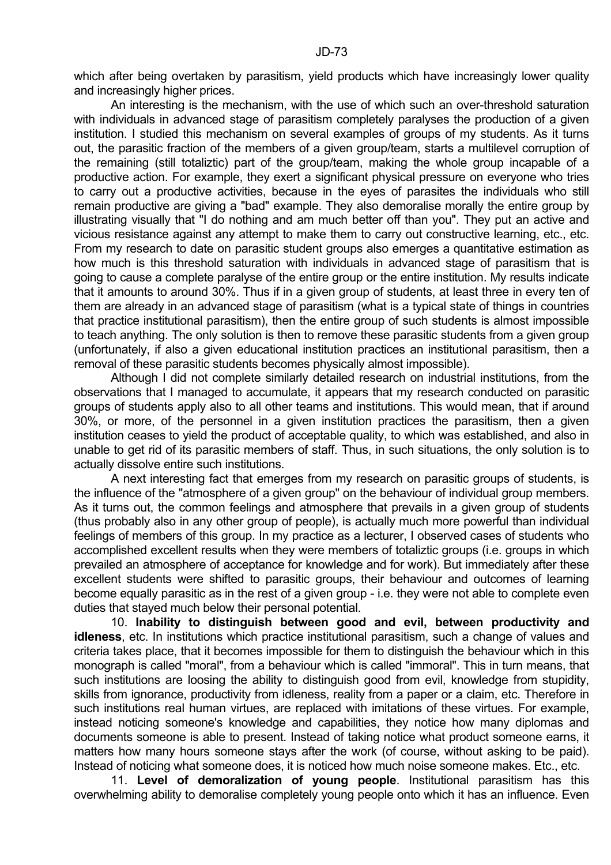which after being overtaken by parasitism, yield products which have increasingly lower quality and increasingly higher prices.

 An interesting is the mechanism, with the use of which such an over-threshold saturation with individuals in advanced stage of parasitism completely paralyses the production of a given institution. I studied this mechanism on several examples of groups of my students. As it turns out, the parasitic fraction of the members of a given group/team, starts a multilevel corruption of the remaining (still totaliztic) part of the group/team, making the whole group incapable of a productive action. For example, they exert a significant physical pressure on everyone who tries to carry out a productive activities, because in the eyes of parasites the individuals who still remain productive are giving a "bad" example. They also demoralise morally the entire group by illustrating visually that "I do nothing and am much better off than you". They put an active and vicious resistance against any attempt to make them to carry out constructive learning, etc., etc. From my research to date on parasitic student groups also emerges a quantitative estimation as how much is this threshold saturation with individuals in advanced stage of parasitism that is going to cause a complete paralyse of the entire group or the entire institution. My results indicate that it amounts to around 30%. Thus if in a given group of students, at least three in every ten of them are already in an advanced stage of parasitism (what is a typical state of things in countries that practice institutional parasitism), then the entire group of such students is almost impossible to teach anything. The only solution is then to remove these parasitic students from a given group (unfortunately, if also a given educational institution practices an institutional parasitism, then a removal of these parasitic students becomes physically almost impossible).

 Although I did not complete similarly detailed research on industrial institutions, from the observations that I managed to accumulate, it appears that my research conducted on parasitic groups of students apply also to all other teams and institutions. This would mean, that if around 30%, or more, of the personnel in a given institution practices the parasitism, then a given institution ceases to yield the product of acceptable quality, to which was established, and also in unable to get rid of its parasitic members of staff. Thus, in such situations, the only solution is to actually dissolve entire such institutions.

 A next interesting fact that emerges from my research on parasitic groups of students, is the influence of the "atmosphere of a given group" on the behaviour of individual group members. As it turns out, the common feelings and atmosphere that prevails in a given group of students (thus probably also in any other group of people), is actually much more powerful than individual feelings of members of this group. In my practice as a lecturer, I observed cases of students who accomplished excellent results when they were members of totaliztic groups (i.e. groups in which prevailed an atmosphere of acceptance for knowledge and for work). But immediately after these excellent students were shifted to parasitic groups, their behaviour and outcomes of learning become equally parasitic as in the rest of a given group - i.e. they were not able to complete even duties that stayed much below their personal potential.

 10. **Inability to distinguish between good and evil, between productivity and idleness**, etc. In institutions which practice institutional parasitism, such a change of values and criteria takes place, that it becomes impossible for them to distinguish the behaviour which in this monograph is called "moral", from a behaviour which is called "immoral". This in turn means, that such institutions are loosing the ability to distinguish good from evil, knowledge from stupidity, skills from ignorance, productivity from idleness, reality from a paper or a claim, etc. Therefore in such institutions real human virtues, are replaced with imitations of these virtues. For example, instead noticing someone's knowledge and capabilities, they notice how many diplomas and documents someone is able to present. Instead of taking notice what product someone earns, it matters how many hours someone stays after the work (of course, without asking to be paid). Instead of noticing what someone does, it is noticed how much noise someone makes. Etc., etc.

 11. **Level of demoralization of young people**. Institutional parasitism has this overwhelming ability to demoralise completely young people onto which it has an influence. Even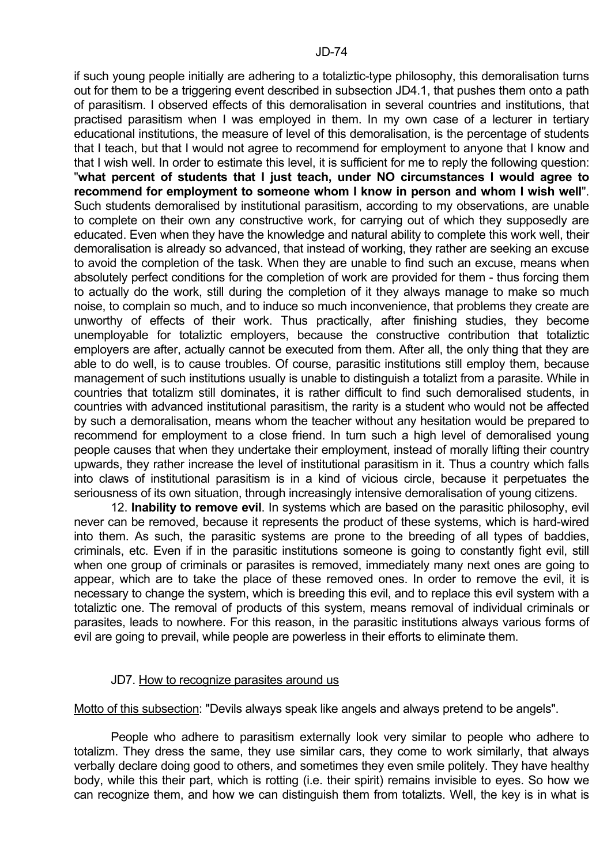if such young people initially are adhering to a totaliztic-type philosophy, this demoralisation turns out for them to be a triggering event described in subsection JD4.1, that pushes them onto a path of parasitism. I observed effects of this demoralisation in several countries and institutions, that practised parasitism when I was employed in them. In my own case of a lecturer in tertiary educational institutions, the measure of level of this demoralisation, is the percentage of students that I teach, but that I would not agree to recommend for employment to anyone that I know and that I wish well. In order to estimate this level, it is sufficient for me to reply the following question: "**what percent of students that I just teach, under NO circumstances I would agree to recommend for employment to someone whom I know in person and whom I wish well**". Such students demoralised by institutional parasitism, according to my observations, are unable to complete on their own any constructive work, for carrying out of which they supposedly are educated. Even when they have the knowledge and natural ability to complete this work well, their demoralisation is already so advanced, that instead of working, they rather are seeking an excuse to avoid the completion of the task. When they are unable to find such an excuse, means when absolutely perfect conditions for the completion of work are provided for them - thus forcing them to actually do the work, still during the completion of it they always manage to make so much noise, to complain so much, and to induce so much inconvenience, that problems they create are unworthy of effects of their work. Thus practically, after finishing studies, they become unemployable for totaliztic employers, because the constructive contribution that totaliztic employers are after, actually cannot be executed from them. After all, the only thing that they are able to do well, is to cause troubles. Of course, parasitic institutions still employ them, because management of such institutions usually is unable to distinguish a totalizt from a parasite. While in countries that totalizm still dominates, it is rather difficult to find such demoralised students, in countries with advanced institutional parasitism, the rarity is a student who would not be affected by such a demoralisation, means whom the teacher without any hesitation would be prepared to recommend for employment to a close friend. In turn such a high level of demoralised young people causes that when they undertake their employment, instead of morally lifting their country upwards, they rather increase the level of institutional parasitism in it. Thus a country which falls into claws of institutional parasitism is in a kind of vicious circle, because it perpetuates the seriousness of its own situation, through increasingly intensive demoralisation of young citizens.

 12. **Inability to remove evil**. In systems which are based on the parasitic philosophy, evil never can be removed, because it represents the product of these systems, which is hard-wired into them. As such, the parasitic systems are prone to the breeding of all types of baddies, criminals, etc. Even if in the parasitic institutions someone is going to constantly fight evil, still when one group of criminals or parasites is removed, immediately many next ones are going to appear, which are to take the place of these removed ones. In order to remove the evil, it is necessary to change the system, which is breeding this evil, and to replace this evil system with a totaliztic one. The removal of products of this system, means removal of individual criminals or parasites, leads to nowhere. For this reason, in the parasitic institutions always various forms of evil are going to prevail, while people are powerless in their efforts to eliminate them.

# JD7. How to recognize parasites around us

Motto of this subsection: "Devils always speak like angels and always pretend to be angels".

 People who adhere to parasitism externally look very similar to people who adhere to totalizm. They dress the same, they use similar cars, they come to work similarly, that always verbally declare doing good to others, and sometimes they even smile politely. They have healthy body, while this their part, which is rotting (i.e. their spirit) remains invisible to eyes. So how we can recognize them, and how we can distinguish them from totalizts. Well, the key is in what is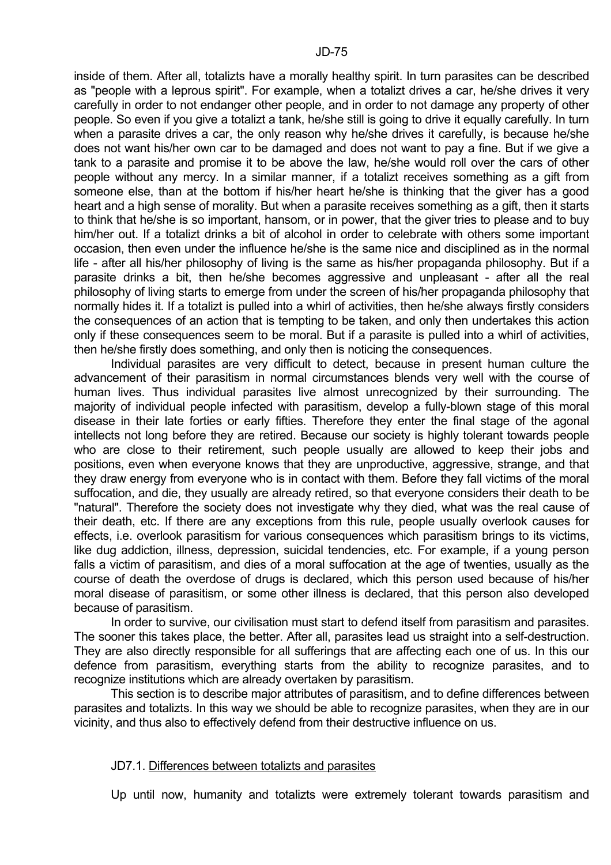inside of them. After all, totalizts have a morally healthy spirit. In turn parasites can be described as "people with a leprous spirit". For example, when a totalizt drives a car, he/she drives it very carefully in order to not endanger other people, and in order to not damage any property of other people. So even if you give a totalizt a tank, he/she still is going to drive it equally carefully. In turn when a parasite drives a car, the only reason why he/she drives it carefully, is because he/she does not want his/her own car to be damaged and does not want to pay a fine. But if we give a tank to a parasite and promise it to be above the law, he/she would roll over the cars of other people without any mercy. In a similar manner, if a totalizt receives something as a gift from someone else, than at the bottom if his/her heart he/she is thinking that the giver has a good heart and a high sense of morality. But when a parasite receives something as a gift, then it starts to think that he/she is so important, hansom, or in power, that the giver tries to please and to buy him/her out. If a totalizt drinks a bit of alcohol in order to celebrate with others some important occasion, then even under the influence he/she is the same nice and disciplined as in the normal life - after all his/her philosophy of living is the same as his/her propaganda philosophy. But if a parasite drinks a bit, then he/she becomes aggressive and unpleasant - after all the real philosophy of living starts to emerge from under the screen of his/her propaganda philosophy that normally hides it. If a totalizt is pulled into a whirl of activities, then he/she always firstly considers the consequences of an action that is tempting to be taken, and only then undertakes this action only if these consequences seem to be moral. But if a parasite is pulled into a whirl of activities, then he/she firstly does something, and only then is noticing the consequences.

 Individual parasites are very difficult to detect, because in present human culture the advancement of their parasitism in normal circumstances blends very well with the course of human lives. Thus individual parasites live almost unrecognized by their surrounding. The majority of individual people infected with parasitism, develop a fully-blown stage of this moral disease in their late forties or early fifties. Therefore they enter the final stage of the agonal intellects not long before they are retired. Because our society is highly tolerant towards people who are close to their retirement, such people usually are allowed to keep their jobs and positions, even when everyone knows that they are unproductive, aggressive, strange, and that they draw energy from everyone who is in contact with them. Before they fall victims of the moral suffocation, and die, they usually are already retired, so that everyone considers their death to be "natural". Therefore the society does not investigate why they died, what was the real cause of their death, etc. If there are any exceptions from this rule, people usually overlook causes for effects, i.e. overlook parasitism for various consequences which parasitism brings to its victims, like dug addiction, illness, depression, suicidal tendencies, etc. For example, if a young person falls a victim of parasitism, and dies of a moral suffocation at the age of twenties, usually as the course of death the overdose of drugs is declared, which this person used because of his/her moral disease of parasitism, or some other illness is declared, that this person also developed because of parasitism.

 In order to survive, our civilisation must start to defend itself from parasitism and parasites. The sooner this takes place, the better. After all, parasites lead us straight into a self-destruction. They are also directly responsible for all sufferings that are affecting each one of us. In this our defence from parasitism, everything starts from the ability to recognize parasites, and to recognize institutions which are already overtaken by parasitism.

 This section is to describe major attributes of parasitism, and to define differences between parasites and totalizts. In this way we should be able to recognize parasites, when they are in our vicinity, and thus also to effectively defend from their destructive influence on us.

### JD7.1. Differences between totalizts and parasites

Up until now, humanity and totalizts were extremely tolerant towards parasitism and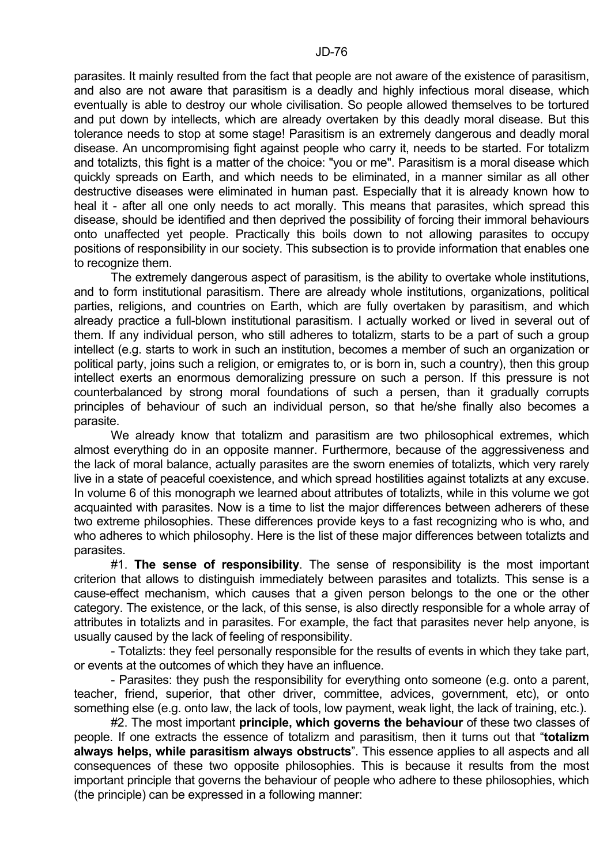parasites. It mainly resulted from the fact that people are not aware of the existence of parasitism, and also are not aware that parasitism is a deadly and highly infectious moral disease, which eventually is able to destroy our whole civilisation. So people allowed themselves to be tortured and put down by intellects, which are already overtaken by this deadly moral disease. But this tolerance needs to stop at some stage! Parasitism is an extremely dangerous and deadly moral disease. An uncompromising fight against people who carry it, needs to be started. For totalizm and totalizts, this fight is a matter of the choice: "you or me". Parasitism is a moral disease which quickly spreads on Earth, and which needs to be eliminated, in a manner similar as all other destructive diseases were eliminated in human past. Especially that it is already known how to heal it - after all one only needs to act morally. This means that parasites, which spread this disease, should be identified and then deprived the possibility of forcing their immoral behaviours onto unaffected yet people. Practically this boils down to not allowing parasites to occupy positions of responsibility in our society. This subsection is to provide information that enables one to recognize them.

 The extremely dangerous aspect of parasitism, is the ability to overtake whole institutions, and to form institutional parasitism. There are already whole institutions, organizations, political parties, religions, and countries on Earth, which are fully overtaken by parasitism, and which already practice a full-blown institutional parasitism. I actually worked or lived in several out of them. If any individual person, who still adheres to totalizm, starts to be a part of such a group intellect (e.g. starts to work in such an institution, becomes a member of such an organization or political party, joins such a religion, or emigrates to, or is born in, such a country), then this group intellect exerts an enormous demoralizing pressure on such a person. If this pressure is not counterbalanced by strong moral foundations of such a persen, than it gradually corrupts principles of behaviour of such an individual person, so that he/she finally also becomes a parasite.

We already know that totalizm and parasitism are two philosophical extremes, which almost everything do in an opposite manner. Furthermore, because of the aggressiveness and the lack of moral balance, actually parasites are the sworn enemies of totalizts, which very rarely live in a state of peaceful coexistence, and which spread hostilities against totalizts at any excuse. In volume 6 of this monograph we learned about attributes of totalizts, while in this volume we got acquainted with parasites. Now is a time to list the major differences between adherers of these two extreme philosophies. These differences provide keys to a fast recognizing who is who, and who adheres to which philosophy. Here is the list of these major differences between totalizts and parasites.

 #1. **The sense of responsibility**. The sense of responsibility is the most important criterion that allows to distinguish immediately between parasites and totalizts. This sense is a cause-effect mechanism, which causes that a given person belongs to the one or the other category. The existence, or the lack, of this sense, is also directly responsible for a whole array of attributes in totalizts and in parasites. For example, the fact that parasites never help anyone, is usually caused by the lack of feeling of responsibility.

 - Totalizts: they feel personally responsible for the results of events in which they take part, or events at the outcomes of which they have an influence.

 - Parasites: they push the responsibility for everything onto someone (e.g. onto a parent, teacher, friend, superior, that other driver, committee, advices, government, etc), or onto something else (e.g. onto law, the lack of tools, low payment, weak light, the lack of training, etc.).

 #2. The most important **principle, which governs the behaviour** of these two classes of people. If one extracts the essence of totalizm and parasitism, then it turns out that "**totalizm always helps, while parasitism always obstructs**". This essence applies to all aspects and all consequences of these two opposite philosophies. This is because it results from the most important principle that governs the behaviour of people who adhere to these philosophies, which (the principle) can be expressed in a following manner: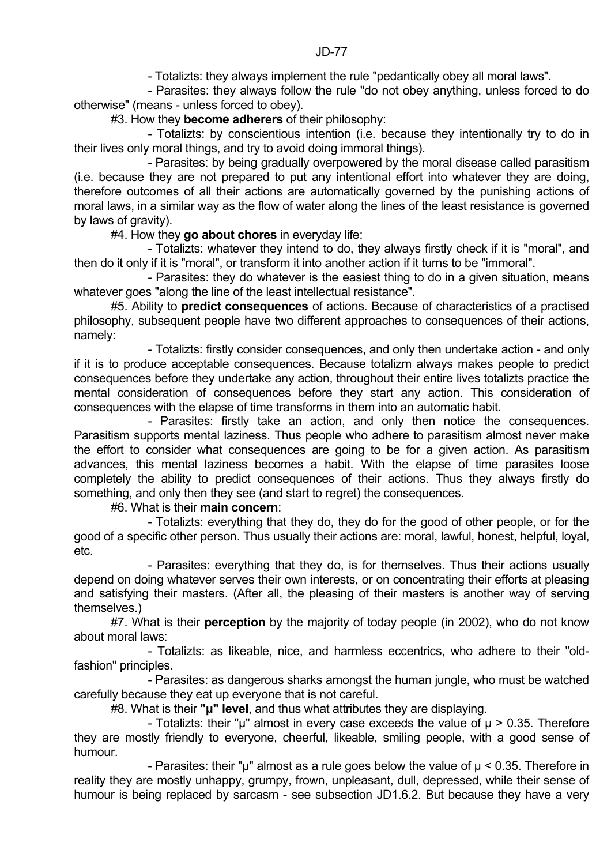- Totalizts: they always implement the rule "pedantically obey all moral laws".

 - Parasites: they always follow the rule "do not obey anything, unless forced to do otherwise" (means - unless forced to obey).

#3. How they **become adherers** of their philosophy:

 - Totalizts: by conscientious intention (i.e. because they intentionally try to do in their lives only moral things, and try to avoid doing immoral things).

 - Parasites: by being gradually overpowered by the moral disease called parasitism (i.e. because they are not prepared to put any intentional effort into whatever they are doing, therefore outcomes of all their actions are automatically governed by the punishing actions of moral laws, in a similar way as the flow of water along the lines of the least resistance is governed by laws of gravity).

#4. How they **go about chores** in everyday life:

 - Totalizts: whatever they intend to do, they always firstly check if it is "moral", and then do it only if it is "moral", or transform it into another action if it turns to be "immoral".

 - Parasites: they do whatever is the easiest thing to do in a given situation, means whatever goes "along the line of the least intellectual resistance".

 #5. Ability to **predict consequences** of actions. Because of characteristics of a practised philosophy, subsequent people have two different approaches to consequences of their actions, namely:

 - Totalizts: firstly consider consequences, and only then undertake action - and only if it is to produce acceptable consequences. Because totalizm always makes people to predict consequences before they undertake any action, throughout their entire lives totalizts practice the mental consideration of consequences before they start any action. This consideration of consequences with the elapse of time transforms in them into an automatic habit.

 - Parasites: firstly take an action, and only then notice the consequences. Parasitism supports mental laziness. Thus people who adhere to parasitism almost never make the effort to consider what consequences are going to be for a given action. As parasitism advances, this mental laziness becomes a habit. With the elapse of time parasites loose completely the ability to predict consequences of their actions. Thus they always firstly do something, and only then they see (and start to regret) the consequences.

#6. What is their **main concern**:

 - Totalizts: everything that they do, they do for the good of other people, or for the good of a specific other person. Thus usually their actions are: moral, lawful, honest, helpful, loyal, etc.

 - Parasites: everything that they do, is for themselves. Thus their actions usually depend on doing whatever serves their own interests, or on concentrating their efforts at pleasing and satisfying their masters. (After all, the pleasing of their masters is another way of serving themselves.)

 #7. What is their **perception** by the majority of today people (in 2002), who do not know about moral laws:

 - Totalizts: as likeable, nice, and harmless eccentrics, who adhere to their "oldfashion" principles.

 - Parasites: as dangerous sharks amongst the human jungle, who must be watched carefully because they eat up everyone that is not careful.

#8. What is their **"µ" level**, and thus what attributes they are displaying.

- Totalizts: their "µ" almost in every case exceeds the value of  $\mu$  > 0.35. Therefore they are mostly friendly to everyone, cheerful, likeable, smiling people, with a good sense of humour.

- Parasites: their " $\mu$ " almost as a rule goes below the value of  $\mu$  < 0.35. Therefore in reality they are mostly unhappy, grumpy, frown, unpleasant, dull, depressed, while their sense of humour is being replaced by sarcasm - see subsection JD1.6.2. But because they have a very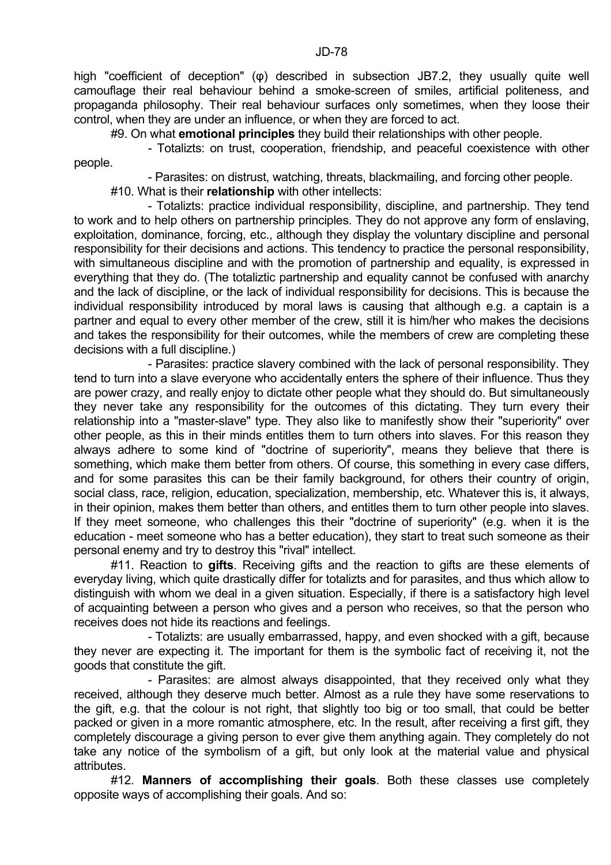high "coefficient of deception" (φ) described in subsection JB7.2, they usually quite well camouflage their real behaviour behind a smoke-screen of smiles, artificial politeness, and propaganda philosophy. Their real behaviour surfaces only sometimes, when they loose their control, when they are under an influence, or when they are forced to act.

#9. On what **emotional principles** they build their relationships with other people.

people.

- Totalizts: on trust, cooperation, friendship, and peaceful coexistence with other

 - Parasites: on distrust, watching, threats, blackmailing, and forcing other people. #10. What is their **relationship** with other intellects:

 - Totalizts: practice individual responsibility, discipline, and partnership. They tend to work and to help others on partnership principles. They do not approve any form of enslaving, exploitation, dominance, forcing, etc., although they display the voluntary discipline and personal responsibility for their decisions and actions. This tendency to practice the personal responsibility, with simultaneous discipline and with the promotion of partnership and equality, is expressed in everything that they do. (The totaliztic partnership and equality cannot be confused with anarchy and the lack of discipline, or the lack of individual responsibility for decisions. This is because the individual responsibility introduced by moral laws is causing that although e.g. a captain is a partner and equal to every other member of the crew, still it is him/her who makes the decisions and takes the responsibility for their outcomes, while the members of crew are completing these decisions with a full discipline.)

 - Parasites: practice slavery combined with the lack of personal responsibility. They tend to turn into a slave everyone who accidentally enters the sphere of their influence. Thus they are power crazy, and really enjoy to dictate other people what they should do. But simultaneously they never take any responsibility for the outcomes of this dictating. They turn every their relationship into a "master-slave" type. They also like to manifestly show their "superiority" over other people, as this in their minds entitles them to turn others into slaves. For this reason they always adhere to some kind of "doctrine of superiority", means they believe that there is something, which make them better from others. Of course, this something in every case differs, and for some parasites this can be their family background, for others their country of origin, social class, race, religion, education, specialization, membership, etc. Whatever this is, it always, in their opinion, makes them better than others, and entitles them to turn other people into slaves. If they meet someone, who challenges this their "doctrine of superiority" (e.g. when it is the education - meet someone who has a better education), they start to treat such someone as their personal enemy and try to destroy this "rival" intellect.

 #11. Reaction to **gifts**. Receiving gifts and the reaction to gifts are these elements of everyday living, which quite drastically differ for totalizts and for parasites, and thus which allow to distinguish with whom we deal in a given situation. Especially, if there is a satisfactory high level of acquainting between a person who gives and a person who receives, so that the person who receives does not hide its reactions and feelings.

 - Totalizts: are usually embarrassed, happy, and even shocked with a gift, because they never are expecting it. The important for them is the symbolic fact of receiving it, not the goods that constitute the gift.

 - Parasites: are almost always disappointed, that they received only what they received, although they deserve much better. Almost as a rule they have some reservations to the gift, e.g. that the colour is not right, that slightly too big or too small, that could be better packed or given in a more romantic atmosphere, etc. In the result, after receiving a first gift, they completely discourage a giving person to ever give them anything again. They completely do not take any notice of the symbolism of a gift, but only look at the material value and physical attributes.

 #12. **Manners of accomplishing their goals**. Both these classes use completely opposite ways of accomplishing their goals. And so: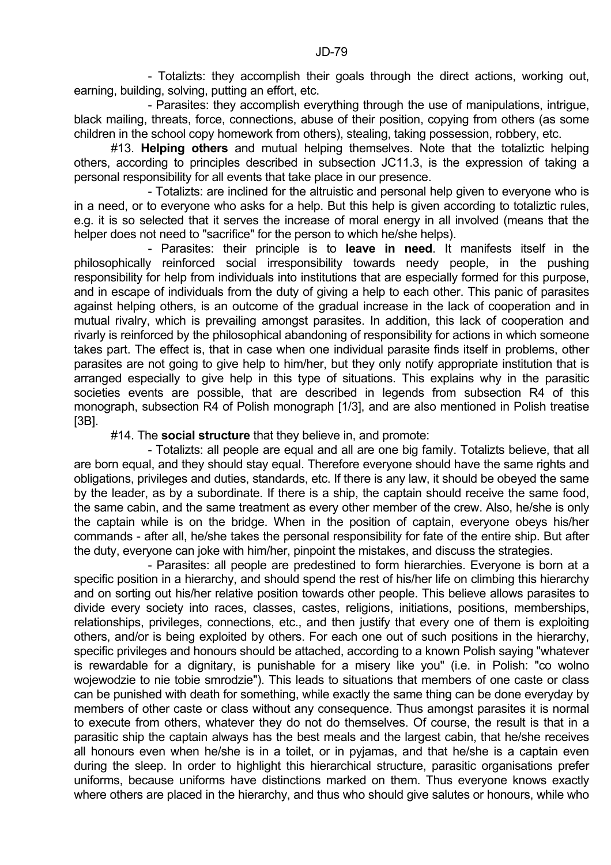- Totalizts: they accomplish their goals through the direct actions, working out, earning, building, solving, putting an effort, etc.

 - Parasites: they accomplish everything through the use of manipulations, intrigue, black mailing, threats, force, connections, abuse of their position, copying from others (as some children in the school copy homework from others), stealing, taking possession, robbery, etc.

 #13. **Helping others** and mutual helping themselves. Note that the totaliztic helping others, according to principles described in subsection JC11.3, is the expression of taking a personal responsibility for all events that take place in our presence.

 - Totalizts: are inclined for the altruistic and personal help given to everyone who is in a need, or to everyone who asks for a help. But this help is given according to totaliztic rules, e.g. it is so selected that it serves the increase of moral energy in all involved (means that the helper does not need to "sacrifice" for the person to which he/she helps).

 - Parasites: their principle is to **leave in need**. It manifests itself in the philosophically reinforced social irresponsibility towards needy people, in the pushing responsibility for help from individuals into institutions that are especially formed for this purpose, and in escape of individuals from the duty of giving a help to each other. This panic of parasites against helping others, is an outcome of the gradual increase in the lack of cooperation and in mutual rivalry, which is prevailing amongst parasites. In addition, this lack of cooperation and rivarly is reinforced by the philosophical abandoning of responsibility for actions in which someone takes part. The effect is, that in case when one individual parasite finds itself in problems, other parasites are not going to give help to him/her, but they only notify appropriate institution that is arranged especially to give help in this type of situations. This explains why in the parasitic societies events are possible, that are described in legends from subsection R4 of this monograph, subsection R4 of Polish monograph [1/3], and are also mentioned in Polish treatise [3B].

#14. The **social structure** that they believe in, and promote:

 - Totalizts: all people are equal and all are one big family. Totalizts believe, that all are born equal, and they should stay equal. Therefore everyone should have the same rights and obligations, privileges and duties, standards, etc. If there is any law, it should be obeyed the same by the leader, as by a subordinate. If there is a ship, the captain should receive the same food, the same cabin, and the same treatment as every other member of the crew. Also, he/she is only the captain while is on the bridge. When in the position of captain, everyone obeys his/her commands - after all, he/she takes the personal responsibility for fate of the entire ship. But after the duty, everyone can joke with him/her, pinpoint the mistakes, and discuss the strategies.

 - Parasites: all people are predestined to form hierarchies. Everyone is born at a specific position in a hierarchy, and should spend the rest of his/her life on climbing this hierarchy and on sorting out his/her relative position towards other people. This believe allows parasites to divide every society into races, classes, castes, religions, initiations, positions, memberships, relationships, privileges, connections, etc., and then justify that every one of them is exploiting others, and/or is being exploited by others. For each one out of such positions in the hierarchy, specific privileges and honours should be attached, according to a known Polish saying "whatever is rewardable for a dignitary, is punishable for a misery like you" (i.e. in Polish: "co wolno wojewodzie to nie tobie smrodzie"). This leads to situations that members of one caste or class can be punished with death for something, while exactly the same thing can be done everyday by members of other caste or class without any consequence. Thus amongst parasites it is normal to execute from others, whatever they do not do themselves. Of course, the result is that in a parasitic ship the captain always has the best meals and the largest cabin, that he/she receives all honours even when he/she is in a toilet, or in pyjamas, and that he/she is a captain even during the sleep. In order to highlight this hierarchical structure, parasitic organisations prefer uniforms, because uniforms have distinctions marked on them. Thus everyone knows exactly where others are placed in the hierarchy, and thus who should give salutes or honours, while who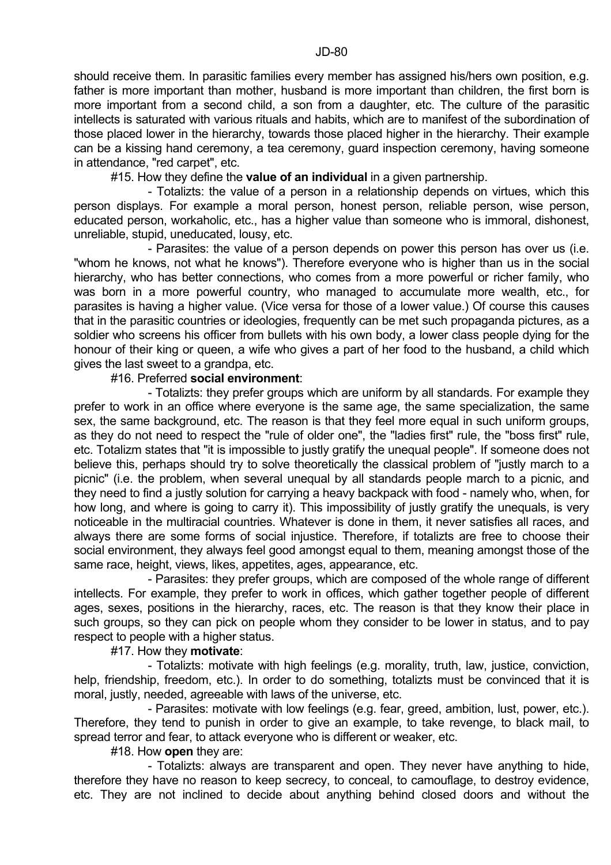should receive them. In parasitic families every member has assigned his/hers own position, e.g. father is more important than mother, husband is more important than children, the first born is more important from a second child, a son from a daughter, etc. The culture of the parasitic intellects is saturated with various rituals and habits, which are to manifest of the subordination of those placed lower in the hierarchy, towards those placed higher in the hierarchy. Their example can be a kissing hand ceremony, a tea ceremony, guard inspection ceremony, having someone in attendance, "red carpet", etc.

#15. How they define the **value of an individual** in a given partnership.

 - Totalizts: the value of a person in a relationship depends on virtues, which this person displays. For example a moral person, honest person, reliable person, wise person, educated person, workaholic, etc., has a higher value than someone who is immoral, dishonest, unreliable, stupid, uneducated, lousy, etc.

 - Parasites: the value of a person depends on power this person has over us (i.e. "whom he knows, not what he knows"). Therefore everyone who is higher than us in the social hierarchy, who has better connections, who comes from a more powerful or richer family, who was born in a more powerful country, who managed to accumulate more wealth, etc., for parasites is having a higher value. (Vice versa for those of a lower value.) Of course this causes that in the parasitic countries or ideologies, frequently can be met such propaganda pictures, as a soldier who screens his officer from bullets with his own body, a lower class people dying for the honour of their king or queen, a wife who gives a part of her food to the husband, a child which gives the last sweet to a grandpa, etc.

#16. Preferred **social environment**:

 - Totalizts: they prefer groups which are uniform by all standards. For example they prefer to work in an office where everyone is the same age, the same specialization, the same sex, the same background, etc. The reason is that they feel more equal in such uniform groups, as they do not need to respect the "rule of older one", the "ladies first" rule, the "boss first" rule, etc. Totalizm states that "it is impossible to justly gratify the unequal people". If someone does not believe this, perhaps should try to solve theoretically the classical problem of "justly march to a picnic" (i.e. the problem, when several unequal by all standards people march to a picnic, and they need to find a justly solution for carrying a heavy backpack with food - namely who, when, for how long, and where is going to carry it). This impossibility of justly gratify the unequals, is very noticeable in the multiracial countries. Whatever is done in them, it never satisfies all races, and always there are some forms of social injustice. Therefore, if totalizts are free to choose their social environment, they always feel good amongst equal to them, meaning amongst those of the same race, height, views, likes, appetites, ages, appearance, etc.

 - Parasites: they prefer groups, which are composed of the whole range of different intellects. For example, they prefer to work in offices, which gather together people of different ages, sexes, positions in the hierarchy, races, etc. The reason is that they know their place in such groups, so they can pick on people whom they consider to be lower in status, and to pay respect to people with a higher status.

#17. How they **motivate**:

 - Totalizts: motivate with high feelings (e.g. morality, truth, law, justice, conviction, help, friendship, freedom, etc.). In order to do something, totalizts must be convinced that it is moral, justly, needed, agreeable with laws of the universe, etc.

 - Parasites: motivate with low feelings (e.g. fear, greed, ambition, lust, power, etc.). Therefore, they tend to punish in order to give an example, to take revenge, to black mail, to spread terror and fear, to attack everyone who is different or weaker, etc.

#18. How **open** they are:

 - Totalizts: always are transparent and open. They never have anything to hide, therefore they have no reason to keep secrecy, to conceal, to camouflage, to destroy evidence, etc. They are not inclined to decide about anything behind closed doors and without the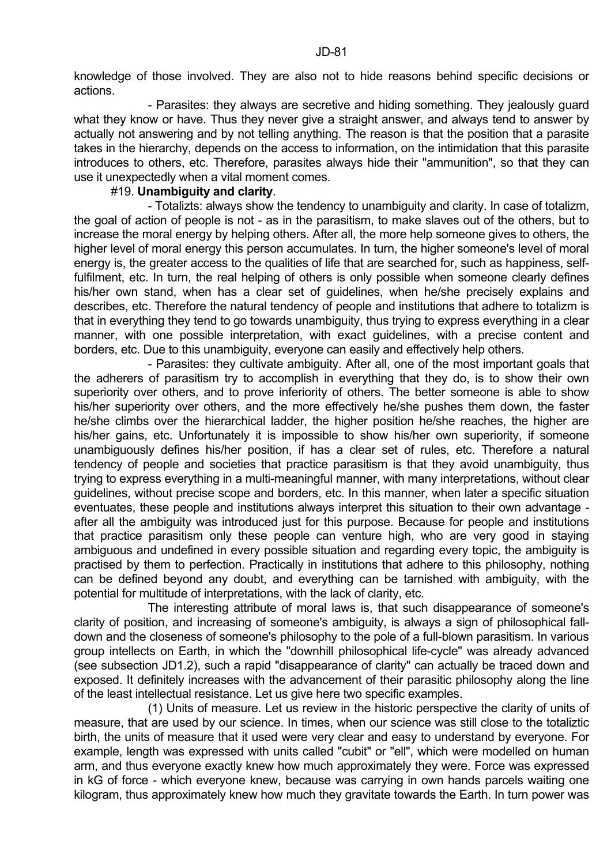knowledge of those involved. They are also not to hide reasons behind specific decisions or actions.

 - Parasites: they always are secretive and hiding something. They jealously guard what they know or have. Thus they never give a straight answer, and always tend to answer by actually not answering and by not telling anything. The reason is that the position that a parasite takes in the hierarchy, depends on the access to information, on the intimidation that this parasite introduces to others, etc. Therefore, parasites always hide their "ammunition", so that they can use it unexpectedly when a vital moment comes.

### #19. **Unambiguity and clarity**.

 - Totalizts: always show the tendency to unambiguity and clarity. In case of totalizm, the goal of action of people is not - as in the parasitism, to make slaves out of the others, but to increase the moral energy by helping others. After all, the more help someone gives to others, the higher level of moral energy this person accumulates. In turn, the higher someone's level of moral energy is, the greater access to the qualities of life that are searched for, such as happiness, selffulfilment, etc. In turn, the real helping of others is only possible when someone clearly defines his/her own stand, when has a clear set of guidelines, when he/she precisely explains and describes, etc. Therefore the natural tendency of people and institutions that adhere to totalizm is that in everything they tend to go towards unambiguity, thus trying to express everything in a clear manner, with one possible interpretation, with exact guidelines, with a precise content and borders, etc. Due to this unambiguity, everyone can easily and effectively help others.

 - Parasites: they cultivate ambiguity. After all, one of the most important goals that the adherers of parasitism try to accomplish in everything that they do, is to show their own superiority over others, and to prove inferiority of others. The better someone is able to show his/her superiority over others, and the more effectively he/she pushes them down, the faster he/she climbs over the hierarchical ladder, the higher position he/she reaches, the higher are his/her gains, etc. Unfortunately it is impossible to show his/her own superiority, if someone unambiguously defines his/her position, if has a clear set of rules, etc. Therefore a natural tendency of people and societies that practice parasitism is that they avoid unambiguity, thus trying to express everything in a multi-meaningful manner, with many interpretations, without clear guidelines, without precise scope and borders, etc. In this manner, when later a specific situation eventuates, these people and institutions always interpret this situation to their own advantage after all the ambiguity was introduced just for this purpose. Because for people and institutions that practice parasitism only these people can venture high, who are very good in staying ambiguous and undefined in every possible situation and regarding every topic, the ambiguity is practised by them to perfection. Practically in institutions that adhere to this philosophy, nothing can be defined beyond any doubt, and everything can be tarnished with ambiguity, with the potential for multitude of interpretations, with the lack of clarity, etc.

 The interesting attribute of moral laws is, that such disappearance of someone's clarity of position, and increasing of someone's ambiguity, is always a sign of philosophical falldown and the closeness of someone's philosophy to the pole of a full-blown parasitism. In various group intellects on Earth, in which the "downhill philosophical life-cycle" was already advanced (see subsection JD1.2), such a rapid "disappearance of clarity" can actually be traced down and exposed. It definitely increases with the advancement of their parasitic philosophy along the line of the least intellectual resistance. Let us give here two specific examples.

 (1) Units of measure. Let us review in the historic perspective the clarity of units of measure, that are used by our science. In times, when our science was still close to the totaliztic birth, the units of measure that it used were very clear and easy to understand by everyone. For example, length was expressed with units called "cubit" or "ell", which were modelled on human arm, and thus everyone exactly knew how much approximately they were. Force was expressed in kG of force - which everyone knew, because was carrying in own hands parcels waiting one kilogram, thus approximately knew how much they gravitate towards the Earth. In turn power was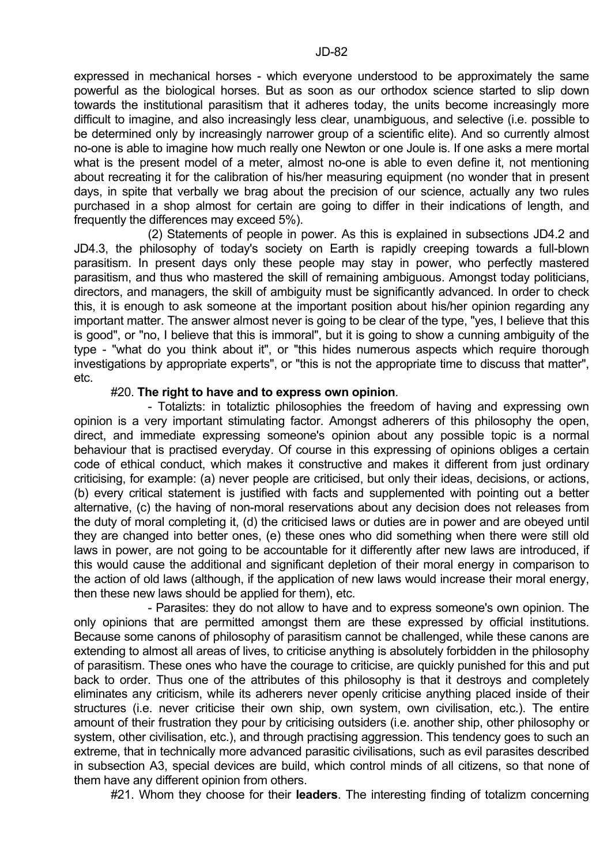expressed in mechanical horses - which everyone understood to be approximately the same powerful as the biological horses. But as soon as our orthodox science started to slip down towards the institutional parasitism that it adheres today, the units become increasingly more difficult to imagine, and also increasingly less clear, unambiguous, and selective (i.e. possible to be determined only by increasingly narrower group of a scientific elite). And so currently almost no-one is able to imagine how much really one Newton or one Joule is. If one asks a mere mortal what is the present model of a meter, almost no-one is able to even define it, not mentioning about recreating it for the calibration of his/her measuring equipment (no wonder that in present days, in spite that verbally we brag about the precision of our science, actually any two rules purchased in a shop almost for certain are going to differ in their indications of length, and frequently the differences may exceed 5%).

 (2) Statements of people in power. As this is explained in subsections JD4.2 and JD4.3, the philosophy of today's society on Earth is rapidly creeping towards a full-blown parasitism. In present days only these people may stay in power, who perfectly mastered parasitism, and thus who mastered the skill of remaining ambiguous. Amongst today politicians, directors, and managers, the skill of ambiguity must be significantly advanced. In order to check this, it is enough to ask someone at the important position about his/her opinion regarding any important matter. The answer almost never is going to be clear of the type, "yes, I believe that this is good", or "no, I believe that this is immoral", but it is going to show a cunning ambiguity of the type - "what do you think about it", or "this hides numerous aspects which require thorough investigations by appropriate experts", or "this is not the appropriate time to discuss that matter", etc.

#### #20. **The right to have and to express own opinion**.

 - Totalizts: in totaliztic philosophies the freedom of having and expressing own opinion is a very important stimulating factor. Amongst adherers of this philosophy the open, direct, and immediate expressing someone's opinion about any possible topic is a normal behaviour that is practised everyday. Of course in this expressing of opinions obliges a certain code of ethical conduct, which makes it constructive and makes it different from just ordinary criticising, for example: (a) never people are criticised, but only their ideas, decisions, or actions, (b) every critical statement is justified with facts and supplemented with pointing out a better alternative, (c) the having of non-moral reservations about any decision does not releases from the duty of moral completing it, (d) the criticised laws or duties are in power and are obeyed until they are changed into better ones, (e) these ones who did something when there were still old laws in power, are not going to be accountable for it differently after new laws are introduced, if this would cause the additional and significant depletion of their moral energy in comparison to the action of old laws (although, if the application of new laws would increase their moral energy, then these new laws should be applied for them), etc.

 - Parasites: they do not allow to have and to express someone's own opinion. The only opinions that are permitted amongst them are these expressed by official institutions. Because some canons of philosophy of parasitism cannot be challenged, while these canons are extending to almost all areas of lives, to criticise anything is absolutely forbidden in the philosophy of parasitism. These ones who have the courage to criticise, are quickly punished for this and put back to order. Thus one of the attributes of this philosophy is that it destroys and completely eliminates any criticism, while its adherers never openly criticise anything placed inside of their structures (i.e. never criticise their own ship, own system, own civilisation, etc.). The entire amount of their frustration they pour by criticising outsiders (i.e. another ship, other philosophy or system, other civilisation, etc.), and through practising aggression. This tendency goes to such an extreme, that in technically more advanced parasitic civilisations, such as evil parasites described in subsection A3, special devices are build, which control minds of all citizens, so that none of them have any different opinion from others.

#21. Whom they choose for their **leaders**. The interesting finding of totalizm concerning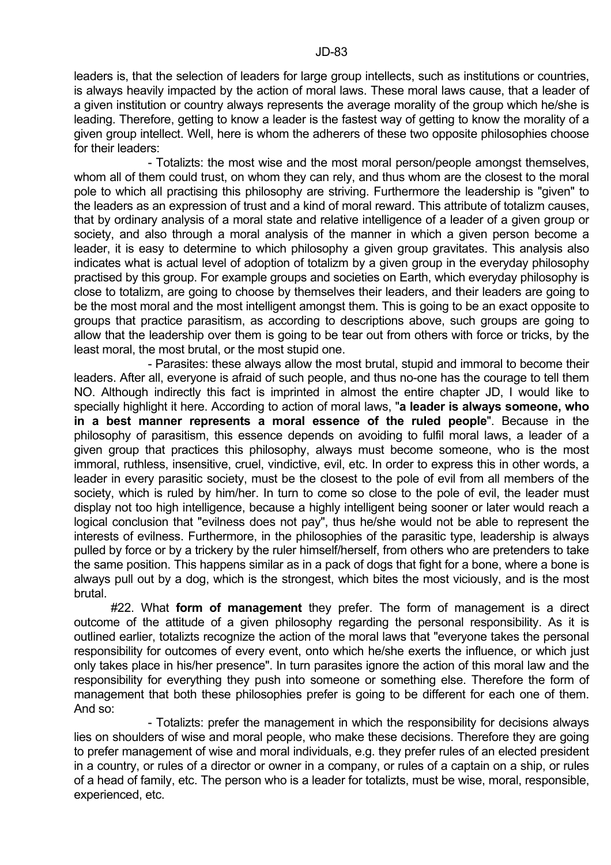leaders is, that the selection of leaders for large group intellects, such as institutions or countries, is always heavily impacted by the action of moral laws. These moral laws cause, that a leader of a given institution or country always represents the average morality of the group which he/she is leading. Therefore, getting to know a leader is the fastest way of getting to know the morality of a given group intellect. Well, here is whom the adherers of these two opposite philosophies choose for their leaders:

 - Totalizts: the most wise and the most moral person/people amongst themselves, whom all of them could trust, on whom they can rely, and thus whom are the closest to the moral pole to which all practising this philosophy are striving. Furthermore the leadership is "given" to the leaders as an expression of trust and a kind of moral reward. This attribute of totalizm causes, that by ordinary analysis of a moral state and relative intelligence of a leader of a given group or society, and also through a moral analysis of the manner in which a given person become a leader, it is easy to determine to which philosophy a given group gravitates. This analysis also indicates what is actual level of adoption of totalizm by a given group in the everyday philosophy practised by this group. For example groups and societies on Earth, which everyday philosophy is close to totalizm, are going to choose by themselves their leaders, and their leaders are going to be the most moral and the most intelligent amongst them. This is going to be an exact opposite to groups that practice parasitism, as according to descriptions above, such groups are going to allow that the leadership over them is going to be tear out from others with force or tricks, by the least moral, the most brutal, or the most stupid one.

 - Parasites: these always allow the most brutal, stupid and immoral to become their leaders. After all, everyone is afraid of such people, and thus no-one has the courage to tell them NO. Although indirectly this fact is imprinted in almost the entire chapter JD, I would like to specially highlight it here. According to action of moral laws, "**a leader is always someone, who in a best manner represents a moral essence of the ruled people**". Because in the philosophy of parasitism, this essence depends on avoiding to fulfil moral laws, a leader of a given group that practices this philosophy, always must become someone, who is the most immoral, ruthless, insensitive, cruel, vindictive, evil, etc. In order to express this in other words, a leader in every parasitic society, must be the closest to the pole of evil from all members of the society, which is ruled by him/her. In turn to come so close to the pole of evil, the leader must display not too high intelligence, because a highly intelligent being sooner or later would reach a logical conclusion that "evilness does not pay", thus he/she would not be able to represent the interests of evilness. Furthermore, in the philosophies of the parasitic type, leadership is always pulled by force or by a trickery by the ruler himself/herself, from others who are pretenders to take the same position. This happens similar as in a pack of dogs that fight for a bone, where a bone is always pull out by a dog, which is the strongest, which bites the most viciously, and is the most brutal.

 #22. What **form of management** they prefer. The form of management is a direct outcome of the attitude of a given philosophy regarding the personal responsibility. As it is outlined earlier, totalizts recognize the action of the moral laws that "everyone takes the personal responsibility for outcomes of every event, onto which he/she exerts the influence, or which just only takes place in his/her presence". In turn parasites ignore the action of this moral law and the responsibility for everything they push into someone or something else. Therefore the form of management that both these philosophies prefer is going to be different for each one of them. And so:

 - Totalizts: prefer the management in which the responsibility for decisions always lies on shoulders of wise and moral people, who make these decisions. Therefore they are going to prefer management of wise and moral individuals, e.g. they prefer rules of an elected president in a country, or rules of a director or owner in a company, or rules of a captain on a ship, or rules of a head of family, etc. The person who is a leader for totalizts, must be wise, moral, responsible, experienced, etc.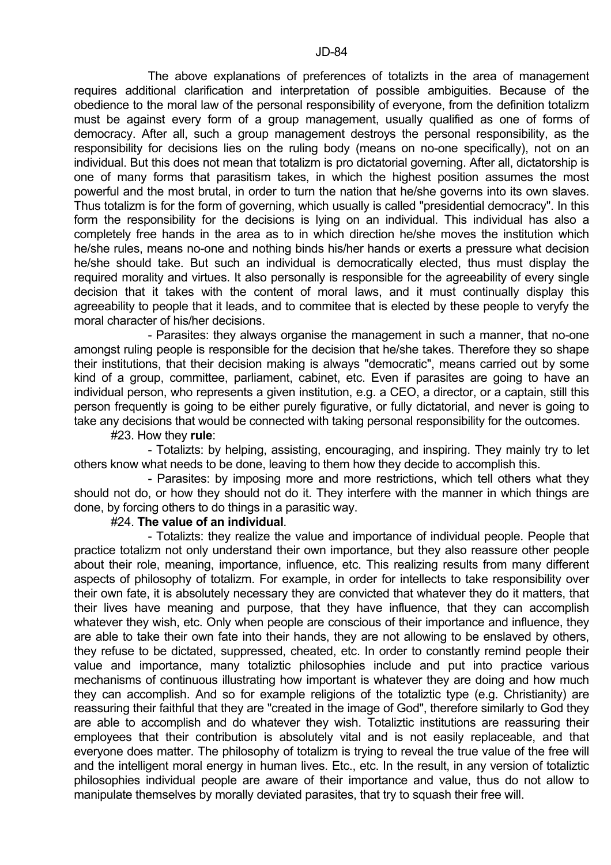The above explanations of preferences of totalizts in the area of management requires additional clarification and interpretation of possible ambiguities. Because of the obedience to the moral law of the personal responsibility of everyone, from the definition totalizm must be against every form of a group management, usually qualified as one of forms of democracy. After all, such a group management destroys the personal responsibility, as the responsibility for decisions lies on the ruling body (means on no-one specifically), not on an individual. But this does not mean that totalizm is pro dictatorial governing. After all, dictatorship is one of many forms that parasitism takes, in which the highest position assumes the most powerful and the most brutal, in order to turn the nation that he/she governs into its own slaves. Thus totalizm is for the form of governing, which usually is called "presidential democracy". In this form the responsibility for the decisions is lying on an individual. This individual has also a completely free hands in the area as to in which direction he/she moves the institution which he/she rules, means no-one and nothing binds his/her hands or exerts a pressure what decision he/she should take. But such an individual is democratically elected, thus must display the required morality and virtues. It also personally is responsible for the agreeability of every single decision that it takes with the content of moral laws, and it must continually display this agreeability to people that it leads, and to commitee that is elected by these people to veryfy the moral character of his/her decisions.

 - Parasites: they always organise the management in such a manner, that no-one amongst ruling people is responsible for the decision that he/she takes. Therefore they so shape their institutions, that their decision making is always "democratic", means carried out by some kind of a group, committee, parliament, cabinet, etc. Even if parasites are going to have an individual person, who represents a given institution, e.g. a CEO, a director, or a captain, still this person frequently is going to be either purely figurative, or fully dictatorial, and never is going to take any decisions that would be connected with taking personal responsibility for the outcomes.

#23. How they **rule**:

 - Totalizts: by helping, assisting, encouraging, and inspiring. They mainly try to let others know what needs to be done, leaving to them how they decide to accomplish this.

 - Parasites: by imposing more and more restrictions, which tell others what they should not do, or how they should not do it. They interfere with the manner in which things are done, by forcing others to do things in a parasitic way.

### #24. **The value of an individual**.

 - Totalizts: they realize the value and importance of individual people. People that practice totalizm not only understand their own importance, but they also reassure other people about their role, meaning, importance, influence, etc. This realizing results from many different aspects of philosophy of totalizm. For example, in order for intellects to take responsibility over their own fate, it is absolutely necessary they are convicted that whatever they do it matters, that their lives have meaning and purpose, that they have influence, that they can accomplish whatever they wish, etc. Only when people are conscious of their importance and influence, they are able to take their own fate into their hands, they are not allowing to be enslaved by others, they refuse to be dictated, suppressed, cheated, etc. In order to constantly remind people their value and importance, many totaliztic philosophies include and put into practice various mechanisms of continuous illustrating how important is whatever they are doing and how much they can accomplish. And so for example religions of the totaliztic type (e.g. Christianity) are reassuring their faithful that they are "created in the image of God", therefore similarly to God they are able to accomplish and do whatever they wish. Totaliztic institutions are reassuring their employees that their contribution is absolutely vital and is not easily replaceable, and that everyone does matter. The philosophy of totalizm is trying to reveal the true value of the free will and the intelligent moral energy in human lives. Etc., etc. In the result, in any version of totaliztic philosophies individual people are aware of their importance and value, thus do not allow to manipulate themselves by morally deviated parasites, that try to squash their free will.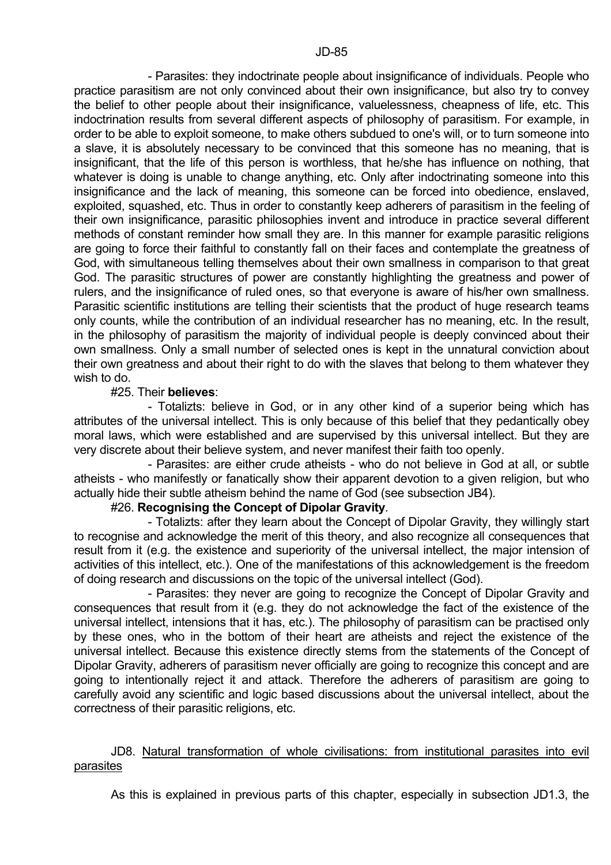- Parasites: they indoctrinate people about insignificance of individuals. People who practice parasitism are not only convinced about their own insignificance, but also try to convey the belief to other people about their insignificance, valuelessness, cheapness of life, etc. This indoctrination results from several different aspects of philosophy of parasitism. For example, in order to be able to exploit someone, to make others subdued to one's will, or to turn someone into a slave, it is absolutely necessary to be convinced that this someone has no meaning, that is insignificant, that the life of this person is worthless, that he/she has influence on nothing, that whatever is doing is unable to change anything, etc. Only after indoctrinating someone into this insignificance and the lack of meaning, this someone can be forced into obedience, enslaved, exploited, squashed, etc. Thus in order to constantly keep adherers of parasitism in the feeling of their own insignificance, parasitic philosophies invent and introduce in practice several different methods of constant reminder how small they are. In this manner for example parasitic religions are going to force their faithful to constantly fall on their faces and contemplate the greatness of God, with simultaneous telling themselves about their own smallness in comparison to that great God. The parasitic structures of power are constantly highlighting the greatness and power of rulers, and the insignificance of ruled ones, so that everyone is aware of his/her own smallness. Parasitic scientific institutions are telling their scientists that the product of huge research teams only counts, while the contribution of an individual researcher has no meaning, etc. In the result, in the philosophy of parasitism the majority of individual people is deeply convinced about their own smallness. Only a small number of selected ones is kept in the unnatural conviction about their own greatness and about their right to do with the slaves that belong to them whatever they wish to do.

# #25. Their **believes**:

 - Totalizts: believe in God, or in any other kind of a superior being which has attributes of the universal intellect. This is only because of this belief that they pedantically obey moral laws, which were established and are supervised by this universal intellect. But they are very discrete about their believe system, and never manifest their faith too openly.

 - Parasites: are either crude atheists - who do not believe in God at all, or subtle atheists - who manifestly or fanatically show their apparent devotion to a given religion, but who actually hide their subtle atheism behind the name of God (see subsection JB4).

# #26. **Recognising the Concept of Dipolar Gravity**.

 - Totalizts: after they learn about the Concept of Dipolar Gravity, they willingly start to recognise and acknowledge the merit of this theory, and also recognize all consequences that result from it (e.g. the existence and superiority of the universal intellect, the major intension of activities of this intellect, etc.). One of the manifestations of this acknowledgement is the freedom of doing research and discussions on the topic of the universal intellect (God).

 - Parasites: they never are going to recognize the Concept of Dipolar Gravity and consequences that result from it (e.g. they do not acknowledge the fact of the existence of the universal intellect, intensions that it has, etc.). The philosophy of parasitism can be practised only by these ones, who in the bottom of their heart are atheists and reject the existence of the universal intellect. Because this existence directly stems from the statements of the Concept of Dipolar Gravity, adherers of parasitism never officially are going to recognize this concept and are going to intentionally reject it and attack. Therefore the adherers of parasitism are going to carefully avoid any scientific and logic based discussions about the universal intellect, about the correctness of their parasitic religions, etc.

# JD8. Natural transformation of whole civilisations: from institutional parasites into evil parasites

As this is explained in previous parts of this chapter, especially in subsection JD1.3, the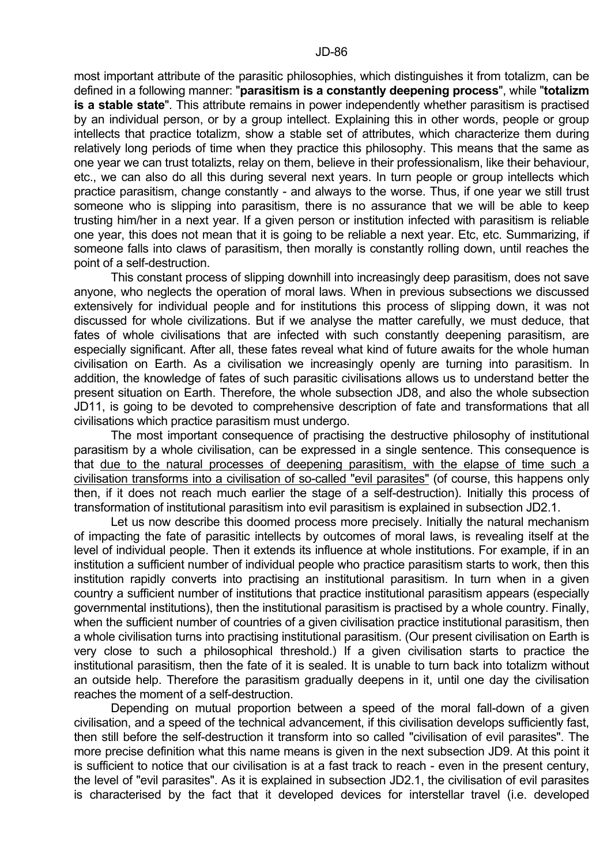most important attribute of the parasitic philosophies, which distinguishes it from totalizm, can be defined in a following manner: "**parasitism is a constantly deepening process**", while "**totalizm is a stable state**". This attribute remains in power independently whether parasitism is practised by an individual person, or by a group intellect. Explaining this in other words, people or group intellects that practice totalizm, show a stable set of attributes, which characterize them during relatively long periods of time when they practice this philosophy. This means that the same as one year we can trust totalizts, relay on them, believe in their professionalism, like their behaviour, etc., we can also do all this during several next years. In turn people or group intellects which practice parasitism, change constantly - and always to the worse. Thus, if one year we still trust someone who is slipping into parasitism, there is no assurance that we will be able to keep trusting him/her in a next year. If a given person or institution infected with parasitism is reliable one year, this does not mean that it is going to be reliable a next year. Etc, etc. Summarizing, if someone falls into claws of parasitism, then morally is constantly rolling down, until reaches the point of a self-destruction.

 This constant process of slipping downhill into increasingly deep parasitism, does not save anyone, who neglects the operation of moral laws. When in previous subsections we discussed extensively for individual people and for institutions this process of slipping down, it was not discussed for whole civilizations. But if we analyse the matter carefully, we must deduce, that fates of whole civilisations that are infected with such constantly deepening parasitism, are especially significant. After all, these fates reveal what kind of future awaits for the whole human civilisation on Earth. As a civilisation we increasingly openly are turning into parasitism. In addition, the knowledge of fates of such parasitic civilisations allows us to understand better the present situation on Earth. Therefore, the whole subsection JD8, and also the whole subsection JD11, is going to be devoted to comprehensive description of fate and transformations that all civilisations which practice parasitism must undergo.

 The most important consequence of practising the destructive philosophy of institutional parasitism by a whole civilisation, can be expressed in a single sentence. This consequence is that due to the natural processes of deepening parasitism, with the elapse of time such a civilisation transforms into a civilisation of so-called "evil parasites" (of course, this happens only then, if it does not reach much earlier the stage of a self-destruction). Initially this process of transformation of institutional parasitism into evil parasitism is explained in subsection JD2.1.

 Let us now describe this doomed process more precisely. Initially the natural mechanism of impacting the fate of parasitic intellects by outcomes of moral laws, is revealing itself at the level of individual people. Then it extends its influence at whole institutions. For example, if in an institution a sufficient number of individual people who practice parasitism starts to work, then this institution rapidly converts into practising an institutional parasitism. In turn when in a given country a sufficient number of institutions that practice institutional parasitism appears (especially governmental institutions), then the institutional parasitism is practised by a whole country. Finally, when the sufficient number of countries of a given civilisation practice institutional parasitism, then a whole civilisation turns into practising institutional parasitism. (Our present civilisation on Earth is very close to such a philosophical threshold.) If a given civilisation starts to practice the institutional parasitism, then the fate of it is sealed. It is unable to turn back into totalizm without an outside help. Therefore the parasitism gradually deepens in it, until one day the civilisation reaches the moment of a self-destruction.

 Depending on mutual proportion between a speed of the moral fall-down of a given civilisation, and a speed of the technical advancement, if this civilisation develops sufficiently fast, then still before the self-destruction it transform into so called "civilisation of evil parasites". The more precise definition what this name means is given in the next subsection JD9. At this point it is sufficient to notice that our civilisation is at a fast track to reach - even in the present century, the level of "evil parasites". As it is explained in subsection JD2.1, the civilisation of evil parasites is characterised by the fact that it developed devices for interstellar travel (i.e. developed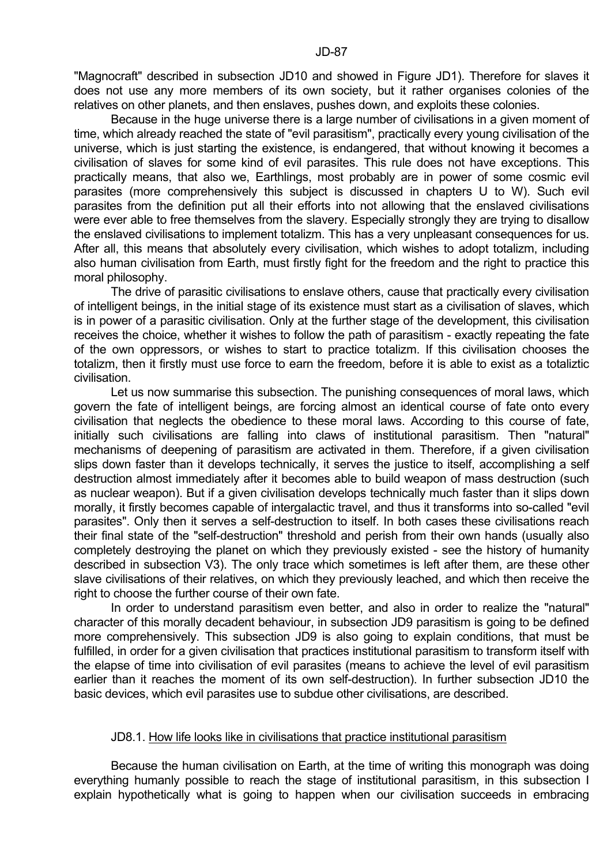"Magnocraft" described in subsection JD10 and showed in Figure JD1). Therefore for slaves it does not use any more members of its own society, but it rather organises colonies of the relatives on other planets, and then enslaves, pushes down, and exploits these colonies.

 Because in the huge universe there is a large number of civilisations in a given moment of time, which already reached the state of "evil parasitism", practically every young civilisation of the universe, which is just starting the existence, is endangered, that without knowing it becomes a civilisation of slaves for some kind of evil parasites. This rule does not have exceptions. This practically means, that also we, Earthlings, most probably are in power of some cosmic evil parasites (more comprehensively this subject is discussed in chapters U to W). Such evil parasites from the definition put all their efforts into not allowing that the enslaved civilisations were ever able to free themselves from the slavery. Especially strongly they are trying to disallow the enslaved civilisations to implement totalizm. This has a very unpleasant consequences for us. After all, this means that absolutely every civilisation, which wishes to adopt totalizm, including also human civilisation from Earth, must firstly fight for the freedom and the right to practice this moral philosophy.

 The drive of parasitic civilisations to enslave others, cause that practically every civilisation of intelligent beings, in the initial stage of its existence must start as a civilisation of slaves, which is in power of a parasitic civilisation. Only at the further stage of the development, this civilisation receives the choice, whether it wishes to follow the path of parasitism - exactly repeating the fate of the own oppressors, or wishes to start to practice totalizm. If this civilisation chooses the totalizm, then it firstly must use force to earn the freedom, before it is able to exist as a totaliztic civilisation.

 Let us now summarise this subsection. The punishing consequences of moral laws, which govern the fate of intelligent beings, are forcing almost an identical course of fate onto every civilisation that neglects the obedience to these moral laws. According to this course of fate, initially such civilisations are falling into claws of institutional parasitism. Then "natural" mechanisms of deepening of parasitism are activated in them. Therefore, if a given civilisation slips down faster than it develops technically, it serves the justice to itself, accomplishing a self destruction almost immediately after it becomes able to build weapon of mass destruction (such as nuclear weapon). But if a given civilisation develops technically much faster than it slips down morally, it firstly becomes capable of intergalactic travel, and thus it transforms into so-called "evil parasites". Only then it serves a self-destruction to itself. In both cases these civilisations reach their final state of the "self-destruction" threshold and perish from their own hands (usually also completely destroying the planet on which they previously existed - see the history of humanity described in subsection V3). The only trace which sometimes is left after them, are these other slave civilisations of their relatives, on which they previously leached, and which then receive the right to choose the further course of their own fate.

 In order to understand parasitism even better, and also in order to realize the "natural" character of this morally decadent behaviour, in subsection JD9 parasitism is going to be defined more comprehensively. This subsection JD9 is also going to explain conditions, that must be fulfilled, in order for a given civilisation that practices institutional parasitism to transform itself with the elapse of time into civilisation of evil parasites (means to achieve the level of evil parasitism earlier than it reaches the moment of its own self-destruction). In further subsection JD10 the basic devices, which evil parasites use to subdue other civilisations, are described.

# JD8.1. How life looks like in civilisations that practice institutional parasitism

 Because the human civilisation on Earth, at the time of writing this monograph was doing everything humanly possible to reach the stage of institutional parasitism, in this subsection I explain hypothetically what is going to happen when our civilisation succeeds in embracing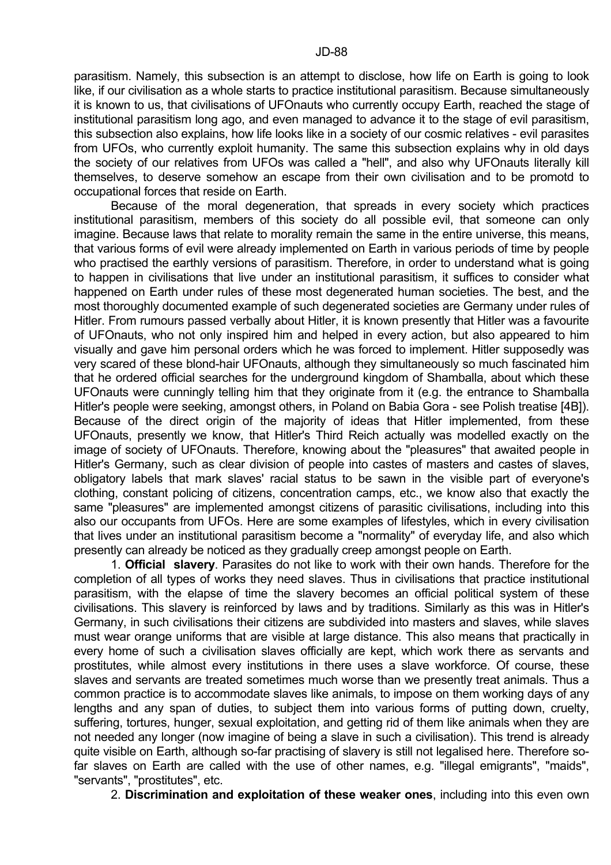parasitism. Namely, this subsection is an attempt to disclose, how life on Earth is going to look like, if our civilisation as a whole starts to practice institutional parasitism. Because simultaneously it is known to us, that civilisations of UFOnauts who currently occupy Earth, reached the stage of institutional parasitism long ago, and even managed to advance it to the stage of evil parasitism, this subsection also explains, how life looks like in a society of our cosmic relatives - evil parasites from UFOs, who currently exploit humanity. The same this subsection explains why in old days the society of our relatives from UFOs was called a "hell", and also why UFOnauts literally kill themselves, to deserve somehow an escape from their own civilisation and to be promotd to occupational forces that reside on Earth.

 Because of the moral degeneration, that spreads in every society which practices institutional parasitism, members of this society do all possible evil, that someone can only imagine. Because laws that relate to morality remain the same in the entire universe, this means, that various forms of evil were already implemented on Earth in various periods of time by people who practised the earthly versions of parasitism. Therefore, in order to understand what is going to happen in civilisations that live under an institutional parasitism, it suffices to consider what happened on Earth under rules of these most degenerated human societies. The best, and the most thoroughly documented example of such degenerated societies are Germany under rules of Hitler. From rumours passed verbally about Hitler, it is known presently that Hitler was a favourite of UFOnauts, who not only inspired him and helped in every action, but also appeared to him visually and gave him personal orders which he was forced to implement. Hitler supposedly was very scared of these blond-hair UFOnauts, although they simultaneously so much fascinated him that he ordered official searches for the underground kingdom of Shamballa, about which these UFOnauts were cunningly telling him that they originate from it (e.g. the entrance to Shamballa Hitler's people were seeking, amongst others, in Poland on Babia Gora - see Polish treatise [4B]). Because of the direct origin of the majority of ideas that Hitler implemented, from these UFOnauts, presently we know, that Hitler's Third Reich actually was modelled exactly on the image of society of UFOnauts. Therefore, knowing about the "pleasures" that awaited people in Hitler's Germany, such as clear division of people into castes of masters and castes of slaves, obligatory labels that mark slaves' racial status to be sawn in the visible part of everyone's clothing, constant policing of citizens, concentration camps, etc., we know also that exactly the same "pleasures" are implemented amongst citizens of parasitic civilisations, including into this also our occupants from UFOs. Here are some examples of lifestyles, which in every civilisation that lives under an institutional parasitism become a "normality" of everyday life, and also which presently can already be noticed as they gradually creep amongst people on Earth.

 1. **Official slavery**. Parasites do not like to work with their own hands. Therefore for the completion of all types of works they need slaves. Thus in civilisations that practice institutional parasitism, with the elapse of time the slavery becomes an official political system of these civilisations. This slavery is reinforced by laws and by traditions. Similarly as this was in Hitler's Germany, in such civilisations their citizens are subdivided into masters and slaves, while slaves must wear orange uniforms that are visible at large distance. This also means that practically in every home of such a civilisation slaves officially are kept, which work there as servants and prostitutes, while almost every institutions in there uses a slave workforce. Of course, these slaves and servants are treated sometimes much worse than we presently treat animals. Thus a common practice is to accommodate slaves like animals, to impose on them working days of any lengths and any span of duties, to subject them into various forms of putting down, cruelty, suffering, tortures, hunger, sexual exploitation, and getting rid of them like animals when they are not needed any longer (now imagine of being a slave in such a civilisation). This trend is already quite visible on Earth, although so-far practising of slavery is still not legalised here. Therefore sofar slaves on Earth are called with the use of other names, e.g. "illegal emigrants", "maids", "servants", "prostitutes", etc.

2. **Discrimination and exploitation of these weaker ones**, including into this even own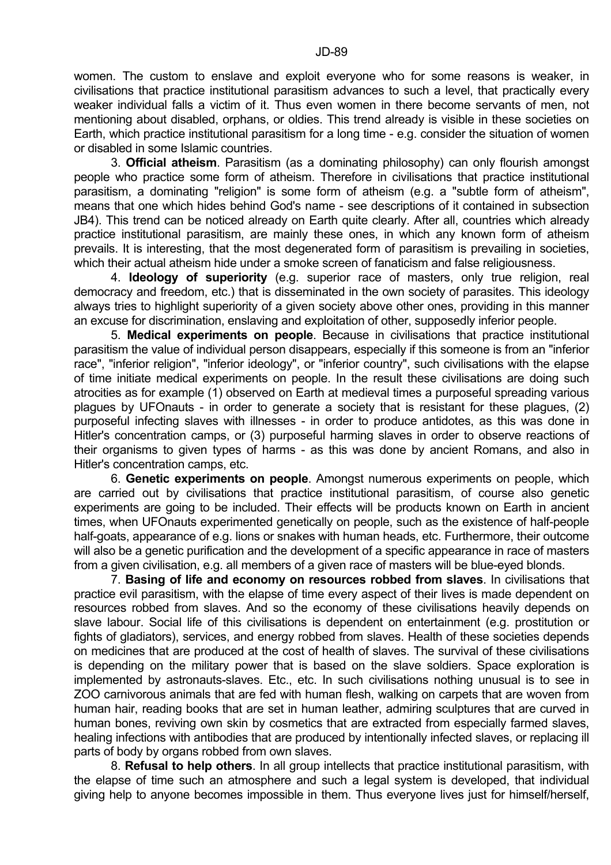women. The custom to enslave and exploit everyone who for some reasons is weaker, in civilisations that practice institutional parasitism advances to such a level, that practically every weaker individual falls a victim of it. Thus even women in there become servants of men, not mentioning about disabled, orphans, or oldies. This trend already is visible in these societies on Earth, which practice institutional parasitism for a long time - e.g. consider the situation of women or disabled in some Islamic countries.

 3. **Official atheism**. Parasitism (as a dominating philosophy) can only flourish amongst people who practice some form of atheism. Therefore in civilisations that practice institutional parasitism, a dominating "religion" is some form of atheism (e.g. a "subtle form of atheism", means that one which hides behind God's name - see descriptions of it contained in subsection JB4). This trend can be noticed already on Earth quite clearly. After all, countries which already practice institutional parasitism, are mainly these ones, in which any known form of atheism prevails. It is interesting, that the most degenerated form of parasitism is prevailing in societies, which their actual atheism hide under a smoke screen of fanaticism and false religiousness.

 4. **Ideology of superiority** (e.g. superior race of masters, only true religion, real democracy and freedom, etc.) that is disseminated in the own society of parasites. This ideology always tries to highlight superiority of a given society above other ones, providing in this manner an excuse for discrimination, enslaving and exploitation of other, supposedly inferior people.

 5. **Medical experiments on people**. Because in civilisations that practice institutional parasitism the value of individual person disappears, especially if this someone is from an "inferior race", "inferior religion", "inferior ideology", or "inferior country", such civilisations with the elapse of time initiate medical experiments on people. In the result these civilisations are doing such atrocities as for example (1) observed on Earth at medieval times a purposeful spreading various plagues by UFOnauts - in order to generate a society that is resistant for these plagues, (2) purposeful infecting slaves with illnesses - in order to produce antidotes, as this was done in Hitler's concentration camps, or (3) purposeful harming slaves in order to observe reactions of their organisms to given types of harms - as this was done by ancient Romans, and also in Hitler's concentration camps, etc.

 6. **Genetic experiments on people**. Amongst numerous experiments on people, which are carried out by civilisations that practice institutional parasitism, of course also genetic experiments are going to be included. Their effects will be products known on Earth in ancient times, when UFOnauts experimented genetically on people, such as the existence of half-people half-goats, appearance of e.g. lions or snakes with human heads, etc. Furthermore, their outcome will also be a genetic purification and the development of a specific appearance in race of masters from a given civilisation, e.g. all members of a given race of masters will be blue-eyed blonds.

 7. **Basing of life and economy on resources robbed from slaves**. In civilisations that practice evil parasitism, with the elapse of time every aspect of their lives is made dependent on resources robbed from slaves. And so the economy of these civilisations heavily depends on slave labour. Social life of this civilisations is dependent on entertainment (e.g. prostitution or fights of gladiators), services, and energy robbed from slaves. Health of these societies depends on medicines that are produced at the cost of health of slaves. The survival of these civilisations is depending on the military power that is based on the slave soldiers. Space exploration is implemented by astronauts-slaves. Etc., etc. In such civilisations nothing unusual is to see in ZOO carnivorous animals that are fed with human flesh, walking on carpets that are woven from human hair, reading books that are set in human leather, admiring sculptures that are curved in human bones, reviving own skin by cosmetics that are extracted from especially farmed slaves, healing infections with antibodies that are produced by intentionally infected slaves, or replacing ill parts of body by organs robbed from own slaves.

 8. **Refusal to help others**. In all group intellects that practice institutional parasitism, with the elapse of time such an atmosphere and such a legal system is developed, that individual giving help to anyone becomes impossible in them. Thus everyone lives just for himself/herself,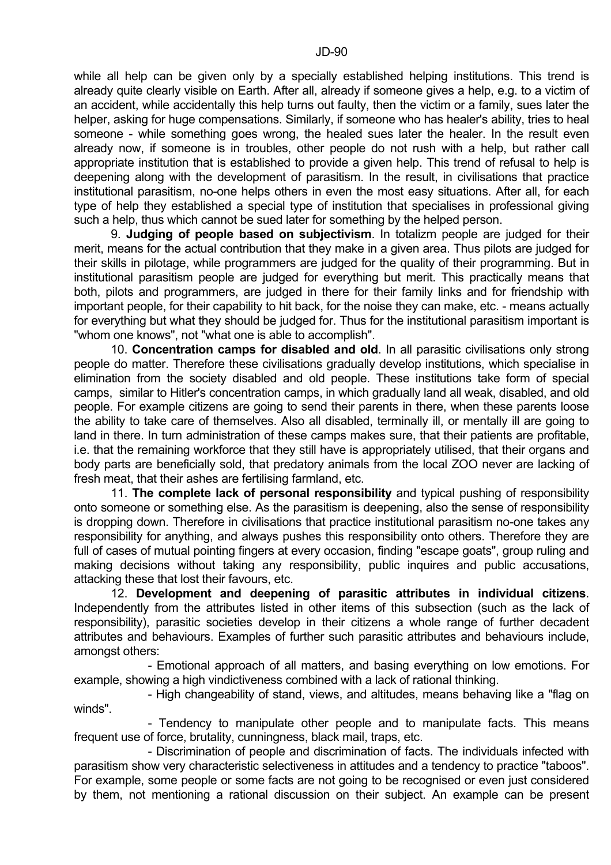while all help can be given only by a specially established helping institutions. This trend is already quite clearly visible on Earth. After all, already if someone gives a help, e.g. to a victim of an accident, while accidentally this help turns out faulty, then the victim or a family, sues later the helper, asking for huge compensations. Similarly, if someone who has healer's ability, tries to heal someone - while something goes wrong, the healed sues later the healer. In the result even already now, if someone is in troubles, other people do not rush with a help, but rather call appropriate institution that is established to provide a given help. This trend of refusal to help is deepening along with the development of parasitism. In the result, in civilisations that practice institutional parasitism, no-one helps others in even the most easy situations. After all, for each type of help they established a special type of institution that specialises in professional giving such a help, thus which cannot be sued later for something by the helped person.

 9. **Judging of people based on subjectivism**. In totalizm people are judged for their merit, means for the actual contribution that they make in a given area. Thus pilots are judged for their skills in pilotage, while programmers are judged for the quality of their programming. But in institutional parasitism people are judged for everything but merit. This practically means that both, pilots and programmers, are judged in there for their family links and for friendship with important people, for their capability to hit back, for the noise they can make, etc. - means actually for everything but what they should be judged for. Thus for the institutional parasitism important is "whom one knows", not "what one is able to accomplish".

 10. **Concentration camps for disabled and old**. In all parasitic civilisations only strong people do matter. Therefore these civilisations gradually develop institutions, which specialise in elimination from the society disabled and old people. These institutions take form of special camps, similar to Hitler's concentration camps, in which gradually land all weak, disabled, and old people. For example citizens are going to send their parents in there, when these parents loose the ability to take care of themselves. Also all disabled, terminally ill, or mentally ill are going to land in there. In turn administration of these camps makes sure, that their patients are profitable, i.e. that the remaining workforce that they still have is appropriately utilised, that their organs and body parts are beneficially sold, that predatory animals from the local ZOO never are lacking of fresh meat, that their ashes are fertilising farmland, etc.

 11. **The complete lack of personal responsibility** and typical pushing of responsibility onto someone or something else. As the parasitism is deepening, also the sense of responsibility is dropping down. Therefore in civilisations that practice institutional parasitism no-one takes any responsibility for anything, and always pushes this responsibility onto others. Therefore they are full of cases of mutual pointing fingers at every occasion, finding "escape goats", group ruling and making decisions without taking any responsibility, public inquires and public accusations, attacking these that lost their favours, etc.

 12. **Development and deepening of parasitic attributes in individual citizens**. Independently from the attributes listed in other items of this subsection (such as the lack of responsibility), parasitic societies develop in their citizens a whole range of further decadent attributes and behaviours. Examples of further such parasitic attributes and behaviours include, amongst others:

 - Emotional approach of all matters, and basing everything on low emotions. For example, showing a high vindictiveness combined with a lack of rational thinking.

 - High changeability of stand, views, and altitudes, means behaving like a "flag on winds".

 - Tendency to manipulate other people and to manipulate facts. This means frequent use of force, brutality, cunningness, black mail, traps, etc.

 - Discrimination of people and discrimination of facts. The individuals infected with parasitism show very characteristic selectiveness in attitudes and a tendency to practice "taboos". For example, some people or some facts are not going to be recognised or even just considered by them, not mentioning a rational discussion on their subject. An example can be present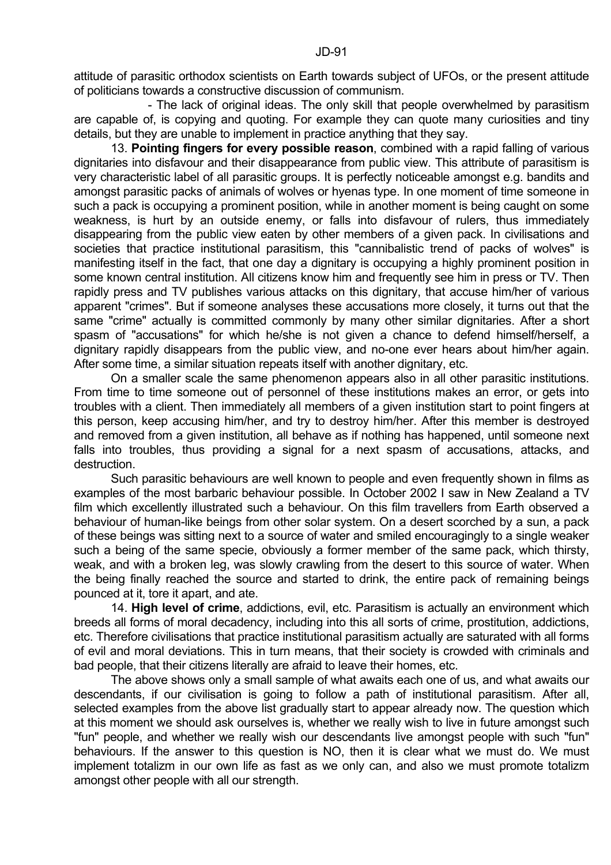- The lack of original ideas. The only skill that people overwhelmed by parasitism are capable of, is copying and quoting. For example they can quote many curiosities and tiny details, but they are unable to implement in practice anything that they say.

 13. **Pointing fingers for every possible reason**, combined with a rapid falling of various dignitaries into disfavour and their disappearance from public view. This attribute of parasitism is very characteristic label of all parasitic groups. It is perfectly noticeable amongst e.g. bandits and amongst parasitic packs of animals of wolves or hyenas type. In one moment of time someone in such a pack is occupying a prominent position, while in another moment is being caught on some weakness, is hurt by an outside enemy, or falls into disfavour of rulers, thus immediately disappearing from the public view eaten by other members of a given pack. In civilisations and societies that practice institutional parasitism, this "cannibalistic trend of packs of wolves" is manifesting itself in the fact, that one day a dignitary is occupying a highly prominent position in some known central institution. All citizens know him and frequently see him in press or TV. Then rapidly press and TV publishes various attacks on this dignitary, that accuse him/her of various apparent "crimes". But if someone analyses these accusations more closely, it turns out that the same "crime" actually is committed commonly by many other similar dignitaries. After a short spasm of "accusations" for which he/she is not given a chance to defend himself/herself, a dignitary rapidly disappears from the public view, and no-one ever hears about him/her again. After some time, a similar situation repeats itself with another dignitary, etc.

 On a smaller scale the same phenomenon appears also in all other parasitic institutions. From time to time someone out of personnel of these institutions makes an error, or gets into troubles with a client. Then immediately all members of a given institution start to point fingers at this person, keep accusing him/her, and try to destroy him/her. After this member is destroyed and removed from a given institution, all behave as if nothing has happened, until someone next falls into troubles, thus providing a signal for a next spasm of accusations, attacks, and destruction.

 Such parasitic behaviours are well known to people and even frequently shown in films as examples of the most barbaric behaviour possible. In October 2002 I saw in New Zealand a TV film which excellently illustrated such a behaviour. On this film travellers from Earth observed a behaviour of human-like beings from other solar system. On a desert scorched by a sun, a pack of these beings was sitting next to a source of water and smiled encouragingly to a single weaker such a being of the same specie, obviously a former member of the same pack, which thirsty, weak, and with a broken leg, was slowly crawling from the desert to this source of water. When the being finally reached the source and started to drink, the entire pack of remaining beings pounced at it, tore it apart, and ate.

 14. **High level of crime**, addictions, evil, etc. Parasitism is actually an environment which breeds all forms of moral decadency, including into this all sorts of crime, prostitution, addictions, etc. Therefore civilisations that practice institutional parasitism actually are saturated with all forms of evil and moral deviations. This in turn means, that their society is crowded with criminals and bad people, that their citizens literally are afraid to leave their homes, etc.

 The above shows only a small sample of what awaits each one of us, and what awaits our descendants, if our civilisation is going to follow a path of institutional parasitism. After all, selected examples from the above list gradually start to appear already now. The question which at this moment we should ask ourselves is, whether we really wish to live in future amongst such "fun" people, and whether we really wish our descendants live amongst people with such "fun" behaviours. If the answer to this question is NO, then it is clear what we must do. We must implement totalizm in our own life as fast as we only can, and also we must promote totalizm amongst other people with all our strength.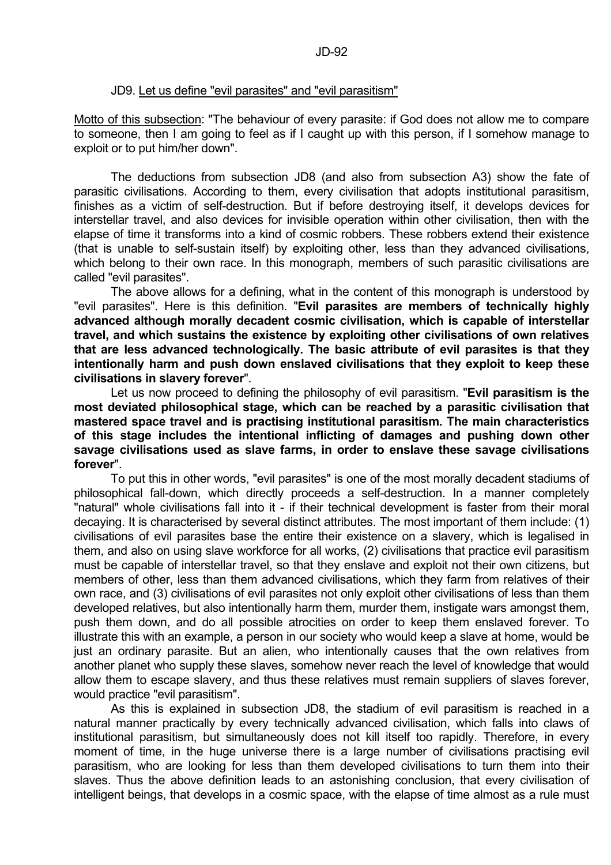#### JD9. Let us define "evil parasites" and "evil parasitism"

Motto of this subsection: "The behaviour of every parasite: if God does not allow me to compare to someone, then I am going to feel as if I caught up with this person, if I somehow manage to exploit or to put him/her down".

 The deductions from subsection JD8 (and also from subsection A3) show the fate of parasitic civilisations. According to them, every civilisation that adopts institutional parasitism, finishes as a victim of self-destruction. But if before destroying itself, it develops devices for interstellar travel, and also devices for invisible operation within other civilisation, then with the elapse of time it transforms into a kind of cosmic robbers. These robbers extend their existence (that is unable to self-sustain itself) by exploiting other, less than they advanced civilisations, which belong to their own race. In this monograph, members of such parasitic civilisations are called "evil parasites".

 The above allows for a defining, what in the content of this monograph is understood by "evil parasites". Here is this definition. "**Evil parasites are members of technically highly advanced although morally decadent cosmic civilisation, which is capable of interstellar travel, and which sustains the existence by exploiting other civilisations of own relatives that are less advanced technologically. The basic attribute of evil parasites is that they intentionally harm and push down enslaved civilisations that they exploit to keep these civilisations in slavery forever**".

 Let us now proceed to defining the philosophy of evil parasitism. "**Evil parasitism is the most deviated philosophical stage, which can be reached by a parasitic civilisation that mastered space travel and is practising institutional parasitism. The main characteristics of this stage includes the intentional inflicting of damages and pushing down other savage civilisations used as slave farms, in order to enslave these savage civilisations forever**".

 To put this in other words, "evil parasites" is one of the most morally decadent stadiums of philosophical fall-down, which directly proceeds a self-destruction. In a manner completely "natural" whole civilisations fall into it - if their technical development is faster from their moral decaying. It is characterised by several distinct attributes. The most important of them include: (1) civilisations of evil parasites base the entire their existence on a slavery, which is legalised in them, and also on using slave workforce for all works, (2) civilisations that practice evil parasitism must be capable of interstellar travel, so that they enslave and exploit not their own citizens, but members of other, less than them advanced civilisations, which they farm from relatives of their own race, and (3) civilisations of evil parasites not only exploit other civilisations of less than them developed relatives, but also intentionally harm them, murder them, instigate wars amongst them, push them down, and do all possible atrocities on order to keep them enslaved forever. To illustrate this with an example, a person in our society who would keep a slave at home, would be just an ordinary parasite. But an alien, who intentionally causes that the own relatives from another planet who supply these slaves, somehow never reach the level of knowledge that would allow them to escape slavery, and thus these relatives must remain suppliers of slaves forever, would practice "evil parasitism".

 As this is explained in subsection JD8, the stadium of evil parasitism is reached in a natural manner practically by every technically advanced civilisation, which falls into claws of institutional parasitism, but simultaneously does not kill itself too rapidly. Therefore, in every moment of time, in the huge universe there is a large number of civilisations practising evil parasitism, who are looking for less than them developed civilisations to turn them into their slaves. Thus the above definition leads to an astonishing conclusion, that every civilisation of intelligent beings, that develops in a cosmic space, with the elapse of time almost as a rule must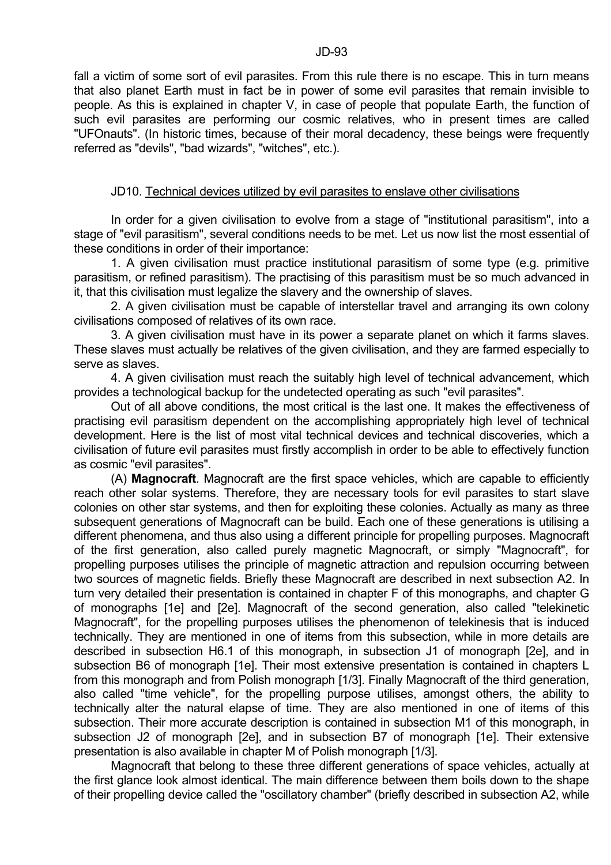fall a victim of some sort of evil parasites. From this rule there is no escape. This in turn means that also planet Earth must in fact be in power of some evil parasites that remain invisible to people. As this is explained in chapter V, in case of people that populate Earth, the function of such evil parasites are performing our cosmic relatives, who in present times are called "UFOnauts". (In historic times, because of their moral decadency, these beings were frequently referred as "devils", "bad wizards", "witches", etc.).

### JD10. Technical devices utilized by evil parasites to enslave other civilisations

 In order for a given civilisation to evolve from a stage of "institutional parasitism", into a stage of "evil parasitism", several conditions needs to be met. Let us now list the most essential of these conditions in order of their importance:

 1. A given civilisation must practice institutional parasitism of some type (e.g. primitive parasitism, or refined parasitism). The practising of this parasitism must be so much advanced in it, that this civilisation must legalize the slavery and the ownership of slaves.

 2. A given civilisation must be capable of interstellar travel and arranging its own colony civilisations composed of relatives of its own race.

 3. A given civilisation must have in its power a separate planet on which it farms slaves. These slaves must actually be relatives of the given civilisation, and they are farmed especially to serve as slaves.

 4. A given civilisation must reach the suitably high level of technical advancement, which provides a technological backup for the undetected operating as such "evil parasites".

 Out of all above conditions, the most critical is the last one. It makes the effectiveness of practising evil parasitism dependent on the accomplishing appropriately high level of technical development. Here is the list of most vital technical devices and technical discoveries, which a civilisation of future evil parasites must firstly accomplish in order to be able to effectively function as cosmic "evil parasites".

 (A) **Magnocraft**. Magnocraft are the first space vehicles, which are capable to efficiently reach other solar systems. Therefore, they are necessary tools for evil parasites to start slave colonies on other star systems, and then for exploiting these colonies. Actually as many as three subsequent generations of Magnocraft can be build. Each one of these generations is utilising a different phenomena, and thus also using a different principle for propelling purposes. Magnocraft of the first generation, also called purely magnetic Magnocraft, or simply "Magnocraft", for propelling purposes utilises the principle of magnetic attraction and repulsion occurring between two sources of magnetic fields. Briefly these Magnocraft are described in next subsection A2. In turn very detailed their presentation is contained in chapter F of this monographs, and chapter G of monographs [1e] and [2e]. Magnocraft of the second generation, also called "telekinetic Magnocraft", for the propelling purposes utilises the phenomenon of telekinesis that is induced technically. They are mentioned in one of items from this subsection, while in more details are described in subsection H6.1 of this monograph, in subsection J1 of monograph [2e], and in subsection B6 of monograph [1e]. Their most extensive presentation is contained in chapters L from this monograph and from Polish monograph [1/3]. Finally Magnocraft of the third generation, also called "time vehicle", for the propelling purpose utilises, amongst others, the ability to technically alter the natural elapse of time. They are also mentioned in one of items of this subsection. Their more accurate description is contained in subsection M1 of this monograph, in subsection J2 of monograph [2e], and in subsection B7 of monograph [1e]. Their extensive presentation is also available in chapter M of Polish monograph [1/3].

 Magnocraft that belong to these three different generations of space vehicles, actually at the first glance look almost identical. The main difference between them boils down to the shape of their propelling device called the "oscillatory chamber" (briefly described in subsection A2, while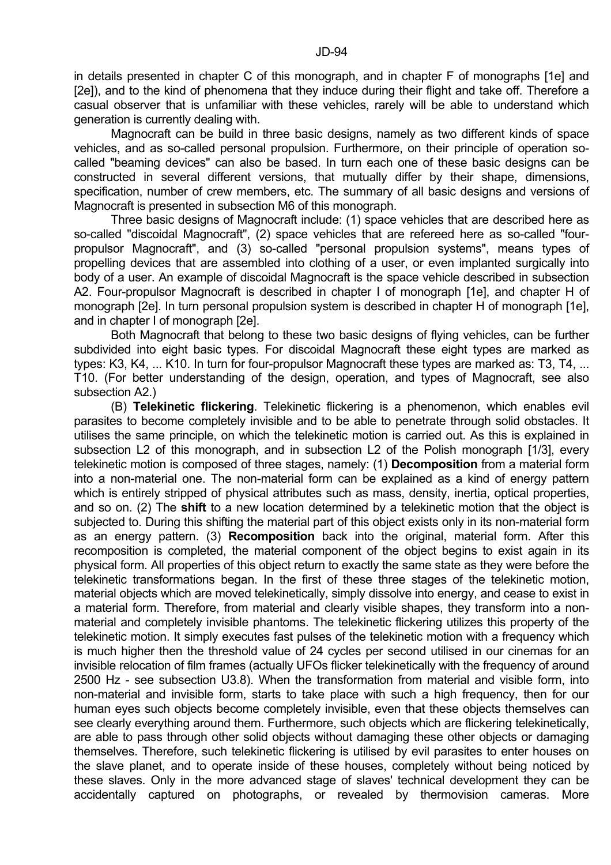in details presented in chapter C of this monograph, and in chapter F of monographs [1e] and [2e]), and to the kind of phenomena that they induce during their flight and take off. Therefore a casual observer that is unfamiliar with these vehicles, rarely will be able to understand which generation is currently dealing with.

 Magnocraft can be build in three basic designs, namely as two different kinds of space vehicles, and as so-called personal propulsion. Furthermore, on their principle of operation socalled "beaming devices" can also be based. In turn each one of these basic designs can be constructed in several different versions, that mutually differ by their shape, dimensions, specification, number of crew members, etc. The summary of all basic designs and versions of Magnocraft is presented in subsection M6 of this monograph.

 Three basic designs of Magnocraft include: (1) space vehicles that are described here as so-called "discoidal Magnocraft", (2) space vehicles that are refereed here as so-called "fourpropulsor Magnocraft", and (3) so-called "personal propulsion systems", means types of propelling devices that are assembled into clothing of a user, or even implanted surgically into body of a user. An example of discoidal Magnocraft is the space vehicle described in subsection A2. Four-propulsor Magnocraft is described in chapter I of monograph [1e], and chapter H of monograph [2e]. In turn personal propulsion system is described in chapter H of monograph [1e], and in chapter I of monograph [2e].

 Both Magnocraft that belong to these two basic designs of flying vehicles, can be further subdivided into eight basic types. For discoidal Magnocraft these eight types are marked as types: K3, K4, ... K10. In turn for four-propulsor Magnocraft these types are marked as: T3, T4, ... T10. (For better understanding of the design, operation, and types of Magnocraft, see also subsection A2.)

 (B) **Telekinetic flickering**. Telekinetic flickering is a phenomenon, which enables evil parasites to become completely invisible and to be able to penetrate through solid obstacles. It utilises the same principle, on which the telekinetic motion is carried out. As this is explained in subsection L2 of this monograph, and in subsection L2 of the Polish monograph [1/3], every telekinetic motion is composed of three stages, namely: (1) **Decomposition** from a material form into a non-material one. The non-material form can be explained as a kind of energy pattern which is entirely stripped of physical attributes such as mass, density, inertia, optical properties, and so on. (2) The **shift** to a new location determined by a telekinetic motion that the object is subjected to. During this shifting the material part of this object exists only in its non-material form as an energy pattern. (3) **Recomposition** back into the original, material form. After this recomposition is completed, the material component of the object begins to exist again in its physical form. All properties of this object return to exactly the same state as they were before the telekinetic transformations began. In the first of these three stages of the telekinetic motion, material objects which are moved telekinetically, simply dissolve into energy, and cease to exist in a material form. Therefore, from material and clearly visible shapes, they transform into a nonmaterial and completely invisible phantoms. The telekinetic flickering utilizes this property of the telekinetic motion. It simply executes fast pulses of the telekinetic motion with a frequency which is much higher then the threshold value of 24 cycles per second utilised in our cinemas for an invisible relocation of film frames (actually UFOs flicker telekinetically with the frequency of around 2500 Hz - see subsection U3.8). When the transformation from material and visible form, into non-material and invisible form, starts to take place with such a high frequency, then for our human eyes such objects become completely invisible, even that these objects themselves can see clearly everything around them. Furthermore, such objects which are flickering telekinetically, are able to pass through other solid objects without damaging these other objects or damaging themselves. Therefore, such telekinetic flickering is utilised by evil parasites to enter houses on the slave planet, and to operate inside of these houses, completely without being noticed by these slaves. Only in the more advanced stage of slaves' technical development they can be accidentally captured on photographs, or revealed by thermovision cameras. More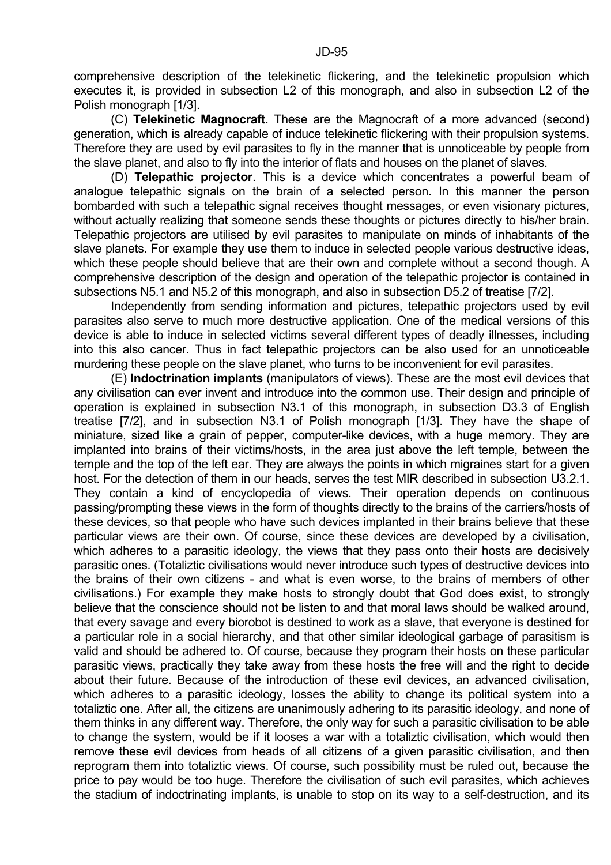comprehensive description of the telekinetic flickering, and the telekinetic propulsion which executes it, is provided in subsection L2 of this monograph, and also in subsection L2 of the Polish monograph [1/3].

 (C) **Telekinetic Magnocraft**. These are the Magnocraft of a more advanced (second) generation, which is already capable of induce telekinetic flickering with their propulsion systems. Therefore they are used by evil parasites to fly in the manner that is unnoticeable by people from the slave planet, and also to fly into the interior of flats and houses on the planet of slaves.

 (D) **Telepathic projector**. This is a device which concentrates a powerful beam of analogue telepathic signals on the brain of a selected person. In this manner the person bombarded with such a telepathic signal receives thought messages, or even visionary pictures, without actually realizing that someone sends these thoughts or pictures directly to his/her brain. Telepathic projectors are utilised by evil parasites to manipulate on minds of inhabitants of the slave planets. For example they use them to induce in selected people various destructive ideas, which these people should believe that are their own and complete without a second though. A comprehensive description of the design and operation of the telepathic projector is contained in subsections N5.1 and N5.2 of this monograph, and also in subsection D5.2 of treatise [7/2].

 Independently from sending information and pictures, telepathic projectors used by evil parasites also serve to much more destructive application. One of the medical versions of this device is able to induce in selected victims several different types of deadly illnesses, including into this also cancer. Thus in fact telepathic projectors can be also used for an unnoticeable murdering these people on the slave planet, who turns to be inconvenient for evil parasites.

 (E) **Indoctrination implants** (manipulators of views). These are the most evil devices that any civilisation can ever invent and introduce into the common use. Their design and principle of operation is explained in subsection N3.1 of this monograph, in subsection D3.3 of English treatise [7/2], and in subsection N3.1 of Polish monograph [1/3]. They have the shape of miniature, sized like a grain of pepper, computer-like devices, with a huge memory. They are implanted into brains of their victims/hosts, in the area just above the left temple, between the temple and the top of the left ear. They are always the points in which migraines start for a given host. For the detection of them in our heads, serves the test MIR described in subsection U3.2.1. They contain a kind of encyclopedia of views. Their operation depends on continuous passing/prompting these views in the form of thoughts directly to the brains of the carriers/hosts of these devices, so that people who have such devices implanted in their brains believe that these particular views are their own. Of course, since these devices are developed by a civilisation, which adheres to a parasitic ideology, the views that they pass onto their hosts are decisively parasitic ones. (Totaliztic civilisations would never introduce such types of destructive devices into the brains of their own citizens - and what is even worse, to the brains of members of other civilisations.) For example they make hosts to strongly doubt that God does exist, to strongly believe that the conscience should not be listen to and that moral laws should be walked around, that every savage and every biorobot is destined to work as a slave, that everyone is destined for a particular role in a social hierarchy, and that other similar ideological garbage of parasitism is valid and should be adhered to. Of course, because they program their hosts on these particular parasitic views, practically they take away from these hosts the free will and the right to decide about their future. Because of the introduction of these evil devices, an advanced civilisation, which adheres to a parasitic ideology, losses the ability to change its political system into a totaliztic one. After all, the citizens are unanimously adhering to its parasitic ideology, and none of them thinks in any different way. Therefore, the only way for such a parasitic civilisation to be able to change the system, would be if it looses a war with a totaliztic civilisation, which would then remove these evil devices from heads of all citizens of a given parasitic civilisation, and then reprogram them into totaliztic views. Of course, such possibility must be ruled out, because the price to pay would be too huge. Therefore the civilisation of such evil parasites, which achieves the stadium of indoctrinating implants, is unable to stop on its way to a self-destruction, and its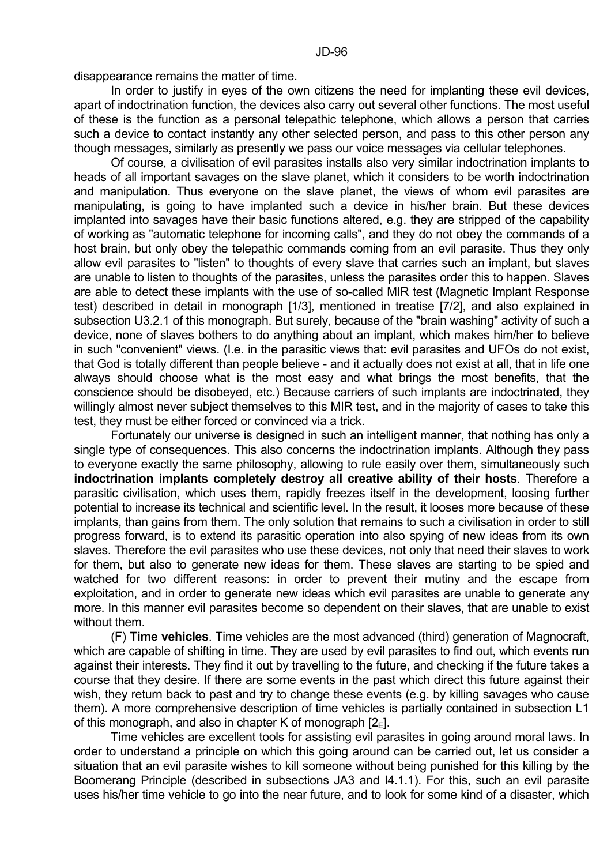disappearance remains the matter of time.

 In order to justify in eyes of the own citizens the need for implanting these evil devices, apart of indoctrination function, the devices also carry out several other functions. The most useful of these is the function as a personal telepathic telephone, which allows a person that carries such a device to contact instantly any other selected person, and pass to this other person any though messages, similarly as presently we pass our voice messages via cellular telephones.

 Of course, a civilisation of evil parasites installs also very similar indoctrination implants to heads of all important savages on the slave planet, which it considers to be worth indoctrination and manipulation. Thus everyone on the slave planet, the views of whom evil parasites are manipulating, is going to have implanted such a device in his/her brain. But these devices implanted into savages have their basic functions altered, e.g. they are stripped of the capability of working as "automatic telephone for incoming calls", and they do not obey the commands of a host brain, but only obey the telepathic commands coming from an evil parasite. Thus they only allow evil parasites to "listen" to thoughts of every slave that carries such an implant, but slaves are unable to listen to thoughts of the parasites, unless the parasites order this to happen. Slaves are able to detect these implants with the use of so-called MIR test (Magnetic Implant Response test) described in detail in monograph [1/3], mentioned in treatise [7/2], and also explained in subsection U3.2.1 of this monograph. But surely, because of the "brain washing" activity of such a device, none of slaves bothers to do anything about an implant, which makes him/her to believe in such "convenient" views. (I.e. in the parasitic views that: evil parasites and UFOs do not exist, that God is totally different than people believe - and it actually does not exist at all, that in life one always should choose what is the most easy and what brings the most benefits, that the conscience should be disobeyed, etc.) Because carriers of such implants are indoctrinated, they willingly almost never subject themselves to this MIR test, and in the majority of cases to take this test, they must be either forced or convinced via a trick.

 Fortunately our universe is designed in such an intelligent manner, that nothing has only a single type of consequences. This also concerns the indoctrination implants. Although they pass to everyone exactly the same philosophy, allowing to rule easily over them, simultaneously such **indoctrination implants completely destroy all creative ability of their hosts**. Therefore a parasitic civilisation, which uses them, rapidly freezes itself in the development, loosing further potential to increase its technical and scientific level. In the result, it looses more because of these implants, than gains from them. The only solution that remains to such a civilisation in order to still progress forward, is to extend its parasitic operation into also spying of new ideas from its own slaves. Therefore the evil parasites who use these devices, not only that need their slaves to work for them, but also to generate new ideas for them. These slaves are starting to be spied and watched for two different reasons: in order to prevent their mutiny and the escape from exploitation, and in order to generate new ideas which evil parasites are unable to generate any more. In this manner evil parasites become so dependent on their slaves, that are unable to exist without them.

 (F) **Time vehicles**. Time vehicles are the most advanced (third) generation of Magnocraft, which are capable of shifting in time. They are used by evil parasites to find out, which events run against their interests. They find it out by travelling to the future, and checking if the future takes a course that they desire. If there are some events in the past which direct this future against their wish, they return back to past and try to change these events (e.g. by killing savages who cause them). A more comprehensive description of time vehicles is partially contained in subsection L1 of this monograph, and also in chapter K of monograph  $[2_{E}]$ .

 Time vehicles are excellent tools for assisting evil parasites in going around moral laws. In order to understand a principle on which this going around can be carried out, let us consider a situation that an evil parasite wishes to kill someone without being punished for this killing by the Boomerang Principle (described in subsections JA3 and I4.1.1). For this, such an evil parasite uses his/her time vehicle to go into the near future, and to look for some kind of a disaster, which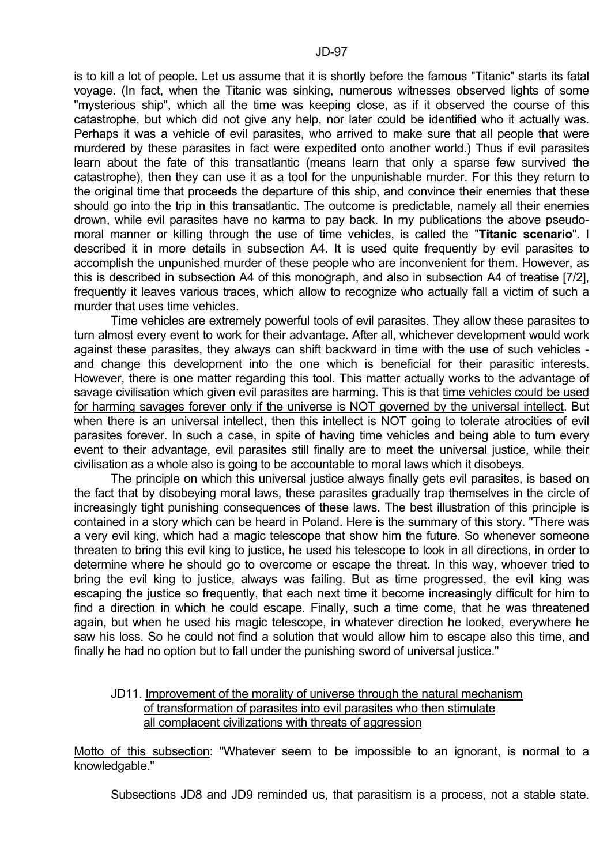is to kill a lot of people. Let us assume that it is shortly before the famous "Titanic" starts its fatal voyage. (In fact, when the Titanic was sinking, numerous witnesses observed lights of some "mysterious ship", which all the time was keeping close, as if it observed the course of this catastrophe, but which did not give any help, nor later could be identified who it actually was. Perhaps it was a vehicle of evil parasites, who arrived to make sure that all people that were murdered by these parasites in fact were expedited onto another world.) Thus if evil parasites learn about the fate of this transatlantic (means learn that only a sparse few survived the catastrophe), then they can use it as a tool for the unpunishable murder. For this they return to the original time that proceeds the departure of this ship, and convince their enemies that these should go into the trip in this transatlantic. The outcome is predictable, namely all their enemies drown, while evil parasites have no karma to pay back. In my publications the above pseudomoral manner or killing through the use of time vehicles, is called the "**Titanic scenario**". I described it in more details in subsection A4. It is used quite frequently by evil parasites to accomplish the unpunished murder of these people who are inconvenient for them. However, as this is described in subsection A4 of this monograph, and also in subsection A4 of treatise [7/2], frequently it leaves various traces, which allow to recognize who actually fall a victim of such a murder that uses time vehicles.

 Time vehicles are extremely powerful tools of evil parasites. They allow these parasites to turn almost every event to work for their advantage. After all, whichever development would work against these parasites, they always can shift backward in time with the use of such vehicles and change this development into the one which is beneficial for their parasitic interests. However, there is one matter regarding this tool. This matter actually works to the advantage of savage civilisation which given evil parasites are harming. This is that time vehicles could be used for harming savages forever only if the universe is NOT governed by the universal intellect. But when there is an universal intellect, then this intellect is NOT going to tolerate atrocities of evil parasites forever. In such a case, in spite of having time vehicles and being able to turn every event to their advantage, evil parasites still finally are to meet the universal justice, while their civilisation as a whole also is going to be accountable to moral laws which it disobeys.

 The principle on which this universal justice always finally gets evil parasites, is based on the fact that by disobeying moral laws, these parasites gradually trap themselves in the circle of increasingly tight punishing consequences of these laws. The best illustration of this principle is contained in a story which can be heard in Poland. Here is the summary of this story. "There was a very evil king, which had a magic telescope that show him the future. So whenever someone threaten to bring this evil king to justice, he used his telescope to look in all directions, in order to determine where he should go to overcome or escape the threat. In this way, whoever tried to bring the evil king to justice, always was failing. But as time progressed, the evil king was escaping the justice so frequently, that each next time it become increasingly difficult for him to find a direction in which he could escape. Finally, such a time come, that he was threatened again, but when he used his magic telescope, in whatever direction he looked, everywhere he saw his loss. So he could not find a solution that would allow him to escape also this time, and finally he had no option but to fall under the punishing sword of universal justice."

# JD11. Improvement of the morality of universe through the natural mechanism of transformation of parasites into evil parasites who then stimulate all complacent civilizations with threats of aggression

Motto of this subsection: "Whatever seem to be impossible to an ignorant, is normal to a knowledgable."

Subsections JD8 and JD9 reminded us, that parasitism is a process, not a stable state.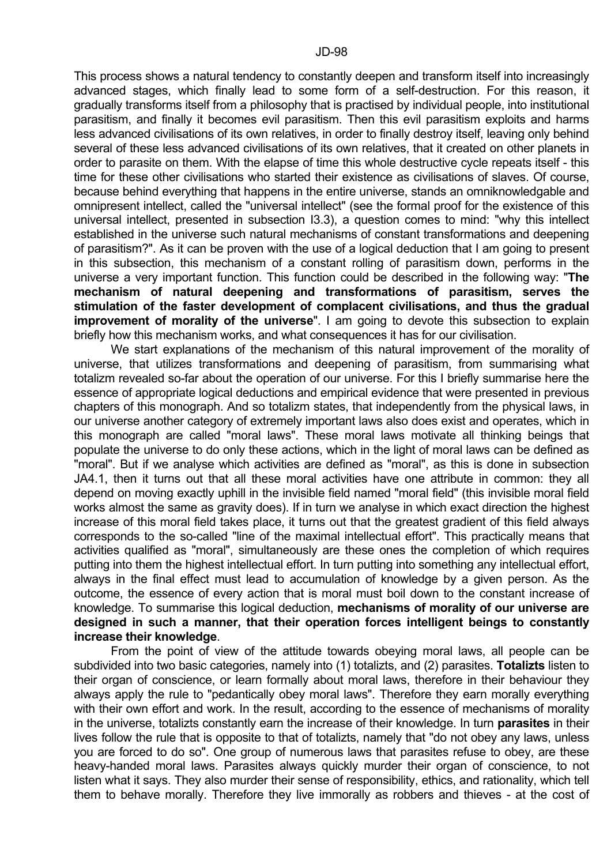This process shows a natural tendency to constantly deepen and transform itself into increasingly advanced stages, which finally lead to some form of a self-destruction. For this reason, it gradually transforms itself from a philosophy that is practised by individual people, into institutional parasitism, and finally it becomes evil parasitism. Then this evil parasitism exploits and harms less advanced civilisations of its own relatives, in order to finally destroy itself, leaving only behind several of these less advanced civilisations of its own relatives, that it created on other planets in order to parasite on them. With the elapse of time this whole destructive cycle repeats itself - this time for these other civilisations who started their existence as civilisations of slaves. Of course, because behind everything that happens in the entire universe, stands an omniknowledgable and omnipresent intellect, called the "universal intellect" (see the formal proof for the existence of this universal intellect, presented in subsection I3.3), a question comes to mind: "why this intellect established in the universe such natural mechanisms of constant transformations and deepening of parasitism?". As it can be proven with the use of a logical deduction that I am going to present in this subsection, this mechanism of a constant rolling of parasitism down, performs in the universe a very important function. This function could be described in the following way: "**The mechanism of natural deepening and transformations of parasitism, serves the stimulation of the faster development of complacent civilisations, and thus the gradual improvement of morality of the universe**". I am going to devote this subsection to explain briefly how this mechanism works, and what consequences it has for our civilisation.

 We start explanations of the mechanism of this natural improvement of the morality of universe, that utilizes transformations and deepening of parasitism, from summarising what totalizm revealed so-far about the operation of our universe. For this I briefly summarise here the essence of appropriate logical deductions and empirical evidence that were presented in previous chapters of this monograph. And so totalizm states, that independently from the physical laws, in our universe another category of extremely important laws also does exist and operates, which in this monograph are called "moral laws". These moral laws motivate all thinking beings that populate the universe to do only these actions, which in the light of moral laws can be defined as "moral". But if we analyse which activities are defined as "moral", as this is done in subsection JA4.1, then it turns out that all these moral activities have one attribute in common: they all depend on moving exactly uphill in the invisible field named "moral field" (this invisible moral field works almost the same as gravity does). If in turn we analyse in which exact direction the highest increase of this moral field takes place, it turns out that the greatest gradient of this field always corresponds to the so-called "line of the maximal intellectual effort". This practically means that activities qualified as "moral", simultaneously are these ones the completion of which requires putting into them the highest intellectual effort. In turn putting into something any intellectual effort, always in the final effect must lead to accumulation of knowledge by a given person. As the outcome, the essence of every action that is moral must boil down to the constant increase of knowledge. To summarise this logical deduction, **mechanisms of morality of our universe are designed in such a manner, that their operation forces intelligent beings to constantly increase their knowledge**.

 From the point of view of the attitude towards obeying moral laws, all people can be subdivided into two basic categories, namely into (1) totalizts, and (2) parasites. **Totalizts** listen to their organ of conscience, or learn formally about moral laws, therefore in their behaviour they always apply the rule to "pedantically obey moral laws". Therefore they earn morally everything with their own effort and work. In the result, according to the essence of mechanisms of morality in the universe, totalizts constantly earn the increase of their knowledge. In turn **parasites** in their lives follow the rule that is opposite to that of totalizts, namely that "do not obey any laws, unless you are forced to do so". One group of numerous laws that parasites refuse to obey, are these heavy-handed moral laws. Parasites always quickly murder their organ of conscience, to not listen what it says. They also murder their sense of responsibility, ethics, and rationality, which tell them to behave morally. Therefore they live immorally as robbers and thieves - at the cost of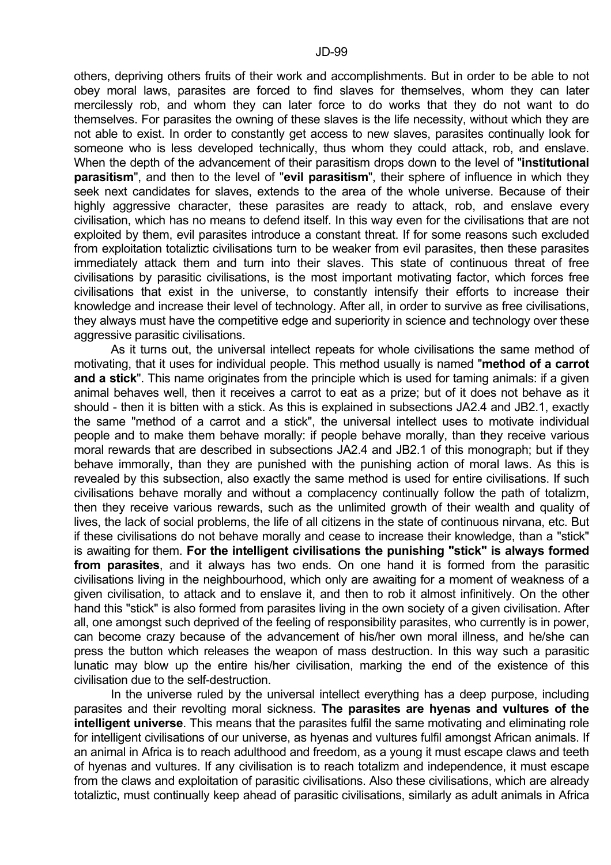others, depriving others fruits of their work and accomplishments. But in order to be able to not obey moral laws, parasites are forced to find slaves for themselves, whom they can later mercilessly rob, and whom they can later force to do works that they do not want to do themselves. For parasites the owning of these slaves is the life necessity, without which they are not able to exist. In order to constantly get access to new slaves, parasites continually look for someone who is less developed technically, thus whom they could attack, rob, and enslave. When the depth of the advancement of their parasitism drops down to the level of "**institutional parasitism**", and then to the level of "**evil parasitism**", their sphere of influence in which they seek next candidates for slaves, extends to the area of the whole universe. Because of their highly aggressive character, these parasites are ready to attack, rob, and enslave every civilisation, which has no means to defend itself. In this way even for the civilisations that are not exploited by them, evil parasites introduce a constant threat. If for some reasons such excluded from exploitation totaliztic civilisations turn to be weaker from evil parasites, then these parasites immediately attack them and turn into their slaves. This state of continuous threat of free civilisations by parasitic civilisations, is the most important motivating factor, which forces free civilisations that exist in the universe, to constantly intensify their efforts to increase their knowledge and increase their level of technology. After all, in order to survive as free civilisations, they always must have the competitive edge and superiority in science and technology over these aggressive parasitic civilisations.

 As it turns out, the universal intellect repeats for whole civilisations the same method of motivating, that it uses for individual people. This method usually is named "**method of a carrot and a stick**". This name originates from the principle which is used for taming animals: if a given animal behaves well, then it receives a carrot to eat as a prize; but of it does not behave as it should - then it is bitten with a stick. As this is explained in subsections JA2.4 and JB2.1, exactly the same "method of a carrot and a stick", the universal intellect uses to motivate individual people and to make them behave morally: if people behave morally, than they receive various moral rewards that are described in subsections JA2.4 and JB2.1 of this monograph; but if they behave immorally, than they are punished with the punishing action of moral laws. As this is revealed by this subsection, also exactly the same method is used for entire civilisations. If such civilisations behave morally and without a complacency continually follow the path of totalizm, then they receive various rewards, such as the unlimited growth of their wealth and quality of lives, the lack of social problems, the life of all citizens in the state of continuous nirvana, etc. But if these civilisations do not behave morally and cease to increase their knowledge, than a "stick" is awaiting for them. **For the intelligent civilisations the punishing "stick" is always formed from parasites**, and it always has two ends. On one hand it is formed from the parasitic civilisations living in the neighbourhood, which only are awaiting for a moment of weakness of a given civilisation, to attack and to enslave it, and then to rob it almost infinitively. On the other hand this "stick" is also formed from parasites living in the own society of a given civilisation. After all, one amongst such deprived of the feeling of responsibility parasites, who currently is in power, can become crazy because of the advancement of his/her own moral illness, and he/she can press the button which releases the weapon of mass destruction. In this way such a parasitic lunatic may blow up the entire his/her civilisation, marking the end of the existence of this civilisation due to the self-destruction.

 In the universe ruled by the universal intellect everything has a deep purpose, including parasites and their revolting moral sickness. **The parasites are hyenas and vultures of the intelligent universe**. This means that the parasites fulfil the same motivating and eliminating role for intelligent civilisations of our universe, as hyenas and vultures fulfil amongst African animals. If an animal in Africa is to reach adulthood and freedom, as a young it must escape claws and teeth of hyenas and vultures. If any civilisation is to reach totalizm and independence, it must escape from the claws and exploitation of parasitic civilisations. Also these civilisations, which are already totaliztic, must continually keep ahead of parasitic civilisations, similarly as adult animals in Africa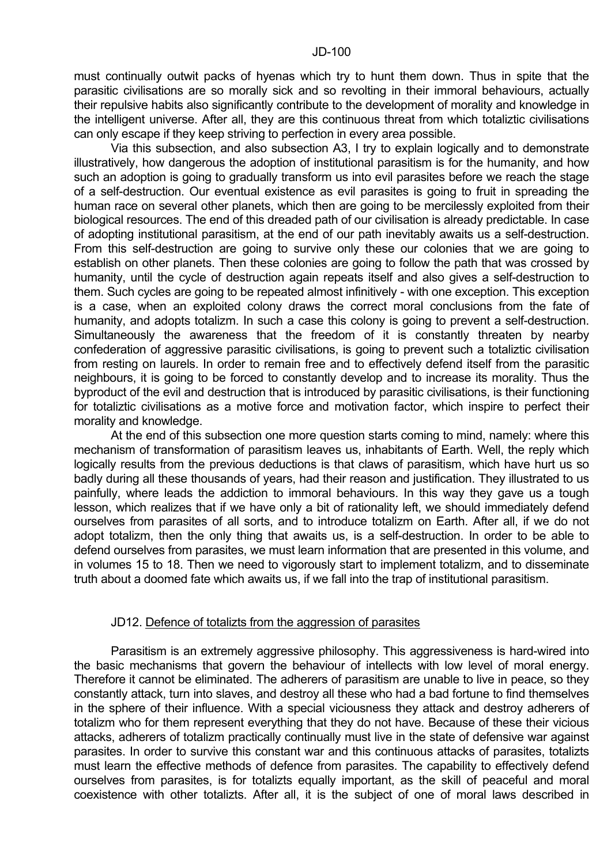must continually outwit packs of hyenas which try to hunt them down. Thus in spite that the parasitic civilisations are so morally sick and so revolting in their immoral behaviours, actually their repulsive habits also significantly contribute to the development of morality and knowledge in the intelligent universe. After all, they are this continuous threat from which totaliztic civilisations can only escape if they keep striving to perfection in every area possible.

 Via this subsection, and also subsection A3, I try to explain logically and to demonstrate illustratively, how dangerous the adoption of institutional parasitism is for the humanity, and how such an adoption is going to gradually transform us into evil parasites before we reach the stage of a self-destruction. Our eventual existence as evil parasites is going to fruit in spreading the human race on several other planets, which then are going to be mercilessly exploited from their biological resources. The end of this dreaded path of our civilisation is already predictable. In case of adopting institutional parasitism, at the end of our path inevitably awaits us a self-destruction. From this self-destruction are going to survive only these our colonies that we are going to establish on other planets. Then these colonies are going to follow the path that was crossed by humanity, until the cycle of destruction again repeats itself and also gives a self-destruction to them. Such cycles are going to be repeated almost infinitively - with one exception. This exception is a case, when an exploited colony draws the correct moral conclusions from the fate of humanity, and adopts totalizm. In such a case this colony is going to prevent a self-destruction. Simultaneously the awareness that the freedom of it is constantly threaten by nearby confederation of aggressive parasitic civilisations, is going to prevent such a totaliztic civilisation from resting on laurels. In order to remain free and to effectively defend itself from the parasitic neighbours, it is going to be forced to constantly develop and to increase its morality. Thus the byproduct of the evil and destruction that is introduced by parasitic civilisations, is their functioning for totaliztic civilisations as a motive force and motivation factor, which inspire to perfect their morality and knowledge.

 At the end of this subsection one more question starts coming to mind, namely: where this mechanism of transformation of parasitism leaves us, inhabitants of Earth. Well, the reply which logically results from the previous deductions is that claws of parasitism, which have hurt us so badly during all these thousands of years, had their reason and justification. They illustrated to us painfully, where leads the addiction to immoral behaviours. In this way they gave us a tough lesson, which realizes that if we have only a bit of rationality left, we should immediately defend ourselves from parasites of all sorts, and to introduce totalizm on Earth. After all, if we do not adopt totalizm, then the only thing that awaits us, is a self-destruction. In order to be able to defend ourselves from parasites, we must learn information that are presented in this volume, and in volumes 15 to 18. Then we need to vigorously start to implement totalizm, and to disseminate truth about a doomed fate which awaits us, if we fall into the trap of institutional parasitism.

#### JD12. Defence of totalizts from the aggression of parasites

 Parasitism is an extremely aggressive philosophy. This aggressiveness is hard-wired into the basic mechanisms that govern the behaviour of intellects with low level of moral energy. Therefore it cannot be eliminated. The adherers of parasitism are unable to live in peace, so they constantly attack, turn into slaves, and destroy all these who had a bad fortune to find themselves in the sphere of their influence. With a special viciousness they attack and destroy adherers of totalizm who for them represent everything that they do not have. Because of these their vicious attacks, adherers of totalizm practically continually must live in the state of defensive war against parasites. In order to survive this constant war and this continuous attacks of parasites, totalizts must learn the effective methods of defence from parasites. The capability to effectively defend ourselves from parasites, is for totalizts equally important, as the skill of peaceful and moral coexistence with other totalizts. After all, it is the subject of one of moral laws described in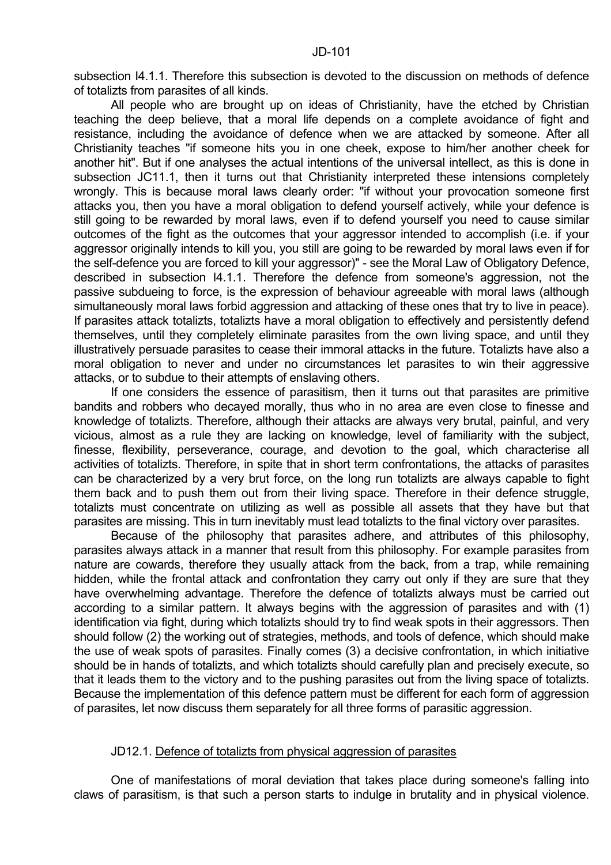subsection I4.1.1. Therefore this subsection is devoted to the discussion on methods of defence of totalizts from parasites of all kinds.

 All people who are brought up on ideas of Christianity, have the etched by Christian teaching the deep believe, that a moral life depends on a complete avoidance of fight and resistance, including the avoidance of defence when we are attacked by someone. After all Christianity teaches "if someone hits you in one cheek, expose to him/her another cheek for another hit". But if one analyses the actual intentions of the universal intellect, as this is done in subsection JC11.1, then it turns out that Christianity interpreted these intensions completely wrongly. This is because moral laws clearly order: "if without your provocation someone first attacks you, then you have a moral obligation to defend yourself actively, while your defence is still going to be rewarded by moral laws, even if to defend yourself you need to cause similar outcomes of the fight as the outcomes that your aggressor intended to accomplish (i.e. if your aggressor originally intends to kill you, you still are going to be rewarded by moral laws even if for the self-defence you are forced to kill your aggressor)" - see the Moral Law of Obligatory Defence, described in subsection I4.1.1. Therefore the defence from someone's aggression, not the passive subdueing to force, is the expression of behaviour agreeable with moral laws (although simultaneously moral laws forbid aggression and attacking of these ones that try to live in peace). If parasites attack totalizts, totalizts have a moral obligation to effectively and persistently defend themselves, until they completely eliminate parasites from the own living space, and until they illustratively persuade parasites to cease their immoral attacks in the future. Totalizts have also a moral obligation to never and under no circumstances let parasites to win their aggressive attacks, or to subdue to their attempts of enslaving others.

 If one considers the essence of parasitism, then it turns out that parasites are primitive bandits and robbers who decayed morally, thus who in no area are even close to finesse and knowledge of totalizts. Therefore, although their attacks are always very brutal, painful, and very vicious, almost as a rule they are lacking on knowledge, level of familiarity with the subject, finesse, flexibility, perseverance, courage, and devotion to the goal, which characterise all activities of totalizts. Therefore, in spite that in short term confrontations, the attacks of parasites can be characterized by a very brut force, on the long run totalizts are always capable to fight them back and to push them out from their living space. Therefore in their defence struggle, totalizts must concentrate on utilizing as well as possible all assets that they have but that parasites are missing. This in turn inevitably must lead totalizts to the final victory over parasites.

 Because of the philosophy that parasites adhere, and attributes of this philosophy, parasites always attack in a manner that result from this philosophy. For example parasites from nature are cowards, therefore they usually attack from the back, from a trap, while remaining hidden, while the frontal attack and confrontation they carry out only if they are sure that they have overwhelming advantage. Therefore the defence of totalizts always must be carried out according to a similar pattern. It always begins with the aggression of parasites and with (1) identification via fight, during which totalizts should try to find weak spots in their aggressors. Then should follow (2) the working out of strategies, methods, and tools of defence, which should make the use of weak spots of parasites. Finally comes (3) a decisive confrontation, in which initiative should be in hands of totalizts, and which totalizts should carefully plan and precisely execute, so that it leads them to the victory and to the pushing parasites out from the living space of totalizts. Because the implementation of this defence pattern must be different for each form of aggression of parasites, let now discuss them separately for all three forms of parasitic aggression.

### JD12.1. Defence of totalizts from physical aggression of parasites

 One of manifestations of moral deviation that takes place during someone's falling into claws of parasitism, is that such a person starts to indulge in brutality and in physical violence.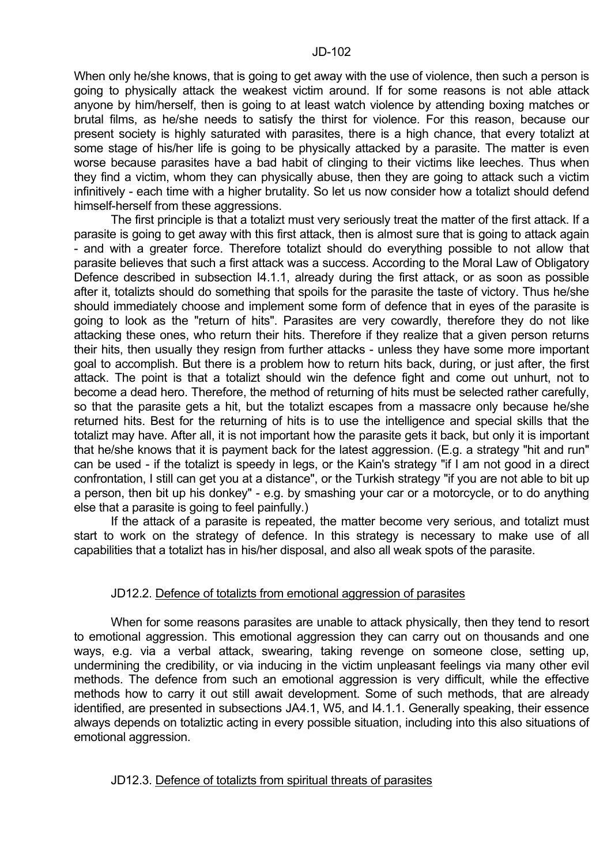When only he/she knows, that is going to get away with the use of violence, then such a person is going to physically attack the weakest victim around. If for some reasons is not able attack anyone by him/herself, then is going to at least watch violence by attending boxing matches or brutal films, as he/she needs to satisfy the thirst for violence. For this reason, because our present society is highly saturated with parasites, there is a high chance, that every totalizt at some stage of his/her life is going to be physically attacked by a parasite. The matter is even worse because parasites have a bad habit of clinging to their victims like leeches. Thus when they find a victim, whom they can physically abuse, then they are going to attack such a victim infinitively - each time with a higher brutality. So let us now consider how a totalizt should defend himself-herself from these aggressions.

 The first principle is that a totalizt must very seriously treat the matter of the first attack. If a parasite is going to get away with this first attack, then is almost sure that is going to attack again - and with a greater force. Therefore totalizt should do everything possible to not allow that parasite believes that such a first attack was a success. According to the Moral Law of Obligatory Defence described in subsection I4.1.1, already during the first attack, or as soon as possible after it, totalizts should do something that spoils for the parasite the taste of victory. Thus he/she should immediately choose and implement some form of defence that in eyes of the parasite is going to look as the "return of hits". Parasites are very cowardly, therefore they do not like attacking these ones, who return their hits. Therefore if they realize that a given person returns their hits, then usually they resign from further attacks - unless they have some more important goal to accomplish. But there is a problem how to return hits back, during, or just after, the first attack. The point is that a totalizt should win the defence fight and come out unhurt, not to become a dead hero. Therefore, the method of returning of hits must be selected rather carefully, so that the parasite gets a hit, but the totalizt escapes from a massacre only because he/she returned hits. Best for the returning of hits is to use the intelligence and special skills that the totalizt may have. After all, it is not important how the parasite gets it back, but only it is important that he/she knows that it is payment back for the latest aggression. (E.g. a strategy "hit and run" can be used - if the totalizt is speedy in legs, or the Kain's strategy "if I am not good in a direct confrontation, I still can get you at a distance", or the Turkish strategy "if you are not able to bit up a person, then bit up his donkey" - e.g. by smashing your car or a motorcycle, or to do anything else that a parasite is going to feel painfully.)

 If the attack of a parasite is repeated, the matter become very serious, and totalizt must start to work on the strategy of defence. In this strategy is necessary to make use of all capabilities that a totalizt has in his/her disposal, and also all weak spots of the parasite.

# JD12.2. Defence of totalizts from emotional aggression of parasites

 When for some reasons parasites are unable to attack physically, then they tend to resort to emotional aggression. This emotional aggression they can carry out on thousands and one ways, e.g. via a verbal attack, swearing, taking revenge on someone close, setting up, undermining the credibility, or via inducing in the victim unpleasant feelings via many other evil methods. The defence from such an emotional aggression is very difficult, while the effective methods how to carry it out still await development. Some of such methods, that are already identified, are presented in subsections JA4.1, W5, and I4.1.1. Generally speaking, their essence always depends on totaliztic acting in every possible situation, including into this also situations of emotional aggression.

### JD12.3. Defence of totalizts from spiritual threats of parasites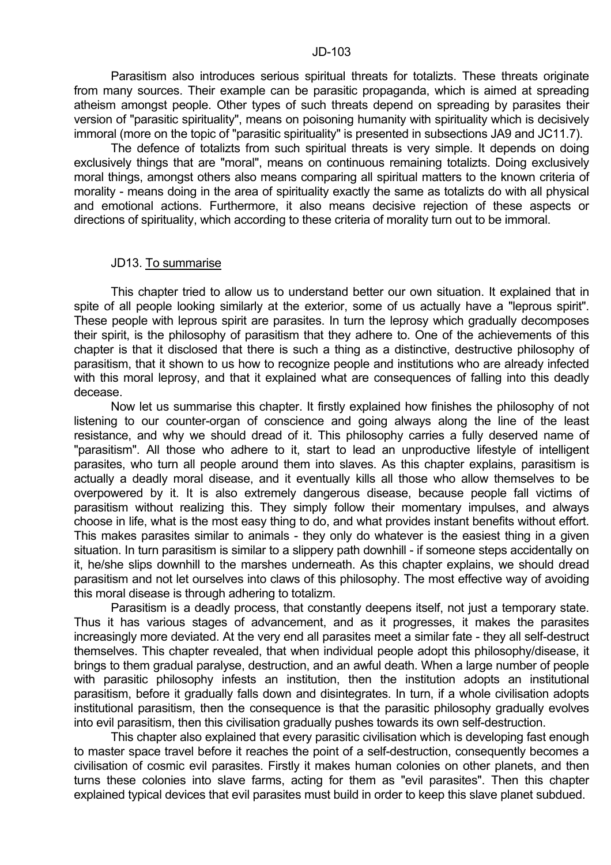Parasitism also introduces serious spiritual threats for totalizts. These threats originate from many sources. Their example can be parasitic propaganda, which is aimed at spreading atheism amongst people. Other types of such threats depend on spreading by parasites their version of "parasitic spirituality", means on poisoning humanity with spirituality which is decisively immoral (more on the topic of "parasitic spirituality" is presented in subsections JA9 and JC11.7).

 The defence of totalizts from such spiritual threats is very simple. It depends on doing exclusively things that are "moral", means on continuous remaining totalizts. Doing exclusively moral things, amongst others also means comparing all spiritual matters to the known criteria of morality - means doing in the area of spirituality exactly the same as totalizts do with all physical and emotional actions. Furthermore, it also means decisive rejection of these aspects or directions of spirituality, which according to these criteria of morality turn out to be immoral.

#### JD13. To summarise

 This chapter tried to allow us to understand better our own situation. It explained that in spite of all people looking similarly at the exterior, some of us actually have a "leprous spirit". These people with leprous spirit are parasites. In turn the leprosy which gradually decomposes their spirit, is the philosophy of parasitism that they adhere to. One of the achievements of this chapter is that it disclosed that there is such a thing as a distinctive, destructive philosophy of parasitism, that it shown to us how to recognize people and institutions who are already infected with this moral leprosy, and that it explained what are consequences of falling into this deadly decease.

 Now let us summarise this chapter. It firstly explained how finishes the philosophy of not listening to our counter-organ of conscience and going always along the line of the least resistance, and why we should dread of it. This philosophy carries a fully deserved name of "parasitism". All those who adhere to it, start to lead an unproductive lifestyle of intelligent parasites, who turn all people around them into slaves. As this chapter explains, parasitism is actually a deadly moral disease, and it eventually kills all those who allow themselves to be overpowered by it. It is also extremely dangerous disease, because people fall victims of parasitism without realizing this. They simply follow their momentary impulses, and always choose in life, what is the most easy thing to do, and what provides instant benefits without effort. This makes parasites similar to animals - they only do whatever is the easiest thing in a given situation. In turn parasitism is similar to a slippery path downhill - if someone steps accidentally on it, he/she slips downhill to the marshes underneath. As this chapter explains, we should dread parasitism and not let ourselves into claws of this philosophy. The most effective way of avoiding this moral disease is through adhering to totalizm.

 Parasitism is a deadly process, that constantly deepens itself, not just a temporary state. Thus it has various stages of advancement, and as it progresses, it makes the parasites increasingly more deviated. At the very end all parasites meet a similar fate - they all self-destruct themselves. This chapter revealed, that when individual people adopt this philosophy/disease, it brings to them gradual paralyse, destruction, and an awful death. When a large number of people with parasitic philosophy infests an institution, then the institution adopts an institutional parasitism, before it gradually falls down and disintegrates. In turn, if a whole civilisation adopts institutional parasitism, then the consequence is that the parasitic philosophy gradually evolves into evil parasitism, then this civilisation gradually pushes towards its own self-destruction.

 This chapter also explained that every parasitic civilisation which is developing fast enough to master space travel before it reaches the point of a self-destruction, consequently becomes a civilisation of cosmic evil parasites. Firstly it makes human colonies on other planets, and then turns these colonies into slave farms, acting for them as "evil parasites". Then this chapter explained typical devices that evil parasites must build in order to keep this slave planet subdued.